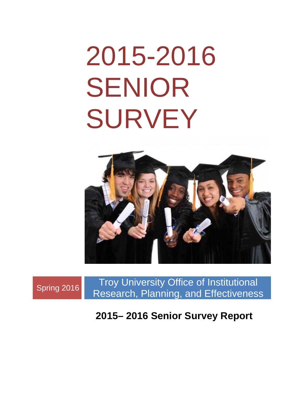# 2015-2016 SENIOR SURVEY





**2015– 2016 Senior Survey Report**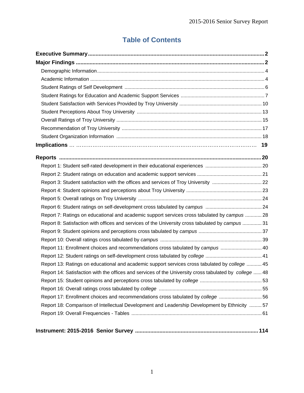# **Table of Contents**

| Report 3: Student satisfaction with the offices and services of Troy University  22                    |  |
|--------------------------------------------------------------------------------------------------------|--|
|                                                                                                        |  |
|                                                                                                        |  |
|                                                                                                        |  |
| Report 7: Ratings on educational and academic support services cross tabulated by campus  28           |  |
| Report 8: Satisfaction with offices and services of the University cross tabulated by campus  31       |  |
|                                                                                                        |  |
|                                                                                                        |  |
| Report 11: Enrollment choices and recommendations cross tabulated by campus  40                        |  |
|                                                                                                        |  |
| Report 13: Ratings on educational and academic support services cross tabulated by college  45         |  |
| Report 14: Satisfaction with the offices and services of the University cross tabulated by college  48 |  |
|                                                                                                        |  |
|                                                                                                        |  |
| Report 17: Enrollment choices and recommendations cross tabulated by college 56                        |  |
| Report 18: Comparison of Intellectual Development and Leadership Development by Ethnicity  57          |  |
|                                                                                                        |  |
|                                                                                                        |  |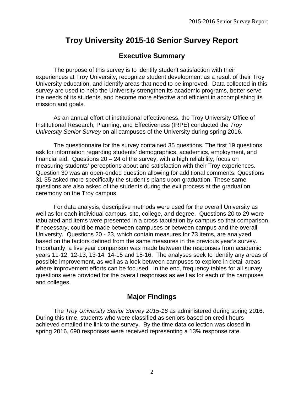# **Troy University 2015-16 Senior Survey Report**

# **Executive Summary**

 The purpose of this survey is to identify student satisfaction with their experiences at Troy University, recognize student development as a result of their Troy University education, and identify areas that need to be improved. Data collected in this survey are used to help the University strengthen its academic programs, better serve the needs of its students, and become more effective and efficient in accomplishing its mission and goals.

 As an annual effort of institutional effectiveness, the Troy University Office of Institutional Research, Planning, and Effectiveness (IRPE) conducted the *Troy University Senior Survey* on all campuses of the University during spring 2016.

 The questionnaire for the survey contained 35 questions. The first 19 questions ask for information regarding students' demographics, academics, employment, and financial aid. Questions 20 – 24 of the survey, with a high reliability, focus on measuring students' perceptions about and satisfaction with their Troy experiences. Question 30 was an open-ended question allowing for additional comments. Questions 31-35 asked more specifically the student's plans upon graduation. These same questions are also asked of the students during the exit process at the graduation ceremony on the Troy campus.

 For data analysis, descriptive methods were used for the overall University as well as for each individual campus, site, college, and degree. Questions 20 to 29 were tabulated and items were presented in a cross tabulation by campus so that comparison, if necessary, could be made between campuses or between campus and the overall University. Questions 20 - 23, which contain measures for 73 items, are analyzed based on the factors defined from the same measures in the previous year's survey. Importantly, a five year comparison was made between the responses from academic years 11-12, 12-13, 13-14, 14-15 and 15-16. The analyses seek to identify any areas of possible improvement, as well as a look between campuses to explore in detail areas where improvement efforts can be focused. In the end, frequency tables for all survey questions were provided for the overall responses as well as for each of the campuses and colleges.

# **Major Findings**

 The *Troy University Senior Survey 2015-16* as administered during spring 2016. During this time, students who were classified as seniors based on credit hours achieved emailed the link to the survey. By the time data collection was closed in spring 2016, 690 responses were received representing a 13% response rate.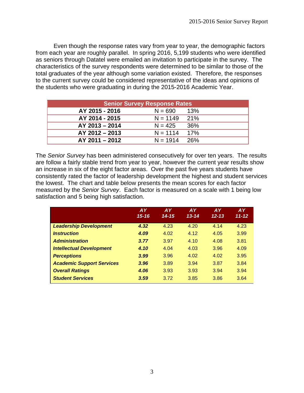Even though the response rates vary from year to year, the demographic factors from each year are roughly parallel. In spring 2016, 5,199 students who were identified as seniors through Datatel were emailed an invitation to participate in the survey. The characteristics of the survey respondents were determined to be similar to those of the total graduates of the year although some variation existed. Therefore, the responses to the current survey could be considered representative of the ideas and opinions of the students who were graduating in during the 2015-2016 Academic Year.

| <b>Senior Survey Response Rates</b> |                |     |  |  |  |  |  |  |  |  |
|-------------------------------------|----------------|-----|--|--|--|--|--|--|--|--|
| AY 2015 - 2016                      | $N = 690$      | 13% |  |  |  |  |  |  |  |  |
| AY 2014 - 2015                      | $N = 1149$ 21% |     |  |  |  |  |  |  |  |  |
| AY 2013 - 2014                      | $N = 425$      | 36% |  |  |  |  |  |  |  |  |
| $AY$ 2012 - 2013                    | $N = 1114$     | 17% |  |  |  |  |  |  |  |  |
| $AY$ 2011 - 2012                    | $N = 1914$     | 26% |  |  |  |  |  |  |  |  |

The *Senior Survey* has been administered consecutively for over ten years. The results are follow a fairly stable trend from year to year, however the current year results show an increase in six of the eight factor areas. Over the past five years students have consistently rated the factor of leadership development the highest and student services the lowest. The chart and table below presents the mean scores for each factor measured by the *Senior Survey*. Each factor is measured on a scale with 1 being low satisfaction and 5 being high satisfaction.

|                                  | <b>AY</b><br>$15 - 16$ | <b>AY</b><br>$14 - 15$ | <b>AY</b><br>$13 - 14$ | <b>AY</b><br>$12 - 13$ | <b>AY</b><br>$11 - 12$ |
|----------------------------------|------------------------|------------------------|------------------------|------------------------|------------------------|
| <b>Leadership Development</b>    | 4.32                   | 4.23                   | 4.20                   | 4.14                   | 4.23                   |
| <b>Instruction</b>               | 4.09                   | 4.02                   | 4.12                   | 4.05                   | 3.99                   |
| <b>Administration</b>            | 3.77                   | 3.97                   | 4.10                   | 4.08                   | 3.81                   |
| <b>Intellectual Development</b>  | 4.10                   | 4.04                   | 4.03                   | 3.96                   | 4.09                   |
| <b>Perceptions</b>               | 3.99                   | 3.96                   | 4.02                   | 4.02                   | 3.95                   |
| <b>Academic Support Services</b> | 3.96                   | 3.89                   | 3.94                   | 3.87                   | 3.84                   |
| <b>Overall Ratings</b>           | 4.06                   | 3.93                   | 3.93                   | 3.94                   | 3.94                   |
| <b>Student Services</b>          | 3.59                   | 3.72                   | 3.85                   | 3.86                   | 3.64                   |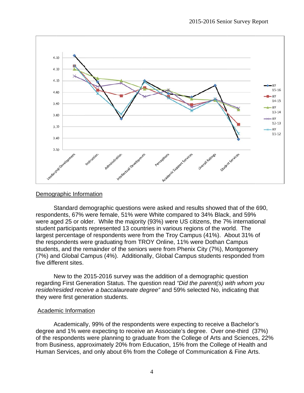

# Demographic Information

Standard demographic questions were asked and results showed that of the 690, respondents, 67% were female, 51% were White compared to 34% Black, and 59% respondents, 67% were female, 51% were White compared to 34% Black, and 59%<br>were aged 25 or older. While the majority (93%) were US citizens, the 7% international student participants represented 13 countries in various regions of the world. The largest percentage of respondents were from the Troy Campus (41%). About 31% of the respondents were graduating from TROY Online, 11% were Dothan Campus students, and the remainder of the seniors were from Phenix City (7%), Montgomery (7%) and Global Campus (4%). Additionally, Global Campus students responded from five different sites.

New to the 2015-2016 survey was the addition of a demographic question regarding First Generation Status. The question read "Did the parent(s) with whom you reside/resided receive a baccalaureate degree" and 59% selected No, indicating that they were first generation students.

# Academic Information

Academically, 99% of the respondents were expecting to receive a Bachelor's degree and 1% were expecting to receive an Associate's degree. Over one-third (37%) of the respondents were planning to graduate from the College of Arts and Sciences, 22% from Business, approximately 20% from Education, 15% from the College of Health and Human Services, and only about 6% from the College of Communication & Fine Arts.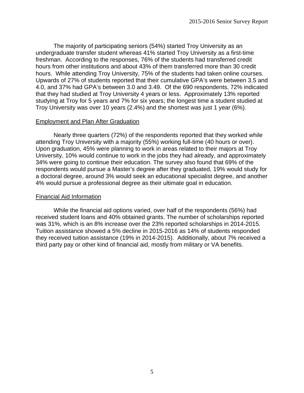The majority of participating seniors (54%) started Troy University as an undergraduate transfer student whereas 41% started Troy University as a first-time freshman. According to the responses, 76% of the students had transferred credit hours from other institutions and about 43% of them transferred more than 30 credit hours. While attending Troy University, 75% of the students had taken online courses. Upwards of 27% of students reported that their cumulative GPA's were between 3.5 and 4.0, and 37% had GPA's between 3.0 and 3.49. Of the 690 respondents, 72% indicated that they had studied at Troy University 4 years or less. Approximately 13% reported studying at Troy for 5 years and 7% for six years; the longest time a student studied at Troy University was over 10 years (2.4%) and the shortest was just 1 year (6%).

## Employment and Plan After Graduation

 Nearly three quarters (72%) of the respondents reported that they worked while attending Troy University with a majority (55%) working full-time (40 hours or over). Upon graduation, 45% were planning to work in areas related to their majors at Troy University, 10% would continue to work in the jobs they had already, and approximately 34% were going to continue their education. The survey also found that 69% of the respondents would pursue a Master's degree after they graduated, 19% would study for a doctoral degree, around 3% would seek an educational specialist degree, and another 4% would pursue a professional degree as their ultimate goal in education.

## Financial Aid Information

 While the financial aid options varied, over half of the respondents (56%) had received student loans and 40% obtained grants. The number of scholarships reported was 31%, which is an 8% increase over the 23% reported scholarships in 2014-2015. Tuition assistance showed a 5% decline in 2015-2016 as 14% of students responded they received tuition assistance (19% in 2014-2015). Additionally, about 7% received a third party pay or other kind of financial aid, mostly from military or VA benefits.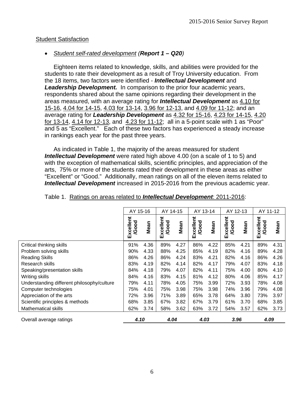# Student Satisfaction

# *Student self-rated development (Report 1 – Q20)*

 Eighteen items related to knowledge, skills, and abilities were provided for the students to rate their development as a result of Troy University education. From the 18 items, two factors were identified - *Intellectual Development* and *Leadership Development.* In comparison to the prior four academic years, respondents shared about the same opinions regarding their development in the areas measured, with an average rating for *Intellectual Development* as 4.10 for 15-16, 4.04 for 14-15, 4.03 for 13-14, 3.96 for 12-13, and 4.09 for 11-12; and an average rating for *Leadership Development* as 4.32 for 15-16, 4.23 for 14-15, 4.20 for 13-14, 4.14 for 12-13, and 4.23 for 11-12; all in a 5-point scale with 1 as "Poor" and 5 as "Excellent." Each of these two factors has experienced a steady increase in rankings each year for the past three years.

 As indicated in Table 1, the majority of the areas measured for student *Intellectual Development* were rated high above 4.00 (on a scale of 1 to 5) and with the exception of mathematical skills, scientific principles, and appreciation of the arts, 75% or more of the students rated their development in these areas as either "Excellent" or "Good." Additionally, mean ratings on all of the eleven items related to *Intellectual Development* increased in 2015-2016 from the previous academic year.

|                                            |                        | AY 15-16 |                       | AY 14-15 |                           | AY 13-14 |                       | AY 12-13 |                           | AY 11-12 |
|--------------------------------------------|------------------------|----------|-----------------------|----------|---------------------------|----------|-----------------------|----------|---------------------------|----------|
|                                            | Excellent<br>poo<br>ଡ୍ | Mean     | Excellent<br>ood<br>ହ | Mean     | Excellent<br><b>/Good</b> | Mean     | Excellent<br>poo<br>Q | Mean     | Excellent<br><b>/Good</b> | Mean     |
| Critical thinking skills                   | 91%                    | 4.36     | 89%                   | 4.27     | 86%                       | 4.22     | 85%                   | 4.21     | 89%                       | 4.31     |
| Problem solving skills                     | 90%                    | 4.33     | 88%                   | 4.25     | 85%                       | 4.19     | 82%                   | 4.16     | 89%                       | 4.28     |
| <b>Reading Skills</b>                      | 86%                    | 4.26     | 86%                   | 4.24     | 83%                       | 4.21     | 82%                   | 4.16     | 86%                       | 4.26     |
| <b>Research skills</b>                     | 83%                    | 4.19     | 82%                   | 4.14     | 82%                       | 4.17     | 79%                   | 4.07     | 83%                       | 4.18     |
| Speaking/presentation skills               | 84%                    | 4.18     | 79%                   | 4.07     | 82%                       | 4.11     | 75%                   | 4.00     | 80%                       | 4.10     |
| Writing skills                             | 84%                    | 4.16     | 83%                   | 4.15     | 81%                       | 4.12     | 80%                   | 4.06     | 85%                       | 4.17     |
| Understanding different philosophy/culture | 79%                    | 4.11     | 78%                   | 4.05     | 75%                       | 3.99     | 72%                   | 3.93     | 78%                       | 4.08     |
| Computer technologies                      | 75%                    | 4.01     | 75%                   | 3.98     | 75%                       | 3.98     | 74%                   | 3.96     | 79%                       | 4.08     |
| Appreciation of the arts                   | 72%                    | 3.96     | 71%                   | 3.89     | 65%                       | 3.78     | 64%                   | 3.80     | 73%                       | 3.97     |
| Scientific principles & methods            | 68%                    | 3.85     | 67%                   | 3.82     | 67%                       | 3.79     | 61%                   | 3.70     | 68%                       | 3.85     |
| <b>Mathematical skills</b>                 | 62%                    | 3.74     | 58%                   | 3.62     | 63%                       | 3.72     | 54%                   | 3.57     | 62%                       | 3.73     |
| Overall average ratings                    | 4.10                   |          | 4.04                  |          | 4.03                      |          | 3.96                  |          | 4.09                      |          |

#### Table 1. Ratings on areas related to *Intellectual Development*: 2011-2016: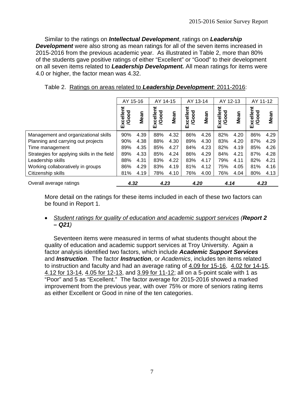Similar to the ratings on *Intellectual Development*, ratings on *Leadership Development* were also strong as mean ratings for all of the seven items increased in 2015-2016 from the previous academic year. As illustrated in Table 2, more than 80% of the students gave positive ratings of either "Excellent" or "Good" to their development on all seven items related to *Leadership Development.* All mean ratings for items were 4.0 or higher, the factor mean was 4.32.

|                                             | AY 15-16           |      | AY 14-15                  |      | AY 13-14                  |      | AY 12-13                  |      | AY 11-12                  |      |
|---------------------------------------------|--------------------|------|---------------------------|------|---------------------------|------|---------------------------|------|---------------------------|------|
|                                             | Excellent<br>/Good | Mean | Excellent<br><b>/Good</b> | Mean | Excellent<br><b>/Good</b> | Mean | Excellent<br><b>/Good</b> | Mean | Excellent<br><b>/Good</b> | Mean |
| Management and organizational skills        | 90%                | 4.39 | 88%                       | 4.32 | 86%                       | 4.26 | 82%                       | 4.20 | 86%                       | 4.29 |
| Planning and carrying out projects          | 90%                | 4.38 | 88%                       | 4.30 | 89%                       | 4.30 | 83%                       | 4.20 | 87%                       | 4.29 |
| Time management                             | 89%                | 4.35 | 85%                       | 4.27 | 84%                       | 4.23 | 82%                       | 4.19 | 85%                       | 4.26 |
| Strategies for applying skills in the field | 89%                | 4.33 | 85%                       | 4.24 | 86%                       | 4.29 | 84%                       | 4.21 | 87%                       | 4.28 |
| Leadership skills                           | 88%                | 4.31 | 83%                       | 4.22 | 83%                       | 4.17 | 79%                       | 4.11 | 82%                       | 4.21 |
| Working collaboratively in groups           | 86%                | 4.29 | 83%                       | 4.19 | 81%                       | 4.12 | 75%                       | 4.05 | 81%                       | 4.16 |
| Citizenship skills                          | 81%                | 4.19 | 78%                       | 4.10 | 76%                       | 4.00 | 76%                       | 4.04 | 80%                       | 4.13 |
| Overall average ratings                     | 4.32               |      | 4.23                      |      | 4.20                      |      | 4.14                      |      | 4.23                      |      |

Table 2. Ratings on areas related to *Leadership Development*: 2011-2016:

More detail on the ratings for these items included in each of these two factors can be found in Report 1.

 *Student ratings for quality of education and academic support services (Report 2 – Q21)* 

 Seventeen items were measured in terms of what students thought about the quality of education and academic support services at Troy University. Again a factor analysis identified two factors, which include *Academic Support Services* and *Instruction*. The factor *Instruction*, or *Academics*, includes ten items related to instruction and faculty and had an average rating of 4.09 for 15-16, 4.02 for 14-15, 4.12 for 13-14, 4.05 for 12-13, and 3.99 for 11-12; all on a 5-point scale with 1 as "Poor" and 5 as "Excellent." The factor average for 2015-2016 showed a marked improvement from the previous year, with over 75% or more of seniors rating items as either Excellent or Good in nine of the ten categories.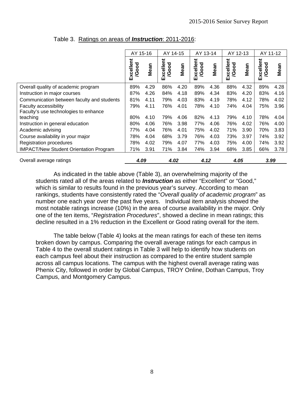|                                               | AY 15-16           |      | AY 14-15                |      | AY 13-14           |      | AY 12-13           |      | AY 11-12           |      |
|-----------------------------------------------|--------------------|------|-------------------------|------|--------------------|------|--------------------|------|--------------------|------|
|                                               | Excellent<br>/Good | Mean | xcellent<br>/Good<br>ШÌ | Mean | Excellent<br>/Good | Mean | Excellent<br>/Good | Mean | Excellent<br>/Good | Mean |
| Overall quality of academic program           | 89%                | 4.29 | 86%                     | 4.20 | 89%                | 4.36 | 88%                | 4.32 | 89%                | 4.28 |
| Instruction in major courses                  | 87%                | 4.26 | 84%                     | 4.18 | 89%                | 4.34 | 83%                | 4.20 | 83%                | 4.16 |
| Communication between faculty and students    | 81%                | 4.11 | 79%                     | 4.03 | 83%                | 4.19 | 78%                | 4.12 | 78%                | 4.02 |
| <b>Faculty accessibility</b>                  | 79%                | 4.11 | 76%                     | 4.01 | 78%                | 4.10 | 74%                | 4.04 | 75%                | 3.96 |
| Faculty's use technologies to enhance         |                    |      |                         |      |                    |      |                    |      |                    |      |
| teaching                                      | 80%                | 4.10 | 79%                     | 4.06 | 82%                | 4.13 | 79%                | 4.10 | 78%                | 4.04 |
| Instruction in general education              | 80%                | 4.06 | 76%                     | 3.98 | 77%                | 4.06 | 76%                | 4.02 | 76%                | 4.00 |
| Academic advising                             | 77%                | 4.04 | 76%                     | 4.01 | 75%                | 4.02 | 71%                | 3.90 | 70%                | 3.83 |
| Course availability in your major             | 78%                | 4.04 | 68%                     | 3.79 | 76%                | 4.03 | 73%                | 3.97 | 74%                | 3.92 |
| Registration procedures                       | 78%                | 4.02 | 79%                     | 4.07 | 77%                | 4.03 | 75%                | 4.00 | 74%                | 3.92 |
| <b>IMPACT/New Student Orientation Program</b> | 71%                | 3.91 | 71%                     | 3.84 | 74%                | 3.94 | 68%                | 3.85 | 66%                | 3.78 |
| Overall average ratings                       | 4.09               |      | 4.02                    |      | 4.12               |      | 4.05               |      | 3.99               |      |

# Table 3. Ratings on areas of *Instruction*: 2011-2016:

 As indicated in the table above (Table 3), an overwhelming majority of the students rated all of the areas related to *Instruction* as either "Excellent" or "Good," which is similar to results found in the previous year's survey. According to mean rankings, students have consistently rated the "*Overall quality of academic program*" as number one each year over the past five years. Individual item analysis showed the most notable ratings increase (10%) in the area of course availability in the major. Only one of the ten items, "*Registration Procedures*", showed a decline in mean ratings; this decline resulted in a 1% reduction in the Excellent or Good rating overall for the item.

 The table below (Table 4) looks at the mean ratings for each of these ten items broken down by campus. Comparing the overall average ratings for each campus in Table 4 to the overall student ratings in Table 3 will help to identify how students on each campus feel about their instruction as compared to the entire student sample across all campus locations. The campus with the highest overall average rating was Phenix City, followed in order by Global Campus, TROY Online, Dothan Campus, Troy Campus, and Montgomery Campus.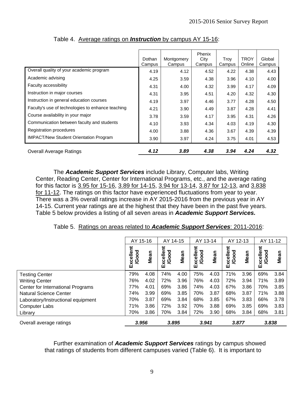|                                                   | Dothan<br>Campus | Montgomery<br>Campus | Phenix<br>City<br>Campus | Trov<br>Campus | <b>TROY</b><br>Online | Global<br>Campus |
|---------------------------------------------------|------------------|----------------------|--------------------------|----------------|-----------------------|------------------|
| Overall quality of your academic program          | 4.19             | 4.12                 | 4.52                     | 4.22           | 4.38                  | 4.43             |
| Academic advising                                 | 4.25             | 3.59                 | 4.38                     | 3.96           | 4.10                  | 4.00             |
| Faculty accessibility                             | 4.31             | 4.00                 | 4.32                     | 3.99           | 4.17                  | 4.09             |
| Instruction in major courses                      | 4.31             | 3.95                 | 4.51                     | 4.20           | 4.32                  | 4.30             |
| Instruction in general education courses          | 4.19             | 3.97                 | 4.46                     | 3.77           | 4.28                  | 4.50             |
| Faculty's use of technologies to enhance teaching | 4.21             | 3.90                 | 4.49                     | 3.87           | 4.28                  | 4.41             |
| Course availability in your major                 | 3.78             | 3.59                 | 4.17                     | 3.95           | 4.31                  | 4.26             |
| Communication between faculty and students        | 4.10             | 3.93                 | 4.34                     | 4.03           | 4.19                  | 4.30             |
| Registration procedures                           | 4.00             | 3.88                 | 4.36                     | 3.67           | 4.39                  | 4.39             |
| <b>IMPACT/New Student Orientation Program</b>     | 3.90             | 3.97                 | 4.24                     | 3.75           | 4.01                  | 4.53             |
| <b>Overall Average Ratings</b>                    | 4.12             | 3.89                 | 4.38                     | 3.94           | 4.24                  | 4.32             |

Table 4. Average ratings on *Instruction* by campus AY 15-16:

 The *Academic Support Services* include Library, Computer labs, Writing Center, Reading Center, Center for International Programs, etc., and the average rating for this factor is 3.95 for 15-16, 3.89 for 14-15, 3.94 for 13-14, 3.87 for 12-13, and 3.838 for 11-12. The ratings on this factor have experienced fluctuations from year to year. There was a 3% overall ratings increase in AY 2015-2016 from the previous year in AY 14-15. Current year ratings are at the highest that they have been in the past five years. Table 5 below provides a listing of all seven areas in *Academic Support Services.*

| Table 5. Ratings on areas related to Academic Support Services: 2011-2016: |
|----------------------------------------------------------------------------|
|----------------------------------------------------------------------------|

|                                    | AY 15-16                 |      | AY 14-15                 |      | AY 13-14          |      | AY 12-13              |      | AY 11-12           |      |
|------------------------------------|--------------------------|------|--------------------------|------|-------------------|------|-----------------------|------|--------------------|------|
|                                    | Excellent<br><b>Jood</b> | Mean | Excellent<br><b>Jood</b> | Mean | /Good<br>Exceller | Mean | /Good<br>eller<br>Exc | Mean | ह<br>Excelle<br>ŎQ | Mean |
| <b>Testing Center</b>              | 79%                      | 4.08 | 74%                      | 4.00 | 75%               | 4.03 | 71%                   | 3.96 | 69%                | 3.84 |
| <b>Writing Center</b>              | 76%                      | 4.02 | 72%                      | 3.96 | 76%               | 4.03 | 72%                   | 3.94 | 71%                | 3.89 |
| Center for International Programs  | 77%                      | 4.01 | 69%                      | 3.86 | 74%               | 4.03 | 67%                   | 3.86 | 70%                | 3.85 |
| <b>Natural Science Center</b>      | 74%                      | 3.99 | 69%                      | 3.85 | 70%               | 3.87 | 68%                   | 3.87 | 71%                | 3.88 |
| Laboratory/Instructional equipment | 70%                      | 3.87 | 69%                      | 3.84 | 68%               | 3.85 | 67%                   | 3.83 | 66%                | 3.78 |
| <b>Computer Labs</b>               | 71%                      | 3.86 | 72%                      | 3.92 | 70%               | 3.88 | 69%                   | 3.85 | 69%                | 3.83 |
| Library                            | 70%                      | 3.86 | 70%                      | 3.84 | 72%               | 3.90 | 68%                   | 3.84 | 68%                | 3.81 |
| Overall average ratings            | 3.956                    |      | 3.895                    |      | 3.941             |      | 3.877                 |      | 3.838              |      |

Further examination of *Academic Support Services* ratings by campus showed that ratings of students from different campuses varied (Table 6). It is important to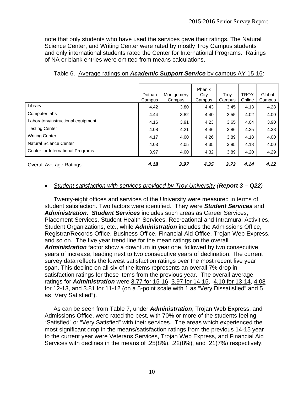note that only students who have used the services gave their ratings. The Natural Science Center, and Writing Center were rated by mostly Troy Campus students and only international students rated the Center for International Programs. Ratings of NA or blank entries were omitted from means calculations.

|                                    | Dothan<br>Campus | Montgomery<br>Campus | Phenix<br>City<br>Campus | Trov<br>Campus | <b>TROY</b><br>Online | Global<br>Campus |
|------------------------------------|------------------|----------------------|--------------------------|----------------|-----------------------|------------------|
| Library                            | 4.42             | 3.80                 | 4.43                     | 3.45           | 4.13                  | 4.28             |
| Computer labs                      | 4.44             | 3.82                 | 4.40                     | 3.55           | 4.02                  | 4.00             |
| Laboratory/instructional equipment | 4.16             | 3.91                 | 4.23                     | 3.65           | 4.04                  | 3.90             |
| <b>Testing Center</b>              | 4.08             | 4.21                 | 4.46                     | 3.86           | 4.25                  | 4.38             |
| <b>Writing Center</b>              | 4.17             | 4.00                 | 4.26                     | 3.89           | 4.18                  | 4.00             |
| Natural Science Center             | 4.03             | 4.05                 | 4.35                     | 3.85           | 4.18                  | 4.00             |
| Center for International Programs  | 3.97             | 4.00                 | 4.32                     | 3.89           | 4.20                  | 4.29             |
| <b>Overall Average Ratings</b>     | 4.18             | 3.97                 | 4.35                     | 3.73           | 4.14                  | 4.12             |

# Table 6. Average ratings on *Academic Support Service* by campus AY 15-16:

## *Student satisfaction with services provided by Troy University (Report 3 – Q22)*

 Twenty-eight offices and services of the University were measured in terms of student satisfaction. Two factors were identified. They were *Student Services* and *Administration*. *Student Services* includes such areas as Career Services, Placement Services, Student Health Services, Recreational and Intramural Activities, Student Organizations, etc., while *Administration* includes the Admissions Office, Registrar/Records Office, Business Office, Financial Aid Office, Trojan Web Express, and so on. The five year trend line for the mean ratings on the overall *Administration* factor show a downturn in year one, followed by two consecutive years of increase, leading next to two consecutive years of declination. The current survey data reflects the lowest satisfaction ratings over the most recent five year span. This decline on all six of the items represents an overall 7% drop in satisfaction ratings for these items from the previous year. The overall average ratings for *Administration* were 3.77 for 15-16, 3.97 for 14-15, 4.10 for 13-14, 4.08 for 12-13, and 3.81 for 11-12 (on a 5-point scale with 1 as "Very Dissatisfied" and 5 as "Very Satisfied").

 As can be seen from Table 7, under *Administration*, Trojan Web Express, and Admissions Office, were rated the best, with 70% or more of the students feeling "Satisfied" or "Very Satisfied" with their services. The areas which experienced the most significant drop in the means/satisfaction ratings from the previous 14-15 year to the current year were Veterans Services, Trojan Web Express, and Financial Aid Services with declines in the means of .25(8%), .22(8%), and .21(7%) respectively.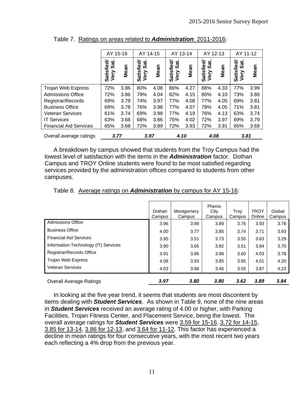|                               | AY 15-16                      |      | AY 14-15                        |      | AY 13-14                       |      | AY 12-13                                    |      | AY 11-12                        |      |
|-------------------------------|-------------------------------|------|---------------------------------|------|--------------------------------|------|---------------------------------------------|------|---------------------------------|------|
|                               | Satisfied<br>್ದ<br>೧೯<br>Very | Mean | jeal<br>Sat.<br>Satisfi<br>Very | Mean | jed<br>Sat.<br>Satisfi<br>Very | Mean | jed<br>Sat.<br>Satisfi<br>Very <sup>9</sup> | Mean | Sat.<br>Satisfied/<br>Very Sat. | Mean |
| Trojan Web Express            | 72%                           | 3.86 | 80%                             | 4.08 | 86%                            | 4.27 | 88%                                         | 4.33 | 77%                             | 3.99 |
| <b>Admissions Office</b>      | 72%                           | 3.86 | 79%                             | 4.04 | 82%                            | 4.15 | 80%                                         | 4.10 | 73%                             | 3.86 |
| Registrar/Records             | 69%                           | 3.79 | 74%                             | 3.97 | 77%                            | 4.08 | 77%                                         | 4.05 | 69%                             | 3.81 |
| <b>Business Office</b>        | 69%                           | 3.78 | 76%                             | 3.98 | 77%                            | 4.07 | 78%                                         | 4.05 | 71%                             | 3.81 |
| <b>Veteran Services</b>       | 61%                           | 3.74 | 69%                             | 3.98 | 77%                            | 4.19 | 76%                                         | 4.13 | 63%                             | 3.74 |
| <b>IT Services</b>            | 63%                           | 3.68 | 68%                             | 3.86 | 75%                            | 4.02 | 72%                                         | 3.97 | 69%                             | 3.79 |
| <b>Financial Aid Services</b> | 65%                           | 3.68 | 72%                             | 3.89 | 72%                            | 3.93 | 72%                                         | 3.91 | 65%                             | 3.68 |
| Overall average ratings       | 3.77                          |      | 3.97                            |      | 4.10                           |      | 4.08                                        |      | 3.81                            |      |

Table 7. Ratings on areas related to *Administration*: 2011-2016:

A breakdown by campus showed that students from the Troy Campus had the lowest level of satisfaction with the items in the *Administration* factor. Dothan Campus and TROY Online students were found to be most satisfied regarding services provided by the administration offices compared to students from other campuses.

|                                      | Dothan<br>Campus | Montgomery<br>Campus | Phenix<br>City<br>Campus | Troy<br>Campus | <b>TROY</b><br>Online | Global<br>Campus |
|--------------------------------------|------------------|----------------------|--------------------------|----------------|-----------------------|------------------|
| <b>Admissions Office</b>             | 3.96             | 3.98                 | 3.89                     | 3.76           | 3.93                  | 3.78             |
| <b>Business Office</b>               | 4.00             | 3.77                 | 3.85                     | 3.74           | 3.71                  | 3.93             |
| <b>Financial Aid Services</b>        | 3.95             | 3.51                 | 3.73                     | 3.55           | 3.83                  | 3.29             |
| Information Technology (IT) Services | 3.90             | 3.65                 | 3.92                     | 3.51           | 3.84                  | 3.70             |
| Registrar/Records Office             | 3.91             | 3.86                 | 3.88                     | 3.60           | 4.03                  | 3.78             |
| <b>Trojan Web Express</b>            | 4.08             | 3.93                 | 3.85                     | 3.65           | 4.01                  | 4.20             |
| <b>Veteran Services</b>              | 4.03             | 3.88                 | 3.46                     | 3.55           | 3.87                  | 4.23             |
| <b>Overall Average Ratings</b>       | 3.97             | 3.80                 | 3.80                     | 3.62           | 3.89                  | 3.84             |

Table 8. Average ratings on *Administration* by campus for AY 15-16:

In looking at the five year trend, it seems that students are most discontent by items dealing with *Student Services*. As shown in Table 9, none of the nine areas in *Student Services* received an average rating of 4.00 or higher, with Parking Facilities, Trojan Fitness Center, and Placement Service, being the lowest. The overall average ratings for *Student Services* were 3.59 for 15-16, 3.72 for 14-15, 3.85 for 13-14, 3.86 for 12-13, and 3.64 for 11-12. This factor has experienced a decline in mean ratings for four consecutive years, with the most recent two years each reflecting a 4% drop from the previous year.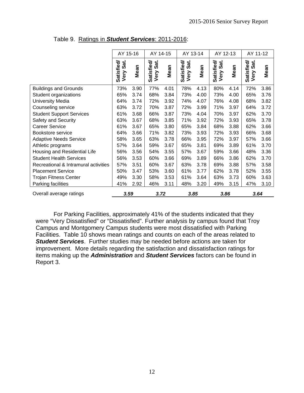|                                      | AY 15-16                   |      | AY 14-15                   |      | AY 13-14                   |      | AY 12-13                   |      | AY 11-12                   |      |
|--------------------------------------|----------------------------|------|----------------------------|------|----------------------------|------|----------------------------|------|----------------------------|------|
|                                      | Satisfied/<br>Sat.<br>Very | Mean | Satisfied/<br>Sat.<br>Very | Mean | Satisfied/<br>Sat.<br>Very | Mean | Satisfied/<br>Sat.<br>Very | Mean | Satisfied/<br>Sat.<br>Very | Mean |
| <b>Buildings and Grounds</b>         | 73%                        | 3.90 | 77%                        | 4.01 | 78%                        | 4.13 | 80%                        | 4.14 | 72%                        | 3.86 |
| Student organizations                | 65%                        | 3.74 | 68%                        | 3.84 | 73%                        | 4.00 | 73%                        | 4.00 | 65%                        | 3.76 |
| <b>University Media</b>              | 64%                        | 3.74 | 72%                        | 3.92 | 74%                        | 4.07 | 76%                        | 4.08 | 68%                        | 3.82 |
| Counseling service                   | 63%                        | 3.72 | 70%                        | 3.87 | 72%                        | 3.99 | 71%                        | 3.97 | 64%                        | 3.72 |
| <b>Student Support Services</b>      | 61%                        | 3.68 | 66%                        | 3.87 | 73%                        | 4.04 | 70%                        | 3.97 | 62%                        | 3.70 |
| Safety and Security                  | 63%                        | 3.67 | 68%                        | 3.85 | 71%                        | 3.92 | 72%                        | 3.93 | 65%                        | 3.78 |
| <b>Career Service</b>                | 61%                        | 3.67 | 65%                        | 3.80 | 65%                        | 3.84 | 68%                        | 3.88 | 62%                        | 3.66 |
| Bookstore service                    | 64%                        | 3.66 | 71%                        | 3.82 | 73%                        | 3.93 | 72%                        | 3.93 | 66%                        | 3.68 |
| <b>Adaptive Needs Service</b>        | 58%                        | 3.65 | 63%                        | 3.78 | 66%                        | 3.95 | 72%                        | 3.97 | 57%                        | 3.66 |
| Athletic programs                    | 57%                        | 3.64 | 59%                        | 3.67 | 65%                        | 3.81 | 69%                        | 3.89 | 61%                        | 3.70 |
| Housing and Residential Life         | 56%                        | 3.56 | 54%                        | 3.55 | 57%                        | 3.67 | 59%                        | 3.66 | 48%                        | 3.36 |
| <b>Student Health Services</b>       | 56%                        | 3.53 | 60%                        | 3.66 | 69%                        | 3.89 | 66%                        | 3.86 | 62%                        | 3.70 |
| Recreational & Intramural activities | 57%                        | 3.51 | 60%                        | 3.67 | 63%                        | 3.78 | 69%                        | 3.88 | 57%                        | 3.58 |
| <b>Placement Service</b>             | 50%                        | 3.47 | 53%                        | 3.60 | 61%                        | 3.77 | 62%                        | 3.78 | 52%                        | 3.55 |
| <b>Trojan Fitness Center</b>         | 49%                        | 3.30 | 58%                        | 3.53 | 61%                        | 3.64 | 63%                        | 3.73 | 60%                        | 3.63 |
| Parking facilities                   | 41%                        | 2.92 | 46%                        | 3.11 | 48%                        | 3.20 | 49%                        | 3.15 | 47%                        | 3.10 |
| Overall average ratings              | 3.59                       |      | 3.72                       |      | 3.85                       |      | 3.86                       |      | 3.64                       |      |

# Table 9. Ratings in *Student Services*: 2011-2016:

 For Parking Facilities, approximately 41% of the students indicated that they were "Very Dissatisfied" or "Dissatisfied". Further analysis by campus found that Troy Campus and Montgomery Campus students were most dissatisfied with Parking Facilities. Table 10 shows mean ratings and counts on each of the areas related to *Student Services*. Further studies may be needed before actions are taken for improvement. More details regarding the satisfaction and dissatisfaction ratings for items making up the *Administration* and *Student Services* factors can be found in Report 3.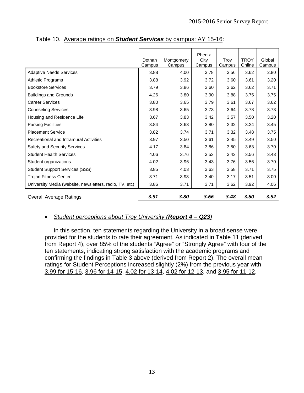|                                                         | Dothan<br>Campus | Montgomery<br>Campus | Phenix<br>City<br>Campus | Troy<br>Campus | <b>TROY</b><br>Online | Global<br>Campus |
|---------------------------------------------------------|------------------|----------------------|--------------------------|----------------|-----------------------|------------------|
| <b>Adaptive Needs Services</b>                          | 3.88             | 4.00                 | 3.78                     | 3.56           | 3.62                  | 2.80             |
| <b>Athletic Programs</b>                                | 3.88             | 3.92                 | 3.72                     | 3.60           | 3.61                  | 3.20             |
| <b>Bookstore Services</b>                               | 3.79             | 3.86                 | 3.60                     | 3.62           | 3.62                  | 3.71             |
| <b>Buildings and Grounds</b>                            | 4.26             | 3.80                 | 3.90                     | 3.88           | 3.75                  | 3.75             |
| <b>Career Services</b>                                  | 3.80             | 3.65                 | 3.79                     | 3.61           | 3.67                  | 3.62             |
| <b>Counseling Services</b>                              | 3.98             | 3.65                 | 3.73                     | 3.64           | 3.78                  | 3.73             |
| Housing and Residence Life                              | 3.67             | 3.83                 | 3.42                     | 3.57           | 3.50                  | 3.20             |
| <b>Parking Facilities</b>                               | 3.84             | 3.63                 | 3.80                     | 2.32           | 3.24                  | 3.45             |
| <b>Placement Service</b>                                | 3.82             | 3.74                 | 3.71                     | 3.32           | 3.48                  | 3.75             |
| Recreational and Intramural Activities                  | 3.97             | 3.50                 | 3.61                     | 3.45           | 3.49                  | 3.50             |
| Safety and Security Services                            | 4.17             | 3.84                 | 3.86                     | 3.50           | 3.63                  | 3.70             |
| <b>Student Health Services</b>                          | 4.06             | 3.76                 | 3.53                     | 3.43           | 3.56                  | 3.43             |
| Student organizations                                   | 4.02             | 3.96                 | 3.43                     | 3.76           | 3.56                  | 3.70             |
| <b>Student Support Services (SSS)</b>                   | 3.85             | 4.03                 | 3.63                     | 3.58           | 3.71                  | 3.75             |
| <b>Trojan Fitness Center</b>                            | 3.71             | 3.93                 | 3.40                     | 3.17           | 3.51                  | 3.00             |
| University Media (website, newsletters, radio, TV, etc) | 3.86             | 3.71                 | 3.71                     | 3.62           | 3.92                  | 4.06             |
| <b>Overall Average Ratings</b>                          | 3.91             | 3.80                 | 3.66                     | 3.48           | 3.60                  | 3.52             |

Table 10. Average ratings on *Student Services* by campus: AY 15-16:

# *Student perceptions about Troy University (Report 4 – Q23)*

 In this section, ten statements regarding the University in a broad sense were provided for the students to rate their agreement. As indicated in Table 11 (derived from Report 4), over 85% of the students "Agree" or "Strongly Agree" with four of the ten statements, indicating strong satisfaction with the academic programs and confirming the findings in Table 3 above (derived from Report 2). The overall mean ratings for Student Perceptions increased slightly (2%) from the previous year with 3.99 for 15-16, 3.96 for 14-15, 4.02 for 13-14, 4.02 for 12-13, and 3.95 for 11-12.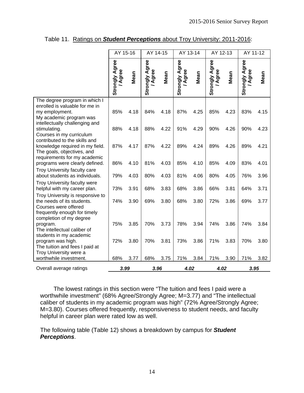|                                                                                                                                | AY 15-16                       |      | AY 14-15                       |      | AY 13-14                       |      | AY 12-13                   |      | AY 11-12                       |      |
|--------------------------------------------------------------------------------------------------------------------------------|--------------------------------|------|--------------------------------|------|--------------------------------|------|----------------------------|------|--------------------------------|------|
|                                                                                                                                | <b>Strongly Agree</b><br>Agree | Mean | <b>Strongly Agree</b><br>Agree | Mean | <b>Strongly Agree</b><br>Agree | Mean | Agree<br>Agree<br>Strongly | Mean | <b>Strongly Agree</b><br>Agree | Mean |
| The degree program in which I<br>enrolled is valuable for me in<br>my employment.<br>My academic program was                   | 85%                            | 4.18 | 84%                            | 4.18 | 87%                            | 4.25 | 85%                        | 4.23 | 83%                            | 4.15 |
| intellectually challenging and<br>stimulating.<br>Courses in my curriculum                                                     | 88%                            | 4.18 | 88%                            | 4.22 | 91%                            | 4.29 | 90%                        | 4.26 | 90%                            | 4.23 |
| contributed to the skills and<br>knowledge required in my field.<br>The goals, objectives, and<br>requirements for my academic | 87%                            | 4.17 | 87%                            | 4.22 | 89%                            | 4.24 | 89%                        | 4.26 | 89%                            | 4.21 |
| programs were clearly defined.                                                                                                 | 86%                            | 4.10 | 81%                            | 4.03 | 85%                            | 4.10 | 85%                        | 4.09 | 83%                            | 4.01 |
| Troy University faculty care<br>about students as individuals.                                                                 | 79%                            | 4.03 | 80%                            | 4.03 | 81%                            | 4.06 | 80%                        | 4.05 | 76%                            | 3.96 |
| <b>Troy University faculty were</b><br>helpful with my career plan.                                                            | 73%                            | 3.91 | 68%                            | 3.83 | 68%                            | 3.86 | 66%                        | 3.81 | 64%                            | 3.71 |
| Troy University is responsive to<br>the needs of its students.<br>Courses were offered<br>frequently enough for timely         | 74%                            | 3.90 | 69%                            | 3.80 | 68%                            | 3.80 | 72%                        | 3.86 | 69%                            | 3.77 |
| completion of my degree<br>program.<br>The intellectual caliber of<br>students in my academic                                  | 75%                            | 3.85 | 70%                            | 3.73 | 78%                            | 3.94 | 74%                        | 3.86 | 74%                            | 3.84 |
| program was high.<br>The tuition and fees I paid at<br>Troy University were a                                                  | 72%                            | 3.80 | 70%                            | 3.81 | 73%                            | 3.86 | 71%                        | 3.83 | 70%                            | 3.80 |
| worthwhile investment.                                                                                                         | 68%                            | 3.77 | 68%                            | 3.75 | 71%                            | 3.84 | 71%                        | 3.90 | 71%                            | 3.82 |
| Overall average ratings                                                                                                        | 3.99                           |      | 3.96                           |      | 4.02                           |      | 4.02                       |      | 3.95                           |      |

Table 11. Ratings on *Student Perceptions* about Troy University: 2011-2016:

The lowest ratings in this section were "The tuition and fees I paid were a worthwhile investment" (68% Agree/Strongly Agree; M=3.77) and "The intellectual caliber of students in my academic program was high" (72% Agree/Strongly Agree; M=3.80). Courses offered frequently, responsiveness to student needs, and faculty helpful in career plan were rated low as well.

The following table (Table 12) shows a breakdown by campus for *Student Perceptions*.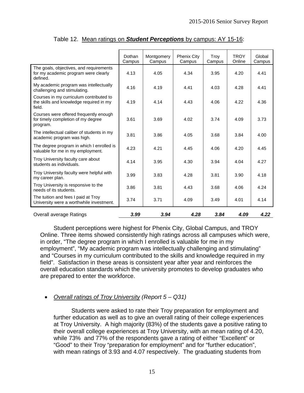|                                                                                              | Dothan<br>Campus | Montgomery<br>Campus | Phenix City<br>Campus | Troy<br>Campus | <b>TROY</b><br>Online | Global<br>Campus |
|----------------------------------------------------------------------------------------------|------------------|----------------------|-----------------------|----------------|-----------------------|------------------|
| The goals, objectives, and requirements<br>for my academic program were clearly<br>defined.  | 4.13             | 4.05                 | 4.34                  | 3.95           | 4.20                  | 4.41             |
| My academic program was intellectually<br>challenging and stimulating.                       | 4.16             | 4.19                 | 4.41                  | 4.03           | 4.28                  | 4.41             |
| Courses in my curriculum contributed to<br>the skills and knowledge required in my<br>field. | 4.19             | 4.14                 | 4.43                  | 4.06           | 4.22                  | 4.36             |
| Courses were offered frequently enough<br>for timely completion of my degree<br>program.     | 3.61             | 3.69                 | 4.02                  | 3.74           | 4.09                  | 3.73             |
| The intellectual caliber of students in my<br>academic program was high.                     | 3.81             | 3.86                 | 4.05                  | 3.68           | 3.84                  | 4.00             |
| The degree program in which I enrolled is<br>valuable for me in my employment.               | 4.23             | 4.21                 | 4.45                  | 4.06           | 4.20                  | 4.45             |
| Troy University faculty care about<br>students as individuals.                               | 4.14             | 3.95                 | 4.30                  | 3.94           | 4.04                  | 4.27             |
| Troy University faculty were helpful with<br>my career plan.                                 | 3.99             | 3.83                 | 4.28                  | 3.81           | 3.90                  | 4.18             |
| Troy University is responsive to the<br>needs of its students.                               | 3.86             | 3.81                 | 4.43                  | 3.68           | 4.06                  | 4.24             |
| The tuition and fees I paid at Troy<br>University were a worthwhile investment.              | 3.74             | 3.71                 | 4.09                  | 3.49           | 4.01                  | 4.14             |
| <b>Overall average Ratings</b>                                                               | 3.99             | 3.94                 | 4.28                  | 3.84           | 4.09                  | 4.22             |

Table 12. Mean ratings on *Student Perceptions* by campus: AY 15-16:

Student perceptions were highest for Phenix City, Global Campus, and TROY Online. Three items showed consistently high ratings across all campuses which were, in order, "The degree program in which I enrolled is valuable for me in my employment", "My academic program was intellectually challenging and stimulating" and "Courses in my curriculum contributed to the skills and knowledge required in my field". Satisfaction in these areas is consistent year after year and reinforces the overall education standards which the university promotes to develop graduates who are prepared to enter the workforce.

# *Overall ratings of Troy University (Report 5 – Q31)*

Students were asked to rate their Troy preparation for employment and further education as well as to give an overall rating of their college experiences at Troy University. A high majority (83%) of the students gave a positive rating to their overall college experiences at Troy University, with an mean rating of 4.20, while 73% and 77% of the respondents gave a rating of either "Excellent" or "Good" to their Troy "preparation for employment" and for "further education", with mean ratings of 3.93 and 4.07 respectively. The graduating students from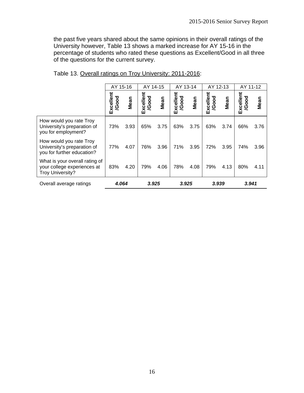the past five years shared about the same opinions in their overall ratings of the University however, Table 13 shows a marked increase for AY 15-16 in the percentage of students who rated these questions as Excellent/Good in all three of the questions for the current survey.

|                                                                                          | AY 15-16           |      | AY 14-15           |      | AY 13-14           |      | AY 12-13           |      | AY 11-12           |      |
|------------------------------------------------------------------------------------------|--------------------|------|--------------------|------|--------------------|------|--------------------|------|--------------------|------|
|                                                                                          | Excellent<br>/Good | Mean | Excellent<br>/Good | Mean | Excellent<br>/Good | Mean | Excellent<br>/Good | Mean | Excellent<br>/Good | Mean |
| How would you rate Troy<br>University's preparation of<br>you for employment?            | 73%                | 3.93 | 65%                | 3.75 | 63%                | 3.75 | 63%                | 3.74 | 66%                | 3.76 |
| How would you rate Troy<br>University's preparation of<br>you for further education?     | 77%                | 4.07 | 76%                | 3.96 | 71%                | 3.95 | 72%                | 3.95 | 74%                | 3.96 |
| What is your overall rating of<br>your college experiences at<br><b>Troy University?</b> | 83%                | 4.20 | 79%                | 4.06 | 78%                | 4.08 | 79%                | 4.13 | 80%                | 4.11 |
| Overall average ratings                                                                  | 4.064              |      | 3.925              |      | 3.925              |      | 3.939              |      | 3.941              |      |

| Table 13. Overall ratings on Troy University: 2011-2016: |  |
|----------------------------------------------------------|--|
|                                                          |  |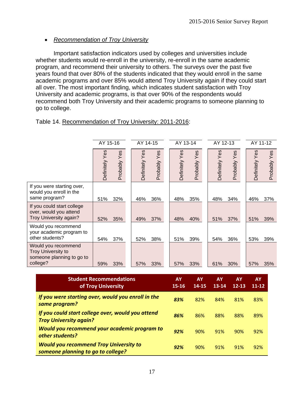# *Recommendation of Troy University*

Important satisfaction indicators used by colleges and universities include whether students would re-enroll in the university, re-enroll in the same academic program, and recommend their university to others. The surveys over the past five years found that over 80% of the students indicated that they would enroll in the same academic programs and over 85% would attend Troy University again if they could start all over. The most important finding, which indicates student satisfaction with Troy University and academic programs, is that over 90% of the respondents would recommend both Troy University and their academic programs to someone planning to go to college.

|                                                                                           | AY 15-16       |                 | AY 14-15       |                 | AY 13-14       |                 | AY 12-13       |                 | AY 11-12       |                 |  |
|-------------------------------------------------------------------------------------------|----------------|-----------------|----------------|-----------------|----------------|-----------------|----------------|-----------------|----------------|-----------------|--|
|                                                                                           | Definitely Yes | Yes<br>Probably | Definitely Yes | Yes<br>Probably | Definitely Yes | Yes<br>Probably | Definitely Yes | Yes<br>Probably | Definitely Yes | Yes<br>Probably |  |
| If you were starting over,<br>would you enroll in the<br>same program?                    | 51%            | 32%             | 46%            | 36%             | 48%            | 35%             | 48%            | 34%             | 46%            | 37%             |  |
| If you could start college<br>over, would you attend<br><b>Troy University again?</b>     | 52%            | 35%             | 49%            | 37%             | 48%            | 40%             | 51%            | 37%             | 51%            | 39%             |  |
| Would you recommend<br>your academic program to<br>other students?                        | 54%            | 37%             | 52%            | 38%             | 51%            | 39%             | 54%            | 36%             | 53%            | 39%             |  |
| Would you recommend<br><b>Troy University to</b><br>someone planning to go to<br>college? | 59%            | 33%             | 57%            | 33%             | 57%            | 33%             | 61%            | 30%             | 57%            | 35%             |  |
|                                                                                           |                |                 |                |                 |                |                 |                |                 |                |                 |  |

# Table 14. Recommendation of Troy University: 2011-2016:

| <b>Student Recommendations</b><br>of Troy University                                | <b>AY</b><br>$15 - 16$ | AY<br>14-15 | <b>AY</b><br>$13 - 14$ | <b>AY</b><br>$12 - 13$ | <b>AY</b><br>$11 - 12$ |
|-------------------------------------------------------------------------------------|------------------------|-------------|------------------------|------------------------|------------------------|
| If you were starting over, would you enroll in the<br>same program?                 | 83%                    | 82%         | 84%                    | 81%                    | 83%                    |
| If you could start college over, would you attend<br><b>Troy University again?</b>  | 86%                    | 86%         | 88%                    | 88%                    | 89%                    |
| Would you recommend your academic program to<br>other students?                     | 92%                    | 90%         | 91%                    | 90%                    | 92%                    |
| <b>Would you recommend Troy University to</b><br>someone planning to go to college? | 92%                    | 90%         | 91%                    | 91%                    | 92%                    |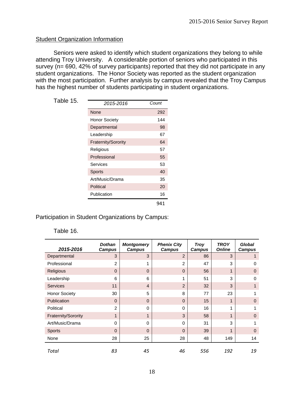# **Student Organization Information**

 Seniors were asked to identify which student organizations they belong to while attending Troy University. A considerable portion of seniors who participated in this survey (n= 690, 42% of survey participants) reported that they did not participate in any student organizations. The Honor Society was reported as the student organization with the most participation. Further analysis by campus revealed that the Troy Campus has the highest number of students participating in student organizations.

| Table 15. |                            |       |
|-----------|----------------------------|-------|
|           | 2015-2016                  | Count |
|           | <b>None</b>                | 292   |
|           | <b>Honor Society</b>       | 144   |
|           | Departmental               | 98    |
|           | Leadership                 | 67    |
|           | <b>Fraternity/Sorority</b> | 64    |
|           | Religious                  | 57    |
|           | Professional               | 55    |
|           | Services                   | 53    |
|           | <b>Sports</b>              | 40    |
|           | Art/Music/Drama            | 35    |
|           | Political                  | 20    |
|           | Publication                | 16    |
|           |                            | 941   |

Participation in Student Organizations by Campus:

#### Table 16.

| 2015-2016            | <b>Dothan</b><br>Campus | <b>Montgomery</b><br><b>Campus</b> | <b>Phenix City</b><br><b>Campus</b> | <b>Troy</b><br><b>Campus</b> | <b>TROY</b><br><b>Online</b> | Global<br>Campus |
|----------------------|-------------------------|------------------------------------|-------------------------------------|------------------------------|------------------------------|------------------|
| Departmental         | 3                       | 3                                  | $\overline{2}$                      | 86                           | 3                            |                  |
| Professional         | 2                       | 1                                  | 2                                   | 47                           | 3                            | 0                |
| Religious            | $\Omega$                | $\mathbf 0$                        | $\Omega$                            | 56                           | 1                            | $\mathbf 0$      |
| Leadership           | 6                       | 6                                  | 1                                   | 51                           | 3                            | $\Omega$         |
| <b>Services</b>      | 11                      | $\overline{4}$                     | $\overline{2}$                      | 32                           | 3                            | 1                |
| <b>Honor Society</b> | 30                      | 5                                  | 8                                   | 77                           | 23                           |                  |
| Publication          | $\Omega$                | $\Omega$                           | $\Omega$                            | 15                           | 1                            | $\mathbf 0$      |
| Political            | $\mathfrak{p}$          | 0                                  | $\Omega$                            | 16                           | 1                            |                  |
| Fraternity/Sorority  | 1                       | 1                                  | 3                                   | 58                           | 1                            | $\Omega$         |
| Art/Music/Drama      | 0                       | $\Omega$                           | $\Omega$                            | 31                           | 3                            | 1                |
| <b>Sports</b>        | $\Omega$                | $\Omega$                           | $\Omega$                            | 39                           | 1                            | $\Omega$         |
| None                 | 28                      | 25                                 | 28                                  | 48                           | 149                          | 14               |
| Total                | 83                      | 45                                 | 46                                  | 556                          | 192                          | 19               |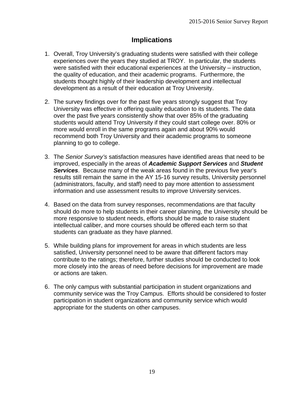# **Implications**

- 1. Overall, Troy University's graduating students were satisfied with their college experiences over the years they studied at TROY. In particular, the students were satisfied with their educational experiences at the University – instruction, the quality of education, and their academic programs. Furthermore, the students thought highly of their leadership development and intellectual development as a result of their education at Troy University.
- 2. The survey findings over for the past five years strongly suggest that Troy University was effective in offering quality education to its students. The data over the past five years consistently show that over 85% of the graduating students would attend Troy University if they could start college over. 80% or more would enroll in the same programs again and about 90% would recommend both Troy University and their academic programs to someone planning to go to college.
- 3. The *Senior Survey's* satisfaction measures have identified areas that need to be improved, especially in the areas of *Academic Support Services* and *Student Services*. Because many of the weak areas found in the previous five year's results still remain the same in the AY 15-16 survey results, University personnel (administrators, faculty, and staff) need to pay more attention to assessment information and use assessment results to improve University services.
- 4. Based on the data from survey responses, recommendations are that faculty should do more to help students in their career planning, the University should be more responsive to student needs, efforts should be made to raise student intellectual caliber, and more courses should be offered each term so that students can graduate as they have planned.
- 5. While building plans for improvement for areas in which students are less satisfied, University personnel need to be aware that different factors may contribute to the ratings; therefore, further studies should be conducted to look more closely into the areas of need before decisions for improvement are made or actions are taken.
- 6. The only campus with substantial participation in student organizations and community service was the Troy Campus. Efforts should be considered to foster participation in student organizations and community service which would appropriate for the students on other campuses.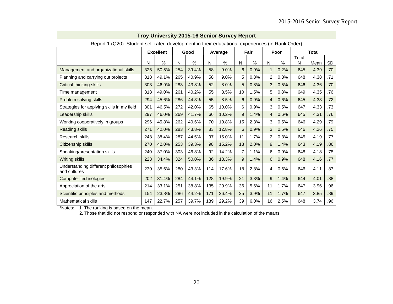| Report 1 (Q20): Student self-rated development in their educational experiences (in Rank Order) |     |                  |     |       |     |         |    |      |                |      |            |              |     |
|-------------------------------------------------------------------------------------------------|-----|------------------|-----|-------|-----|---------|----|------|----------------|------|------------|--------------|-----|
|                                                                                                 |     | <b>Excellent</b> |     | Good  |     | Average |    | Fair |                | Poor |            | <b>Total</b> |     |
|                                                                                                 | N   | $\%$             | N   | $\%$  | N   | %       | N  | $\%$ | Ν              | %    | Total<br>N | Mean         | SD  |
| Management and organizational skills                                                            | 326 | 50.5%            | 254 | 39.4% | 58  | 9.0%    | 6  | 0.9% | $\mathbf{1}$   | 0.2% | 645        | 4.39         | .70 |
| Planning and carrying out projects                                                              | 318 | 49.1%            | 265 | 40.9% | 58  | 9.0%    | 5  | 0.8% | $\overline{2}$ | 0.3% | 648        | 4.38         | .71 |
| <b>Critical thinking skills</b>                                                                 | 303 | 46.9%            | 283 | 43.8% | 52  | 8.0%    | 5  | 0.8% | 3              | 0.5% | 646        | 4.36         | .70 |
| Time management                                                                                 | 318 | 49.0%            | 261 | 40.2% | 55  | 8.5%    | 10 | 1.5% | 5              | 0.8% | 649        | 4.35         | .76 |
| Problem solving skills                                                                          | 294 | 45.6%            | 286 | 44.3% | 55  | 8.5%    | 6  | 0.9% | 4              | 0.6% | 645        | 4.33         | .72 |
| Strategies for applying skills in my field                                                      | 301 | 46.5%            | 272 | 42.0% | 65  | 10.0%   | 6  | 0.9% | 3              | 0.5% | 647        | 4.33         | .73 |
| Leadership skills                                                                               | 297 | 46.0%            | 269 | 41.7% | 66  | 10.2%   | 9  | 1.4% | 4              | 0.6% | 645        | 4.31         | .76 |
| Working cooperatively in groups                                                                 | 296 | 45.8%            | 262 | 40.6% | 70  | 10.8%   | 15 | 2.3% | 3              | 0.5% | 646        | 4.29         | .79 |
| <b>Reading skills</b>                                                                           | 271 | 42.0%            | 283 | 43.8% | 83  | 12.8%   | 6  | 0.9% | 3              | 0.5% | 646        | 4.26         | .75 |
| Research skills                                                                                 | 248 | 38.4%            | 287 | 44.5% | 97  | 15.0%   | 11 | 1.7% | $\overline{2}$ | 0.3% | 645        | 4.19         | .77 |
| Citizenship skills                                                                              | 270 | 42.0%            | 253 | 39.3% | 98  | 15.2%   | 13 | 2.0% | 9              | 1.4% | 643        | 4.19         | .86 |
| Speaking/presentation skills                                                                    | 240 | 37.0%            | 303 | 46.8% | 92  | 14.2%   | 7  | 1.1% | 6              | 0.9% | 648        | 4.18         | .78 |
| <b>Writing skills</b>                                                                           | 223 | 34.4%            | 324 | 50.0% | 86  | 13.3%   | 9  | 1.4% | 6              | 0.9% | 648        | 4.16         | .77 |
| Understanding different philosophies<br>and cultures                                            | 230 | 35.6%            | 280 | 43.3% | 114 | 17.6%   | 18 | 2.8% | 4              | 0.6% | 646        | 4.11         | .83 |
| Computer technologies                                                                           | 202 | 31.4%            | 284 | 44.1% | 128 | 19.9%   | 21 | 3.3% | 9              | 1.4% | 644        | 4.01         | .88 |
| Appreciation of the arts                                                                        | 214 | 33.1%            | 251 | 38.8% | 135 | 20.9%   | 36 | 5.6% | 11             | 1.7% | 647        | 3.96         | .96 |
| Scientific principles and methods                                                               | 154 | 23.8%            | 286 | 44.2% | 171 | 26.4%   | 25 | 3.9% | 11             | 1.7% | 647        | 3.85         | .89 |
| <b>Mathematical skills</b>                                                                      | 147 | 22.7%            | 257 | 39.7% | 189 | 29.2%   | 39 | 6.0% | 16             | 2.5% | 648        | 3.74         | .96 |

## **Troy University 2015-16 Senior Survey Report**

\*Notes: 1. The ranking is based on the mean.

2. Those that did not respond or responded with NA were not included in the calculation of the means.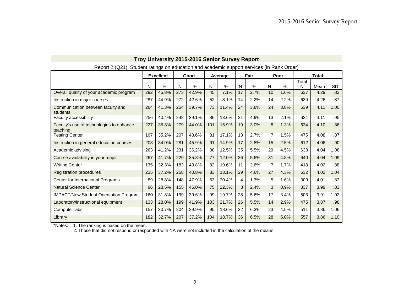| $\alpha$ , $\alpha$ , $\alpha$ , $\alpha$ , $\alpha$ , $\alpha$ , $\alpha$ , $\alpha$ , $\alpha$ , $\alpha$ , $\alpha$ , $\alpha$ , $\alpha$ , $\alpha$ , $\alpha$ , $\alpha$ , $\alpha$ , $\alpha$ , $\alpha$ , $\alpha$ , $\alpha$ , $\alpha$ , $\alpha$ , $\alpha$ , $\alpha$ , $\alpha$ , $\alpha$ , $\alpha$ , $\alpha$ , $\alpha$ , $\alpha$ , $\alpha$ |     |                  |     |       |     |         |    |      |                |               |       |              |      |
|---------------------------------------------------------------------------------------------------------------------------------------------------------------------------------------------------------------------------------------------------------------------------------------------------------------------------------------------------------------|-----|------------------|-----|-------|-----|---------|----|------|----------------|---------------|-------|--------------|------|
|                                                                                                                                                                                                                                                                                                                                                               |     | <b>Excellent</b> |     | Good  |     | Average |    | Fair |                | Poor          |       | <b>Total</b> |      |
|                                                                                                                                                                                                                                                                                                                                                               |     |                  |     |       |     |         |    |      |                |               | Total |              |      |
|                                                                                                                                                                                                                                                                                                                                                               | N   | $\%$             | N   | $\%$  | N   | $\%$    | N  | %    | N              | $\frac{0}{0}$ | N     | Mean         | SD   |
| Overall quality of your academic program                                                                                                                                                                                                                                                                                                                      | 292 | 45.8%            | 273 | 42.9% | 45  | 7.1%    | 17 | 2.7% | 10             | 1.6%          | 637   | 4.29         | .83  |
| Instruction in major courses                                                                                                                                                                                                                                                                                                                                  | 287 | 44.9%            | 272 | 42.6% | 52  | 8.1%    | 14 | 2.2% | 14             | 2.2%          | 639   | 4.26         | .87  |
| Communication between faculty and<br>students                                                                                                                                                                                                                                                                                                                 | 264 | 41.3%            | 254 | 39.7% | 73  | 11.4%   | 24 | 3.8% | 24             | 3.8%          | 639   | 4.11         | 1.00 |
| Faculty accessibility                                                                                                                                                                                                                                                                                                                                         | 256 | 40.4%            | 248 | 39.1% | 86  | 13.6%   | 31 | 4.9% | 13             | 2.1%          | 634   | 4.11         | .95  |
| Faculty's use of technologies to enhance<br>teaching                                                                                                                                                                                                                                                                                                          | 227 | 35.8%            | 279 | 44.0% | 101 | 15.9%   | 19 | 3.0% | 8              | 1.3%          | 634   | 4.10         | .86  |
| <b>Testing Center</b>                                                                                                                                                                                                                                                                                                                                         | 167 | 35.2%            | 207 | 43.6% | 81  | 17.1%   | 13 | 2.7% | $\overline{7}$ | 1.5%          | 475   | 4.08         | .87  |
| Instruction in general education courses                                                                                                                                                                                                                                                                                                                      | 208 | 34.0%            | 281 | 45.9% | 91  | 14.9%   | 17 | 2.8% | 15             | 2.5%          | 612   | 4.06         | .90  |
| Academic advising                                                                                                                                                                                                                                                                                                                                             | 263 | 41.2%            | 231 | 36.2% | 80  | 12.5%   | 35 | 5.5% | 29             | 4.5%          | 638   | 4.04         | 1.08 |
| Course availability in your major                                                                                                                                                                                                                                                                                                                             | 267 | 41.7%            | 229 | 35.8% | 77  | 12.0%   | 36 | 5.6% | 31             | 4.8%          | 640   | 4.04         | 1.09 |
| <b>Writing Center</b>                                                                                                                                                                                                                                                                                                                                         | 135 | 32.3%            | 183 | 43.8% | 82  | 19.6%   | 11 | 2.6% | 7              | 1.7%          | 418   | 4.02         | .88  |
| <b>Registration procedures</b>                                                                                                                                                                                                                                                                                                                                | 235 | 37.2%            | 258 | 40.8% | 83  | 13.1%   | 29 | 4.6% | 27             | 4.3%          | 632   | 4.02         | 1.04 |
| Center for International Programs                                                                                                                                                                                                                                                                                                                             | 89  | 28.8%            | 148 | 47.9% | 63  | 20.4%   | 4  | 1.3% | 5              | 1.6%          | 309   | 4.01         | .83  |
| <b>Natural Science Center</b>                                                                                                                                                                                                                                                                                                                                 | 96  | 28.5%            | 155 | 46.0% | 75  | 22.3%   | 8  | 2.4% | 3              | 0.9%          | 337   | 3.99         | .83  |
| <b>IMPACT/New Student Orientation Program</b>                                                                                                                                                                                                                                                                                                                 | 160 | 31.8%            | 199 | 39.6% | 99  | 19.7%   | 28 | 5.6% | 17             | 3.4%          | 503   | 3.91         | 1.02 |
| Laboratory/instructional equipment                                                                                                                                                                                                                                                                                                                            | 133 | 28.0%            | 199 | 41.9% | 103 | 21.7%   | 26 | 5.5% | 14             | 2.9%          | 475   | 3.87         | .98  |
| Computer labs                                                                                                                                                                                                                                                                                                                                                 | 157 | 30.7%            | 204 | 39.9% | 95  | 18.6%   | 32 | 6.3% | 23             | 4.5%          | 511   | 3.86         | 1.06 |
| Library                                                                                                                                                                                                                                                                                                                                                       | 182 | 32.7%            | 207 | 37.2% | 104 | 18.7%   | 36 | 6.5% | 28             | 5.0%          | 557   | 3.86         | 1.10 |

#### **Troy University 2015-2016 Senior Survey Report**  Report 2 (Q21): Student ratings on education and academic support services (in Rank Order)

\*Notes: 1. The ranking is based on the mean.

2. Those that did not respond or responded with NA were not included in the calculation of the means.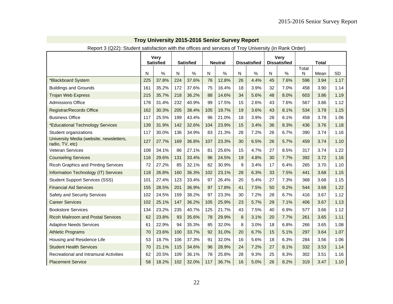| Report 3 (Q22): Student satisfaction with the offices and services of Troy University (in Rank Order) |     |                  |     |                  |           |                |                  |                     |    |                     |            |              |           |
|-------------------------------------------------------------------------------------------------------|-----|------------------|-----|------------------|-----------|----------------|------------------|---------------------|----|---------------------|------------|--------------|-----------|
|                                                                                                       |     | <b>Very</b>      |     |                  |           |                |                  |                     |    | Very                |            |              |           |
|                                                                                                       |     | <b>Satisfied</b> |     | <b>Satisfied</b> |           | <b>Neutral</b> |                  | <b>Dissatisfied</b> |    | <b>Dissatisfied</b> |            | <b>Total</b> |           |
|                                                                                                       | N   | %                | N   | $\%$             | ${\sf N}$ | $\%$           | ${\sf N}$        | %                   | N  | %                   | Total<br>N | Mean         | <b>SD</b> |
| *Blackboard System                                                                                    | 225 | 37.8%            | 224 | 37.6%            | 76        | 12.8%          | 26               | 4.4%                | 45 | 7.6%                | 596        | 3.94         | 1.17      |
| <b>Buildings and Grounds</b>                                                                          | 161 | 35.2%            | 172 | 37.6%            | 75        | 16.4%          | 18               | 3.9%                | 32 | 7.0%                | 458        | 3.90         | 1.14      |
| <b>Trojan Web Express</b>                                                                             | 215 | 35.7%            | 218 | 36.2%            | 88        | 14.6%          | 34               | 5.6%                | 48 | 8.0%                | 603        | 3.86         | 1.19      |
| <b>Admissions Office</b>                                                                              | 178 | 31.4%            | 232 | 40.9%            | 99        | 17.5%          | 15               | 2.6%                | 43 | 7.6%                | 567        | 3.86         | 1.12      |
| <b>Registrar/Records Office</b>                                                                       | 162 | 30.3%            | 205 | 38.4%            | 105       | 19.7%          | 19               | 3.6%                | 43 | 8.1%                | 534        | 3.79         | 1.15      |
| <b>Business Office</b>                                                                                | 117 | 25.5%            | 199 | 43.4%            | 96        | 21.0%          | 18               | 3.9%                | 28 | 6.1%                | 458        | 3.78         | 1.06      |
| *Educational Technology Services                                                                      | 139 | 31.9%            | 142 | 32.6%            | 104       | 23.9%          | 15               | 3.4%                | 36 | 8.3%                | 436        | 3.76         | 1.18      |
| Student organizations                                                                                 | 117 | 30.0%            | 136 | 34.9%            | 83        | 21.3%          | 28               | 7.2%                | 26 | 6.7%                | 390        | 3.74         | 1.16      |
| University Media (website, newsletters,<br>radio, TV, etc)                                            | 127 | 27.7%            | 169 | 36.8%            | 107       | 23.3%          | 30               | 6.5%                | 26 | 5.7%                | 459        | 3.74         | 1.10      |
| <b>Veteran Services</b>                                                                               | 108 | 34.1%            | 86  | 27.1%            | 81        | 25.6%          | 15               | 4.7%                | 27 | 8.5%                | 317        | 3.74         | 1.22      |
| <b>Counseling Services</b>                                                                            | 116 | 29.6%            | 131 | 33.4%            | 96        | 24.5%          | 19               | 4.8%                | 30 | 7.7%                | 392        | 3.72         | 1.16      |
| <b>Ricoh Graphics and Printing Services</b>                                                           | 72  | 27.2%            | 85  | 32.1%            | 82        | 30.9%          | 9                | 3.4%                | 17 | 6.4%                | 265        | 3.70         | 1.10      |
| Information Technology (IT) Services                                                                  | 118 | 26.8%            | 160 | 36.3%            | 102       | 23.1%          | 28               | 6.3%                | 33 | 7.5%                | 441        | 3.68         | 1.15      |
| <b>Student Support Services (SSS)</b>                                                                 | 101 | 27.4%            | 123 | 33.4%            | 97        | 26.4%          | 20               | 5.4%                | 27 | 7.3%                | 368        | 3.68         | 1.15      |
| <b>Financial Aid Services</b>                                                                         | 155 | 28.5%            | 201 | 36.9%            | 97        | 17.8%          | 41               | 7.5%                | 50 | 9.2%                | 544        | 3.68         | 1.22      |
| Safety and Security Services                                                                          | 102 | 24.5%            | 159 | 38.2%            | 97        | 23.3%          | 30               | 7.2%                | 28 | 6.7%                | 416        | 3.67         | 1.12      |
| <b>Career Services</b>                                                                                | 102 | 25.1%            | 147 | 36.2%            | 105       | 25.9%          | 23               | 5.7%                | 29 | 7.1%                | 406        | 3.67         | 1.13      |
| <b>Bookstore Services</b>                                                                             | 134 | 23.2%            | 235 | 40.7%            | 125       | 21.7%          | 43               | 7.5%                | 40 | 6.9%                | 577        | 3.66         | 1.12      |
| <b>Ricoh Mailroom and Postal Services</b>                                                             | 62  | 23.8%            | 93  | 35.6%            | 78        | 29.9%          | $\boldsymbol{8}$ | 3.1%                | 20 | 7.7%                | 261        | 3.65         | 1.11      |
| <b>Adaptive Needs Services</b>                                                                        | 61  | 22.9%            | 94  | 35.3%            | 85        | 32.0%          | 8                | 3.0%                | 18 | 6.8%                | 266        | 3.65         | 1.08      |
| <b>Athletic Programs</b>                                                                              | 70  | 23.6%            | 100 | 33.7%            | 92        | 31.0%          | 20               | 6.7%                | 15 | 5.1%                | 297        | 3.64         | 1.07      |
| Housing and Residence Life                                                                            | 53  | 18.7%            | 106 | 37.3%            | 91        | 32.0%          | 16               | 5.6%                | 18 | 6.3%                | 284        | 3.56         | 1.06      |
| <b>Student Health Services</b>                                                                        | 70  | 21.1%            | 115 | 34.6%            | 96        | 28.9%          | 24               | 7.2%                | 27 | 8.1%                | 332        | 3.53         | 1.14      |
| Recreational and Intramural Activities                                                                | 62  | 20.5%            | 109 | 36.1%            | 78        | 25.8%          | 28               | 9.3%                | 25 | 8.3%                | 302        | 3.51         | 1.16      |
| <b>Placement Service</b>                                                                              | 58  | 18.2%            | 102 | 32.0%            | 117       | 36.7%          | 16               | 5.0%                | 26 | 8.2%                | 319        | 3.47         | 1.10      |

# **Troy University 2015-2016 Senior Survey Report**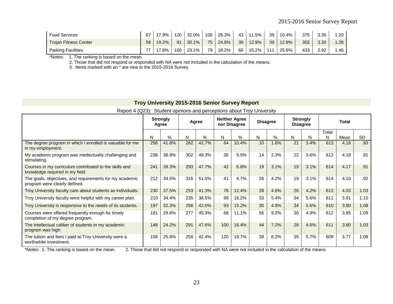| <b>Food Services</b>         | 67 | 17.9% | 120 | $32.0\%$ | 106 | 28.3% | 43 | 11.5% | 39  | 10.4%    | 375 | 3.35 | 1.20 |
|------------------------------|----|-------|-----|----------|-----|-------|----|-------|-----|----------|-----|------|------|
| <b>Trojan Fitness Center</b> | 58 | 19.2% | 91  | 30.1%    | 75  | 24.8% | 39 | 12.9% | 39  | $12.9\%$ | 302 | 3.30 | 1.28 |
| <b>Parking Facilities</b>    | 77 | 17.8% | 100 | 23.1%    | 79  | 18.2% | 66 | 15.2% | 111 | 25.6%    | 433 | 2.92 | 1.46 |

\*Notes: 1. The ranking is based on the mean.

2. Those that did not respond or responded with NA were not included in the calculation of the means.

3. Items marked with an \* are new to the 2015-2016 Survey

# **Troy University 2015-2016 Senior Survey Report**

Report 4 (Q23): Student opinions and perceptions about Troy University

|                                                                                           |     | <b>Strongly</b><br>Agree |     | Agree |     | <b>Neither Agree</b><br>nor Disagree |    | <b>Disagree</b> | <b>Disagree</b> | <b>Strongly</b> |            | Total |      |
|-------------------------------------------------------------------------------------------|-----|--------------------------|-----|-------|-----|--------------------------------------|----|-----------------|-----------------|-----------------|------------|-------|------|
|                                                                                           | N   | $\%$                     | N   | $\%$  | N.  | %                                    | N  | $\%$            | N               | $\%$            | Total<br>N | Mean  | SD.  |
| The degree program in which I enrolled is valuable for me<br>in my employment.            | 256 | 41.8%                    | 262 | 42.7% | 64  | 10.4%                                | 10 | 1.6%            | 21              | 3.4%            | 613        | 4.18  | .93  |
| My academic program was intellectually challenging and<br>stimulating.                    | 238 | 38.9%                    | 302 | 49.3% | 36  | 5.9%                                 | 14 | 2.3%            | 22              | 3.6%            | 612        | 4.18  | .91  |
| Courses in my curriculum contributed to the skills and<br>knowledge required in my field. | 241 | 39.3%                    | 293 | 47.7% | 42  | 6.8%                                 | 19 | 3.1%            | 19              | 3.1%            | 614        | 4.17  | .91  |
| The goals, objectives, and requirements for my academic<br>program were clearly defined.  | 212 | 34.5%                    | 316 | 51.5% | 41  | 6.7%                                 | 26 | 4.2%            | 19              | 3.1%            | 614        | 4.10  | .92  |
| Troy University faculty care about students as individuals.                               | 230 | 37.5%                    | 253 | 41.3% | 76  | 12.4%                                | 28 | 4.6%            | 26              | 4.2%            | 613        | 4.03  | 1.03 |
| Troy University faculty were helpful with my career plan.                                 | 210 | 34.4%                    | 235 | 38.5% | 99  | 16.2%                                | 33 | 5.4%            | 34              | 5.6%            | 611        | 3.91  | 1.10 |
| Troy University is responsive to the needs of its students.                               | 197 | 32.3%                    | 256 | 42.0% | 93  | 15.2%                                | 30 | 4.9%            | 34              | 5.6%            | 610        | 3.90  | 1.08 |
| Courses were offered frequently enough for timely<br>completion of my degree program.     | 181 | 29.6%                    | 277 | 45.3% | 68  | 11.1%                                | 56 | 9.2%            | 30              | 4.9%            | 612        | 3.85  | 1.09 |
| The intellectual caliber of students in my academic<br>program was high.                  | 148 | 24.2%                    | 291 | 47.6% | 100 | 16.4%                                | 44 | 7.2%            | 28              | 4.6%            | 611        | 3.80  | 1.03 |
| The tuition and fees I paid at Troy University were a<br>worthwhile investment.           | 158 | 25.9%                    | 258 | 42.4% | 120 | 19.7%                                | 38 | 6.2%            | 35              | 5.7%            | 609        | 3.77  | 1.08 |

\*Notes: 1. The ranking is based on the mean. 2. Those that did not respond or responded with NA were not included in the calculation of the means.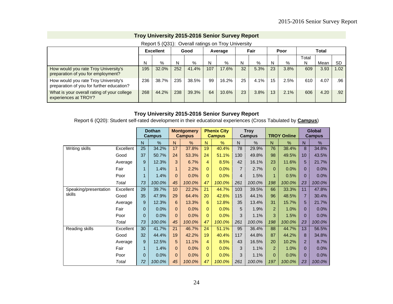#### **Troy University 2015-2016 Senior Survey Report**

|                                                                                   |     |                  |     | <u>Report J (QJT). Overall ratifies on TIOY Offive ISRY</u> |     |         |    |         |    |      |       |              |                  |
|-----------------------------------------------------------------------------------|-----|------------------|-----|-------------------------------------------------------------|-----|---------|----|---------|----|------|-------|--------------|------------------|
|                                                                                   |     | <b>Excellent</b> |     | Good                                                        |     | Average |    | Fair    |    | Poor |       | <b>Total</b> |                  |
|                                                                                   |     |                  |     |                                                             |     |         |    |         |    |      | Total |              |                  |
|                                                                                   | N   | %                | N   | $\%$                                                        | N   | $\%$    | N  | $\%$    | N  | %    | N     | Mean         | <b>SD</b>        |
| How would you rate Troy University's<br>preparation of you for employment?        | 195 | 32.0%            | 252 | 41.4%                                                       | 107 | 17.6%   | 32 | 5.3%    | 23 | 3.8% | 609   | 3.93         | 1.02             |
| How would you rate Troy University's<br>preparation of you for further education? | 236 | 38.7%            | 235 | 38.5%                                                       | 99  | 16.2%   | 25 | $4.1\%$ | 15 | 2.5% | 610   | 4.07         | .96              |
| What is your overall rating of your college<br>experiences at TROY?               | 268 | 44.2%            | 238 | 39.3%                                                       | 64  | 10.6%   | 23 | 3.8%    | 13 | 2.1% | 606   | 4.20         | .92 <sub>0</sub> |

#### Report 5 (Q31): Overall ratings on Troy University

## **Troy University 2015-2016 Senior Survey Report**

Report 6 (Q20): Student self-rated development in their educational experiences (Cross Tabulated by **Campus**)

|                       |           |              | <b>Dothan</b><br><b>Campus</b> |          | <b>Montgomery</b><br><b>Campus</b> |              | <b>Phenix City</b><br><b>Campus</b> |                | <b>Troy</b><br><b>Campus</b> |                | <b>TROY Online</b> |                | <b>Global</b><br><b>Campus</b> |
|-----------------------|-----------|--------------|--------------------------------|----------|------------------------------------|--------------|-------------------------------------|----------------|------------------------------|----------------|--------------------|----------------|--------------------------------|
|                       |           | $\mathsf{N}$ | $\frac{0}{0}$                  | N        | $\%$                               | N.           | %                                   | N              | %                            | $\mathsf{N}$   | $\frac{0}{0}$      | N              | %                              |
| Writing skills        | Excellent | 25           | 34.2%                          | 17       | 37.8%                              | 19           | 40.4%                               | 78             | 29.9%                        | 76             | 38.4%              | 8              | 34.8%                          |
|                       | Good      | 37           | 50.7%                          | 24       | 53.3%                              | 24           | 51.1%                               | 130            | 49.8%                        | 98             | 49.5%              | 10             | 43.5%                          |
|                       | Average   | 9            | 12.3%                          | 3        | 6.7%                               | 4            | 8.5%                                | 42             | 16.1%                        | 23             | 11.6%              | 5              | 21.7%                          |
|                       | Fair      |              | 1.4%                           | 1        | 2.2%                               | $\mathbf{0}$ | 0.0%                                | $\overline{7}$ | 2.7%                         | $\Omega$       | 0.0%               | 0              | 0.0%                           |
|                       | Poor      | 1            | 1.4%                           | $\Omega$ | 0.0%                               | $\mathbf{0}$ | 0.0%                                | 4              | 1.5%                         | 1              | 0.5%               | 0              | 0.0%                           |
|                       | Total     | 73           | 100.0%                         | 45       | 100.0%                             | 47           | 100.0%                              | 261            | 100.0%                       | 198            | 100.0%             | 23             | 100.0%                         |
| Speaking/presentation | Excellent | 29           | 39.7%                          | 10       | 22.2%                              | 21           | 44.7%                               | 103            | 39.5%                        | 66             | 33.3%              | 11             | 47.8%                          |
| skills                | Good      | 35           | 47.9%                          | 29       | 64.4%                              | 20           | 42.6%                               | 115            | 44.1%                        | 96             | 48.5%              | $\overline{7}$ | 30.4%                          |
|                       | Average   | 9            | 12.3%                          | 6        | 13.3%                              | 6            | 12.8%                               | 35             | 13.4%                        | 31             | 15.7%              | 5              | 21.7%                          |
|                       | Fair      | $\Omega$     | 0.0%                           | $\Omega$ | 0.0%                               | $\mathbf{0}$ | 0.0%                                | 5              | 1.9%                         | $\overline{2}$ | 1.0%               | $\Omega$       | 0.0%                           |
|                       | Poor      | $\mathbf 0$  | 0.0%                           | $\Omega$ | 0.0%                               | $\Omega$     | 0.0%                                | 3              | 1.1%                         | 3              | 1.5%               | 0              | 0.0%                           |
|                       | Total     | 73           | 100.0%                         | 45       | 100.0%                             | 47           | 100.0%                              | 261            | 100.0%                       | 198            | 100.0%             | 23             | 100.0%                         |
| Reading skills        | Excellent | 30           | 41.7%                          | 21       | 46.7%                              | 24           | 51.1%                               | 95             | 36.4%                        | 88             | 44.7%              | 13             | 56.5%                          |
|                       | Good      | 32           | 44.4%                          | 19       | 42.2%                              | 19           | 40.4%                               | 117            | 44.8%                        | 87             | 44.2%              | 8              | 34.8%                          |
|                       | Average   | 9            | 12.5%                          | 5        | 11.1%                              | 4            | 8.5%                                | 43             | 16.5%                        | 20             | 10.2%              | $\overline{2}$ | 8.7%                           |
|                       | Fair      |              | 1.4%                           | $\Omega$ | 0.0%                               | $\mathbf{0}$ | 0.0%                                | 3              | 1.1%                         | $\overline{2}$ | 1.0%               | $\Omega$       | 0.0%                           |
|                       | Poor      | $\Omega$     | 0.0%                           | $\Omega$ | 0.0%                               | $\mathbf{0}$ | 0.0%                                | 3              | 1.1%                         | $\Omega$       | 0.0%               | 0              | 0.0%                           |
|                       | Total     | 72           | 100.0%                         | 45       | 100.0%                             | 47           | 100.0%                              | 261            | 100.0%                       | 197            | 100.0%             | 23             | 100.0%                         |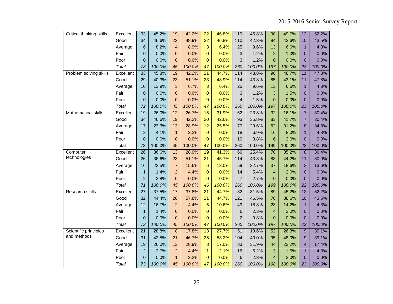| Critical thinking skills | Excellent | 33              | 45.2%  | 19              | 42.2%  | 22              | 46.8%  | 119            | 45.8%  | 98             | 49.7%  | 12             | 52.2%  |
|--------------------------|-----------|-----------------|--------|-----------------|--------|-----------------|--------|----------------|--------|----------------|--------|----------------|--------|
|                          | Good      | 34              | 46.6%  | 22              | 48.9%  | 22              | 46.8%  | 110            | 42.3%  | 84             | 42.6%  | 10             | 43.5%  |
|                          | Average   | 6               | 8.2%   | $\overline{4}$  | 8.9%   | 3               | 6.4%   | 25             | 9.6%   | 13             | 6.6%   | $\overline{1}$ | 4.3%   |
|                          | Fair      | 0               | 0.0%   | $\overline{0}$  | 0.0%   | $\mathbf 0$     | 0.0%   | 3              | 1.2%   | $\overline{2}$ | 1.0%   | $\mathbf{0}$   | 0.0%   |
|                          | Poor      | $\overline{0}$  | 0.0%   | $\mathbf{0}$    | 0.0%   | $\Omega$        | 0.0%   | 3              | 1.2%   | $\overline{0}$ | 0.0%   | $\Omega$       | 0.0%   |
|                          | Total     | 73              | 100.0% | 45              | 100.0% | 47              | 100.0% | 260            | 100.0% | 197            | 100.0% | 23             | 100.0% |
| Problem solving skills   | Excellent | 33              | 45.8%  | 19              | 42.2%  | 21              | 44.7%  | 114            | 43.8%  | 96             | 48.7%  | 11             | 47.8%  |
|                          | Good      | 29              | 40.3%  | 23              | 51.1%  | 23              | 48.9%  | 114            | 43.8%  | 85             | 43.1%  | 11             | 47.8%  |
|                          | Average   | 10              | 13.9%  | 3               | 6.7%   | 3               | 6.4%   | 25             | 9.6%   | 13             | 6.6%   | $\mathbf{1}$   | 4.3%   |
|                          | Fair      | 0               | 0.0%   | $\mathbf 0$     | 0.0%   | $\mathbf{0}$    | 0.0%   | 3              | 1.2%   | 3              | 1.5%   | $\overline{0}$ | 0.0%   |
|                          | Poor      | $\overline{0}$  | 0.0%   | $\overline{0}$  | 0.0%   | $\overline{0}$  | 0.0%   | $\overline{4}$ | 1.5%   | $\overline{0}$ | 0.0%   | $\Omega$       | 0.0%   |
|                          | Total     | 72              | 100.0% | 45              | 100.0% | 47              | 100.0% | 260            | 100.0% | 197            | 100.0% | 23             | 100.0% |
| Mathematical skills      | Excellent | 19              | 26.0%  | $\overline{12}$ | 26.7%  | 15              | 31.9%  | 62             | 23.8%  | 32             | 16.1%  | $\overline{7}$ | 30.4%  |
|                          | Good      | 34              | 46.6%  | 19              | 42.2%  | 20              | 42.6%  | 93             | 35.8%  | 83             | 41.7%  | $\overline{7}$ | 30.4%  |
|                          | Average   | 17              | 23.3%  | 13              | 28.9%  | 12              | 25.5%  | 77             | 29.6%  | 62             | 31.2%  | 8              | 34.8%  |
|                          | Fair      | 3               | 4.1%   | $\mathbf{1}$    | 2.2%   | $\mathbf{0}$    | 0.0%   | 18             | 6.9%   | 16             | 8.0%   | $\mathbf{1}$   | 4.3%   |
|                          | Poor      | $\overline{0}$  | 0.0%   | $\overline{0}$  | 0.0%   | $\overline{0}$  | 0.0%   | 10             | 3.8%   | 6              | 3.0%   | $\overline{0}$ | 0.0%   |
|                          | Total     | 73              | 100.0% | 45              | 100.0% | 47              | 100.0% | 260            | 100.0% | 199            | 100.0% | 23             | 100.0% |
| Computer                 | Excellent | $\overline{26}$ | 36.6%  | 13              | 28.9%  | 19              | 41.3%  | 66             | 25.4%  | 70             | 35.2%  | 8              | 36.4%  |
| technologies             | Good      | 26              | 36.6%  | 23              | 51.1%  | 21              | 45.7%  | 114            | 43.8%  | 88             | 44.2%  | 11             | 50.0%  |
|                          | Average   | 16              | 22.5%  | $\overline{7}$  | 15.6%  | $6\phantom{1}6$ | 13.0%  | 59             | 22.7%  | 37             | 18.6%  | 3              | 13.6%  |
|                          | Fair      | $\mathbf{1}$    | 1.4%   | $\overline{a}$  | 4.4%   | $\mathbf 0$     | 0.0%   | 14             | 5.4%   | $\overline{4}$ | 2.0%   | $\Omega$       | 0.0%   |
|                          | Poor      | $\overline{c}$  | 2.8%   | $\overline{0}$  | 0.0%   | $\mathbf 0$     | 0.0%   | $\overline{7}$ | 2.7%   | $\overline{0}$ | 0.0%   | $\overline{0}$ | 0.0%   |
|                          | Total     | 71              | 100.0% | 45              | 100.0% | 46              | 100.0% | 260            | 100.0% | 199            | 100.0% | 22             | 100.0% |
| <b>Research skills</b>   | Excellent | $\overline{27}$ | 37.5%  | 17              | 37.8%  | $\overline{21}$ | 44.7%  | 82             | 31.5%  | 89             | 45.2%  | 12             | 52.2%  |
|                          | Good      | 32              | 44.4%  | 26              | 57.8%  | 21              | 44.7%  | 121            | 46.5%  | 76             | 38.6%  | 10             | 43.5%  |
|                          | Average   | 12              | 16.7%  | $\overline{2}$  | 4.4%   | 5               | 10.6%  | 49             | 18.8%  | 28             | 14.2%  | $\overline{1}$ | 4.3%   |
|                          | Fair      | $\mathbf{1}$    | 1.4%   | $\Omega$        | 0.0%   | $\overline{0}$  | 0.0%   | 6              | 2.3%   | $\overline{4}$ | 2.0%   | $\Omega$       | 0.0%   |
|                          | Poor      | $\overline{0}$  | 0.0%   | $\mathbf 0$     | 0.0%   | $\mathbf 0$     | 0.0%   | $\overline{2}$ | 0.8%   | $\overline{0}$ | 0.0%   | $\mathbf{0}$   | 0.0%   |
|                          | Total     | 72              | 100.0% | 45              | 100.0% | 47              | 100.0% | 260            | 100.0% | 197            | 100.0% | 23             | 100.0% |
| Scientific principles    | Excellent | 21              | 28.8%  | 8               | 17.8%  | 13              | 27.7%  | 51             | 19.6%  | 52             | 26.3%  | 9              | 39.1%  |
| and methods              | Good      | 31              | 42.5%  | 21              | 46.7%  | 25              | 53.2%  | 104            | 40.0%  | 95             | 48.0%  | 9              | 39.1%  |
|                          | Average   | 19              | 26.0%  | 13              | 28.9%  | 8               | 17.0%  | 83             | 31.9%  | 44             | 22.2%  | $\overline{4}$ | 17.4%  |
|                          | Fair      | $\overline{2}$  | 2.7%   | $\overline{2}$  | 4.4%   | $\mathbf{1}$    | 2.1%   | 16             | 6.2%   | 3              | 1.5%   | $\mathbf{1}$   | 4.3%   |
|                          | Poor      | $\overline{0}$  | 0.0%   | $\mathbf{1}$    | 2.2%   | $\overline{0}$  | 0.0%   | 6              | 2.3%   | 4              | 2.0%   | $\overline{0}$ | 0.0%   |
|                          | Total     | 73              | 100.0% | 45              | 100.0% | 47              | 100.0% | 260            | 100.0% | 198            | 100.0% | 23             | 100.0% |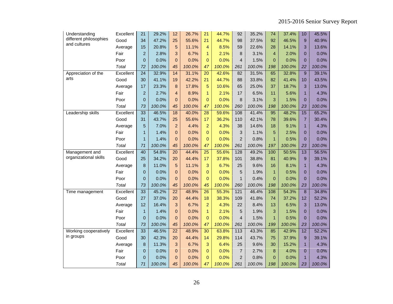| Understanding          | Excellent | 21              | 29.2%  | 12                      | 26.7%  | 21             | 44.7%  | 92             | 35.2%  | 74             | 37.4%  | 10             | 45.5%  |
|------------------------|-----------|-----------------|--------|-------------------------|--------|----------------|--------|----------------|--------|----------------|--------|----------------|--------|
| different philosophies | Good      | 34              | 47.2%  | 25                      | 55.6%  | 21             | 44.7%  | 98             | 37.5%  | 92             | 46.5%  | 9              | 40.9%  |
| and cultures           | Average   | 15              | 20.8%  | 5                       | 11.1%  | 4              | 8.5%   | 59             | 22.6%  | 28             | 14.1%  | 3              | 13.6%  |
|                        | Fair      | $\overline{c}$  | 2.8%   | 3                       | 6.7%   | 1              | 2.1%   | 8              | 3.1%   | $\overline{4}$ | 2.0%   | $\overline{0}$ | 0.0%   |
|                        | Poor      | 0               | 0.0%   | $\Omega$                | 0.0%   | $\mathbf 0$    | 0.0%   | $\overline{4}$ | 1.5%   | 0              | 0.0%   | $\Omega$       | 0.0%   |
|                        | Total     | 72              | 100.0% | 45                      | 100.0% | 47             | 100.0% | 261            | 100.0% | 198            | 100.0% | 22             | 100.0% |
| Appreciation of the    | Excellent | $\overline{24}$ | 32.9%  | 14                      | 31.1%  | 20             | 42.6%  | 82             | 31.5%  | 65             | 32.8%  | 9              | 39.1%  |
| arts                   | Good      | 30              | 41.1%  | 19                      | 42.2%  | 21             | 44.7%  | 88             | 33.8%  | 82             | 41.4%  | 10             | 43.5%  |
|                        | Average   | 17              | 23.3%  | 8                       | 17.8%  | 5              | 10.6%  | 65             | 25.0%  | 37             | 18.7%  | 3              | 13.0%  |
|                        | Fair      | $\overline{c}$  | 2.7%   | $\overline{\mathbf{4}}$ | 8.9%   | $\mathbf{1}$   | 2.1%   | 17             | 6.5%   | 11             | 5.6%   | $\mathbf{1}$   | 4.3%   |
|                        | Poor      | 0               | 0.0%   | $\overline{0}$          | 0.0%   | $\mathbf 0$    | 0.0%   | 8              | 3.1%   | 3              | 1.5%   | $\Omega$       | 0.0%   |
|                        | Total     | 73              | 100.0% | 45                      | 100.0% | 47             | 100.0% | 260            | 100.0% | 198            | 100.0% | 23             | 100.0% |
| Leadership skills      | Excellent | 33              | 46.5%  | 18                      | 40.0%  | 28             | 59.6%  | 108            | 41.4%  | 95             | 48.2%  | 15             | 65.2%  |
|                        | Good      | 31              | 43.7%  | 25                      | 55.6%  | 17             | 36.2%  | 110            | 42.1%  | 78             | 39.6%  | $\overline{7}$ | 30.4%  |
|                        | Average   | 5               | 7.0%   | $\overline{2}$          | 4.4%   | $\overline{a}$ | 4.3%   | 38             | 14.6%  | 18             | 9.1%   | $\overline{1}$ | 4.3%   |
|                        | Fair      | $\mathbf{1}$    | 1.4%   | $\Omega$                | 0.0%   | $\Omega$       | 0.0%   | 3              | 1.1%   | 5              | 2.5%   | $\overline{0}$ | 0.0%   |
|                        | Poor      | 1               | 1.4%   | $\overline{0}$          | 0.0%   | $\mathbf 0$    | 0.0%   | $\overline{2}$ | 0.8%   | $\overline{1}$ | 0.5%   | $\Omega$       | 0.0%   |
|                        | Total     | 71              | 100.0% | 45                      | 100.0% | 47             | 100.0% | 261            | 100.0% | 197            | 100.0% | 23             | 100.0% |
| Management and         | Excellent | 40              | 54.8%  | 20                      | 44.4%  | 25             | 55.6%  | 128            | 49.2%  | 100            | 50.5%  | 13             | 56.5%  |
| organizational skills  | Good      | 25              | 34.2%  | 20                      | 44.4%  | 17             | 37.8%  | 101            | 38.8%  | 81             | 40.9%  | 9              | 39.1%  |
|                        | Average   | 8               | 11.0%  | 5                       | 11.1%  | 3              | 6.7%   | 25             | 9.6%   | 16             | 8.1%   | $\mathbf{1}$   | 4.3%   |
|                        | Fair      | $\overline{0}$  | 0.0%   | $\overline{0}$          | 0.0%   | $\mathbf{0}$   | 0.0%   | 5              | 1.9%   | $\overline{1}$ | 0.5%   | $\overline{0}$ | 0.0%   |
|                        | Poor      | 0               | 0.0%   | $\overline{0}$          | 0.0%   | $\mathbf{0}$   | 0.0%   | $\mathbf{1}$   | 0.4%   | 0              | 0.0%   | $\overline{0}$ | 0.0%   |
|                        | Total     | 73              | 100.0% | 45                      | 100.0% | 45             | 100.0% | 260            | 100.0% | 198            | 100.0% | 23             | 100.0% |
| Time management        | Excellent | 33              | 45.2%  | 22                      | 48.9%  | 26             | 55.3%  | 121            | 46.4%  | 108            | 54.3%  | 8              | 34.8%  |
|                        | Good      | 27              | 37.0%  | 20                      | 44.4%  | 18             | 38.3%  | 109            | 41.8%  | 74             | 37.2%  | 12             | 52.2%  |
|                        | Average   | 12              | 16.4%  | 3                       | 6.7%   | $\overline{2}$ | 4.3%   | 22             | 8.4%   | 13             | 6.5%   | 3              | 13.0%  |
|                        | Fair      | $\mathbf{1}$    | 1.4%   | $\overline{0}$          | 0.0%   | $\mathbf{1}$   | 2.1%   | 5              | 1.9%   | 3              | 1.5%   | $\overline{0}$ | 0.0%   |
|                        | Poor      | $\overline{0}$  | 0.0%   | $\overline{0}$          | 0.0%   | $\pmb{0}$      | 0.0%   | $\overline{4}$ | 1.5%   | $\mathbf{1}$   | 0.5%   | $\overline{0}$ | 0.0%   |
|                        | Total     | 73              | 100.0% | 45                      | 100.0% | 47             | 100.0% | 261            | 100.0% | 199            | 100.0% | 23             | 100.0% |
| Working cooperatively  | Excellent | 33              | 46.5%  | 22                      | 48.9%  | 30             | 63.8%  | 113            | 43.3%  | 85             | 42.9%  | 12             | 52.2%  |
| in groups              | Good      | 30              | 42.3%  | 20                      | 44.4%  | 14             | 29.8%  | 114            | 43.7%  | 75             | 37.9%  | 9              | 39.1%  |
|                        | Average   | 8               | 11.3%  | 3                       | 6.7%   | 3              | 6.4%   | 25             | 9.6%   | 30             | 15.2%  | $\mathbf{1}$   | 4.3%   |
|                        | Fair      | 0               | 0.0%   | $\overline{0}$          | 0.0%   | $\overline{0}$ | 0.0%   | $\overline{7}$ | 2.7%   | 8              | 4.0%   | $\overline{0}$ | 0.0%   |
|                        | Poor      | 0               | 0.0%   | $\overline{0}$          | 0.0%   | $\mathbf 0$    | 0.0%   | $\overline{2}$ | 0.8%   | 0              | 0.0%   | $\mathbf{1}$   | 4.3%   |
|                        | Total     | 71              | 100.0% | 45                      | 100.0% | 47             | 100.0% | 261            | 100.0% | 198            | 100.0% | 23             | 100.0% |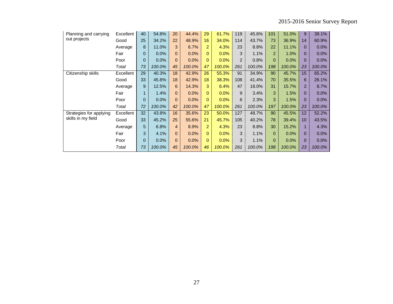| Planning and carrying   | Excellent | 40       | 54.8%  | 20             | 44.4%  | 29             | 61.7%  | 119 | 45.6%  | 101            | 51.0%  | 9              | 39.1%   |
|-------------------------|-----------|----------|--------|----------------|--------|----------------|--------|-----|--------|----------------|--------|----------------|---------|
| out projects            | Good      | 25       | 34.2%  | 22             | 48.9%  | 16             | 34.0%  | 114 | 43.7%  | 73             | 36.9%  | 14             | 60.9%   |
|                         | Average   | 8        | 11.0%  | 3              | 6.7%   | $\overline{2}$ | 4.3%   | 23  | 8.8%   | 22             | 11.1%  | $\Omega$       | 0.0%    |
|                         | Fair      | $\Omega$ | 0.0%   | $\overline{0}$ | 0.0%   | $\Omega$       | 0.0%   | 3   | 1.1%   | $\overline{2}$ | 1.0%   | $\Omega$       | 0.0%    |
|                         | Poor      | $\Omega$ | 0.0%   | $\Omega$       | 0.0%   | $\mathbf{0}$   | 0.0%   | 2   | 0.8%   | $\Omega$       | 0.0%   | $\Omega$       | $0.0\%$ |
|                         | Total     | 73       | 100.0% | 45             | 100.0% | 47             | 100.0% | 261 | 100.0% | 198            | 100.0% | 23             | 100.0%  |
| Citizenship skills      | Excellent | 29       | 40.3%  | 18             | 42.9%  | 26             | 55.3%  | 91  | 34.9%  | 90             | 45.7%  | 15             | 65.2%   |
|                         | Good      | 33       | 45.8%  | 18             | 42.9%  | 18             | 38.3%  | 108 | 41.4%  | 70             | 35.5%  | 6              | 26.1%   |
|                         | Average   | 9        | 12.5%  | 6              | 14.3%  | 3              | 6.4%   | 47  | 18.0%  | 31             | 15.7%  | $\overline{2}$ | 8.7%    |
|                         | Fair      |          | 1.4%   | $\Omega$       | 0.0%   | $\Omega$       | 0.0%   | 9   | 3.4%   | 3              | 1.5%   | $\Omega$       | 0.0%    |
|                         | Poor      | $\Omega$ | 0.0%   | $\Omega$       | 0.0%   | $\Omega$       | 0.0%   | 6   | 2.3%   | 3              | 1.5%   | $\Omega$       | 0.0%    |
|                         | Total     | 72       | 100.0% | 42             | 100.0% | 47             | 100.0% | 261 | 100.0% | 197            | 100.0% | 23             | 100.0%  |
| Strategies for applying | Excellent | 32       | 43.8%  | 16             | 35.6%  | 23             | 50.0%  | 127 | 48.7%  | 90             | 45.5%  | 12             | 52.2%   |
| skills in my field      | Good      | 33       | 45.2%  | 25             | 55.6%  | 21             | 45.7%  | 105 | 40.2%  | 78             | 39.4%  | 10             | 43.5%   |
|                         | Average   | 5        | 6.8%   | 4              | 8.9%   | $\overline{2}$ | 4.3%   | 23  | 8.8%   | 30             | 15.2%  | 1              | 4.3%    |
|                         | Fair      | 3        | 4.1%   | $\Omega$       | 0.0%   | $\Omega$       | 0.0%   | 3   | 1.1%   | $\Omega$       | 0.0%   | $\Omega$       | 0.0%    |
|                         | Poor      | $\Omega$ | 0.0%   | $\Omega$       | 0.0%   | $\Omega$       | 0.0%   | 3   | 1.1%   | 0              | 0.0%   | $\Omega$       | 0.0%    |
|                         | Total     | 73       | 100.0% | 45             | 100.0% | 46             | 100.0% | 261 | 100.0% | 198            | 100.0% | 23             | 100.0%  |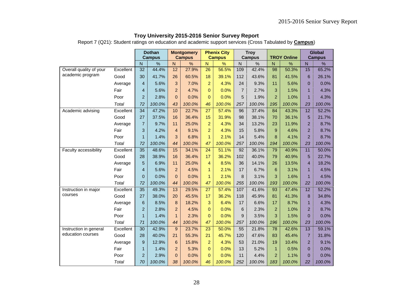|  | Troy University 2015-2016 Senior Survey Report |  |
|--|------------------------------------------------|--|
|--|------------------------------------------------|--|

Report 7 (Q21): Student ratings on education and academic support services (Cross Tabulated by **Campus**)

|                         |           |                | <b>Dothan</b><br><b>Campus</b> |                         | <b>Montgomery</b><br><b>Campus</b> |                 | <b>Phenix City</b><br><b>Campus</b> |                | <b>Troy</b><br><b>Campus</b> |                         | <b>TROY Online</b> |                 | <b>Global</b><br><b>Campus</b> |
|-------------------------|-----------|----------------|--------------------------------|-------------------------|------------------------------------|-----------------|-------------------------------------|----------------|------------------------------|-------------------------|--------------------|-----------------|--------------------------------|
|                         |           | N              | $\frac{1}{2}$                  | $\overline{\mathsf{N}}$ | %                                  | $\overline{N}$  | $\frac{9}{6}$                       | $\overline{N}$ | $\%$                         | $\overline{\mathsf{N}}$ | $\%$               | N               | $\frac{1}{2}$                  |
| Overall quality of your | Excellent | 32             | 44.4%                          | 12                      | 27.9%                              | 26              | 56.5%                               | 109            | 42.4%                        | 98                      | 50.3%              | 15              | 65.2%                          |
| academic program        | Good      | 30             | 41.7%                          | 26                      | 60.5%                              | 18              | 39.1%                               | 112            | 43.6%                        | 81                      | 41.5%              | 6               | 26.1%                          |
|                         | Average   | $\overline{4}$ | 5.6%                           | 3                       | 7.0%                               | $\overline{2}$  | 4.3%                                | 24             | 9.3%                         | 11                      | 5.6%               | $\mathbf{0}$    | 0.0%                           |
|                         | Fair      | 4              | 5.6%                           | $\overline{2}$          | 4.7%                               | $\Omega$        | 0.0%                                | $\overline{7}$ | 2.7%                         | 3                       | 1.5%               | $\mathbf{1}$    | 4.3%                           |
|                         | Poor      | $\overline{c}$ | 2.8%                           | $\pmb{0}$               | 0.0%                               | $\mathbf{0}$    | 0.0%                                | 5              | 1.9%                         | $\overline{2}$          | 1.0%               | $\overline{1}$  | 4.3%                           |
|                         | Total     | 72             | 100.0%                         | 43                      | 100.0%                             | 46              | 100.0%                              | 257            | 100.0%                       | 195                     | 100.0%             | 23              | 100.0%                         |
| Academic advising       | Excellent | 34             | 47.2%                          | 10                      | 22.7%                              | $\overline{27}$ | 57.4%                               | 96             | 37.4%                        | 84                      | 43.3%              | $\overline{12}$ | 52.2%                          |
|                         | Good      | 27             | 37.5%                          | 16                      | 36.4%                              | 15              | 31.9%                               | 98             | 38.1%                        | 70                      | 36.1%              | 5               | 21.7%                          |
|                         | Average   | $\overline{7}$ | 9.7%                           | 11                      | 25.0%                              | $\overline{2}$  | 4.3%                                | 34             | 13.2%                        | 23                      | 11.9%              | $\overline{2}$  | 8.7%                           |
|                         | Fair      | 3              | 4.2%                           | $\overline{4}$          | 9.1%                               | $\overline{2}$  | 4.3%                                | 15             | 5.8%                         | 9                       | 4.6%               | $\overline{2}$  | 8.7%                           |
|                         | Poor      | $\mathbf{1}$   | 1.4%                           | 3                       | 6.8%                               | $\mathbf{1}$    | 2.1%                                | 14             | 5.4%                         | 8                       | 4.1%               | $\overline{2}$  | 8.7%                           |
|                         | Total     | 72             | 100.0%                         | 44                      | 100.0%                             | 47              | 100.0%                              | 257            | 100.0%                       | 194                     | 100.0%             | 23              | 100.0%                         |
| Faculty accessibility   | Excellent | 35             | 48.6%                          | 15                      | 34.1%                              | $\overline{24}$ | 51.1%                               | 92             | 36.1%                        | 79                      | 40.9%              | 11              | 50.0%                          |
|                         | Good      | 28             | 38.9%                          | 16                      | 36.4%                              | 17              | 36.2%                               | 102            | 40.0%                        | 79                      | 40.9%              | 5               | 22.7%                          |
|                         | Average   | 5              | 6.9%                           | 11                      | 25.0%                              | 4               | 8.5%                                | 36             | 14.1%                        | 26                      | 13.5%              | $\overline{4}$  | 18.2%                          |
|                         | Fair      | $\overline{4}$ | 5.6%                           | $\overline{2}$          | 4.5%                               | $\mathbf{1}$    | 2.1%                                | 17             | 6.7%                         | 6                       | 3.1%               | $\mathbf{1}$    | 4.5%                           |
|                         | Poor      | $\overline{0}$ | 0.0%                           | $\Omega$                | 0.0%                               | $\mathbf{1}$    | 2.1%                                | 8              | 3.1%                         | 3                       | 1.6%               | $\overline{1}$  | 4.5%                           |
|                         | Total     | 72             | 100.0%                         | 44                      | 100.0%                             | 47              | 100.0%                              | 255            | 100.0%                       | 193                     | 100.0%             | 22              | 100.0%                         |
| Instruction in major    | Excellent | 35             | 49.3%                          | 13                      | 29.5%                              | $\overline{27}$ | 57.4%                               | 107            | 41.6%                        | 93                      | 47.4%              | 12              | 52.2%                          |
| courses                 | Good      | 27             | 38.0%                          | 20                      | 45.5%                              | 17              | 36.2%                               | 118            | 45.9%                        | 81                      | 41.3%              | 8               | 34.8%                          |
|                         | Average   | 6              | 8.5%                           | 8                       | 18.2%                              | 3               | 6.4%                                | 17             | 6.6%                         | 17                      | 8.7%               | $\overline{1}$  | 4.3%                           |
|                         | Fair      | $\overline{c}$ | 2.8%                           | $\overline{a}$          | 4.5%                               | $\Omega$        | 0.0%                                | 6              | 2.3%                         | $\overline{2}$          | 1.0%               | $\overline{2}$  | 8.7%                           |
|                         | Poor      | $\mathbf{1}$   | 1.4%                           | $\mathbf{1}$            | 2.3%                               | $\Omega$        | 0.0%                                | 9              | 3.5%                         | 3                       | 1.5%               | $\mathbf{0}$    | 0.0%                           |
|                         | Total     | 71             | 100.0%                         | 44                      | 100.0%                             | 47              | 100.0%                              | 257            | 100.0%                       | 196                     | 100.0%             | 23              | 100.0%                         |
| Instruction in general  | Excellent | 30             | 42.9%                          | 9                       | 23.7%                              | 23              | 50.0%                               | 55             | 21.8%                        | 78                      | 42.6%              | 13              | 59.1%                          |
| education courses       | Good      | 28             | 40.0%                          | 21                      | 55.3%                              | 21              | 45.7%                               | 120            | 47.6%                        | 83                      | 45.4%              | $\overline{7}$  | 31.8%                          |
|                         | Average   | $9\,$          | 12.9%                          | $6\phantom{1}6$         | 15.8%                              | $\overline{2}$  | 4.3%                                | 53             | 21.0%                        | 19                      | 10.4%              | $\overline{2}$  | 9.1%                           |
|                         | Fair      | $\mathbf{1}$   | 1.4%                           | $\overline{2}$          | 5.3%                               | $\Omega$        | 0.0%                                | 13             | 5.2%                         | $\mathbf{1}$            | 0.5%               | $\mathbf 0$     | 0.0%                           |
|                         | Poor      | $\overline{2}$ | 2.9%                           | $\Omega$                | 0.0%                               | $\Omega$        | 0.0%                                | 11             | 4.4%                         | $\overline{2}$          | 1.1%               | $\overline{0}$  | 0.0%                           |
|                         | Total     | 70             | 100.0%                         | 38                      | 100.0%                             | 46              | 100.0%                              | 252            | 100.0%                       | 183                     | 100.0%             | 22              | 100.0%                         |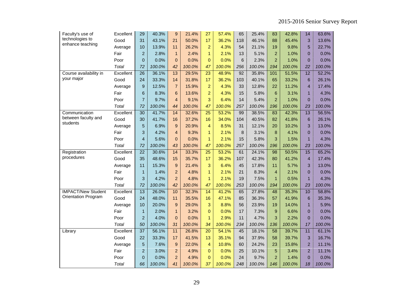| Faculty's use of           | Excellent | 29              | 40.3%  | $\boldsymbol{9}$ | 21.4%  | 27              | 57.4%  | 65  | 25.4%  | 83              | 42.8%  | 14              | 63.6%  |
|----------------------------|-----------|-----------------|--------|------------------|--------|-----------------|--------|-----|--------|-----------------|--------|-----------------|--------|
| technologies to            | Good      | 31              | 43.1%  | 21               | 50.0%  | 17              | 36.2%  | 118 | 46.1%  | 88              | 45.4%  | 3               | 13.6%  |
| enhance teaching           | Average   | 10              | 13.9%  | 11               | 26.2%  | $\overline{2}$  | 4.3%   | 54  | 21.1%  | 19              | 9.8%   | 5               | 22.7%  |
|                            | Fair      | $\overline{c}$  | 2.8%   | $\mathbf{1}$     | 2.4%   | $\mathbf{1}$    | 2.1%   | 13  | 5.1%   | $\overline{2}$  | 1.0%   | $\mathbf{0}$    | 0.0%   |
|                            | Poor      | $\overline{0}$  | 0.0%   | $\overline{0}$   | 0.0%   | $\mathbf{0}$    | 0.0%   | 6   | 2.3%   | $\overline{2}$  | 1.0%   | $\mathbf{0}$    | 0.0%   |
|                            | Total     | 72              | 100.0% | 42               | 100.0% | 47              | 100.0% | 256 | 100.0% | 194             | 100.0% | 22              | 100.0% |
| Course availability in     | Excellent | $\overline{26}$ | 36.1%  | 13               | 29.5%  | $\overline{23}$ | 48.9%  | 92  | 35.8%  | 101             | 51.5%  | $\overline{12}$ | 52.2%  |
| your major                 | Good      | 24              | 33.3%  | 14               | 31.8%  | 17              | 36.2%  | 103 | 40.1%  | 65              | 33.2%  | 6               | 26.1%  |
|                            | Average   | 9               | 12.5%  | $\overline{7}$   | 15.9%  | $\overline{2}$  | 4.3%   | 33  | 12.8%  | 22              | 11.2%  | $\overline{4}$  | 17.4%  |
|                            | Fair      | 6               | 8.3%   | 6                | 13.6%  | $\overline{2}$  | 4.3%   | 15  | 5.8%   | 6               | 3.1%   | $\mathbf{1}$    | 4.3%   |
|                            | Poor      | $\overline{7}$  | 9.7%   | $\overline{4}$   | 9.1%   | 3               | 6.4%   | 14  | 5.4%   | $\overline{2}$  | 1.0%   | $\mathbf{0}$    | 0.0%   |
|                            | Total     | 72              | 100.0% | 44               | 100.0% | 47              | 100.0% | 257 | 100.0% | 196             | 100.0% | 23              | 100.0% |
| Communication              | Excellent | $\overline{30}$ | 41.7%  | 14               | 32.6%  | 25              | 53.2%  | 99  | 38.5%  | 83              | 42.3%  | 13              | 56.5%  |
| between faculty and        | Good      | 30              | 41.7%  | 16               | 37.2%  | 16              | 34.0%  | 104 | 40.5%  | 82              | 41.8%  | $6\phantom{1}6$ | 26.1%  |
| students                   | Average   | 5               | 6.9%   | 9                | 20.9%  | $\overline{4}$  | 8.5%   | 31  | 12.1%  | 20              | 10.2%  | 3               | 13.0%  |
|                            | Fair      | 3               | 4.2%   | $\overline{4}$   | 9.3%   | $\mathbf{1}$    | 2.1%   | 8   | 3.1%   | 8               | 4.1%   | $\Omega$        | 0.0%   |
|                            | Poor      | $\overline{4}$  | 5.6%   | $\overline{0}$   | 0.0%   | 1               | 2.1%   | 15  | 5.8%   | 3               | 1.5%   | $\mathbf{1}$    | 4.3%   |
|                            | Total     | 72              | 100.0% | 43               | 100.0% | 47              | 100.0% | 257 | 100.0% | 196             | 100.0% | 23              | 100.0% |
| Registration               | Excellent | $\overline{22}$ | 30.6%  | 14               | 33.3%  | $\overline{25}$ | 53.2%  | 61  | 24.1%  | 98              | 50.5%  | $\overline{15}$ | 65.2%  |
| procedures                 | Good      | 35              | 48.6%  | 15               | 35.7%  | 17              | 36.2%  | 107 | 42.3%  | 80              | 41.2%  | $\overline{4}$  | 17.4%  |
|                            | Average   | 11              | 15.3%  | 9                | 21.4%  | 3               | 6.4%   | 45  | 17.8%  | 11              | 5.7%   | 3               | 13.0%  |
|                            | Fair      | $\mathbf{1}$    | 1.4%   | $\overline{2}$   | 4.8%   | $\mathbf{1}$    | 2.1%   | 21  | 8.3%   | $\overline{4}$  | 2.1%   | $\Omega$        | 0.0%   |
|                            | Poor      | 3               | 4.2%   | $\overline{2}$   | 4.8%   | 1               | 2.1%   | 19  | 7.5%   | $\mathbf{1}$    | 0.5%   | $\mathbf{1}$    | 4.3%   |
|                            | Total     | 72              | 100.0% | 42               | 100.0% | 47              | 100.0% | 253 | 100.0% | 194             | 100.0% | 23              | 100.0% |
| <b>IMPACT/New Student</b>  | Excellent | $\overline{13}$ | 26.0%  | 10               | 32.3%  | 14              | 41.2%  | 65  | 27.8%  | 48              | 35.3%  | 10              | 58.8%  |
| <b>Orientation Program</b> | Good      | 24              | 48.0%  | 11               | 35.5%  | 16              | 47.1%  | 85  | 36.3%  | 57              | 41.9%  | 6               | 35.3%  |
|                            | Average   | 10              | 20.0%  | 9                | 29.0%  | 3               | 8.8%   | 56  | 23.9%  | 19              | 14.0%  | $\mathbf{1}$    | 5.9%   |
|                            | Fair      | $\mathbf{1}$    | 2.0%   | $\overline{1}$   | 3.2%   | $\overline{0}$  | 0.0%   | 17  | 7.3%   | 9               | 6.6%   | $\mathbf{0}$    | 0.0%   |
|                            | Poor      | $\overline{2}$  | 4.0%   | $\mathbf 0$      | 0.0%   | $\mathbf{1}$    | 2.9%   | 11  | 4.7%   | 3               | 2.2%   | $\mathbf 0$     | 0.0%   |
|                            | Total     | 50              | 100.0% | 31               | 100.0% | 34              | 100.0% | 234 | 100.0% | 136             | 100.0% | 17              | 100.0% |
| Library                    | Excellent | $\overline{37}$ | 56.1%  | 11               | 26.8%  | 20              | 54.1%  | 45  | 18.1%  | $\overline{58}$ | 39.7%  | 11              | 61.1%  |
|                            | Good      | 22              | 33.3%  | 17               | 41.5%  | 13              | 35.1%  | 94  | 37.9%  | 58              | 39.7%  | 3               | 16.7%  |
|                            | Average   | 5               | 7.6%   | 9                | 22.0%  | $\overline{4}$  | 10.8%  | 60  | 24.2%  | 23              | 15.8%  | $\overline{2}$  | 11.1%  |
|                            | Fair      | $\overline{2}$  | 3.0%   | $\overline{2}$   | 4.9%   | $\Omega$        | 0.0%   | 25  | 10.1%  | 5               | 3.4%   | $\overline{2}$  | 11.1%  |
|                            | Poor      | $\overline{0}$  | 0.0%   | $\overline{2}$   | 4.9%   | $\overline{0}$  | 0.0%   | 24  | 9.7%   | $\overline{2}$  | 1.4%   | $\Omega$        | 0.0%   |
|                            | Total     | 66              | 100.0% | 41               | 100.0% | 37              | 100.0% | 248 | 100.0% | 146             | 100.0% | 18              | 100.0% |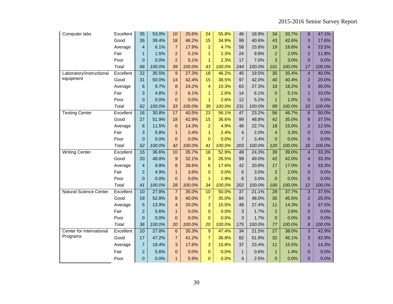| Computer labs                 | Excellent | 35             | 53.0%  | 10             | 25.6%  | 24              | 55.8%  | 46             | 18.9%  | 34              | 33.7%  | 8              | 47.1%  |
|-------------------------------|-----------|----------------|--------|----------------|--------|-----------------|--------|----------------|--------|-----------------|--------|----------------|--------|
|                               | Good      | 26             | 39.4%  | 18             | 46.2%  | 15              | 34.9%  | 99             | 40.6%  | 43              | 42.6%  | 3              | 17.6%  |
|                               | Average   | $\overline{4}$ | 6.1%   | $\overline{7}$ | 17.9%  | $\overline{2}$  | 4.7%   | 58             | 23.8%  | 19              | 18.8%  | $\overline{4}$ | 23.5%  |
|                               | Fair      | $\mathbf{1}$   | 1.5%   | $\overline{a}$ | 5.1%   | $\mathbf{1}$    | 2.3%   | 24             | 9.8%   | $\overline{a}$  | 2.0%   | $\overline{2}$ | 11.8%  |
|                               | Poor      | $\overline{0}$ | 0.0%   | $\overline{2}$ | 5.1%   | $\mathbf{1}$    | 2.3%   | 17             | 7.0%   | 3               | 3.0%   | $\Omega$       | 0.0%   |
|                               | Total     | 66             | 100.0% | 39             | 100.0% | 43              | 100.0% | 244            | 100.0% | 101             | 100.0% | 17             | 100.0% |
| Laboratory/instructional      | Excellent | 22             | 35.5%  | 9              | 27.3%  | 18              | 46.2%  | 45             | 19.5%  | 35              | 35.4%  | $\overline{4}$ | 40.0%  |
| equipment                     | Good      | 31             | 50.0%  | 14             | 42.4%  | 15              | 38.5%  | 97             | 42.0%  | 40              | 40.4%  | $\overline{2}$ | 20.0%  |
|                               | Average   | 6              | 9.7%   | 8              | 24.2%  | 4               | 10.3%  | 63             | 27.3%  | 18              | 18.2%  | 3              | 30.0%  |
|                               | Fair      | 3              | 4.8%   | $\overline{a}$ | 6.1%   | $\mathbf{1}$    | 2.6%   | 14             | 6.1%   | 5               | 5.1%   | $\mathbf{1}$   | 10.0%  |
|                               | Poor      | $\overline{0}$ | 0.0%   | $\overline{0}$ | 0.0%   | $\mathbf{1}$    | 2.6%   | 12             | 5.2%   | 1               | 1.0%   | $\overline{0}$ | 0.0%   |
|                               | Total     | 62             | 100.0% | 33             | 100.0% | 39              | 100.0% | 231            | 100.0% | 99              | 100.0% | 10             | 100.0% |
| <b>Testing Center</b>         | Excellent | 16             | 30.8%  | 17             | 40.5%  | $\overline{23}$ | 56.1%  | 47             | 23.2%  | $\overline{56}$ | 46.7%  | $\bf{8}$       | 50.0%  |
|                               | Good      | 27             | 51.9%  | 18             | 42.9%  | 15              | 36.6%  | 99             | 48.8%  | 42              | 35.0%  | 6              | 37.5%  |
|                               | Average   | $6\phantom{1}$ | 11.5%  | $6\phantom{1}$ | 14.3%  | $\overline{a}$  | 4.9%   | 46             | 22.7%  | 18              | 15.0%  | $\overline{2}$ | 12.5%  |
|                               | Fair      | 3              | 5.8%   | $\mathbf{1}$   | 2.4%   | $\mathbf{1}$    | 2.4%   | $\overline{4}$ | 2.0%   | $\overline{4}$  | 3.3%   | $\overline{0}$ | 0.0%   |
|                               | Poor      | $\overline{0}$ | 0.0%   | $\overline{0}$ | 0.0%   | $\mathbf{0}$    | 0.0%   | $\overline{7}$ | 3.4%   | $\Omega$        | 0.0%   | $\Omega$       | 0.0%   |
|                               | Total     | 52             | 100.0% | 42             | 100.0% | 41              | 100.0% | 203            | 100.0% | 120             | 100.0% | 16             | 100.0% |
| <b>Writing Center</b>         | Excellent | 15             | 36.6%  | 10             | 35.7%  | 18              | 52.9%  | 49             | 24.3%  | 39              | 39.0%  | $\overline{4}$ | 33.3%  |
|                               | Good      | 20             | 48.8%  | 9              | 32.1%  | 9               | 26.5%  | 99             | 49.0%  | 42              | 42.0%  | $\overline{4}$ | 33.3%  |
|                               | Average   | $\overline{4}$ | 9.8%   | 8              | 28.6%  | $6\phantom{1}$  | 17.6%  | 42             | 20.8%  | 17              | 17.0%  | $\overline{4}$ | 33.3%  |
|                               | Fair      | $\overline{2}$ | 4.9%   | $\mathbf{1}$   | 3.6%   | $\mathbf{0}$    | 0.0%   | $\,6$          | 3.0%   | $\overline{2}$  | 2.0%   | $\mathbf{0}$   | 0.0%   |
|                               | Poor      | $\overline{0}$ | 0.0%   | $\overline{0}$ | 0.0%   | $\mathbf{1}$    | 2.9%   | 6              | 3.0%   | $\Omega$        | 0.0%   | $\Omega$       | 0.0%   |
|                               | Total     | 41             | 100.0% | 28             | 100.0% | 34              | 100.0% | 202            | 100.0% | 100             | 100.0% | 12             | 100.0% |
| <b>Natural Science Center</b> | Excellent | 10             | 27.8%  | $\overline{7}$ | 35.0%  | 10              | 50.0%  | 37             | 21.1%  | 29              | 37.7%  | 3              | 37.5%  |
|                               | Good      | 19             | 52.8%  | 8              | 40.0%  | $\overline{7}$  | 35.0%  | 84             | 48.0%  | 35              | 45.5%  | $\overline{2}$ | 25.0%  |
|                               | Average   | 5              | 13.9%  | 4              | 20.0%  | 3               | 15.0%  | 48             | 27.4%  | 11              | 14.3%  | 3              | 37.5%  |
|                               | Fair      | $\overline{c}$ | 5.6%   | $\mathbf{1}$   | 5.0%   | $\overline{0}$  | 0.0%   | 3              | 1.7%   | $\overline{2}$  | 2.6%   | $\overline{0}$ | 0.0%   |
|                               | Poor      | $\mathbf{0}$   | 0.0%   | $\overline{0}$ | 0.0%   | $\Omega$        | 0.0%   | 3              | 1.7%   | $\Omega$        | 0.0%   | $\overline{0}$ | 0.0%   |
|                               | Total     | 36             | 100.0% | 20             | 100.0% | 20              | 100.0% | 175            | 100.0% | 77              | 100.0% | 8              | 100.0% |
| Center for International      | Excellent | 10             | 27.8%  | $\,6\,$        | 35.3%  | 9               | 47.4%  | 34             | 21.5%  | 27              | 38.0%  | 3              | 42.9%  |
| Programs                      | Good      | 17             | 47.2%  | $\overline{7}$ | 41.2%  | $\overline{7}$  | 36.8%  | 82             | 51.9%  | 32              | 45.1%  | 3              | 42.9%  |
|                               | Average   | $\overline{7}$ | 19.4%  | 3              | 17.6%  | 3               | 15.8%  | 37             | 23.4%  | 11              | 15.5%  | $\mathbf{1}$   | 14.3%  |
|                               | Fair      | $\overline{c}$ | 5.6%   | $\overline{0}$ | 0.0%   | $\overline{0}$  | 0.0%   | $\mathbf{1}$   | 0.6%   | $\mathbf{1}$    | 1.4%   | $\overline{0}$ | 0.0%   |
|                               | Poor      | $\mathbf{0}$   | 0.0%   | $\mathbf{1}$   | 5.9%   | $\Omega$        | 0.0%   | $\overline{4}$ | 2.5%   | $\overline{0}$  | 0.0%   | $\overline{0}$ | 0.0%   |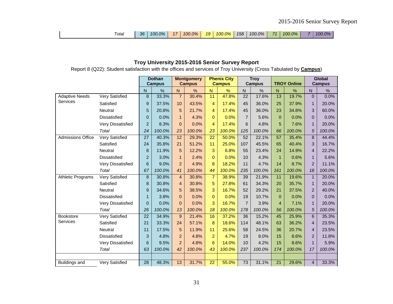| ™otal | 36 | 100.0% | 17 <sup>1</sup> | 100.0% | 19 <sub>1</sub> | $100.0\%$ | 158 | $100.0\%$ | <b>71</b> I | 100.0% |  | 100.0% |
|-------|----|--------|-----------------|--------|-----------------|-----------|-----|-----------|-------------|--------|--|--------|
|-------|----|--------|-----------------|--------|-----------------|-----------|-----|-----------|-------------|--------|--|--------|

#### **Troy University 2015-2016 Senior Survey Report**

Report 8 (Q22): Student satisfaction with the offices and services of Troy University (Cross Tabulated by **Campus**)

|                          |                          |                | <b>Dothan</b> |                | <b>Montgomery</b> |                | <b>Phenix City</b> |                 | <b>Troy</b>   |                |                    | Global                   |               |
|--------------------------|--------------------------|----------------|---------------|----------------|-------------------|----------------|--------------------|-----------------|---------------|----------------|--------------------|--------------------------|---------------|
|                          |                          |                | <b>Campus</b> |                | <b>Campus</b>     |                | <b>Campus</b>      |                 | <b>Campus</b> |                | <b>TROY Online</b> |                          | <b>Campus</b> |
|                          |                          | N              | %             | ${\sf N}$      | %                 | $\overline{N}$ | %                  | ${\sf N}$       | %             | N              | %                  | ${\sf N}$                | %             |
| <b>Adaptive Needs</b>    | Very Satisfied           | 8              | 33.3%         | $\overline{7}$ | 30.4%             | 11             | 47.8%              | 22              | 17.6%         | 13             | 19.7%              | $\mathbf{0}$             | 0.0%          |
| Services                 | Satisfied                | 9              | 37.5%         | 10             | 43.5%             | 4              | 17.4%              | 45              | 36.0%         | 25             | 37.9%              | $\mathbf{1}$             | 20.0%         |
|                          | Neutral                  | 5              | 20.8%         | 5              | 21.7%             | 4              | 17.4%              | 45              | 36.0%         | 23             | 34.8%              | 3                        | 60.0%         |
|                          | <b>Dissatisfied</b>      | 0              | 0.0%          | $\mathbf 1$    | 4.3%              | $\overline{0}$ | 0.0%               | $\overline{7}$  | 5.6%          | $\mathbf{0}$   | 0.0%               | $\Omega$                 | 0.0%          |
|                          | Very Dissatisfied        | $\overline{c}$ | 8.3%          | $\Omega$       | 0.0%              | 4              | 17.4%              | 6               | 4.8%          | 5              | 7.6%               | $\mathbf{1}$             | 20.0%         |
|                          | Total                    | 24             | 100.0%        | 23             | 100.0%            | 23             | 100.0%             | 125             | 100.0%        | 66             | 100.0%             | $\sqrt{5}$               | 100.0%        |
| <b>Admissions Office</b> | Very Satisfied           | 27             | 40.3%         | 12             | 29.3%             | 22             | 50.0%              | $\overline{52}$ | 22.1%         | 57             | 35.4%              | 8                        | 44.4%         |
|                          | Satisfied                | 24             | 35.8%         | 21             | 51.2%             | 11             | 25.0%              | 107             | 45.5%         | 65             | 40.4%              | 3                        | 16.7%         |
|                          | Neutral                  | 8              | 11.9%         | 5              | 12.2%             | 3              | 6.8%               | 55              | 23.4%         | 24             | 14.9%              | 4                        | 22.2%         |
|                          | <b>Dissatisfied</b>      | $\overline{c}$ | 3.0%          | 1              | 2.4%              | $\Omega$       | 0.0%               | 10              | 4.3%          | $\mathbf{1}$   | 0.6%               | $\mathbf{1}$             | 5.6%          |
|                          | <b>Very Dissatisfied</b> | 6              | 9.0%          | 2              | 4.9%              | 8              | 18.2%              | 11              | 4.7%          | 14             | 8.7%               | $\overline{2}$           | 11.1%         |
|                          | Total                    | 67             | 100.0%        | 41             | 100.0%            | 44             | 100.0%             | 235             | 100.0%        | 161            | 100.0%             | 18                       | 100.0%        |
| <b>Athletic Programs</b> | <b>Very Satisfied</b>    | $\, 8$         | 30.8%         | $\overline{4}$ | 30.8%             | $\overline{7}$ | 38.9%              | 39              | 21.9%         | 11             | 19.6%              | $\mathbf{1}$             | 20.0%         |
|                          | Satisfied                | 8              | 30.8%         | $\overline{4}$ | 30.8%             | 5              | 27.8%              | 61              | 34.3%         | 20             | 35.7%              | $\mathbf{1}$             | 20.0%         |
|                          | <b>Neutral</b>           | 9              | 34.6%         | 5              | 38.5%             | 3              | 16.7%              | 52              | 29.2%         | 21             | 37.5%              | $\overline{2}$           | 40.0%         |
|                          | <b>Dissatisfied</b>      | $\mathbf{1}$   | 3.8%          | $\Omega$       | 0.0%              | $\overline{0}$ | 0.0%               | 19              | 10.7%         | $\mathbf{0}$   | 0.0%               | $\mathbf{0}$             | 0.0%          |
|                          | Very Dissatisfied        | $\overline{0}$ | 0.0%          | $\Omega$       | 0.0%              | 3              | 16.7%              | $\overline{7}$  | 3.9%          | $\overline{4}$ | 7.1%               | $\mathbf{1}$             | 20.0%         |
|                          | Total                    | 26             | 100.0%        | 13             | 100.0%            | 18             | 100.0%             | 178             | 100.0%        | 56             | 100.0%             | 5                        | 100.0%        |
| <b>Bookstore</b>         | Very Satisfied           | 22             | 34.9%         | 9              | 21.4%             | 16             | 37.2%              | 36              | 15.2%         | 45             | 25.9%              | 6                        | 35.3%         |
| Services                 | Satisfied                | 21             | 33.3%         | 24             | 57.1%             | 8              | 18.6%              | 114             | 48.1%         | 63             | 36.2%              | $\overline{\mathcal{L}}$ | 23.5%         |
|                          | <b>Neutral</b>           | 11             | 17.5%         | 5              | 11.9%             | 11             | 25.6%              | 58              | 24.5%         | 36             | 20.7%              | 4                        | 23.5%         |
|                          | <b>Dissatisfied</b>      | 3              | 4.8%          | 2              | 4.8%              | $\overline{2}$ | 4.7%               | 19              | 8.0%          | 15             | 8.6%               | $\overline{2}$           | 11.8%         |
|                          | Very Dissatisfied        | 6              | 9.5%          | $\overline{2}$ | 4.8%              | 6              | 14.0%              | 10              | 4.2%          | 15             | 8.6%               | $\mathbf{1}$             | 5.9%          |
|                          | Total                    | 63             | 100.0%        | 42             | 100.0%            | 43             | 100.0%             | 237             | 100.0%        | 174            | 100.0%             | 17                       | 100.0%        |
|                          |                          |                |               |                |                   |                |                    |                 |               |                |                    |                          |               |
| <b>Buildings and</b>     | <b>Very Satisfied</b>    | 28             | 48.3%         | 13             | 31.7%             | 22             | 55.0%              | 73              | 31.1%         | 21             | 29.6%              | $\overline{4}$           | 33.3%         |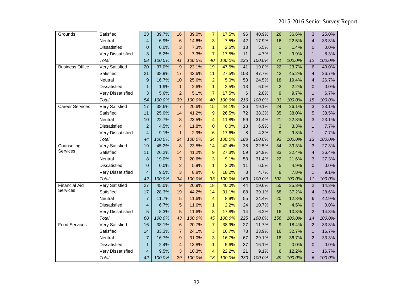| Grounds                | Satisfied             | 23                      | 39.7%  | 16             | 39.0%  | 7               | 17.5%  | 96              | 40.9%  | 26              | 36.6%  | 3              | 25.0%  |
|------------------------|-----------------------|-------------------------|--------|----------------|--------|-----------------|--------|-----------------|--------|-----------------|--------|----------------|--------|
|                        | Neutral               | $\overline{4}$          | 6.9%   | 6              | 14.6%  | 3               | 7.5%   | 42              | 17.9%  | 16              | 22.5%  | $\overline{4}$ | 33.3%  |
|                        | <b>Dissatisfied</b>   | 0                       | 0.0%   | 3              | 7.3%   | $\mathbf{1}$    | 2.5%   | 13              | 5.5%   | $\mathbf{1}$    | 1.4%   | $\mathbf{0}$   | 0.0%   |
|                        | Very Dissatisfied     | 3                       | 5.2%   | 3              | 7.3%   | $\overline{7}$  | 17.5%  | 11              | 4.7%   | $\overline{7}$  | 9.9%   | $\mathbf{1}$   | 8.3%   |
|                        | Total                 | 58                      | 100.0% | 41             | 100.0% | 40              | 100.0% | 235             | 100.0% | 71              | 100.0% | 12             | 100.0% |
| <b>Business Office</b> | <b>Very Satisfied</b> | $\overline{20}$         | 37.0%  | 9              | 23.1%  | 19              | 47.5%  | 41              | 19.0%  | $\overline{22}$ | 23.7%  | 6              | 40.0%  |
|                        | Satisfied             | 21                      | 38.9%  | 17             | 43.6%  | 11              | 27.5%  | 103             | 47.7%  | 42              | 45.2%  | 4              | 26.7%  |
|                        | Neutral               | 9                       | 16.7%  | 10             | 25.6%  | $\overline{a}$  | 5.0%   | 53              | 24.5%  | 18              | 19.4%  | $\overline{4}$ | 26.7%  |
|                        | <b>Dissatisfied</b>   | $\mathbf{1}$            | 1.9%   | $\mathbf{1}$   | 2.6%   | $\overline{1}$  | 2.5%   | 13              | 6.0%   | $\overline{2}$  | 2.2%   | $\overline{0}$ | 0.0%   |
|                        | Very Dissatisfied     | 3                       | 5.6%   | $\overline{2}$ | 5.1%   | $\overline{7}$  | 17.5%  | 6               | 2.8%   | 9               | 9.7%   | $\mathbf{1}$   | 6.7%   |
|                        | Total                 | 54                      | 100.0% | 39             | 100.0% | 40              | 100.0% | 216             | 100.0% | 93              | 100.0% | 15             | 100.0% |
| <b>Career Services</b> | <b>Very Satisfied</b> | $\overline{17}$         | 38.6%  | $\overline{7}$ | 20.6%  | 15              | 44.1%  | $\overline{36}$ | 19.1%  | $\overline{24}$ | 26.1%  | $\overline{3}$ | 23.1%  |
|                        | Satisfied             | 11                      | 25.0%  | 14             | 41.2%  | 9               | 26.5%  | 72              | 38.3%  | 35              | 38.0%  | 5              | 38.5%  |
|                        | Neutral               | 10                      | 22.7%  | 8              | 23.5%  | 4               | 11.8%  | 59              | 31.4%  | 21              | 22.8%  | 3              | 23.1%  |
|                        | Dissatisfied          | $\overline{2}$          | 4.5%   | $\overline{4}$ | 11.8%  | $\overline{0}$  | 0.0%   | 13              | 6.9%   | 3               | 3.3%   | $\mathbf{1}$   | 7.7%   |
|                        | Very Dissatisfied     | $\overline{4}$          | 9.1%   | $\mathbf{1}$   | 2.9%   | 6               | 17.6%  | 8               | 4.3%   | $\mathbf{Q}$    | 9.8%   | $\mathbf{1}$   | 7.7%   |
|                        | Total                 | 44                      | 100.0% | 34             | 100.0% | 34              | 100.0% | 188             | 100.0% | 92              | 100.0% | 13             | 100.0% |
| Counseling             | <b>Very Satisfied</b> | 19                      | 45.2%  | 8              | 23.5%  | 14              | 42.4%  | $\overline{38}$ | 22.5%  | $\overline{34}$ | 33.3%  | $\overline{3}$ | 27.3%  |
| Services               | Satisfied             | 11                      | 26.2%  | 14             | 41.2%  | 9               | 27.3%  | 59              | 34.9%  | 33              | 32.4%  | $\overline{4}$ | 36.4%  |
|                        | Neutral               | 8                       | 19.0%  | $\overline{7}$ | 20.6%  | 3               | 9.1%   | 53              | 31.4%  | 22              | 21.6%  | 3              | 27.3%  |
|                        | <b>Dissatisfied</b>   | $\boldsymbol{0}$        | 0.0%   | $\overline{2}$ | 5.9%   | 1               | 3.0%   | 11              | 6.5%   | 5               | 4.9%   | $\overline{0}$ | 0.0%   |
|                        | Very Dissatisfied     | $\overline{4}$          | 9.5%   | 3              | 8.8%   | 6               | 18.2%  | 8               | 4.7%   | 8               | 7.8%   | $\mathbf{1}$   | 9.1%   |
|                        | Total                 | 42                      | 100.0% | 34             | 100.0% | 33              | 100.0% | 169             | 100.0% | 102             | 100.0% | 11             | 100.0% |
| <b>Financial Aid</b>   | Very Satisfied        | $\overline{27}$         | 45.0%  | 9              | 20.9%  | $\overline{18}$ | 40.0%  | 44              | 19.6%  | 55              | 35.3%  | $\overline{2}$ | 14.3%  |
| Services               | Satisfied             | 17                      | 28.3%  | 19             | 44.2%  | 14              | 31.1%  | 88              | 39.1%  | 58              | 37.2%  | $\overline{4}$ | 28.6%  |
|                        | Neutral               | $\overline{7}$          | 11.7%  | 5              | 11.6%  | 4               | 8.9%   | 55              | 24.4%  | 20              | 12.8%  | 6              | 42.9%  |
|                        | <b>Dissatisfied</b>   | $\overline{\mathbf{4}}$ | 6.7%   | 5              | 11.6%  | 1               | 2.2%   | 24              | 10.7%  | $\overline{7}$  | 4.5%   | $\mathbf 0$    | 0.0%   |
|                        | Very Dissatisfied     | 5                       | 8.3%   | 5              | 11.6%  | 8               | 17.8%  | 14              | 6.2%   | 16              | 10.3%  | $\overline{2}$ | 14.3%  |
|                        | Total                 | 60                      | 100.0% | 43             | 100.0% | 45              | 100.0% | 225             | 100.0% | 156             | 100.0% | 14             | 100.0% |
| <b>Food Services</b>   | <b>Very Satisfied</b> | 16                      | 38.1%  | 6              | 20.7%  | $\overline{7}$  | 38.9%  | 27              | 11.7%  | 9               | 18.4%  | $\overline{2}$ | 33.3%  |
|                        | Satisfied             | 14                      | 33.3%  | $\overline{7}$ | 24.1%  | 3               | 16.7%  | 78              | 33.9%  | 16              | 32.7%  | $\mathbf{1}$   | 16.7%  |
|                        | Neutral               | $\overline{7}$          | 16.7%  | 9              | 31.0%  | 3               | 16.7%  | 67              | 29.1%  | 18              | 36.7%  | $\overline{2}$ | 33.3%  |
|                        | <b>Dissatisfied</b>   | $\mathbf{1}$            | 2.4%   | $\overline{4}$ | 13.8%  | $\mathbf{1}$    | 5.6%   | 37              | 16.1%  | $\Omega$        | 0.0%   | $\overline{0}$ | 0.0%   |
|                        | Very Dissatisfied     | $\overline{4}$          | 9.5%   | 3              | 10.3%  | $\overline{4}$  | 22.2%  | 21              | 9.1%   | 6               | 12.2%  | $\mathbf{1}$   | 16.7%  |
|                        | Total                 | 42                      | 100.0% | 29             | 100.0% | 18              | 100.0% | 230             | 100.0% | 49              | 100.0% | 6              | 100.0% |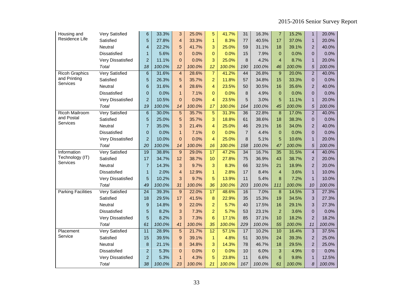| Housing and           | Very Satisfied           | 6                | 33.3%  | 3              | 25.0%  | 5               | 41.7%  | 31             | 16.3%  | $\overline{7}$ | 15.2%  | $\mathbf{1}$   | 20.0%  |
|-----------------------|--------------------------|------------------|--------|----------------|--------|-----------------|--------|----------------|--------|----------------|--------|----------------|--------|
| Residence Life        | Satisfied                | 5                | 27.8%  | $\overline{4}$ | 33.3%  | $\mathbf{1}$    | 8.3%   | 77             | 40.5%  | 17             | 37.0%  | $\mathbf{1}$   | 20.0%  |
|                       | Neutral                  | 4                | 22.2%  | 5              | 41.7%  | 3               | 25.0%  | 59             | 31.1%  | 18             | 39.1%  | $\overline{2}$ | 40.0%  |
|                       | <b>Dissatisfied</b>      | $\mathbf{1}$     | 5.6%   | $\overline{0}$ | 0.0%   | $\Omega$        | 0.0%   | 15             | 7.9%   | $\mathbf{0}$   | 0.0%   | $\overline{0}$ | 0.0%   |
|                       | <b>Very Dissatisfied</b> | $\overline{c}$   | 11.1%  | $\mathbf{0}$   | 0.0%   | 3               | 25.0%  | 8              | 4.2%   | $\overline{4}$ | 8.7%   | $\mathbf{1}$   | 20.0%  |
|                       | Total                    | 18               | 100.0% | 12             | 100.0% | 12              | 100.0% | 190            | 100.0% | 46             | 100.0% | 5              | 100.0% |
| <b>Ricoh Graphics</b> | <b>Very Satisfied</b>    | $\,$ 6 $\,$      | 31.6%  | $\overline{4}$ | 28.6%  | $\overline{7}$  | 41.2%  | 44             | 26.8%  | 9              | 20.0%  | $\overline{2}$ | 40.0%  |
| and Printing          | Satisfied                | 5                | 26.3%  | 5              | 35.7%  | $\overline{a}$  | 11.8%  | 57             | 34.8%  | 15             | 33.3%  | $\mathbf{0}$   | 0.0%   |
| Services              | Neutral                  | $6\phantom{1}$   | 31.6%  | $\overline{4}$ | 28.6%  | $\overline{4}$  | 23.5%  | 50             | 30.5%  | 16             | 35.6%  | $\overline{2}$ | 40.0%  |
|                       | <b>Dissatisfied</b>      | $\mathbf 0$      | 0.0%   | $\mathbf{1}$   | 7.1%   | $\Omega$        | 0.0%   | 8              | 4.9%   | $\Omega$       | 0.0%   | $\overline{0}$ | 0.0%   |
|                       | Very Dissatisfied        | $\overline{c}$   | 10.5%  | $\Omega$       | 0.0%   | $\overline{4}$  | 23.5%  | 5              | 3.0%   | 5              | 11.1%  | $\mathbf{1}$   | 20.0%  |
|                       | Total                    | 19               | 100.0% | 14             | 100.0% | 17              | 100.0% | 164            | 100.0% | 45             | 100.0% | 5              | 100.0% |
| <b>Ricoh Mailroom</b> | <b>Very Satisfied</b>    | $\,$ 6           | 30.0%  | 5              | 35.7%  | 5               | 31.3%  | 36             | 22.8%  | 8              | 17.0%  | $\overline{2}$ | 40.0%  |
| and Postal            | Satisfied                | 5                | 25.0%  | 5              | 35.7%  | 3               | 18.8%  | 61             | 38.6%  | 18             | 38.3%  | $\Omega$       | 0.0%   |
| Services              | Neutral                  | $\overline{7}$   | 35.0%  | 3              | 21.4%  | $\overline{4}$  | 25.0%  | 46             | 29.1%  | 16             | 34.0%  | $\overline{2}$ | 40.0%  |
|                       | Dissatisfied             | $\pmb{0}$        | 0.0%   | $\mathbf{1}$   | 7.1%   | $\Omega$        | 0.0%   | $\overline{7}$ | 4.4%   | $\Omega$       | 0.0%   | $\Omega$       | 0.0%   |
|                       | Very Dissatisfied        | $\overline{2}$   | 10.0%  | $\overline{0}$ | 0.0%   | 4               | 25.0%  | 8              | 5.1%   | 5              | 10.6%  | $\mathbf{1}$   | 20.0%  |
|                       | Total                    | 20               | 100.0% | 14             | 100.0% | 16              | 100.0% | 158            | 100.0% | 47             | 100.0% | 5              | 100.0% |
| Information           | <b>Very Satisfied</b>    | 19               | 38.8%  | 9              | 29.0%  | $\overline{17}$ | 47.2%  | 34             | 16.7%  | 35             | 31.5%  | $\overline{4}$ | 40.0%  |
| Technology (IT)       | Satisfied                | 17               | 34.7%  | 12             | 38.7%  | 10              | 27.8%  | 75             | 36.9%  | 43             | 38.7%  | $\overline{2}$ | 20.0%  |
| Services              | Neutral                  | $\overline{7}$   | 14.3%  | 3              | 9.7%   | 3               | 8.3%   | 66             | 32.5%  | 21             | 18.9%  | $\overline{2}$ | 20.0%  |
|                       | Dissatisfied             | $\mathbf{1}$     | 2.0%   | $\overline{4}$ | 12.9%  | $\mathbf{1}$    | 2.8%   | 17             | 8.4%   | $\overline{4}$ | 3.6%   | $\mathbf{1}$   | 10.0%  |
|                       | <b>Very Dissatisfied</b> | 5                | 10.2%  | 3              | 9.7%   | 5               | 13.9%  | 11             | 5.4%   | 8              | 7.2%   | $\mathbf{1}$   | 10.0%  |
|                       | Total                    | 49               | 100.0% | 31             | 100.0% | 36              | 100.0% | 203            | 100.0% | 111            | 100.0% | 10             | 100.0% |
| Parking Facilities    | <b>Very Satisfied</b>    | $\overline{24}$  | 39.3%  | 9              | 22.0%  | $\overline{17}$ | 48.6%  | 16             | 7.0%   | 8              | 14.5%  | 3              | 27.3%  |
|                       | Satisfied                | 18               | 29.5%  | 17             | 41.5%  | 8               | 22.9%  | 35             | 15.3%  | 19             | 34.5%  | 3              | 27.3%  |
|                       | Neutral                  | $\boldsymbol{9}$ | 14.8%  | 9              | 22.0%  | $\overline{2}$  | 5.7%   | 40             | 17.5%  | 16             | 29.1%  | 3              | 27.3%  |
|                       | <b>Dissatisfied</b>      | $\overline{5}$   | 8.2%   | 3              | 7.3%   | $\overline{2}$  | 5.7%   | 53             | 23.1%  | $\overline{2}$ | 3.6%   | $\overline{0}$ | 0.0%   |
|                       | <b>Very Dissatisfied</b> | 5                | 8.2%   | 3              | 7.3%   | $6\phantom{1}6$ | 17.1%  | 85             | 37.1%  | 10             | 18.2%  | $\overline{2}$ | 18.2%  |
|                       | Total                    | 61               | 100.0% | 41             | 100.0% | 35              | 100.0% | 229            | 100.0% | 55             | 100.0% | 11             | 100.0% |
| Placement             | <b>Very Satisfied</b>    | 11               | 28.9%  | $\overline{5}$ | 21.7%  | $\overline{12}$ | 57.1%  | 17             | 10.2%  | 10             | 16.4%  | 3              | 37.5%  |
| Service               | Satisfied                | 15               | 39.5%  | 9              | 39.1%  | $\mathbf{1}$    | 4.8%   | 51             | 30.5%  | 24             | 39.3%  | $\overline{2}$ | 25.0%  |
|                       | Neutral                  | $\bf8$           | 21.1%  | 8              | 34.8%  | 3               | 14.3%  | 78             | 46.7%  | 18             | 29.5%  | $\overline{2}$ | 25.0%  |
|                       | <b>Dissatisfied</b>      | $\overline{a}$   | 5.3%   | $\overline{0}$ | 0.0%   | $\mathbf{0}$    | 0.0%   | 10             | 6.0%   | 3              | 4.9%   | $\overline{0}$ | 0.0%   |
|                       | Very Dissatisfied        | $\overline{a}$   | 5.3%   | $\mathbf{1}$   | 4.3%   | 5               | 23.8%  | 11             | 6.6%   | 6              | 9.8%   | $\mathbf{1}$   | 12.5%  |
|                       | Total                    | 38               | 100.0% | 23             | 100.0% | 21              | 100.0% | 167            | 100.0% | 61             | 100.0% | 8              | 100.0% |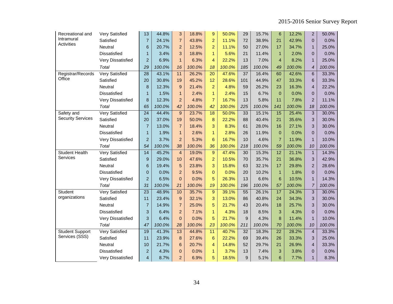| Recreational and         | Very Satisfied           | 13                      | 44.8%  | 3              | 18.8%  | 9               | 50.0%  | 29              | 15.7%  | 6               | 12.2%  | $\overline{c}$           | 50.0%  |
|--------------------------|--------------------------|-------------------------|--------|----------------|--------|-----------------|--------|-----------------|--------|-----------------|--------|--------------------------|--------|
| Intramural               | Satisfied                | $\overline{7}$          | 24.1%  | $\overline{7}$ | 43.8%  | $\overline{a}$  | 11.1%  | 72              | 38.9%  | 21              | 42.9%  | $\overline{0}$           | 0.0%   |
| <b>Activities</b>        | Neutral                  | 6                       | 20.7%  | $\overline{2}$ | 12.5%  | $\overline{2}$  | 11.1%  | 50              | 27.0%  | 17              | 34.7%  | $\mathbf{1}$             | 25.0%  |
|                          | Dissatisfied             | $\mathbf{1}$            | 3.4%   | 3              | 18.8%  | $\mathbf{1}$    | 5.6%   | 21              | 11.4%  | $\mathbf{1}$    | 2.0%   | $\overline{0}$           | 0.0%   |
|                          | <b>Very Dissatisfied</b> | $\overline{2}$          | 6.9%   | $\overline{1}$ | 6.3%   | 4               | 22.2%  | 13              | 7.0%   | $\overline{4}$  | 8.2%   | $\mathbf{1}$             | 25.0%  |
|                          | Total                    | 29                      | 100.0% | 16             | 100.0% | 18              | 100.0% | 185             | 100.0% | 49              | 100.0% | $\overline{\mathcal{A}}$ | 100.0% |
| Registrar/Records        | Very Satisfied           | 28                      | 43.1%  | 11             | 26.2%  | $\overline{20}$ | 47.6%  | $\overline{37}$ | 16.4%  | 60              | 42.6%  | 6                        | 33.3%  |
| Office                   | Satisfied                | 20                      | 30.8%  | 19             | 45.2%  | 12              | 28.6%  | 101             | 44.9%  | 47              | 33.3%  | 6                        | 33.3%  |
|                          | Neutral                  | 8                       | 12.3%  | 9              | 21.4%  | $\overline{2}$  | 4.8%   | 59              | 26.2%  | 23              | 16.3%  | $\overline{4}$           | 22.2%  |
|                          | <b>Dissatisfied</b>      | $\mathbf{1}$            | 1.5%   | $\mathbf{1}$   | 2.4%   | $\mathbf{1}$    | 2.4%   | 15              | 6.7%   | $\Omega$        | 0.0%   | $\overline{0}$           | 0.0%   |
|                          | <b>Very Dissatisfied</b> | 8                       | 12.3%  | $\overline{2}$ | 4.8%   | $\overline{7}$  | 16.7%  | 13              | 5.8%   | 11              | 7.8%   | $\overline{c}$           | 11.1%  |
|                          | Total                    | 65                      | 100.0% | 42             | 100.0% | 42              | 100.0% | 225             | 100.0% | 141             | 100.0% | 18                       | 100.0% |
| Safety and               | <b>Very Satisfied</b>    | $\overline{24}$         | 44.4%  | 9              | 23.7%  | 18              | 50.0%  | 33              | 15.1%  | 15              | 25.4%  | 3                        | 30.0%  |
| <b>Security Services</b> | Satisfied                | 20                      | 37.0%  | 19             | 50.0%  | 8               | 22.2%  | 88              | 40.4%  | 21              | 35.6%  | 3                        | 30.0%  |
|                          | Neutral                  | $\overline{7}$          | 13.0%  | $\overline{7}$ | 18.4%  | 3               | 8.3%   | 61              | 28.0%  | 16              | 27.1%  | 3                        | 30.0%  |
|                          | <b>Dissatisfied</b>      | $\mathbf{1}$            | 1.9%   | $\mathbf{1}$   | 2.6%   | $\mathbf{1}$    | 2.8%   | 26              | 11.9%  | $\Omega$        | 0.0%   | $\overline{0}$           | 0.0%   |
|                          | Very Dissatisfied        | $\overline{2}$          | 3.7%   | $\overline{2}$ | 5.3%   | $6\phantom{1}6$ | 16.7%  | 10              | 4.6%   | $\overline{7}$  | 11.9%  | $\mathbf{1}$             | 10.0%  |
|                          | Total                    | 54                      | 100.0% | 38             | 100.0% | 36              | 100.0% | 218             | 100.0% | 59              | 100.0% | 10                       | 100.0% |
| <b>Student Health</b>    | <b>Very Satisfied</b>    | 14                      | 45.2%  | $\overline{4}$ | 19.0%  | $\overline{9}$  | 47.4%  | $\overline{30}$ | 15.3%  | $\overline{12}$ | 21.1%  | $\mathbf{1}$             | 14.3%  |
| Services                 | Satisfied                | 9                       | 29.0%  | 10             | 47.6%  | $\overline{2}$  | 10.5%  | 70              | 35.7%  | 21              | 36.8%  | 3                        | 42.9%  |
|                          | Neutral                  | $6\phantom{1}6$         | 19.4%  | 5              | 23.8%  | 3               | 15.8%  | 63              | 32.1%  | 17              | 29.8%  | $\overline{2}$           | 28.6%  |
|                          | <b>Dissatisfied</b>      | $\mathbf 0$             | 0.0%   | $\overline{2}$ | 9.5%   | $\overline{0}$  | 0.0%   | 20              | 10.2%  | $\mathbf{1}$    | 1.8%   | $\overline{0}$           | 0.0%   |
|                          | Very Dissatisfied        | $\overline{2}$          | 6.5%   | $\overline{0}$ | 0.0%   | 5               | 26.3%  | 13              | 6.6%   | 6               | 10.5%  | $\mathbf{1}$             | 14.3%  |
|                          | Total                    | 31                      | 100.0% | 21             | 100.0% | 19              | 100.0% | 196             | 100.0% | 57              | 100.0% | 7                        | 100.0% |
| Student                  | <b>Very Satisfied</b>    | $\overline{23}$         | 48.9%  | 10             | 35.7%  | 9               | 39.1%  | $\overline{55}$ | 26.1%  | 17              | 24.3%  | $\overline{3}$           | 30.0%  |
| organizations            | Satisfied                | 11                      | 23.4%  | 9              | 32.1%  | 3               | 13.0%  | 86              | 40.8%  | 24              | 34.3%  | 3                        | 30.0%  |
|                          | Neutral                  | $\overline{7}$          | 14.9%  | $\overline{7}$ | 25.0%  | 5               | 21.7%  | 43              | 20.4%  | 18              | 25.7%  | 3                        | 30.0%  |
|                          | <b>Dissatisfied</b>      | 3                       | 6.4%   | $\overline{2}$ | 7.1%   | $\mathbf{1}$    | 4.3%   | 18              | 8.5%   | 3               | 4.3%   | $\overline{0}$           | 0.0%   |
|                          | <b>Very Dissatisfied</b> | 3                       | 6.4%   | $\overline{0}$ | 0.0%   | 5               | 21.7%  | 9               | 4.3%   | 8               | 11.4%  | $\mathbf{1}$             | 10.0%  |
|                          | Total                    | 47                      | 100.0% | 28             | 100.0% | 23              | 100.0% | 211             | 100.0% | 70              | 100.0% | 10                       | 100.0% |
| <b>Student Support</b>   | <b>Very Satisfied</b>    | 19                      | 41.3%  | 13             | 44.8%  | 11              | 40.7%  | 32              | 18.3%  | 22              | 28.2%  | $\overline{4}$           | 33.3%  |
| Services (SSS)           | Satisfied                | 11                      | 23.9%  | 8              | 27.6%  | $6\phantom{1}6$ | 22.2%  | 69              | 39.4%  | 26              | 33.3%  | 3                        | 25.0%  |
|                          | Neutral                  | 10                      | 21.7%  | 6              | 20.7%  | 4               | 14.8%  | 52              | 29.7%  | 21              | 26.9%  | 4                        | 33.3%  |
|                          | <b>Dissatisfied</b>      | $\overline{c}$          | 4.3%   | $\pmb{0}$      | 0.0%   | $\mathbf{1}$    | 3.7%   | 13              | 7.4%   | 3               | 3.8%   | $\overline{0}$           | 0.0%   |
|                          | <b>Very Dissatisfied</b> | $\overline{\mathbf{4}}$ | 8.7%   | $\overline{2}$ | 6.9%   | 5               | 18.5%  | 9               | 5.1%   | 6               | 7.7%   | $\mathbf{1}$             | 8.3%   |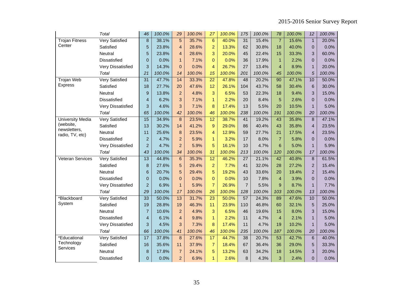|                                 | Total                    | 46                      | 100.0% | 29              | 100.0% | 27               | 100.0% | 175             | 100.0% | 78             | 100.0% | 12               | 100.0% |
|---------------------------------|--------------------------|-------------------------|--------|-----------------|--------|------------------|--------|-----------------|--------|----------------|--------|------------------|--------|
| <b>Trojan Fitness</b>           | <b>Very Satisfied</b>    | $\overline{8}$          | 38.1%  | 5               | 35.7%  | 6                | 40.0%  | 31              | 15.4%  | $\overline{7}$ | 15.6%  | $\overline{1}$   | 20.0%  |
| Center                          | Satisfied                | 5                       | 23.8%  | $\overline{4}$  | 28.6%  | $\overline{a}$   | 13.3%  | 62              | 30.8%  | 18             | 40.0%  | $\pmb{0}$        | 0.0%   |
|                                 | Neutral                  | 5                       | 23.8%  | $\overline{4}$  | 28.6%  | 3                | 20.0%  | 45              | 22.4%  | 15             | 33.3%  | 3                | 60.0%  |
|                                 | Dissatisfied             | $\mathbf 0$             | 0.0%   | $\mathbf{1}$    | 7.1%   | 0                | 0.0%   | 36              | 17.9%  | $\mathbf{1}$   | 2.2%   | $\overline{0}$   | 0.0%   |
|                                 | <b>Very Dissatisfied</b> | 3                       | 14.3%  | $\overline{0}$  | 0.0%   | 4                | 26.7%  | 27              | 13.4%  | $\overline{4}$ | 8.9%   | $\mathbf{1}$     | 20.0%  |
|                                 | Total                    | 21                      | 100.0% | 14              | 100.0% | 15               | 100.0% | 201             | 100.0% | 45             | 100.0% | 5                | 100.0% |
| <b>Trojan Web</b>               | <b>Very Satisfied</b>    | 31                      | 47.7%  | $\overline{14}$ | 33.3%  | $\overline{22}$  | 47.8%  | 48              | 20.2%  | 90             | 47.1%  | 10               | 50.0%  |
| <b>Express</b>                  | Satisfied                | 18                      | 27.7%  | 20              | 47.6%  | 12               | 26.1%  | 104             | 43.7%  | 58             | 30.4%  | 6                | 30.0%  |
|                                 | Neutral                  | $\boldsymbol{9}$        | 13.8%  | $\overline{2}$  | 4.8%   | 3                | 6.5%   | 53              | 22.3%  | 18             | 9.4%   | 3                | 15.0%  |
|                                 | <b>Dissatisfied</b>      | $\overline{\mathbf{4}}$ | 6.2%   | 3               | 7.1%   | $\mathbf{1}$     | 2.2%   | 20              | 8.4%   | 5              | 2.6%   | $\mathbf 0$      | 0.0%   |
|                                 | Very Dissatisfied        | 3                       | 4.6%   | 3               | 7.1%   | 8                | 17.4%  | 13              | 5.5%   | 20             | 10.5%  | $\mathbf{1}$     | 5.0%   |
|                                 | Total                    | 65                      | 100.0% | 42              | 100.0% | 46               | 100.0% | 238             | 100.0% | 191            | 100.0% | 20               | 100.0% |
| <b>University Media</b>         | Very Satisfied           | 15                      | 34.9%  | 8               | 23.5%  | $\overline{12}$  | 38.7%  | 41              | 19.2%  | 43             | 35.8%  | 8                | 47.1%  |
| (website,                       | Satisfied                | 13                      | 30.2%  | 14              | 41.2%  | $\boldsymbol{9}$ | 29.0%  | 86              | 40.4%  | 43             | 35.8%  | $\overline{4}$   | 23.5%  |
| newsletters,<br>radio, TV, etc) | <b>Neutral</b>           | 11                      | 25.6%  | 8               | 23.5%  | 4                | 12.9%  | 59              | 27.7%  | 21             | 17.5%  | $\overline{4}$   | 23.5%  |
|                                 | Dissatisfied             | $\overline{c}$          | 4.7%   | $\overline{2}$  | 5.9%   | $\mathbf{1}$     | 3.2%   | 17              | 8.0%   | $\overline{7}$ | 5.8%   | $\overline{0}$   | 0.0%   |
|                                 | <b>Very Dissatisfied</b> | $\overline{2}$          | 4.7%   | $\overline{2}$  | 5.9%   | 5                | 16.1%  | 10              | 4.7%   | 6              | 5.0%   | $\mathbf{1}$     | 5.9%   |
|                                 | Total                    | 43                      | 100.0% | 34              | 100.0% | 31               | 100.0% | 213             | 100.0% | 120            | 100.0% | 17               | 100.0% |
| <b>Veteran Services</b>         | <b>Very Satisfied</b>    | $\overline{13}$         | 44.8%  | $\overline{6}$  | 35.3%  | 12               | 46.2%  | $\overline{27}$ | 21.1%  | 42             | 40.8%  | $\overline{8}$   | 61.5%  |
|                                 | Satisfied                | 8                       | 27.6%  | 5               | 29.4%  | $\overline{a}$   | 7.7%   | 41              | 32.0%  | 28             | 27.2%  | $\overline{2}$   | 15.4%  |
|                                 | Neutral                  | $6\phantom{1}6$         | 20.7%  | 5               | 29.4%  | 5                | 19.2%  | 43              | 33.6%  | 20             | 19.4%  | $\overline{2}$   | 15.4%  |
|                                 | Dissatisfied             | $\mathbf 0$             | 0.0%   | $\mathbf 0$     | 0.0%   | 0                | 0.0%   | 10              | 7.8%   | $\overline{4}$ | 3.9%   | $\boldsymbol{0}$ | 0.0%   |
|                                 | Very Dissatisfied        | $\overline{2}$          | 6.9%   | $\overline{1}$  | 5.9%   | $\overline{7}$   | 26.9%  | $\overline{7}$  | 5.5%   | 9              | 8.7%   | $\mathbf{1}$     | 7.7%   |
|                                 | Total                    | 29                      | 100.0% | 17              | 100.0% | 26               | 100.0% | 128             | 100.0% | 103            | 100.0% | 13               | 100.0% |
| *Blackboard                     | Very Satisfied           | 33                      | 50.0%  | 13              | 31.7%  | $\overline{23}$  | 50.0%  | $\overline{57}$ | 24.3%  | 89             | 47.6%  | 10               | 50.0%  |
| System                          | Satisfied                | 19                      | 28.8%  | 19              | 46.3%  | 11               | 23.9%  | 110             | 46.8%  | 60             | 32.1%  | 5                | 25.0%  |
|                                 | Neutral                  | $\overline{7}$          | 10.6%  | $\overline{2}$  | 4.9%   | 3                | 6.5%   | 46              | 19.6%  | 15             | 8.0%   | 3                | 15.0%  |
|                                 | Dissatisfied             | $\overline{\mathbf{4}}$ | 6.1%   | $\overline{4}$  | 9.8%   | $\mathbf{1}$     | 2.2%   | 11              | 4.7%   | $\overline{4}$ | 2.1%   | $\mathbf{1}$     | 5.0%   |
|                                 | <b>Very Dissatisfied</b> | 3                       | 4.5%   | 3               | 7.3%   | 8                | 17.4%  | 11              | 4.7%   | 19             | 10.2%  | $\mathbf{1}$     | 5.0%   |
|                                 | Total                    | 66                      | 100.0% | 41              | 100.0% | 46               | 100.0% | 235             | 100.0% | 187            | 100.0% | 20               | 100.0% |
| *Educational                    | <b>Very Satisfied</b>    | $\overline{17}$         | 37.8%  | 8               | 27.6%  | 17               | 44.7%  | 38              | 20.7%  | 53             | 42.7%  | $6\phantom{1}$   | 40.0%  |
| Technology                      | Satisfied                | 16                      | 35.6%  | 11              | 37.9%  | $\overline{7}$   | 18.4%  | 67              | 36.4%  | 36             | 29.0%  | 5                | 33.3%  |
| Services                        | <b>Neutral</b>           | 8                       | 17.8%  | $\overline{7}$  | 24.1%  | 5                | 13.2%  | 63              | 34.2%  | 18             | 14.5%  | 3                | 20.0%  |
|                                 | <b>Dissatisfied</b>      | 0                       | 0.0%   | $\overline{2}$  | 6.9%   | $\mathbf{1}$     | 2.6%   | 8               | 4.3%   | 3              | 2.4%   | $\pmb{0}$        | 0.0%   |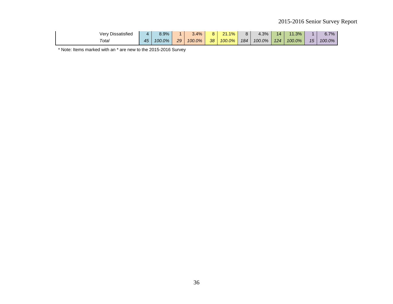| <b>Dissatisfied</b><br>verv |    | 8.9%   |    | 3.4%   | ດ  | $1.1\%$<br>04<br>z. | 8   | 4.3%   | 11  | 11.3%  |                 | $S.7\%$ |
|-----------------------------|----|--------|----|--------|----|---------------------|-----|--------|-----|--------|-----------------|---------|
| Total                       | 4F | 100.0% | 29 | 100.0% | 38 | 100.0%              | 184 | 100.0% | 124 | 100.0% | 15 <sup>1</sup> | 100.0%  |

\* Note: Items marked with an \* are new to the 2015-2016 Survey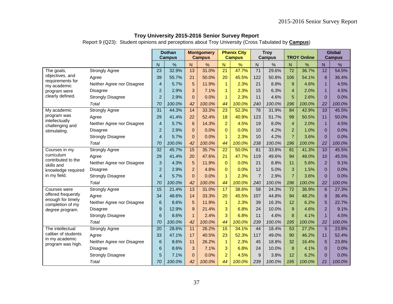|                                         |                            |                 | <b>Dothan</b><br><b>Campus</b> |                 | <b>Montgomery</b><br><b>Campus</b> |                 | <b>Phenix City</b><br><b>Campus</b> |                 | <b>Troy</b><br><b>Campus</b> |                 | <b>TROY Online</b> |                | <b>Global</b><br><b>Campus</b> |
|-----------------------------------------|----------------------------|-----------------|--------------------------------|-----------------|------------------------------------|-----------------|-------------------------------------|-----------------|------------------------------|-----------------|--------------------|----------------|--------------------------------|
|                                         |                            | N               | %                              | N               | $\frac{1}{2}$                      | N               | %                                   | N               | $\%$                         | ${\sf N}$       | $\%$               | N              | %                              |
| The goals,                              | <b>Strongly Agree</b>      | 23              | 32.9%                          | 13              | 31.0%                              | 21              | 47.7%                               | $\overline{71}$ | 29.6%                        | $\overline{72}$ | 36.7%              | 12             | 54.5%                          |
| objectives, and                         | Agree                      | 39              | 55.7%                          | 21              | 50.0%                              | 20              | 45.5%                               | 122             | 50.8%                        | 106             | 54.1%              | 8              | 36.4%                          |
| requirements for<br>my academic         | Neither Agree nor Disagree | 4               | 5.7%                           | 5               | 11.9%                              | $\mathbf{1}$    | 2.3%                                | 21              | 8.8%                         | 9               | 4.6%               | 1              | 4.5%                           |
| program were                            | <b>Disagree</b>            | $\overline{c}$  | 2.9%                           | 3               | 7.1%                               | $\mathbf{1}$    | 2.3%                                | 15              | 6.3%                         | $\overline{4}$  | 2.0%               | $\mathbf 1$    | 4.5%                           |
| clearly defined.                        | <b>Strongly Disagree</b>   | $\overline{2}$  | 2.9%                           | $\mathbf{0}$    | 0.0%                               | $\mathbf{1}$    | 2.3%                                | 11              | 4.6%                         | 5               | 2.6%               | $\Omega$       | 0.0%                           |
|                                         | Total                      | 70              | 100.0%                         | 42              | 100.0%                             | 44              | 100.0%                              | 240             | 100.0%                       | 196             | 100.0%             | 22             | 100.0%                         |
| My academic                             | <b>Strongly Agree</b>      | 31              | 44.3%                          | 14              | 33.3%                              | 23              | 52.3%                               | 76              | 31.9%                        | 84              | 42.9%              | 10             | 45.5%                          |
| program was                             | Agree                      | 29              | 41.4%                          | 22              | 52.4%                              | 18              | 40.9%                               | 123             | 51.7%                        | 99              | 50.5%              | 11             | 50.0%                          |
| intellectually<br>challenging and       | Neither Agree nor Disagree | $\overline{4}$  | 5.7%                           | $6\phantom{1}6$ | 14.3%                              | $\overline{a}$  | 4.5%                                | 19              | 8.0%                         | $\overline{4}$  | 2.0%               | 1              | 4.5%                           |
| stimulating.                            | <b>Disagree</b>            | $\overline{c}$  | 2.9%                           | $\mathbf 0$     | 0.0%                               | $\Omega$        | 0.0%                                | 10              | 4.2%                         | $\overline{2}$  | 1.0%               | $\Omega$       | 0.0%                           |
|                                         | <b>Strongly Disagree</b>   | 4               | 5.7%                           | $\mathbf{0}$    | 0.0%                               | $\mathbf{1}$    | 2.3%                                | 10              | 4.2%                         | $\overline{7}$  | 3.6%               | $\Omega$       | 0.0%                           |
|                                         | Total                      | 70              | 100.0%                         | 42              | 100.0%                             | 44              | 100.0%                              | 238             | 100.0%                       | 196             | 100.0%             | 22             | 100.0%                         |
| Courses in my                           | <b>Strongly Agree</b>      | 32              | 45.7%                          | 15              | 35.7%                              | $\overline{22}$ | 50.0%                               | 81              | 33.8%                        | 81              | 41.3%              | 10             | 45.5%                          |
| curriculum<br>contributed to the        | Agree                      | 29              | 41.4%                          | 20              | 47.6%                              | 21              | 47.7%                               | 119             | 49.6%                        | 94              | 48.0%              | 10             | 45.5%                          |
| skills and                              | Neither Agree nor Disagree | $\mathsf 3$     | 4.3%                           | 5               | 11.9%                              | $\mathbf{0}$    | 0.0%                                | 21              | 8.8%                         | 11              | 5.6%               | 2              | 9.1%                           |
| knowledge required                      | Disagree                   | $\overline{c}$  | 2.9%                           | $\overline{2}$  | 4.8%                               | $\overline{0}$  | 0.0%                                | 12              | 5.0%                         | 3               | 1.5%               | $\Omega$       | 0.0%                           |
| in my field.                            | <b>Strongly Disagree</b>   | 4               | 5.7%                           | $\mathbf 0$     | 0.0%                               | $\mathbf{1}$    | 2.3%                                | $\overline{7}$  | 2.9%                         | $\overline{7}$  | 3.6%               | $\Omega$       | 0.0%                           |
|                                         | Total                      | 70              | 100.0%                         | 42              | 100.0%                             | 44              | 100.0%                              | 240             | 100.0%                       | 196             | 100.0%             | 22             | 100.0%                         |
| Courses were                            | <b>Strongly Agree</b>      | $\overline{15}$ | 21.4%                          | $\overline{13}$ | 31.0%                              | 17              | 38.6%                               | $\overline{58}$ | 24.3%                        | $\overline{72}$ | 36.9%              | 6              | 27.3%                          |
| offered frequently<br>enough for timely | Agree                      | 34              | 48.6%                          | 14              | 33.3%                              | 20              | 45.5%                               | 107             | 44.8%                        | 94              | 48.2%              | 8              | 36.4%                          |
| completion of my                        | Neither Agree nor Disagree | 6               | 8.6%                           | 5               | 11.9%                              | $\mathbf{1}$    | 2.3%                                | 39              | 16.3%                        | 12              | 6.2%               | 5              | 22.7%                          |
| degree program.                         | <b>Disagree</b>            | 9               | 12.9%                          | 9               | 21.4%                              | 3               | 6.8%                                | 24              | 10.0%                        | 9               | 4.6%               | $\overline{2}$ | 9.1%                           |
|                                         | <b>Strongly Disagree</b>   | $6\phantom{1}6$ | 8.6%                           | $\mathbf{1}$    | 2.4%                               | 3               | 6.8%                                | 11              | 4.6%                         | 8               | 4.1%               | $\overline{1}$ | 4.5%                           |
|                                         | Total                      | 70              | 100.0%                         | 42              | 100.0%                             | 44              | 100.0%                              | 239             | 100.0%                       | 195             | 100.0%             | 22             | 100.0%                         |
| The intellectual                        | <b>Strongly Agree</b>      | 20              | 28.6%                          | 11              | 26.2%                              | 15              | 34.1%                               | 44              | 18.4%                        | 53              | 27.2%              | 5              | 23.8%                          |
| caliber of students                     | Agree                      | 33              | 47.1%                          | 17              | 40.5%                              | 23              | 52.3%                               | 117             | 49.0%                        | 90              | 46.2%              | 11             | 52.4%                          |
| in my academic<br>program was high.     | Neither Agree nor Disagree | $6\phantom{1}6$ | 8.6%                           | 11              | 26.2%                              | $\mathbf{1}$    | 2.3%                                | 45              | 18.8%                        | 32              | 16.4%              | 5              | 23.8%                          |
|                                         | <b>Disagree</b>            | 6               | 8.6%                           | 3               | 7.1%                               | 3               | 6.8%                                | 24              | 10.0%                        | 8               | 4.1%               | $\Omega$       | 0.0%                           |
|                                         | <b>Strongly Disagree</b>   | 5               | 7.1%                           | $\mathbf 0$     | 0.0%                               | $\overline{a}$  | 4.5%                                | 9               | 3.8%                         | 12              | 6.2%               | $\Omega$       | 0.0%                           |
|                                         | Total                      | 70              | 100.0%                         | 42              | 100.0%                             | 44              | 100.0%                              | 239             | 100.0%                       | 195             | 100.0%             | 21             | 100.0%                         |

Report 9 (Q23): Student opinions and perceptions about Troy University (Cross Tabulated by **Campus**)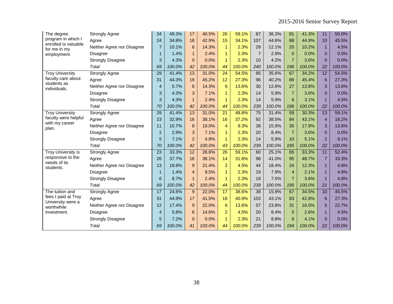| The degree                               | <b>Strongly Agree</b>      | 34              | 49.3%  | 17              | 40.5%  | 26              | 59.1%  | 87             | 36.3%  | 81             | 41.3%  | 11              | 50.0%  |
|------------------------------------------|----------------------------|-----------------|--------|-----------------|--------|-----------------|--------|----------------|--------|----------------|--------|-----------------|--------|
| program in which I                       | Agree                      | 24              | 34.8%  | 18              | 42.9%  | 15              | 34.1%  | 107            | 44.6%  | 88             | 44.9%  | 10              | 45.5%  |
| enrolled is valuable<br>for me in my     | Neither Agree nor Disagree | $\overline{7}$  | 10.1%  | 6               | 14.3%  | $\mathbf{1}$    | 2.3%   | 29             | 12.1%  | 20             | 10.2%  | $\mathbf{1}$    | 4.5%   |
| employment.                              | <b>Disagree</b>            | $\mathbf{1}$    | 1.4%   | $\mathbf{1}$    | 2.4%   | $\mathbf{1}$    | 2.3%   | $\overline{7}$ | 2.9%   | $\mathbf{0}$   | 0.0%   | $\mathbf{0}$    | 0.0%   |
|                                          | <b>Strongly Disagree</b>   | 3               | 4.3%   | $\Omega$        | 0.0%   | $\mathbf{1}$    | 2.3%   | 10             | 4.2%   | $\overline{7}$ | 3.6%   | $\Omega$        | 0.0%   |
|                                          | Total                      | 69              | 100.0% | 42              | 100.0% | 44              | 100.0% | 240            | 100.0% | 196            | 100.0% | 22              | 100.0% |
| <b>Troy University</b>                   | <b>Strongly Agree</b>      | 29              | 41.4%  | 13              | 31.0%  | $\overline{24}$ | 54.5%  | 85             | 35.6%  | 67             | 34.2%  | 12              | 54.5%  |
| faculty care about                       | Agree                      | 31              | 44.3%  | 19              | 45.2%  | 12              | 27.3%  | 96             | 40.2%  | 89             | 45.4%  | $6\phantom{1}6$ | 27.3%  |
| students as<br>individuals.              | Neither Agree nor Disagree | $\overline{4}$  | 5.7%   | 6               | 14.3%  | 6               | 13.6%  | 30             | 12.6%  | 27             | 13.8%  | 3               | 13.6%  |
|                                          | <b>Disagree</b>            | 3               | 4.3%   | 3               | 7.1%   | $\mathbf{1}$    | 2.3%   | 14             | 5.9%   | $\overline{7}$ | 3.6%   | $\Omega$        | 0.0%   |
|                                          | <b>Strongly Disagree</b>   | 3               | 4.3%   | $\mathbf{1}$    | 2.4%   | $\mathbf{1}$    | 2.3%   | 14             | 5.9%   | 6              | 3.1%   | $\overline{1}$  | 4.5%   |
|                                          | Total                      | 70              | 100.0% | 42              | 100.0% | 44              | 100.0% | 239            | 100.0% | 196            | 100.0% | 22              | 100.0% |
| <b>Troy University</b>                   | <b>Strongly Agree</b>      | $\overline{29}$ | 41.4%  | 13              | 31.0%  | 21              | 48.8%  | 75             | 31.4%  | 59             | 30.3%  | $\overline{13}$ | 59.1%  |
| faculty were helpful                     | Agree                      | 23              | 32.9%  | 16              | 38.1%  | 16              | 37.2%  | 92             | 38.5%  | 84             | 43.1%  | $\overline{4}$  | 18.2%  |
| with my career<br>plan.                  | Neither Agree nor Disagree | 11              | 15.7%  | 8               | 19.0%  | $\overline{4}$  | 9.3%   | 38             | 15.9%  | 35             | 17.9%  | 3               | 13.6%  |
|                                          | <b>Disagree</b>            | $\overline{c}$  | 2.9%   | 3               | 7.1%   | $\mathbf{1}$    | 2.3%   | 20             | 8.4%   | $\overline{7}$ | 3.6%   | $\mathbf{0}$    | 0.0%   |
|                                          | <b>Strongly Disagree</b>   | 5               | 7.1%   | $\overline{2}$  | 4.8%   | $\mathbf{1}$    | 2.3%   | 14             | 5.9%   | 10             | 5.1%   | $\overline{2}$  | 9.1%   |
|                                          | Total                      | 70              | 100.0% | 42              | 100.0% | 43              | 100.0% | 239            | 100.0% | 195            | 100.0% | 22              | 100.0% |
| Troy University is                       | <b>Strongly Agree</b>      | $\overline{23}$ | 33.3%  | $\overline{12}$ | 28.6%  | $\overline{26}$ | 59.1%  | 60             | 25.1%  | 65             | 33.3%  | 11              | 52.4%  |
| responsive to the<br>needs of its        | Agree                      | 26              | 37.7%  | 16              | 38.1%  | 14              | 31.8%  | 98             | 41.0%  | 95             | 48.7%  | $\overline{7}$  | 33.3%  |
| students.                                | Neither Agree nor Disagree | 13              | 18.8%  | $\overline{9}$  | 21.4%  | $\overline{a}$  | 4.5%   | 44             | 18.4%  | 24             | 12.3%  | $\overline{1}$  | 4.8%   |
|                                          | <b>Disagree</b>            | $\mathbf 1$     | 1.4%   | $\overline{4}$  | 9.5%   | $\mathbf{1}$    | 2.3%   | 19             | 7.9%   | $\overline{4}$ | 2.1%   | $\overline{1}$  | 4.8%   |
|                                          | <b>Strongly Disagree</b>   | 6               | 8.7%   | $\mathbf{1}$    | 2.4%   | $\mathbf{1}$    | 2.3%   | 18             | 7.5%   | $\overline{7}$ | 3.6%   | $\overline{1}$  | 4.8%   |
|                                          | Total                      | 69              | 100.0% | 42              | 100.0% | 44              | 100.0% | 239            | 100.0% | 195            | 100.0% | 21              | 100.0% |
| The tuition and                          | <b>Strongly Agree</b>      | 17              | 24.6%  | 9               | 22.0%  | 17              | 38.6%  | 38             | 15.9%  | 67             | 34.5%  | 10              | 45.5%  |
| fees I paid at Troy<br>University were a | Agree                      | 31              | 44.9%  | 17              | 41.5%  | 18              | 40.9%  | 103            | 43.1%  | 83             | 42.8%  | 6               | 27.3%  |
| worthwhile                               | Neither Agree nor Disagree | 12              | 17.4%  | 9               | 22.0%  | $6\phantom{1}6$ | 13.6%  | 57             | 23.8%  | 31             | 16.0%  | 5               | 22.7%  |
| investment.                              | <b>Disagree</b>            | $\overline{4}$  | 5.8%   | 6               | 14.6%  | $\overline{2}$  | 4.5%   | 20             | 8.4%   | 5              | 2.6%   | $\mathbf{1}$    | 4.5%   |
|                                          | <b>Strongly Disagree</b>   | 5               | 7.2%   | $\overline{0}$  | 0.0%   | $\mathbf{1}$    | 2.3%   | 21             | 8.8%   | $\mathbf{8}$   | 4.1%   | $\Omega$        | 0.0%   |
|                                          | Total                      | 69              | 100.0% | 41              | 100.0% | 44              | 100.0% | 239            | 100.0% | 194            | 100.0% | 22              | 100.0% |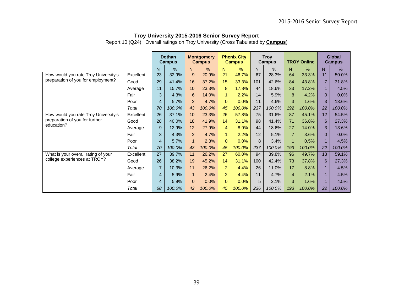Report 10 (Q24): Overall ratings on Troy University (Cross Tabulated by **Campus**)

|                                      |           |                | <b>Dothan</b><br><b>Campus</b> |                | <b>Montgomery</b><br><b>Campus</b> |                | <b>Phenix City</b><br><b>Campus</b> |                 | <b>Troy</b><br><b>Campus</b> |                | <b>TROY Online</b> |                | <b>Global</b><br><b>Campus</b> |
|--------------------------------------|-----------|----------------|--------------------------------|----------------|------------------------------------|----------------|-------------------------------------|-----------------|------------------------------|----------------|--------------------|----------------|--------------------------------|
|                                      |           | N              | %                              | N              | %                                  | N              | %                                   | N               | %                            | N              | %                  | N              | %                              |
| How would you rate Troy University's | Excellent | 23             | 32.9%                          | 9              | 20.9%                              | 21             | 46.7%                               | 67              | 28.3%                        | 64             | 33.3%              | 11             | 50.0%                          |
| preparation of you for employment?   | Good      | 29             | 41.4%                          | 16             | 37.2%                              | 15             | 33.3%                               | 101             | 42.6%                        | 84             | 43.8%              | $\overline{7}$ | 31.8%                          |
|                                      | Average   | 11             | 15.7%                          | 10             | 23.3%                              | 8              | 17.8%                               | 44              | 18.6%                        | 33             | 17.2%              |                | 4.5%                           |
|                                      | Fair      | 3              | 4.3%                           | 6              | 14.0%                              | 1              | 2.2%                                | 14              | 5.9%                         | 8              | 4.2%               | $\Omega$       | 0.0%                           |
|                                      | Poor      | $\overline{4}$ | 5.7%                           | $\overline{2}$ | 4.7%                               | $\Omega$       | 0.0%                                | 11              | 4.6%                         | 3              | 1.6%               | 3              | 13.6%                          |
|                                      | Total     | 70             | 100.0%                         | 43             | 100.0%                             | 45             | 100.0%                              | 237             | 100.0%                       | 192            | 100.0%             | 22             | 100.0%                         |
| How would you rate Troy University's | Excellent | 26             | 37.1%                          | 10             | 23.3%                              | 26             | 57.8%                               | 75              | 31.6%                        | 87             | 45.1%              | 12             | 54.5%                          |
| preparation of you for further       | Good      | 28             | 40.0%                          | 18             | 41.9%                              | 14             | 31.1%                               | 98              | 41.4%                        | 71             | 36.8%              | 6              | 27.3%                          |
| education?                           | Average   | 9              | 12.9%                          | 12             | 27.9%                              | $\overline{4}$ | 8.9%                                | 44              | 18.6%                        | 27             | 14.0%              | 3              | 13.6%                          |
|                                      | Fair      | 3              | 4.3%                           | 2              | 4.7%                               | 1              | 2.2%                                | 12              | 5.1%                         |                | 3.6%               | 0              | $0.0\%$                        |
|                                      | Poor      | $\overline{4}$ | 5.7%                           | $\overline{1}$ | 2.3%                               | $\Omega$       | 0.0%                                | 8               | 3.4%                         |                | 0.5%               |                | 4.5%                           |
|                                      | Total     | 70             | 100.0%                         | 43             | 100.0%                             | 45             | 100.0%                              | 237             | 100.0%                       | 193            | 100.0%             | 22             | 100.0%                         |
| What is your overall rating of your  | Excellent | 27             | 39.7%                          | 11             | 26.2%                              | 27             | 60.0%                               | 94              | 39.8%                        | 96             | 49.7%              | 13             | 59.1%                          |
| college experiences at TROY?         | Good      | 26             | 38.2%                          | 19             | 45.2%                              | 14             | 31.1%                               | 100             | 42.4%                        | 73             | 37.8%              | 6              | 27.3%                          |
|                                      | Average   | $\overline{7}$ | 10.3%                          | 11             | 26.2%                              | 2              | 4.4%                                | 26              | 11.0%                        | 17             | 8.8%               |                | 4.5%                           |
|                                      | Fair      | $\overline{4}$ | 5.9%                           | $\mathbf{1}$   | 2.4%                               | $\overline{2}$ | 4.4%                                | 11              | 4.7%                         | $\overline{4}$ | 2.1%               |                | 4.5%                           |
|                                      | Poor      | $\overline{4}$ | 5.9%                           | $\Omega$       | 0.0%                               | $\Omega$       | 0.0%                                | $5\phantom{.0}$ | 2.1%                         | 3              | 1.6%               |                | 4.5%                           |
|                                      | Total     | 68             | 100.0%                         | 42             | 100.0%                             | 45             | 100.0%                              | 236             | 100.0%                       | 193            | 100.0%             | 22             | 100.0%                         |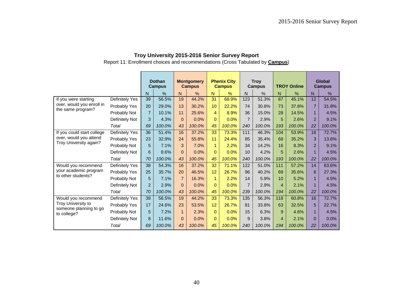|                                              |                |                | <b>Dothan</b><br><b>Campus</b> |                | <b>Montgomery</b><br><b>Campus</b> |                | <b>Phenix City</b><br><b>Campus</b> |                | <b>Troy</b><br><b>Campus</b> |                | <b>TROY Online</b> |                | Global<br><b>Campus</b> |
|----------------------------------------------|----------------|----------------|--------------------------------|----------------|------------------------------------|----------------|-------------------------------------|----------------|------------------------------|----------------|--------------------|----------------|-------------------------|
|                                              |                | N              | %                              | N.             | %                                  | $\mathsf{N}$   | %                                   | N              | %                            | N              | %                  | N <sub>1</sub> | %                       |
| If you were starting                         | Definitely Yes | 39             | 56.5%                          | 19             | 44.2%                              | 31             | 68.9%                               | 123            | 51.3%                        | 87             | 45.1%              | 12             | 54.5%                   |
| over, would you enroll in                    | Probably Yes   | 20             | 29.0%                          | 13             | 30.2%                              | 10             | 22.2%                               | 74             | 30.8%                        | 73             | 37.8%              | $\overline{7}$ | 31.8%                   |
| the same program?                            | Probably Not   | $\overline{7}$ | 10.1%                          | 11             | 25.6%                              | $\overline{4}$ | 8.9%                                | 36             | 15.0%                        | 28             | 14.5%              | $\mathbf{1}$   | 4.5%                    |
|                                              | Definitely Not | 3              | 4.3%                           | $\Omega$       | 0.0%                               | $\Omega$       | 0.0%                                | $\overline{7}$ | 2.9%                         | 5              | 2.6%               | $\overline{2}$ | 9.1%                    |
|                                              | Total          | 69             | 100.0%                         | 43             | 100.0%                             | 45             | 100.0%                              | 240            | 100.0%                       | 193            | 100.0%             | 22             | 100.0%                  |
| If you could start college                   | Definitely Yes | 36             | 51.4%                          | 16             | 37.2%                              | 33             | 73.3%                               | 111            | 46.3%                        | 104            | 53.9%              | 16             | 72.7%                   |
| over, would you attend                       | Probably Yes   | 23             | 32.9%                          | 24             | 55.8%                              | 11             | 24.4%                               | 85             | 35.4%                        | 68             | 35.2%              | 3              | 13.6%                   |
| Troy University again?                       | Probably Not   | 5              | 7.1%                           | 3              | 7.0%                               | $\mathbf{1}$   | 2.2%                                | 34             | 14.2%                        | 16             | 8.3%               | $\overline{2}$ | 9.1%                    |
|                                              | Definitely Not | 6              | 8.6%                           | $\Omega$       | 0.0%                               | $\mathbf{0}$   | 0.0%                                | 10             | 4.2%                         | 5              | 2.6%               | $\mathbf{1}$   | 4.5%                    |
|                                              | Total          | 70             | 100.0%                         | 43             | 100.0%                             | 45             | 100.0%                              | 240            | 100.0%                       | 193            | 100.0%             | 22             | 100.0%                  |
| Would you recommend                          | Definitely Yes | 38             | 54.3%                          | 16             | 37.2%                              | 32             | 71.1%                               | 122            | 51.0%                        | 111            | 57.2%              | 14             | 63.6%                   |
| your academic program<br>to other students?  | Probably Yes   | 25             | 35.7%                          | 20             | 46.5%                              | 12             | 26.7%                               | 96             | 40.2%                        | 69             | 35.6%              | 6              | 27.3%                   |
|                                              | Probably Not   | 5              | 7.1%                           | $\overline{7}$ | 16.3%                              | $\mathbf{1}$   | 2.2%                                | 14             | 5.9%                         | 10             | 5.2%               | $\mathbf{1}$   | 4.5%                    |
|                                              | Definitely Not | $\overline{2}$ | 2.9%                           | $\overline{0}$ | 0.0%                               | $\Omega$       | 0.0%                                | $\overline{7}$ | 2.9%                         | $\overline{4}$ | 2.1%               | $\mathbf{1}$   | 4.5%                    |
|                                              | Total          | 70             | 100.0%                         | 43             | 100.0%                             | 45             | 100.0%                              | 239            | 100.0%                       | 194            | 100.0%             | 22             | 100.0%                  |
| Would you recommend                          | Definitely Yes | 39             | 56.5%                          | 19             | 44.2%                              | 33             | 73.3%                               | 135            | 56.3%                        | 118            | 60.8%              | 16             | 72.7%                   |
| Troy University to<br>someone planning to go | Probably Yes   | 17             | 24.6%                          | 23             | 53.5%                              | 12             | 26.7%                               | 81             | 33.8%                        | 63             | 32.5%              | 5              | 22.7%                   |
| to college?                                  | Probably Not   | 5              | 7.2%                           | 1              | 2.3%                               | $\mathbf{0}$   | 0.0%                                | 15             | 6.3%                         | 9              | 4.6%               | 1              | 4.5%                    |
|                                              | Definitely Not | 8              | 11.6%                          | $\Omega$       | 0.0%                               | $\mathbf{0}$   | 0.0%                                | 9              | 3.8%                         | $\overline{4}$ | 2.1%               | $\Omega$       | 0.0%                    |
|                                              | Total          | 69             | 100.0%                         | 43             | 100.0%                             | 45             | 100.0%                              | 240            | 100.0%                       | 194            | 100.0%             | 22             | 100.0%                  |

Report 11: Enrollment choices and recommendations (Cross Tabulated by **Campus**)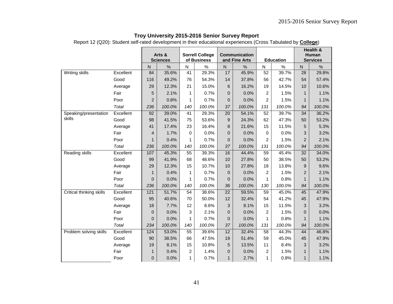Report 12 (Q20): Student self-rated development in their educational experiences (Cross Tabulated by **College**)

|                          |           |                | Arts &<br><b>Sciences</b> |                | <b>Sorrell College</b><br>of Business |                         | <b>Communication</b><br>and Fine Arts |                 | <b>Education</b> |                | Health &<br><b>Human</b><br><b>Services</b> |
|--------------------------|-----------|----------------|---------------------------|----------------|---------------------------------------|-------------------------|---------------------------------------|-----------------|------------------|----------------|---------------------------------------------|
|                          |           | ${\sf N}$      | $\%$                      | ${\sf N}$      | $\%$                                  | $\overline{\mathsf{N}}$ | $\%$                                  | N               | $\%$             | ${\sf N}$      | %                                           |
| <b>Writing skills</b>    | Excellent | 84             | 35.6%                     | 41             | 29.3%                                 | 17                      | 45.9%                                 | $\overline{52}$ | 39.7%            | 28             | 29.8%                                       |
|                          | Good      | 116            | 49.2%                     | 76             | 54.3%                                 | 14                      | 37.8%                                 | 56              | 42.7%            | 54             | 57.4%                                       |
|                          | Average   | 29             | 12.3%                     | 21             | 15.0%                                 | 6                       | 16.2%                                 | 19              | 14.5%            | 10             | 10.6%                                       |
|                          | Fair      | 5              | 2.1%                      | $\mathbf{1}$   | 0.7%                                  | 0                       | 0.0%                                  | $\overline{2}$  | 1.5%             | $\mathbf{1}$   | 1.1%                                        |
|                          | Poor      | $\overline{2}$ | 0.8%                      | 1              | 0.7%                                  | 0                       | 0.0%                                  | $\overline{c}$  | 1.5%             | 1              | 1.1%                                        |
|                          | Total     | 236            | 100.0%                    | 140            | 100.0%                                | 37                      | 100.0%                                | 131             | 100.0%           | 94             | 100.0%                                      |
| Speaking/presentation    | Excellent | 92             | 39.0%                     | 41             | 29.3%                                 | 20                      | 54.1%                                 | 52              | 39.7%            | 34             | 36.2%                                       |
| skills                   | Good      | 98             | 41.5%                     | 75             | 53.6%                                 | 9                       | 24.3%                                 | 62              | 47.3%            | 50             | 53.2%                                       |
|                          | Average   | 41             | 17.4%                     | 23             | 16.4%                                 | 8                       | 21.6%                                 | 15              | 11.5%            | 5              | 5.3%                                        |
|                          | Fair      | $\overline{4}$ | 1.7%                      | $\Omega$       | 0.0%                                  | 0                       | 0.0%                                  | 0               | 0.0%             | 3              | 3.2%                                        |
|                          | Poor      | $\mathbf{1}$   | 0.4%                      | 1              | 0.7%                                  | 0                       | 0.0%                                  | 2               | 1.5%             | $\overline{2}$ | 2.1%                                        |
|                          | Total     | 236            | 100.0%                    | 140            | 100.0%                                | 37                      | 100.0%                                | 131             | 100.0%           | 94             | 100.0%                                      |
| Reading skills           | Excellent | 107            | 45.3%                     | 55             | 39.3%                                 | 16                      | 44.4%                                 | 59              | 45.4%            | 32             | 34.0%                                       |
|                          | Good      | 99             | 41.9%                     | 68             | 48.6%                                 | 10                      | 27.8%                                 | 50              | 38.5%            | 50             | 53.2%                                       |
|                          | Average   | 29             | 12.3%                     | 15             | 10.7%                                 | 10                      | 27.8%                                 | 18              | 13.8%            | 9              | 9.6%                                        |
|                          | Fair      | $\mathbf{1}$   | 0.4%                      | $\mathbf{1}$   | 0.7%                                  | 0                       | 0.0%                                  | $\overline{2}$  | 1.5%             | $\overline{2}$ | 2.1%                                        |
|                          | Poor      | $\mathbf 0$    | 0.0%                      | 1              | 0.7%                                  | 0                       | 0.0%                                  | 1               | 0.8%             | 1              | 1.1%                                        |
|                          | Total     | 236            | 100.0%                    | 140            | 100.0%                                | 36                      | 100.0%                                | 130             | 100.0%           | 94             | 100.0%                                      |
| Critical thinking skills | Excellent | 121            | 51.7%                     | 54             | 38.6%                                 | 22                      | 59.5%                                 | 59              | 45.0%            | 45             | 47.9%                                       |
|                          | Good      | 95             | 40.6%                     | 70             | 50.0%                                 | 12                      | 32.4%                                 | 54              | 41.2%            | 45             | 47.9%                                       |
|                          | Average   | 18             | 7.7%                      | 12             | 8.6%                                  | 3                       | 8.1%                                  | 15              | 11.5%            | 3              | 3.2%                                        |
|                          | Fair      | $\mathbf{0}$   | 0.0%                      | 3              | 2.1%                                  | 0                       | 0.0%                                  | $\overline{2}$  | 1.5%             | $\overline{0}$ | 0.0%                                        |
|                          | Poor      | $\mathbf 0$    | 0.0%                      | 1              | 0.7%                                  | 0                       | 0.0%                                  | 1               | 0.8%             | $\mathbf{1}$   | 1.1%                                        |
|                          | Total     | 234            | 100.0%                    | 140            | 100.0%                                | 37                      | 100.0%                                | 131             | 100.0%           | 94             | 100.0%                                      |
| Problem solving skills   | Excellent | 124            | 53.0%                     | 55             | 39.6%                                 | 12                      | 32.4%                                 | 58              | 44.3%            | 44             | 46.8%                                       |
|                          | Good      | 90             | 38.5%                     | 66             | 47.5%                                 | 19                      | 51.4%                                 | 59              | 45.0%            | 45             | 47.9%                                       |
|                          | Average   | 19             | 8.1%                      | 15             | 10.8%                                 | 5                       | 13.5%                                 | 11              | 8.4%             | 3              | 3.2%                                        |
|                          | Fair      | $\mathbf{1}$   | 0.4%                      | $\overline{2}$ | 1.4%                                  | $\overline{0}$          | 0.0%                                  | $\overline{2}$  | 1.5%             | $\mathbf{1}$   | 1.1%                                        |
|                          | Poor      | $\mathbf 0$    | 0.0%                      | 1              | 0.7%                                  | $\mathbf{1}$            | 2.7%                                  | 1               | 0.8%             | $\mathbf{1}$   | 1.1%                                        |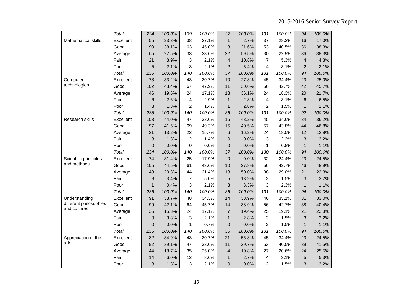|                        | <b>Total</b> | 234             | 100.0% | 139             | 100.0% | 37              | 100.0% | 131            | 100.0% | 94              | 100.0% |
|------------------------|--------------|-----------------|--------|-----------------|--------|-----------------|--------|----------------|--------|-----------------|--------|
| Mathematical skills    | Excellent    | 55              | 23.3%  | 38              | 27.1%  | $\mathbf{1}$    | 2.7%   | 37             | 28.2%  | 16              | 17.0%  |
|                        | Good         | 90              | 38.1%  | 63              | 45.0%  | 8               | 21.6%  | 53             | 40.5%  | 36              | 38.3%  |
|                        | Average      | 65              | 27.5%  | 33              | 23.6%  | 22              | 59.5%  | 30             | 22.9%  | 36              | 38.3%  |
|                        | Fair         | 21              | 8.9%   | 3               | 2.1%   | 4               | 10.8%  | 7              | 5.3%   | $\overline{4}$  | 4.3%   |
|                        | Poor         | 5               | 2.1%   | 3               | 2.1%   | $\overline{2}$  | 5.4%   | 4              | 3.1%   | $\overline{2}$  | 2.1%   |
|                        | Total        | 236             | 100.0% | 140             | 100.0% | 37              | 100.0% | 131            | 100.0% | 94              | 100.0% |
| Computer               | Excellent    | 78              | 33.2%  | 43              | 30.7%  | 10              | 27.8%  | 45             | 34.4%  | $\overline{23}$ | 25.0%  |
| technologies           | Good         | 102             | 43.4%  | 67              | 47.9%  | 11              | 30.6%  | 56             | 42.7%  | 42              | 45.7%  |
|                        | Average      | 46              | 19.6%  | 24              | 17.1%  | 13              | 36.1%  | 24             | 18.3%  | 20              | 21.7%  |
|                        | Fair         | $\,$ 6          | 2.6%   | 4               | 2.9%   | $\mathbf{1}$    | 2.8%   | 4              | 3.1%   | $6\phantom{1}6$ | 6.5%   |
|                        | Poor         | 3               | 1.3%   | $\overline{2}$  | 1.4%   | $\mathbf{1}$    | 2.8%   | $\overline{2}$ | 1.5%   | $\mathbf{1}$    | 1.1%   |
|                        | Total        | 235             | 100.0% | 140             | 100.0% | 36              | 100.0% | 131            | 100.0% | 92              | 100.0% |
| <b>Research skills</b> | Excellent    | 103             | 44.0%  | 47              | 33.6%  | 16              | 43.2%  | 45             | 34.6%  | $\overline{34}$ | 36.2%  |
|                        | Good         | 97              | 41.5%  | 69              | 49.3%  | 15              | 40.5%  | 57             | 43.8%  | 44              | 46.8%  |
|                        | Average      | 31              | 13.2%  | 22              | 15.7%  | 6               | 16.2%  | 24             | 18.5%  | 12              | 12.8%  |
|                        | Fair         | 3               | 1.3%   | $\overline{c}$  | 1.4%   | 0               | 0.0%   | 3              | 2.3%   | 3               | 3.2%   |
|                        | Poor         | $\pmb{0}$       | 0.0%   | $\Omega$        | 0.0%   | 0               | 0.0%   | 1              | 0.8%   | $\mathbf{1}$    | 1.1%   |
|                        | Total        | 234             | 100.0% | 140             | 100.0% | 37              | 100.0% | 130            | 100.0% | 94              | 100.0% |
| Scientific principles  | Excellent    | $\overline{74}$ | 31.4%  | $\overline{25}$ | 17.9%  | $\mathbf 0$     | 0.0%   | 32             | 24.4%  | $\overline{23}$ | 24.5%  |
| and methods            | Good         | 105             | 44.5%  | 61              | 43.6%  | 10              | 27.8%  | 56             | 42.7%  | 46              | 48.9%  |
|                        | Average      | 48              | 20.3%  | 44              | 31.4%  | 18              | 50.0%  | 38             | 29.0%  | 21              | 22.3%  |
|                        | Fair         | 8               | 3.4%   | $\overline{7}$  | 5.0%   | 5               | 13.9%  | 2              | 1.5%   | 3               | 3.2%   |
|                        | Poor         | $\mathbf{1}$    | 0.4%   | 3               | 2.1%   | 3               | 8.3%   | 3              | 2.3%   | $\mathbf{1}$    | 1.1%   |
|                        | Total        | 236             | 100.0% | 140             | 100.0% | 36              | 100.0% | 131            | 100.0% | 94              | 100.0% |
| Understanding          | Excellent    | 91              | 38.7%  | $\overline{48}$ | 34.3%  | 14              | 38.9%  | 46             | 35.1%  | $\overline{31}$ | 33.0%  |
| different philosophies | Good         | 99              | 42.1%  | 64              | 45.7%  | 14              | 38.9%  | 56             | 42.7%  | 38              | 40.4%  |
| and cultures           | Average      | 36              | 15.3%  | 24              | 17.1%  | $\overline{7}$  | 19.4%  | 25             | 19.1%  | 21              | 22.3%  |
|                        | Fair         | $\mathsf g$     | 3.8%   | 3               | 2.1%   | $\mathbf{1}$    | 2.8%   | $\overline{c}$ | 1.5%   | $\mathbf{3}$    | 3.2%   |
|                        | Poor         | $\pmb{0}$       | 0.0%   | $\mathbf{1}$    | 0.7%   | 0               | 0.0%   | $\overline{c}$ | 1.5%   | $\mathbf{1}$    | 1.1%   |
|                        | Total        | 235             | 100.0% | 140             | 100.0% | 36              | 100.0% | 131            | 100.0% | 94              | 100.0% |
| Appreciation of the    | Excellent    | 82              | 34.9%  | $\overline{43}$ | 30.7%  | $\overline{21}$ | 56.8%  | 45             | 34.4%  | $\overline{23}$ | 24.5%  |
| arts                   | Good         | 92              | 39.1%  | 47              | 33.6%  | 11              | 29.7%  | 53             | 40.5%  | 39              | 41.5%  |
|                        | Average      | 44              | 18.7%  | 35              | 25.0%  | 4               | 10.8%  | 27             | 20.6%  | 24              | 25.5%  |
|                        | Fair         | 14              | 6.0%   | 12              | 8.6%   | $\mathbf{1}$    | 2.7%   | 4              | 3.1%   | 5               | 5.3%   |
|                        | Poor         | 3               | 1.3%   | 3               | 2.1%   | $\overline{0}$  | 0.0%   | $\overline{2}$ | 1.5%   | 3               | 3.2%   |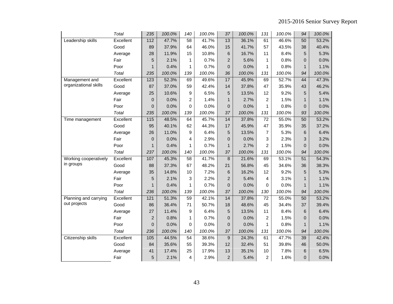|                       | Total     | 235              | 100.0% | 140             | 100.0% | 37              | 100.0% | 131             | 100.0% | 94              | 100.0% |
|-----------------------|-----------|------------------|--------|-----------------|--------|-----------------|--------|-----------------|--------|-----------------|--------|
| Leadership skills     | Excellent | $\overline{112}$ | 47.7%  | $\overline{58}$ | 41.7%  | 13              | 36.1%  | 61              | 46.6%  | $\overline{50}$ | 53.2%  |
|                       | Good      | 89               | 37.9%  | 64              | 46.0%  | 15              | 41.7%  | 57              | 43.5%  | 38              | 40.4%  |
|                       | Average   | 28               | 11.9%  | 15              | 10.8%  | 6               | 16.7%  | 11              | 8.4%   | 5               | 5.3%   |
|                       | Fair      | 5                | 2.1%   | 1               | 0.7%   | $\overline{c}$  | 5.6%   | 1               | 0.8%   | $\overline{0}$  | 0.0%   |
|                       | Poor      | $\mathbf{1}$     | 0.4%   | 1               | 0.7%   | $\overline{0}$  | 0.0%   | 1               | 0.8%   | $\mathbf{1}$    | 1.1%   |
|                       | Total     | 235              | 100.0% | 139             | 100.0% | 36              | 100.0% | 131             | 100.0% | 94              | 100.0% |
| Management and        | Excellent | 123              | 52.3%  | 69              | 49.6%  | 17              | 45.9%  | 69              | 52.7%  | 44              | 47.3%  |
| organizational skills | Good      | 87               | 37.0%  | 59              | 42.4%  | 14              | 37.8%  | 47              | 35.9%  | 43              | 46.2%  |
|                       | Average   | 25               | 10.6%  | 9               | 6.5%   | 5               | 13.5%  | 12              | 9.2%   | 5               | 5.4%   |
|                       | Fair      | $\pmb{0}$        | 0.0%   | $\overline{2}$  | 1.4%   | $\mathbf{1}$    | 2.7%   | 2               | 1.5%   | 1               | 1.1%   |
|                       | Poor      | 0                | 0.0%   | $\Omega$        | 0.0%   | 0               | 0.0%   | $\mathbf{1}$    | 0.8%   | $\mathbf 0$     | 0.0%   |
|                       | Total     | 235              | 100.0% | 139             | 100.0% | 37              | 100.0% | 131             | 100.0% | 93              | 100.0% |
| Time management       | Excellent | 115              | 48.5%  | 64              | 45.7%  | 14              | 37.8%  | $\overline{72}$ | 55.0%  | 50              | 53.2%  |
|                       | Good      | 95               | 40.1%  | 62              | 44.3%  | 17              | 45.9%  | 47              | 35.9%  | 35              | 37.2%  |
|                       | Average   | 26               | 11.0%  | 9               | 6.4%   | 5               | 13.5%  | $\overline{7}$  | 5.3%   | 6               | 6.4%   |
|                       | Fair      | $\mathbf 0$      | 0.0%   | 4               | 2.9%   | 0               | 0.0%   | 3               | 2.3%   | 3               | 3.2%   |
|                       | Poor      | $\mathbf{1}$     | 0.4%   | 1               | 0.7%   | $\mathbf{1}$    | 2.7%   | $\overline{c}$  | 1.5%   | $\mathbf{0}$    | 0.0%   |
|                       | Total     | 237              | 100.0% | 140             | 100.0% | 37              | 100.0% | 131             | 100.0% | 94              | 100.0% |
| Working cooperatively | Excellent | 107              | 45.3%  | 58              | 41.7%  | 8               | 21.6%  | 69              | 53.1%  | 51              | 54.3%  |
| in groups             | Good      | 88               | 37.3%  | 67              | 48.2%  | 21              | 56.8%  | 45              | 34.6%  | 36              | 38.3%  |
|                       | Average   | 35               | 14.8%  | 10              | 7.2%   | $6\phantom{1}6$ | 16.2%  | 12              | 9.2%   | 5               | 5.3%   |
|                       | Fair      | 5                | 2.1%   | 3               | 2.2%   | $\overline{2}$  | 5.4%   | 4               | 3.1%   | $\mathbf{1}$    | 1.1%   |
|                       | Poor      | $\mathbf{1}$     | 0.4%   | 1               | 0.7%   | 0               | 0.0%   | 0               | 0.0%   | $\mathbf{1}$    | 1.1%   |
|                       | Total     | 236              | 100.0% | 139             | 100.0% | 37              | 100.0% | 130             | 100.0% | 94              | 100.0% |
| Planning and carrying | Excellent | 121              | 51.3%  | $\overline{59}$ | 42.1%  | 14              | 37.8%  | $\overline{72}$ | 55.0%  | 50              | 53.2%  |
| out projects          | Good      | 86               | 36.4%  | 71              | 50.7%  | 18              | 48.6%  | 45              | 34.4%  | 37              | 39.4%  |
|                       | Average   | 27               | 11.4%  | 9               | 6.4%   | 5               | 13.5%  | 11              | 8.4%   | 6               | 6.4%   |
|                       | Fair      | $\overline{c}$   | 0.8%   | 1               | 0.7%   | 0               | 0.0%   | 2               | 1.5%   | $\mathbf{0}$    | 0.0%   |
|                       | Poor      | $\pmb{0}$        | 0.0%   | $\mathbf 0$     | 0.0%   | $\mathbf 0$     | 0.0%   | $\mathbf{1}$    | 0.8%   | $\mathbf{1}$    | 1.1%   |
|                       | Total     | 236              | 100.0% | 140             | 100.0% | 37              | 100.0% | 131             | 100.0% | 94              | 100.0% |
| Citizenship skills    | Excellent | 105              | 44.5%  | $\overline{54}$ | 38.6%  | $9\,$           | 24.3%  | 61              | 47.7%  | 39              | 42.4%  |
|                       | Good      | 84               | 35.6%  | 55              | 39.3%  | 12              | 32.4%  | 51              | 39.8%  | 46              | 50.0%  |
|                       | Average   | 41               | 17.4%  | 25              | 17.9%  | 13              | 35.1%  | 10              | 7.8%   | 6               | 6.5%   |
|                       | Fair      | 5                | 2.1%   | 4               | 2.9%   | $\overline{c}$  | 5.4%   | $\overline{2}$  | 1.6%   | $\Omega$        | 0.0%   |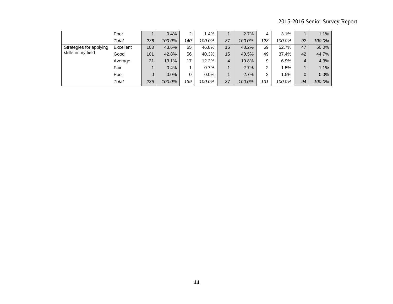|                         | Poor      |          | 0.4%   | $\mathbf{2}$ | 1.4%    |                  | 2.7%   | 4   | 3.1%   |    | 1.1%   |
|-------------------------|-----------|----------|--------|--------------|---------|------------------|--------|-----|--------|----|--------|
|                         | Total     | 236      | 100.0% | 140          | 100.0%  | 37               | 100.0% | 128 | 100.0% | 92 | 100.0% |
| Strategies for applying | Excellent | 103      | 43.6%  | 65           | 46.8%   | 16               | 43.2%  | 69  | 52.7%  | 47 | 50.0%  |
| skills in my field      | Good      | 101      | 42.8%  | 56           | 40.3%   | 15 <sup>15</sup> | 40.5%  | 49  | 37.4%  | 42 | 44.7%  |
|                         | Average   | 31       | 13.1%  | 17           | 12.2%   | 4                | 10.8%  | 9   | 6.9%   | 4  | 4.3%   |
|                         | Fair      |          | 0.4%   |              | 0.7%    |                  | 2.7%   | 2   | 1.5%   |    | 1.1%   |
|                         | Poor      | $\Omega$ | 0.0%   | 0            | $0.0\%$ |                  | 2.7%   | 2   | 1.5%   | 0  | 0.0%   |
|                         | Total     | 236      | 100.0% | 139          | 100.0%  | 37               | 100.0% | 131 | 100.0% | 94 | 100.0% |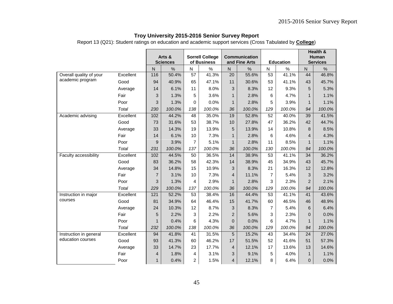Report 13 (Q21): Student ratings on education and academic support services (Cross Tabulated by **College**)

|                         |           |                  |                           |                 |                                       |                |                                       |                 |                  |                 | <b>Health &amp;</b>      |
|-------------------------|-----------|------------------|---------------------------|-----------------|---------------------------------------|----------------|---------------------------------------|-----------------|------------------|-----------------|--------------------------|
|                         |           |                  | Arts &<br><b>Sciences</b> |                 | <b>Sorrell College</b><br>of Business |                | <b>Communication</b><br>and Fine Arts |                 | <b>Education</b> |                 | Human<br><b>Services</b> |
|                         |           | ${\sf N}$        | $\%$                      | $\mathsf{N}$    | $\%$                                  | ${\sf N}$      | $\%$                                  | N.              | $\%$             | N               | $\%$                     |
| Overall quality of your | Excellent | 116              | 50.4%                     | 57              | 41.3%                                 | 20             | 55.6%                                 | $\overline{53}$ | 41.1%            | 44              | 46.8%                    |
| academic program        | Good      | 94               | 40.9%                     | 65              | 47.1%                                 | 11             | 30.6%                                 | 53              | 41.1%            | 43              | 45.7%                    |
|                         | Average   | 14               | 6.1%                      | 11              | 8.0%                                  | 3              | 8.3%                                  | 12              | 9.3%             | 5               | 5.3%                     |
|                         | Fair      | 3                | 1.3%                      | 5               | 3.6%                                  | $\mathbf{1}$   | 2.8%                                  | 6               | 4.7%             | $\mathbf{1}$    | 1.1%                     |
|                         | Poor      | 3                | 1.3%                      | 0               | 0.0%                                  | $\mathbf 1$    | 2.8%                                  | 5               | 3.9%             | $\mathbf{1}$    | 1.1%                     |
|                         | Total     | 230              | 100.0%                    | 138             | 100.0%                                | 36             | 100.0%                                | 129             | 100.0%           | 94              | 100.0%                   |
| Academic advising       | Excellent | 102              | 44.2%                     | 48              | 35.0%                                 | 19             | 52.8%                                 | 52              | 40.0%            | 39              | 41.5%                    |
|                         | Good      | 73               | 31.6%                     | 53              | 38.7%                                 | 10             | 27.8%                                 | 47              | 36.2%            | 42              | 44.7%                    |
|                         | Average   | 33               | 14.3%                     | 19              | 13.9%                                 | 5              | 13.9%                                 | 14              | 10.8%            | 8               | 8.5%                     |
|                         | Fair      | 14               | 6.1%                      | 10              | 7.3%                                  | $\mathbf{1}$   | 2.8%                                  | 6               | 4.6%             | $\overline{4}$  | 4.3%                     |
|                         | Poor      | 9                | 3.9%                      | $\overline{7}$  | 5.1%                                  | $\mathbf{1}$   | 2.8%                                  | 11              | 8.5%             | $\mathbf{1}$    | 1.1%                     |
|                         | Total     | 231              | 100.0%                    | 137             | 100.0%                                | 36             | 100.0%                                | 130             | 100.0%           | 94              | 100.0%                   |
| Faculty accessibility   | Excellent | 102              | 44.5%                     | 50              | 36.5%                                 | 14             | 38.9%                                 | 53              | 41.1%            | 34              | 36.2%                    |
|                         | Good      | 83               | 36.2%                     | 58              | 42.3%                                 | 14             | 38.9%                                 | 45              | 34.9%            | 43              | 45.7%                    |
|                         | Average   | 34               | 14.8%                     | 15              | 10.9%                                 | 3              | 8.3%                                  | 21              | 16.3%            | 12              | 12.8%                    |
|                         | Fair      | $\overline{7}$   | 3.1%                      | 10              | 7.3%                                  | $\overline{4}$ | 11.1%                                 | $\overline{7}$  | 5.4%             | 3               | 3.2%                     |
|                         | Poor      | 3                | 1.3%                      | 4               | 2.9%                                  | $\mathbf{1}$   | 2.8%                                  | 3               | 2.3%             | $\overline{2}$  | 2.1%                     |
|                         | Total     | 229              | 100.0%                    | 137             | 100.0%                                | 36             | 100.0%                                | 129             | 100.0%           | 94              | 100.0%                   |
| Instruction in major    | Excellent | $\overline{121}$ | 52.2%                     | $\overline{53}$ | 38.4%                                 | 16             | 44.4%                                 | $\overline{53}$ | 41.1%            | 41              | 43.6%                    |
| courses                 | Good      | 81               | 34.9%                     | 64              | 46.4%                                 | 15             | 41.7%                                 | 60              | 46.5%            | 46              | 48.9%                    |
|                         | Average   | 24               | 10.3%                     | 12              | 8.7%                                  | 3              | 8.3%                                  | $\overline{7}$  | 5.4%             | 6               | 6.4%                     |
|                         | Fair      | 5                | 2.2%                      | 3               | 2.2%                                  | $\overline{2}$ | 5.6%                                  | 3               | 2.3%             | $\pmb{0}$       | 0.0%                     |
|                         | Poor      | 1                | 0.4%                      | 6               | 4.3%                                  | $\overline{0}$ | 0.0%                                  | 6               | 4.7%             | $\mathbf{1}$    | 1.1%                     |
|                         | Total     | 232              | 100.0%                    | 138             | 100.0%                                | 36             | 100.0%                                | 129             | 100.0%           | 94              | 100.0%                   |
| Instruction in general  | Excellent | 94               | 41.8%                     | 41              | 31.5%                                 | 5              | 15.2%                                 | 43              | 34.4%            | $\overline{24}$ | 27.0%                    |
| education courses       | Good      | 93               | 41.3%                     | 60              | 46.2%                                 | 17             | 51.5%                                 | 52              | 41.6%            | 51              | 57.3%                    |
|                         | Average   | 33               | 14.7%                     | 23              | 17.7%                                 | $\overline{4}$ | 12.1%                                 | 17              | 13.6%            | 13              | 14.6%                    |
|                         | Fair      | $\overline{4}$   | 1.8%                      | 4               | 3.1%                                  | 3              | 9.1%                                  | 5               | 4.0%             | $\mathbf{1}$    | 1.1%                     |
|                         | Poor      | $\mathbf 1$      | 0.4%                      | 2               | 1.5%                                  | $\overline{4}$ | 12.1%                                 | 8               | 6.4%             | $\mathbf{0}$    | 0.0%                     |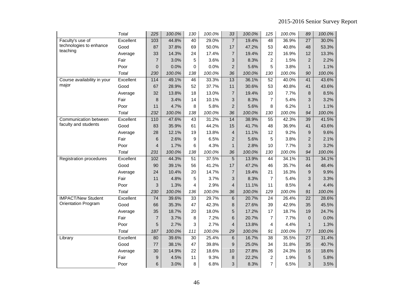|                                | <b>Total</b> | 225             | 100.0% | 130             | 100.0% | 33                       | 100.0% | 125            | 100.0% | 89              | 100.0% |
|--------------------------------|--------------|-----------------|--------|-----------------|--------|--------------------------|--------|----------------|--------|-----------------|--------|
| Faculty's use of               | Excellent    | 103             | 44.8%  | 40              | 29.0%  | $\overline{7}$           | 19.4%  | 48             | 36.9%  | $\overline{27}$ | 30.0%  |
| technologies to enhance        | Good         | 87              | 37.8%  | 69              | 50.0%  | 17                       | 47.2%  | 53             | 40.8%  | 48              | 53.3%  |
| teaching                       | Average      | 33              | 14.3%  | 24              | 17.4%  | $\overline{7}$           | 19.4%  | 22             | 16.9%  | 12              | 13.3%  |
|                                | Fair         | $\overline{7}$  | 3.0%   | 5               | 3.6%   | 3                        | 8.3%   | 2              | 1.5%   | $\overline{2}$  | 2.2%   |
|                                | Poor         | $\overline{0}$  | 0.0%   | 0               | 0.0%   | $\overline{2}$           | 5.6%   | 5              | 3.8%   | $\mathbf{1}$    | 1.1%   |
|                                | Total        | 230             | 100.0% | 138             | 100.0% | 36                       | 100.0% | 130            | 100.0% | 90              | 100.0% |
| Course availability in your    | Excellent    | 114             | 49.1%  | 46              | 33.3%  | 13                       | 36.1%  | 52             | 40.0%  | 41              | 43.6%  |
| major                          | Good         | 67              | 28.9%  | 52              | 37.7%  | 11                       | 30.6%  | 53             | 40.8%  | 41              | 43.6%  |
|                                | Average      | 32              | 13.8%  | 18              | 13.0%  | $\overline{7}$           | 19.4%  | 10             | 7.7%   | 8               | 8.5%   |
|                                | Fair         | 8               | 3.4%   | 14              | 10.1%  | 3                        | 8.3%   | 7              | 5.4%   | 3               | 3.2%   |
|                                | Poor         | 11              | 4.7%   | 8               | 5.8%   | $\overline{2}$           | 5.6%   | 8              | 6.2%   | $\mathbf{1}$    | 1.1%   |
|                                | Total        | 232             | 100.0% | 138             | 100.0% | 36                       | 100.0% | 130            | 100.0% | 94              | 100.0% |
| Communication between          | Excellent    | 110             | 47.6%  | 43              | 31.2%  | $\overline{14}$          | 38.9%  | 55             | 42.3%  | 39              | 41.5%  |
| faculty and students           | Good         | 83              | 35.9%  | 61              | 44.2%  | 15                       | 41.7%  | 48             | 36.9%  | 41              | 43.6%  |
|                                | Average      | 28              | 12.1%  | 19              | 13.8%  | $\overline{\mathcal{L}}$ | 11.1%  | 12             | 9.2%   | 9               | 9.6%   |
|                                | Fair         | 6               | 2.6%   | 9               | 6.5%   | $\overline{2}$           | 5.6%   | 5              | 3.8%   | $\overline{2}$  | 2.1%   |
|                                | Poor         | 4               | 1.7%   | 6               | 4.3%   | $\mathbf{1}$             | 2.8%   | 10             | 7.7%   | 3               | 3.2%   |
|                                | Total        | 231             | 100.0% | 138             | 100.0% | 36                       | 100.0% | 130            | 100.0% | 94              | 100.0% |
| <b>Registration procedures</b> | Excellent    | 102             | 44.3%  | $\overline{51}$ | 37.5%  | $\overline{5}$           | 13.9%  | 44             | 34.1%  | $\overline{31}$ | 34.1%  |
|                                | Good         | 90              | 39.1%  | 56              | 41.2%  | 17                       | 47.2%  | 46             | 35.7%  | 44              | 48.4%  |
|                                | Average      | 24              | 10.4%  | 20              | 14.7%  | $\overline{7}$           | 19.4%  | 21             | 16.3%  | 9               | 9.9%   |
|                                | Fair         | 11              | 4.8%   | 5               | 3.7%   | 3                        | 8.3%   | $\overline{7}$ | 5.4%   | 3               | 3.3%   |
|                                | Poor         | 3               | 1.3%   | 4               | 2.9%   | $\overline{4}$           | 11.1%  | 11             | 8.5%   | $\overline{4}$  | 4.4%   |
|                                | Total        | 230             | 100.0% | 136             | 100.0% | 36                       | 100.0% | 129            | 100.0% | 91              | 100.0% |
| <b>IMPACT/New Student</b>      | Excellent    | $\overline{74}$ | 39.6%  | $\overline{33}$ | 29.7%  | 6                        | 20.7%  | 24             | 26.4%  | $\overline{22}$ | 28.6%  |
| <b>Orientation Program</b>     | Good         | 66              | 35.3%  | 47              | 42.3%  | 8                        | 27.6%  | 39             | 42.9%  | 35              | 45.5%  |
|                                | Average      | 35              | 18.7%  | 20              | 18.0%  | 5                        | 17.2%  | 17             | 18.7%  | 19              | 24.7%  |
|                                | Fair         | $\overline{7}$  | 3.7%   | 8               | 7.2%   | 6                        | 20.7%  | 7              | 7.7%   | $\mathbf{0}$    | 0.0%   |
|                                | Poor         | 5               | 2.7%   | 3               | 2.7%   | $\overline{\mathcal{L}}$ | 13.8%  | 4              | 4.4%   | $\mathbf{1}$    | 1.3%   |
|                                | Total        | 187             | 100.0% | 111             | 100.0% | 29                       | 100.0% | 91             | 100.0% | 77              | 100.0% |
| Library                        | Excellent    | 80              | 39.6%  | 30              | 25.4%  | 6                        | 16.7%  | 38             | 35.5%  | 27              | 31.4%  |
|                                | Good         | 77              | 38.1%  | 47              | 39.8%  | 9                        | 25.0%  | 34             | 31.8%  | 35              | 40.7%  |
|                                | Average      | 30              | 14.9%  | 22              | 18.6%  | 10                       | 27.8%  | 26             | 24.3%  | 16              | 18.6%  |
|                                | Fair         | $\mathsf g$     | 4.5%   | 11              | 9.3%   | 8                        | 22.2%  | $\overline{c}$ | 1.9%   | 5               | 5.8%   |
|                                | Poor         | 6               | 3.0%   | 8               | 6.8%   | 3                        | 8.3%   | $\overline{7}$ | 6.5%   | 3               | 3.5%   |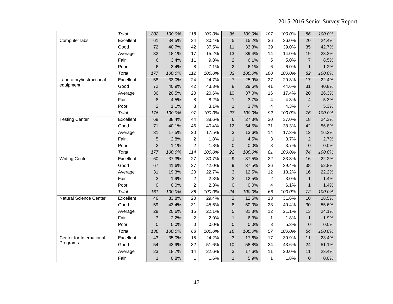|                               | Total     | 202              | 100.0% | 118             | 100.0% | 36             | 100.0% | 107             | 100.0% | 86              | 100.0% |
|-------------------------------|-----------|------------------|--------|-----------------|--------|----------------|--------|-----------------|--------|-----------------|--------|
| Computer labs                 | Excellent | 61               | 34.5%  | 34              | 30.4%  | 5              | 15.2%  | 36              | 36.0%  | 20              | 24.4%  |
|                               | Good      | 72               | 40.7%  | 42              | 37.5%  | 11             | 33.3%  | 39              | 39.0%  | 35              | 42.7%  |
|                               | Average   | 32               | 18.1%  | 17              | 15.2%  | 13             | 39.4%  | 14              | 14.0%  | 19              | 23.2%  |
|                               | Fair      | $6\phantom{1}6$  | 3.4%   | 11              | 9.8%   | $\overline{2}$ | 6.1%   | 5               | 5.0%   | $\overline{7}$  | 8.5%   |
|                               | Poor      | 6                | 3.4%   | 8               | 7.1%   | $\overline{2}$ | 6.1%   | 6               | 6.0%   | $\mathbf{1}$    | 1.2%   |
|                               | Total     | 177              | 100.0% | 112             | 100.0% | 33             | 100.0% | 100             | 100.0% | 82              | 100.0% |
| Laboratory/instructional      | Excellent | 58               | 33.0%  | 24              | 24.7%  | $\overline{7}$ | 25.9%  | 27              | 29.3%  | 17              | 22.4%  |
| equipment                     | Good      | 72               | 40.9%  | 42              | 43.3%  | 8              | 29.6%  | 41              | 44.6%  | 31              | 40.8%  |
|                               | Average   | 36               | 20.5%  | 20              | 20.6%  | 10             | 37.0%  | 16              | 17.4%  | 20              | 26.3%  |
|                               | Fair      | 8                | 4.5%   | 8               | 8.2%   | $\mathbf{1}$   | 3.7%   | 4               | 4.3%   | $\overline{4}$  | 5.3%   |
|                               | Poor      | $\overline{c}$   | 1.1%   | 3               | 3.1%   | $\mathbf{1}$   | 3.7%   | 4               | 4.3%   | 4               | 5.3%   |
|                               | Total     | 176              | 100.0% | 97              | 100.0% | 27             | 100.0% | 92              | 100.0% | 76              | 100.0% |
| <b>Testing Center</b>         | Excellent | 68               | 38.4%  | $\overline{44}$ | 38.6%  | 6              | 27.3%  | $\overline{30}$ | 37.0%  | $\overline{18}$ | 24.3%  |
|                               | Good      | 71               | 40.1%  | 46              | 40.4%  | 12             | 54.5%  | 31              | 38.3%  | 42              | 56.8%  |
|                               | Average   | 31               | 17.5%  | 20              | 17.5%  | 3              | 13.6%  | 14              | 17.3%  | 12              | 16.2%  |
|                               | Fair      | 5                | 2.8%   | $\overline{c}$  | 1.8%   | $\mathbf{1}$   | 4.5%   | 3               | 3.7%   | $\overline{2}$  | 2.7%   |
|                               | Poor      | $\overline{c}$   | 1.1%   | 2               | 1.8%   | $\mathbf 0$    | 0.0%   | 3               | 3.7%   | $\mathbf{0}$    | 0.0%   |
|                               | Total     | 177              | 100.0% | 114             | 100.0% | 22             | 100.0% | 81              | 100.0% | 74              | 100.0% |
| <b>Writing Center</b>         | Excellent | 60               | 37.3%  | $\overline{27}$ | 30.7%  | 9              | 37.5%  | $\overline{22}$ | 33.3%  | 16              | 22.2%  |
|                               | Good      | 67               | 41.6%  | 37              | 42.0%  | 9              | 37.5%  | 26              | 39.4%  | 38              | 52.8%  |
|                               | Average   | 31               | 19.3%  | 20              | 22.7%  | 3              | 12.5%  | 12              | 18.2%  | 16              | 22.2%  |
|                               | Fair      | 3                | 1.9%   | $\overline{c}$  | 2.3%   | 3              | 12.5%  | $\overline{c}$  | 3.0%   | $\mathbf{1}$    | 1.4%   |
|                               | Poor      | $\overline{0}$   | 0.0%   | 2               | 2.3%   | $\overline{0}$ | 0.0%   | $\overline{4}$  | 6.1%   | $\mathbf{1}$    | 1.4%   |
|                               | Total     | 161              | 100.0% | 88              | 100.0% | 24             | 100.0% | 66              | 100.0% | 72              | 100.0% |
| <b>Natural Science Center</b> | Excellent | 46               | 33.8%  | $\overline{20}$ | 29.4%  | $\overline{2}$ | 12.5%  | 18              | 31.6%  | 10              | 18.5%  |
|                               | Good      | 59               | 43.4%  | 31              | 45.6%  | 8              | 50.0%  | 23              | 40.4%  | 30              | 55.6%  |
|                               | Average   | 28               | 20.6%  | 15              | 22.1%  | 5              | 31.3%  | 12              | 21.1%  | 13              | 24.1%  |
|                               | Fair      | 3                | 2.2%   | $\overline{2}$  | 2.9%   | $\mathbf{1}$   | 6.3%   | 1               | 1.8%   | $\mathbf{1}$    | 1.9%   |
|                               | Poor      | $\boldsymbol{0}$ | 0.0%   | 0               | 0.0%   | $\pmb{0}$      | 0.0%   | 3               | 5.3%   | $\pmb{0}$       | 0.0%   |
|                               | Total     | 136              | 100.0% | 68              | 100.0% | 16             | 100.0% | 57              | 100.0% | 54              | 100.0% |
| Center for International      | Excellent | 43               | 35.0%  | $\overline{15}$ | 24.2%  | 3              | 17.6%  | $\overline{17}$ | 30.9%  | 11              | 23.4%  |
| Programs                      | Good      | 54               | 43.9%  | 32              | 51.6%  | 10             | 58.8%  | 24              | 43.6%  | 24              | 51.1%  |
|                               | Average   | 23               | 18.7%  | 14              | 22.6%  | 3              | 17.6%  | 11              | 20.0%  | 11              | 23.4%  |
|                               | Fair      | $\mathbf{1}$     | 0.8%   | 1               | 1.6%   | $\mathbf{1}$   | 5.9%   | 1               | 1.8%   | $\mathbf{0}$    | 0.0%   |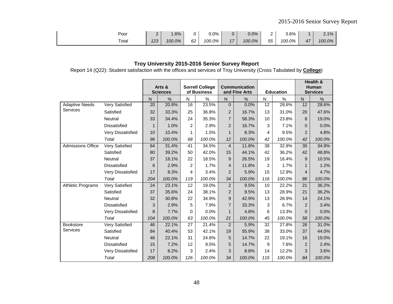| Poor  | ∽<br>--       | $.6\%$ | -<br> | $0.0\%$ |                      | 0.0%   | -           | 3.6%   |    | 2.1%<br>2. I |
|-------|---------------|--------|-------|---------|----------------------|--------|-------------|--------|----|--------------|
| Total | - מר<br>ں ے ر | 100.0% | 62    | 100.0%  | $4 -$<br>$^{\prime}$ | 100.0% | $- -$<br>55 | 100.0% | 47 | 100.0%       |

Report 14 (Q22): Student satisfaction with the offices and services of Troy University (Cross Tabulated by **College**)

|                          |                       |             | Arts &<br><b>Sciences</b> |     | <b>Sorrell College</b><br>of Business |                | <b>Communication</b><br>and Fine Arts |     | <b>Education</b> |                | Health &<br><b>Human</b><br><b>Services</b> |
|--------------------------|-----------------------|-------------|---------------------------|-----|---------------------------------------|----------------|---------------------------------------|-----|------------------|----------------|---------------------------------------------|
|                          |                       | N           | $\%$                      | N   | $\frac{0}{0}$                         | N              | %                                     | N   | $\%$             | N              | $\frac{0}{0}$                               |
| <b>Adaptive Needs</b>    | Very Satisfied        | 20          | 20.8%                     | 16  | 23.5%                                 | $\overline{0}$ | 0.0%                                  | 12  | 28.6%            | 12             | 28.6%                                       |
| Services                 | Satisfied             | 32          | 33.3%                     | 25  | 36.8%                                 | $\overline{2}$ | 16.7%                                 | 13  | 31.0%            | 20             | 47.6%                                       |
|                          | Neutral               | 33          | 34.4%                     | 24  | 35.3%                                 | $\overline{7}$ | 58.3%                                 | 10  | 23.8%            | 8              | 19.0%                                       |
|                          | <b>Dissatisfied</b>   | $\mathbf 1$ | 1.0%                      | 2   | 2.9%                                  | $\overline{2}$ | 16.7%                                 | 3   | 7.1%             | $\Omega$       | 0.0%                                        |
|                          | Very Dissatisfied     | 10          | 10.4%                     | 1   | 1.5%                                  | $\mathbf{1}$   | 8.3%                                  | 4   | 9.5%             | $\overline{2}$ | 4.8%                                        |
|                          | Total                 | 96          | 100.0%                    | 68  | 100.0%                                | 12             | 100.0%                                | 42  | 100.0%           | 42             | 100.0%                                      |
| <b>Admissions Office</b> | Very Satisfied        | 64          | 31.4%                     | 41  | 34.5%                                 | $\overline{4}$ | 11.8%                                 | 38  | 32.8%            | 30             | 34.9%                                       |
|                          | Satisfied             | 80          | 39.2%                     | 50  | 42.0%                                 | 15             | 44.1%                                 | 42  | 36.2%            | 42             | 48.8%                                       |
|                          | Neutral               | 37          | 18.1%                     | 22  | 18.5%                                 | 9              | 26.5%                                 | 19  | 16.4%            | 9              | 10.5%                                       |
|                          | <b>Dissatisfied</b>   | 6           | 2.9%                      | 2   | 1.7%                                  | 4              | 11.8%                                 | 2   | 1.7%             |                | 1.2%                                        |
|                          | Very Dissatisfied     | 17          | 8.3%                      | 4   | 3.4%                                  | $\overline{c}$ | 5.9%                                  | 15  | 12.9%            | $\overline{4}$ | 4.7%                                        |
|                          | Total                 | 204         | 100.0%                    | 119 | 100.0%                                | 34             | 100.0%                                | 116 | 100.0%           | 86             | 100.0%                                      |
| Athletic Programs        | Very Satisfied        | 24          | 23.1%                     | 12  | 19.0%                                 | $\overline{c}$ | 9.5%                                  | 10  | 22.2%            | 21             | 36.2%                                       |
|                          | Satisfied             | 37          | 35.6%                     | 24  | 38.1%                                 | $\overline{2}$ | 9.5%                                  | 13  | 28.9%            | 21             | 36.2%                                       |
|                          | Neutral               | 32          | 30.8%                     | 22  | 34.9%                                 | 9              | 42.9%                                 | 13  | 28.9%            | 14             | 24.1%                                       |
|                          | <b>Dissatisfied</b>   | 3           | 2.9%                      | 5   | 7.9%                                  | $\overline{7}$ | 33.3%                                 | 3   | 6.7%             | $\overline{2}$ | 3.4%                                        |
|                          | Very Dissatisfied     | 8           | 7.7%                      | 0   | 0.0%                                  | $\mathbf{1}$   | 4.8%                                  | 6   | 13.3%            | $\mathbf 0$    | 0.0%                                        |
|                          | Total                 | 104         | 100.0%                    | 63  | 100.0%                                | 21             | 100.0%                                | 45  | 100.0%           | 58             | 100.0%                                      |
| Bookstore                | <b>Very Satisfied</b> | 46          | 22.1%                     | 27  | 21.4%                                 | $\overline{2}$ | 5.9%                                  | 32  | 27.8%            | 26             | 31.0%                                       |
| Services                 | Satisfied             | 84          | 40.4%                     | 53  | 42.1%                                 | 19             | 55.9%                                 | 38  | 33.0%            | 37             | 44.0%                                       |
|                          | Neutral               | 46          | 22.1%                     | 31  | 24.6%                                 | 5              | 14.7%                                 | 22  | 19.1%            | 16             | 19.0%                                       |
|                          | <b>Dissatisfied</b>   | 15          | 7.2%                      | 12  | 9.5%                                  | 5              | 14.7%                                 | 9   | 7.8%             | $\overline{2}$ | 2.4%                                        |
|                          | Very Dissatisfied     | 17          | 8.2%                      | 3   | 2.4%                                  | 3              | 8.8%                                  | 14  | 12.2%            | 3              | 3.6%                                        |
|                          | Total                 | 208         | 100.0%                    | 126 | 100.0%                                | 34             | 100.0%                                | 115 | 100.0%           | 84             | 100.0%                                      |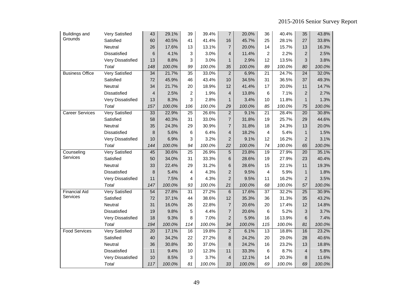| <b>Buildings and</b>   | Very Satisfied        | 43              | 29.1%  | 39              | 39.4%  | $\overline{7}$          | 20.0%  | 36              | 40.4%  | 35              | 43.8%  |
|------------------------|-----------------------|-----------------|--------|-----------------|--------|-------------------------|--------|-----------------|--------|-----------------|--------|
| Grounds                | Satisfied             | 60              | 40.5%  | 41              | 41.4%  | 16                      | 45.7%  | 25              | 28.1%  | 27              | 33.8%  |
|                        | Neutral               | 26              | 17.6%  | 13              | 13.1%  | $\overline{7}$          | 20.0%  | 14              | 15.7%  | 13              | 16.3%  |
|                        | Dissatisfied          | 6               | 4.1%   | 3               | 3.0%   | 4                       | 11.4%  | 2               | 2.2%   | $\overline{2}$  | 2.5%   |
|                        | Very Dissatisfied     | 13              | 8.8%   | 3               | 3.0%   | $\mathbf{1}$            | 2.9%   | 12              | 13.5%  | 3               | 3.8%   |
|                        | Total                 | 148             | 100.0% | 99              | 100.0% | 35                      | 100.0% | 89              | 100.0% | 80              | 100.0% |
| <b>Business Office</b> | <b>Very Satisfied</b> | $\overline{34}$ | 21.7%  | $\overline{35}$ | 33.0%  | $\overline{c}$          | 6.9%   | $\overline{21}$ | 24.7%  | $\overline{24}$ | 32.0%  |
|                        | Satisfied             | 72              | 45.9%  | 46              | 43.4%  | 10                      | 34.5%  | 31              | 36.5%  | 37              | 49.3%  |
|                        | Neutral               | 34              | 21.7%  | 20              | 18.9%  | 12                      | 41.4%  | 17              | 20.0%  | 11              | 14.7%  |
|                        | Dissatisfied          | $\overline{4}$  | 2.5%   | $\overline{c}$  | 1.9%   | 4                       | 13.8%  | 6               | 7.1%   | $\overline{2}$  | 2.7%   |
|                        | Very Dissatisfied     | 13              | 8.3%   | 3               | 2.8%   | $\mathbf{1}$            | 3.4%   | 10              | 11.8%  | $\mathbf{1}$    | 1.3%   |
|                        | Total                 | 157             | 100.0% | 106             | 100.0% | 29                      | 100.0% | 85              | 100.0% | 75              | 100.0% |
| <b>Career Services</b> | <b>Very Satisfied</b> | 33              | 22.9%  | 25              | 26.6%  | $\overline{c}$          | 9.1%   | 21              | 28.4%  | 20              | 30.8%  |
|                        | Satisfied             | 58              | 40.3%  | 31              | 33.0%  | $\overline{7}$          | 31.8%  | 19              | 25.7%  | 29              | 44.6%  |
|                        | Neutral               | 35              | 24.3%  | 29              | 30.9%  | 7                       | 31.8%  | 18              | 24.3%  | 13              | 20.0%  |
|                        | Dissatisfied          | 8               | 5.6%   | 6               | 6.4%   | 4                       | 18.2%  | 4               | 5.4%   | $\mathbf{1}$    | 1.5%   |
|                        | Very Dissatisfied     | 10              | 6.9%   | 3               | 3.2%   | 2                       | 9.1%   | 12              | 16.2%  | $\overline{2}$  | 3.1%   |
|                        | Total                 | 144             | 100.0% | 94              | 100.0% | 22                      | 100.0% | 74              | 100.0% | 65              | 100.0% |
| Counseling             | Very Satisfied        | 45              | 30.6%  | $\overline{25}$ | 26.9%  | 5                       | 23.8%  | 19              | 27.9%  | 20              | 35.1%  |
| Services               | Satisfied             | 50              | 34.0%  | 31              | 33.3%  | 6                       | 28.6%  | 19              | 27.9%  | 23              | 40.4%  |
|                        | Neutral               | 33              | 22.4%  | 29              | 31.2%  | 6                       | 28.6%  | 15              | 22.1%  | 11              | 19.3%  |
|                        | Dissatisfied          | 8               | 5.4%   | 4               | 4.3%   | $\overline{c}$          | 9.5%   | 4               | 5.9%   | $\mathbf{1}$    | 1.8%   |
|                        | Very Dissatisfied     | 11              | 7.5%   | 4               | 4.3%   | 2                       | 9.5%   | 11              | 16.2%  | $\overline{2}$  | 3.5%   |
|                        | Total                 | 147             | 100.0% | 93              | 100.0% | 21                      | 100.0% | 68              | 100.0% | 57              | 100.0% |
| <b>Financial Aid</b>   | <b>Very Satisfied</b> | 54              | 27.8%  | $\overline{31}$ | 27.2%  | 6                       | 17.6%  | 37              | 32.2%  | 25              | 30.9%  |
| Services               | Satisfied             | 72              | 37.1%  | 44              | 38.6%  | 12                      | 35.3%  | 36              | 31.3%  | 35              | 43.2%  |
|                        | Neutral               | 31              | 16.0%  | 26              | 22.8%  | $\overline{7}$          | 20.6%  | 20              | 17.4%  | 12              | 14.8%  |
|                        | Dissatisfied          | 19              | 9.8%   | 5               | 4.4%   | $\overline{7}$          | 20.6%  | 6               | 5.2%   | 3               | 3.7%   |
|                        | Very Dissatisfied     | 18              | 9.3%   | 8               | 7.0%   | $\overline{2}$          | 5.9%   | 16              | 13.9%  | 6               | 7.4%   |
|                        | Total                 | 194             | 100.0% | 114             | 100.0% | 34                      | 100.0% | 115             | 100.0% | 81              | 100.0% |
| <b>Food Services</b>   | <b>Very Satisfied</b> | 20              | 17.1%  | 16              | 19.8%  | $\sqrt{2}$              | 6.1%   | 13              | 18.8%  | 16              | 23.2%  |
|                        | Satisfied             | 40              | 34.2%  | 22              | 27.2%  | 8                       | 24.2%  | 20              | 29.0%  | 28              | 40.6%  |
|                        | Neutral               | 36              | 30.8%  | 30              | 37.0%  | 8                       | 24.2%  | 16              | 23.2%  | 13              | 18.8%  |
|                        | Dissatisfied          | 11              | 9.4%   | 10              | 12.3%  | 11                      | 33.3%  | 6               | 8.7%   | 4               | 5.8%   |
|                        | Very Dissatisfied     | 10              | 8.5%   | 3               | 3.7%   | $\overline{\mathbf{r}}$ | 12.1%  | 14              | 20.3%  | 8               | 11.6%  |
|                        | Total                 | 117             | 100.0% | 81              | 100.0% | 33                      | 100.0% | 69              | 100.0% | 69              | 100.0% |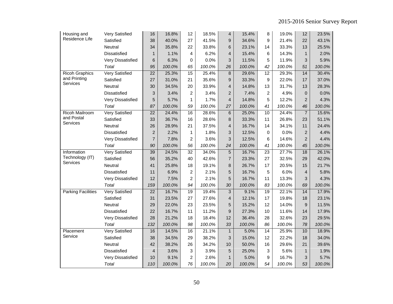| Housing and           | <b>Very Satisfied</b> | 16              | 16.8%  | 12              | 18.5%  | $\overline{\mathbf{4}}$ | 15.4%  | 8               | 19.0%  | 12             | 23.5%  |
|-----------------------|-----------------------|-----------------|--------|-----------------|--------|-------------------------|--------|-----------------|--------|----------------|--------|
| Residence Life        | Satisfied             | 38              | 40.0%  | 27              | 41.5%  | 9                       | 34.6%  | 9               | 21.4%  | 22             | 43.1%  |
|                       | Neutral               | 34              | 35.8%  | 22              | 33.8%  | 6                       | 23.1%  | 14              | 33.3%  | 13             | 25.5%  |
|                       | Dissatisfied          | $\mathbf{1}$    | 1.1%   | 4               | 6.2%   | 4                       | 15.4%  | 6               | 14.3%  | $\mathbf{1}$   | 2.0%   |
|                       | Very Dissatisfied     | 6               | 6.3%   | 0               | 0.0%   | 3                       | 11.5%  | 5               | 11.9%  | 3              | 5.9%   |
|                       | Total                 | 95              | 100.0% | 65              | 100.0% | 26                      | 100.0% | 42              | 100.0% | 51             | 100.0% |
| <b>Ricoh Graphics</b> | <b>Very Satisfied</b> | $\overline{22}$ | 25.3%  | 15              | 25.4%  | $\bf 8$                 | 29.6%  | $\overline{12}$ | 29.3%  | 14             | 30.4%  |
| and Printing          | Satisfied             | 27              | 31.0%  | 21              | 35.6%  | 9                       | 33.3%  | 9               | 22.0%  | 17             | 37.0%  |
| Services              | Neutral               | 30              | 34.5%  | 20              | 33.9%  | 4                       | 14.8%  | 13              | 31.7%  | 13             | 28.3%  |
|                       | Dissatisfied          | 3               | 3.4%   | 2               | 3.4%   | $\overline{2}$          | 7.4%   | $\overline{2}$  | 4.9%   | $\overline{0}$ | 0.0%   |
|                       | Very Dissatisfied     | 5               | 5.7%   | $\mathbf{1}$    | 1.7%   | $\overline{4}$          | 14.8%  | 5               | 12.2%  | $\overline{2}$ | 4.3%   |
|                       | Total                 | 87              | 100.0% | 59              | 100.0% | 27                      | 100.0% | 41              | 100.0% | 46             | 100.0% |
| <b>Ricoh Mailroom</b> | <b>Very Satisfied</b> | 22              | 24.4%  | 16              | 28.6%  | $\,6$                   | 25.0%  | 10              | 24.4%  | $\overline{7}$ | 15.6%  |
| and Postal            | Satisfied             | 33              | 36.7%  | 16              | 28.6%  | 8                       | 33.3%  | 11              | 26.8%  | 23             | 51.1%  |
| Services              | Neutral               | 26              | 28.9%  | 21              | 37.5%  | 4                       | 16.7%  | 14              | 34.1%  | 11             | 24.4%  |
|                       | Dissatisfied          | $\overline{2}$  | 2.2%   | 1               | 1.8%   | 3                       | 12.5%  | $\Omega$        | 0.0%   | $\overline{2}$ | 4.4%   |
|                       | Very Dissatisfied     | $\overline{7}$  | 7.8%   | $\overline{c}$  | 3.6%   | 3                       | 12.5%  | 6               | 14.6%  | $\overline{2}$ | 4.4%   |
|                       | Total                 | 90              | 100.0% | 56              | 100.0% | 24                      | 100.0% | 41              | 100.0% | 45             | 100.0% |
| Information           | Very Satisfied        | 39              | 24.5%  | $\overline{32}$ | 34.0%  | 5                       | 16.7%  | $\overline{23}$ | 27.7%  | 18             | 26.1%  |
| Technology (IT)       | Satisfied             | 56              | 35.2%  | 40              | 42.6%  | $\overline{7}$          | 23.3%  | 27              | 32.5%  | 29             | 42.0%  |
| <b>Services</b>       | Neutral               | 41              | 25.8%  | 18              | 19.1%  | $\bf 8$                 | 26.7%  | 17              | 20.5%  | 15             | 21.7%  |
|                       | Dissatisfied          | 11              | 6.9%   | $\overline{2}$  | 2.1%   | 5                       | 16.7%  | 5               | 6.0%   | $\overline{4}$ | 5.8%   |
|                       | Very Dissatisfied     | 12              | 7.5%   | $\overline{c}$  | 2.1%   | 5                       | 16.7%  | 11              | 13.3%  | 3              | 4.3%   |
|                       | Total                 | 159             | 100.0% | 94              | 100.0% | 30                      | 100.0% | 83              | 100.0% | 69             | 100.0% |
| Parking Facilities    | <b>Very Satisfied</b> | 22              | 16.7%  | $\overline{19}$ | 19.4%  | 3                       | 9.1%   | 19              | 22.1%  | 14             | 17.9%  |
|                       | Satisfied             | 31              | 23.5%  | 27              | 27.6%  | 4                       | 12.1%  | 17              | 19.8%  | 18             | 23.1%  |
|                       | Neutral               | 29              | 22.0%  | 23              | 23.5%  | 5                       | 15.2%  | 12              | 14.0%  | $9\,$          | 11.5%  |
|                       | Dissatisfied          | 22              | 16.7%  | 11              | 11.2%  | $9\,$                   | 27.3%  | 10              | 11.6%  | 14             | 17.9%  |
|                       | Very Dissatisfied     | 28              | 21.2%  | 18              | 18.4%  | 12                      | 36.4%  | 28              | 32.6%  | 23             | 29.5%  |
|                       | Total                 | 132             | 100.0% | 98              | 100.0% | 33                      | 100.0% | 86              | 100.0% | 78             | 100.0% |
| Placement             | <b>Very Satisfied</b> | 16              | 14.5%  | 16              | 21.1%  | $\mathbf{1}$            | 5.0%   | 14              | 25.9%  | 10             | 18.9%  |
| Service               | Satisfied             | 38              | 34.5%  | 29              | 38.2%  | 3                       | 15.0%  | 12              | 22.2%  | 18             | 34.0%  |
|                       | Neutral               | 42              | 38.2%  | 26              | 34.2%  | 10                      | 50.0%  | 16              | 29.6%  | 21             | 39.6%  |
|                       | Dissatisfied          | $\overline{4}$  | 3.6%   | 3               | 3.9%   | 5                       | 25.0%  | 3               | 5.6%   | $\mathbf{1}$   | 1.9%   |
|                       | Very Dissatisfied     | 10              | 9.1%   | 2               | 2.6%   | $\mathbf{1}$            | 5.0%   | 9               | 16.7%  | 3              | 5.7%   |
|                       | Total                 | 110             | 100.0% | 76              | 100.0% | 20                      | 100.0% | 54              | 100.0% | 53             | 100.0% |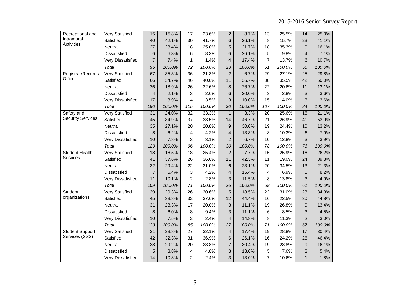| Recreational and         | Very Satisfied        | 15              | 15.8%  | 17              | 23.6%  | $\overline{c}$          | 8.7%   | 13              | 25.5%  | 14              | 25.0%  |
|--------------------------|-----------------------|-----------------|--------|-----------------|--------|-------------------------|--------|-----------------|--------|-----------------|--------|
| Intramural               | Satisfied             | 40              | 42.1%  | 30              | 41.7%  | 6                       | 26.1%  | 8               | 15.7%  | 23              | 41.1%  |
| <b>Activities</b>        | Neutral               | 27              | 28.4%  | 18              | 25.0%  | 5                       | 21.7%  | 18              | 35.3%  | 9               | 16.1%  |
|                          | Dissatisfied          | 6               | 6.3%   | 6               | 8.3%   | 6                       | 26.1%  | 5               | 9.8%   | $\overline{4}$  | 7.1%   |
|                          | Very Dissatisfied     | $\overline{7}$  | 7.4%   | $\mathbf{1}$    | 1.4%   | 4                       | 17.4%  | 7               | 13.7%  | 6               | 10.7%  |
|                          | Total                 | 95              | 100.0% | 72              | 100.0% | 23                      | 100.0% | 51              | 100.0% | 56              | 100.0% |
| Registrar/Records        | <b>Very Satisfied</b> | 67              | 35.3%  | $\overline{36}$ | 31.3%  | $\overline{c}$          | 6.7%   | 29              | 27.1%  | 25              | 29.8%  |
| Office                   | Satisfied             | 66              | 34.7%  | 46              | 40.0%  | 11                      | 36.7%  | 38              | 35.5%  | 42              | 50.0%  |
|                          | Neutral               | 36              | 18.9%  | 26              | 22.6%  | 8                       | 26.7%  | 22              | 20.6%  | 11              | 13.1%  |
|                          | <b>Dissatisfied</b>   | $\overline{4}$  | 2.1%   | 3               | 2.6%   | 6                       | 20.0%  | 3               | 2.8%   | 3               | 3.6%   |
|                          | Very Dissatisfied     | 17              | 8.9%   | $\overline{4}$  | 3.5%   | 3                       | 10.0%  | 15              | 14.0%  | 3               | 3.6%   |
|                          | Total                 | 190             | 100.0% | 115             | 100.0% | 30                      | 100.0% | 107             | 100.0% | 84              | 100.0% |
| Safety and               | <b>Very Satisfied</b> | 31              | 24.0%  | 32              | 33.3%  | $\mathbf{1}$            | 3.3%   | 20              | 25.6%  | 16              | 21.1%  |
| <b>Security Services</b> | Satisfied             | 45              | 34.9%  | 37              | 38.5%  | 14                      | 46.7%  | 21              | 26.9%  | 41              | 53.9%  |
|                          | Neutral               | 35              | 27.1%  | 20              | 20.8%  | 9                       | 30.0%  | 19              | 24.4%  | 10              | 13.2%  |
|                          | <b>Dissatisfied</b>   | 8               | 6.2%   | 4               | 4.2%   | 4                       | 13.3%  | 8               | 10.3%  | 6               | 7.9%   |
|                          | Very Dissatisfied     | 10              | 7.8%   | 3               | 3.1%   | $\overline{2}$          | 6.7%   | 10              | 12.8%  | 3               | 3.9%   |
|                          | Total                 | 129             | 100.0% | 96              | 100.0% | 30                      | 100.0% | 78              | 100.0% | 76              | 100.0% |
| <b>Student Health</b>    | <b>Very Satisfied</b> | $\overline{18}$ | 16.5%  | 18              | 25.4%  | $\overline{2}$          | 7.7%   | $\overline{15}$ | 25.9%  | 16              | 26.2%  |
| Services                 | Satisfied             | 41              | 37.6%  | 26              | 36.6%  | 11                      | 42.3%  | 11              | 19.0%  | 24              | 39.3%  |
|                          | Neutral               | 32              | 29.4%  | 22              | 31.0%  | 6                       | 23.1%  | 20              | 34.5%  | 13              | 21.3%  |
|                          | Dissatisfied          | $\overline{7}$  | 6.4%   | 3               | 4.2%   | 4                       | 15.4%  | 4               | 6.9%   | 5               | 8.2%   |
|                          | Very Dissatisfied     | 11              | 10.1%  | $\overline{2}$  | 2.8%   | 3                       | 11.5%  | 8               | 13.8%  | 3               | 4.9%   |
|                          | Total                 | 109             | 100.0% | 71              | 100.0% | 26                      | 100.0% | 58              | 100.0% | 61              | 100.0% |
| Student                  | <b>Very Satisfied</b> | 39              | 29.3%  | $\overline{26}$ | 30.6%  | $\overline{5}$          | 18.5%  | $\overline{22}$ | 31.0%  | $\overline{23}$ | 34.3%  |
| organizations            | Satisfied             | 45              | 33.8%  | 32              | 37.6%  | 12                      | 44.4%  | 16              | 22.5%  | 30              | 44.8%  |
|                          | Neutral               | 31              | 23.3%  | 17              | 20.0%  | 3                       | 11.1%  | 19              | 26.8%  | 9               | 13.4%  |
|                          | <b>Dissatisfied</b>   | 8               | 6.0%   | 8               | 9.4%   | 3                       | 11.1%  | 6               | 8.5%   | 3               | 4.5%   |
|                          | Very Dissatisfied     | 10              | 7.5%   | 2               | 2.4%   | 4                       | 14.8%  | 8               | 11.3%  | $\overline{2}$  | 3.0%   |
|                          | Total                 | 133             | 100.0% | 85              | 100.0% | 27                      | 100.0% | 71              | 100.0% | 67              | 100.0% |
| <b>Student Support</b>   | <b>Very Satisfied</b> | 31              | 23.8%  | $\overline{27}$ | 32.1%  | $\overline{\mathbf{4}}$ | 17.4%  | 19              | 28.8%  | 17              | 30.4%  |
| Services (SSS)           | Satisfied             | 42              | 32.3%  | 31              | 36.9%  | 6                       | 26.1%  | 16              | 24.2%  | 26              | 46.4%  |
|                          | Neutral               | 38              | 29.2%  | 20              | 23.8%  | 7                       | 30.4%  | 19              | 28.8%  | 9               | 16.1%  |
|                          | <b>Dissatisfied</b>   | 5               | 3.8%   | 4               | 4.8%   | 3                       | 13.0%  | 5               | 7.6%   | 3               | 5.4%   |
|                          | Very Dissatisfied     | 14              | 10.8%  | 2               | 2.4%   | 3                       | 13.0%  | $\overline{7}$  | 10.6%  | $\mathbf{1}$    | 1.8%   |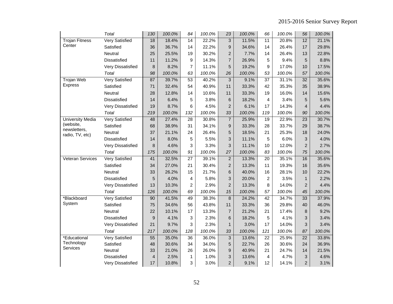|                                 | Total                 | 130            | 100.0% | 84              | 100.0% | 23                        | 100.0% | 66              | 100.0% | 56                        | 100.0% |
|---------------------------------|-----------------------|----------------|--------|-----------------|--------|---------------------------|--------|-----------------|--------|---------------------------|--------|
| <b>Trojan Fitness</b>           | <b>Very Satisfied</b> | 18             | 18.4%  | 14              | 22.2%  | 3                         | 11.5%  | 11              | 20.8%  | 12                        | 21.1%  |
| Center                          | Satisfied             | 36             | 36.7%  | 14              | 22.2%  | 9                         | 34.6%  | 14              | 26.4%  | 17                        | 29.8%  |
|                                 | Neutral               | 25             | 25.5%  | 19              | 30.2%  | $\overline{c}$            | 7.7%   | 14              | 26.4%  | 13                        | 22.8%  |
|                                 | Dissatisfied          | 11             | 11.2%  | 9               | 14.3%  | 7                         | 26.9%  | 5               | 9.4%   | 5                         | 8.8%   |
|                                 | Very Dissatisfied     | 8              | 8.2%   | $\overline{7}$  | 11.1%  | 5                         | 19.2%  | 9               | 17.0%  | 10                        | 17.5%  |
|                                 | Total                 | 98             | 100.0% | 63              | 100.0% | 26                        | 100.0% | 53              | 100.0% | 57                        | 100.0% |
| <b>Trojan Web</b>               | <b>Very Satisfied</b> | 87             | 39.7%  | 53              | 40.2%  | 3                         | 9.1%   | 37              | 31.1%  | 32                        | 35.6%  |
| Express                         | Satisfied             | 71             | 32.4%  | 54              | 40.9%  | 11                        | 33.3%  | 42              | 35.3%  | 35                        | 38.9%  |
|                                 | Neutral               | 28             | 12.8%  | 14              | 10.6%  | 11                        | 33.3%  | 19              | 16.0%  | 14                        | 15.6%  |
|                                 | Dissatisfied          | 14             | 6.4%   | 5               | 3.8%   | $\,6$                     | 18.2%  | 4               | 3.4%   | 5                         | 5.6%   |
|                                 | Very Dissatisfied     | 19             | 8.7%   | 6               | 4.5%   | $\overline{a}$            | 6.1%   | 17              | 14.3%  | $\overline{4}$            | 4.4%   |
|                                 | Total                 | 219            | 100.0% | 132             | 100.0% | 33                        | 100.0% | 119             | 100.0% | 90                        | 100.0% |
| University Media                | <b>Very Satisfied</b> | 48             | 27.4%  | $\overline{28}$ | 30.8%  | $\overline{7}$            | 25.9%  | 19              | 22.9%  | 23                        | 30.7%  |
| (website,                       | Satisfied             | 68             | 38.9%  | 31              | 34.1%  | 9                         | 33.3%  | 28              | 33.7%  | 29                        | 38.7%  |
| newsletters,<br>radio, TV, etc) | Neutral               | 37             | 21.1%  | 24              | 26.4%  | 5                         | 18.5%  | 21              | 25.3%  | 18                        | 24.0%  |
|                                 | Dissatisfied          | 14             | 8.0%   | 5               | 5.5%   | 3                         | 11.1%  | 5               | 6.0%   | $\mathbf{3}$              | 4.0%   |
|                                 | Very Dissatisfied     | 8              | 4.6%   | 3               | 3.3%   | 3                         | 11.1%  | 10              | 12.0%  | $\overline{2}$            | 2.7%   |
|                                 | Total                 | 175            | 100.0% | 91              | 100.0% | 27                        | 100.0% | 83              | 100.0% | 75                        | 100.0% |
| <b>Veteran Services</b>         | <b>Very Satisfied</b> | 41             | 32.5%  | $\overline{27}$ | 39.1%  | $\mathbf 2$               | 13.3%  | 20              | 35.1%  | 16                        | 35.6%  |
|                                 | Satisfied             | 34             | 27.0%  | 21              | 30.4%  | $\overline{c}$            | 13.3%  | 11              | 19.3%  | 16                        | 35.6%  |
|                                 | Neutral               | 33             | 26.2%  | 15              | 21.7%  | 6                         | 40.0%  | 16              | 28.1%  | 10                        | 22.2%  |
|                                 | Dissatisfied          | 5              | 4.0%   | 4               | 5.8%   | 3                         | 20.0%  | $\overline{c}$  | 3.5%   | $\mathbf{1}$              | 2.2%   |
|                                 | Very Dissatisfied     | 13             | 10.3%  | $\overline{c}$  | 2.9%   | $\overline{c}$            | 13.3%  | 8               | 14.0%  | $\overline{2}$            | 4.4%   |
|                                 | Total                 | 126            | 100.0% | 69              | 100.0% | 15                        | 100.0% | 57              | 100.0% | 45                        | 100.0% |
| *Blackboard                     | <b>Very Satisfied</b> | 90             | 41.5%  | 49              | 38.3%  | $\,8\,$                   | 24.2%  | $\overline{42}$ | 34.7%  | 33                        | 37.9%  |
| System                          | Satisfied             | 75             | 34.6%  | 56              | 43.8%  | 11                        | 33.3%  | 36              | 29.8%  | 40                        | 46.0%  |
|                                 | Neutral               | 22             | 10.1%  | 17              | 13.3%  | 7                         | 21.2%  | 21              | 17.4%  | 8                         | 9.2%   |
|                                 | Dissatisfied          | 9              | 4.1%   | 3               | 2.3%   | 6                         | 18.2%  | 5               | 4.1%   | 3                         | 3.4%   |
|                                 | Very Dissatisfied     | 21             | 9.7%   | 3               | 2.3%   | 1                         | 3.0%   | 17              | 14.0%  | $\mathbf{3}$              | 3.4%   |
|                                 | Total                 | 217            | 100.0% | 128             | 100.0% | 33                        | 100.0% | 121             | 100.0% | 87                        | 100.0% |
| *Educational                    | <b>Very Satisfied</b> | 55             | 35.0%  | 36              | 36.0%  | $\ensuremath{\mathsf{3}}$ | 13.6%  | 22              | 25.9%  | 22                        | 33.8%  |
| Technology                      | Satisfied             | 48             | 30.6%  | 34              | 34.0%  | 5                         | 22.7%  | 26              | 30.6%  | 24                        | 36.9%  |
| Services                        | Neutral               | 33             | 21.0%  | 26              | 26.0%  | 9                         | 40.9%  | 21              | 24.7%  | 14                        | 21.5%  |
|                                 | Dissatisfied          | $\overline{4}$ | 2.5%   | 1               | 1.0%   | 3                         | 13.6%  | 4               | 4.7%   | $\ensuremath{\mathsf{3}}$ | 4.6%   |
|                                 | Very Dissatisfied     | 17             | 10.8%  | 3               | 3.0%   | $\overline{c}$            | 9.1%   | 12              | 14.1%  | $\overline{2}$            | 3.1%   |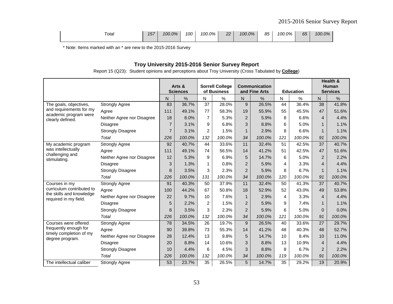| Total | 157 | 100.0% | 100 | 100.0% | າາ<br><u>__</u><br><b>STATE OF STATE OF STATE OF STATE OF STATE OF STATE OF STATE OF STATE OF STATE OF STATE OF STATE OF STATE OF S</b> | 100.0% | 85 | 100.0% | 65 | 100.0% |
|-------|-----|--------|-----|--------|-----------------------------------------------------------------------------------------------------------------------------------------|--------|----|--------|----|--------|
|       |     |        |     |        |                                                                                                                                         |        |    |        |    |        |

\* Note: Items marked with an \* are new to the 2015-2016 Survey

# **Troy University 2015-2016 Senior Survey Report**

Report 15 (Q23): Student opinions and perceptions about Troy University (Cross Tabulated by **College**)

|                                                   |                            |                | Arts &<br><b>Sciences</b> |                | <b>Sorrell College</b><br>of Business |                | <b>Communication</b><br>and Fine Arts |                 | <b>Education</b> |                 | Health &<br>Human<br><b>Services</b> |
|---------------------------------------------------|----------------------------|----------------|---------------------------|----------------|---------------------------------------|----------------|---------------------------------------|-----------------|------------------|-----------------|--------------------------------------|
|                                                   |                            | N              | %                         | N              | $\%$                                  | N              | %                                     | N               | %                | N               | %                                    |
| The goals, objectives,                            | <b>Strongly Agree</b>      | 83             | 36.7%                     | 37             | 28.0%                                 | 9              | 26.5%                                 | 44              | 36.4%            | 38              | 41.8%                                |
| and requirements for my                           | Agree                      | 111            | 49.1%                     | 77             | 58.3%                                 | 19             | 55.9%                                 | 55              | 45.5%            | 47              | 51.6%                                |
| academic program were<br>clearly defined.         | Neither Agree nor Disagree | 18             | 8.0%                      | $\overline{7}$ | 5.3%                                  | $\overline{2}$ | 5.9%                                  | 8               | 6.6%             | $\overline{4}$  | 4.4%                                 |
|                                                   | <b>Disagree</b>            | $\overline{7}$ | 3.1%                      | 9              | 6.8%                                  | 3              | 8.8%                                  | 6               | 5.0%             | $\mathbf{1}$    | 1.1%                                 |
|                                                   | <b>Strongly Disagree</b>   | $\overline{7}$ | 3.1%                      | $\overline{2}$ | 1.5%                                  | 1              | 2.9%                                  | 8               | 6.6%             | $\mathbf{1}$    | 1.1%                                 |
|                                                   | Total                      | 226            | 100.0%                    | 132            | 100.0%                                | 34             | 100.0%                                | 121             | 100.0%           | 91              | 100.0%                               |
| My academic program                               | <b>Strongly Agree</b>      | 92             | 40.7%                     | 44             | 33.6%                                 | 11             | 32.4%                                 | 51              | 42.5%            | 37              | 40.7%                                |
| was intellectually                                | Agree                      | 111            | 49.1%                     | 74             | 56.5%                                 | 14             | 41.2%                                 | 51              | 42.5%            | 47              | 51.6%                                |
| challenging and<br>stimulating.                   | Neither Agree nor Disagree | 12             | 5.3%                      | 9              | 6.9%                                  | 5              | 14.7%                                 | 6               | 5.0%             | $\overline{2}$  | 2.2%                                 |
|                                                   | <b>Disagree</b>            | 3              | 1.3%                      | 1              | 0.8%                                  | $\overline{2}$ | 5.9%                                  | 4               | 3.3%             | $\overline{4}$  | 4.4%                                 |
|                                                   | <b>Strongly Disagree</b>   | 8              | 3.5%                      | 3              | 2.3%                                  | $\overline{2}$ | 5.9%                                  | 8               | 6.7%             | $\mathbf{1}$    | 1.1%                                 |
|                                                   | Total                      | 226            | 100.0%                    | 131            | 100.0%                                | 34             | 100.0%                                | 120             | 100.0%           | 91              | 100.0%                               |
| Courses in my                                     | <b>Strongly Agree</b>      | 91             | 40.3%                     | 50             | 37.9%                                 | 11             | 32.4%                                 | 50              | 41.3%            | 37              | 40.7%                                |
| curriculum contributed to                         | Agree                      | 100            | 44.2%                     | 67             | 50.8%                                 | 18             | 52.9%                                 | 52              | 43.0%            | 49              | 53.8%                                |
| the skills and knowledge<br>required in my field. | Neither Agree nor Disagree | 22             | 9.7%                      | 10             | 7.6%                                  | $\mathbf{1}$   | 2.9%                                  | 4               | 3.3%             | $\overline{4}$  | 4.4%                                 |
|                                                   | <b>Disagree</b>            | 5              | 2.2%                      | $\overline{2}$ | 1.5%                                  | 2              | 5.9%                                  | 9               | 7.4%             | $\mathbf{1}$    | 1.1%                                 |
|                                                   | <b>Strongly Disagree</b>   | 8              | 3.5%                      | 3              | 2.3%                                  | $\overline{2}$ | 5.9%                                  | 6               | 5.0%             | $\overline{0}$  | 0.0%                                 |
|                                                   | Total                      | 226            | 100.0%                    | 132            | 100.0%                                | 34             | 100.0%                                | 121             | 100.0%           | 91              | 100.0%                               |
| Courses were offered                              | <b>Strongly Agree</b>      | 78             | 34.5%                     | 26             | 19.7%                                 | $\overline{9}$ | 26.5%                                 | 40              | 33.6%            | $\overline{27}$ | 29.7%                                |
| frequently enough for                             | Agree                      | 90             | 39.8%                     | 73             | 55.3%                                 | 14             | 41.2%                                 | 48              | 40.3%            | 48              | 52.7%                                |
| timely completion of my<br>degree program.        | Neither Agree nor Disagree | 28             | 12.4%                     | 13             | 9.8%                                  | 5              | 14.7%                                 | 10              | 8.4%             | 10              | 11.0%                                |
|                                                   | <b>Disagree</b>            | 20             | 8.8%                      | 14             | 10.6%                                 | 3              | 8.8%                                  | 13              | 10.9%            | $\overline{4}$  | 4.4%                                 |
|                                                   | <b>Strongly Disagree</b>   | 10             | 4.4%                      | 6              | 4.5%                                  | 3              | 8.8%                                  | 8               | 6.7%             | $\overline{2}$  | 2.2%                                 |
|                                                   | Total                      | 226            | 100.0%                    | 132            | 100.0%                                | 34             | 100.0%                                | 119             | 100.0%           | 91              | 100.0%                               |
| The intellectual caliber                          | <b>Strongly Agree</b>      | 53             | 23.7%                     | 35             | 26.5%                                 | 5              | 14.7%                                 | $\overline{35}$ | 29.2%            | 19              | 20.9%                                |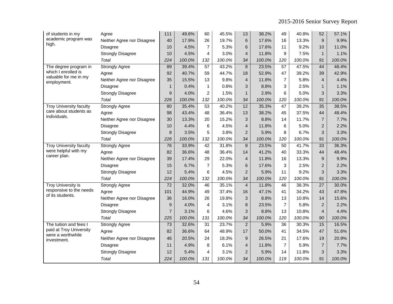| of students in my                            | Agree                      | 111             | 49.6%  | 60              | 45.5%  | 13             | 38.2%  | 49              | 40.8%  | 52              | 57.1%  |
|----------------------------------------------|----------------------------|-----------------|--------|-----------------|--------|----------------|--------|-----------------|--------|-----------------|--------|
| academic program was                         | Neither Agree nor Disagree | 40              | 17.9%  | 26              | 19.7%  | 6              | 17.6%  | 16              | 13.3%  | 9               | 9.9%   |
| high.                                        | <b>Disagree</b>            | 10              | 4.5%   | $\overline{7}$  | 5.3%   | 6              | 17.6%  | 11              | 9.2%   | 10              | 11.0%  |
|                                              | <b>Strongly Disagree</b>   | 10              | 4.5%   | 4               | 3.0%   | $\overline{4}$ | 11.8%  | 9               | 7.5%   | $\mathbf{1}$    | 1.1%   |
|                                              | Total                      | 224             | 100.0% | 132             | 100.0% | 34             | 100.0% | 120             | 100.0% | 91              | 100.0% |
| The degree program in                        | <b>Strongly Agree</b>      | 89              | 39.4%  | 57              | 43.2%  | 8              | 23.5%  | 57              | 47.5%  | 44              | 48.4%  |
| which I enrolled is                          | Agree                      | 92              | 40.7%  | 59              | 44.7%  | 18             | 52.9%  | 47              | 39.2%  | 39              | 42.9%  |
| valuable for me in my<br>employment.         | Neither Agree nor Disagree | 35              | 15.5%  | 13              | 9.8%   | $\overline{4}$ | 11.8%  | 7               | 5.8%   | $\overline{4}$  | 4.4%   |
|                                              | <b>Disagree</b>            | $\mathbf{1}$    | 0.4%   | $\mathbf{1}$    | 0.8%   | 3              | 8.8%   | 3               | 2.5%   | $\mathbf{1}$    | 1.1%   |
|                                              | <b>Strongly Disagree</b>   | 9               | 4.0%   | $\overline{c}$  | 1.5%   | $\mathbf{1}$   | 2.9%   | 6               | 5.0%   | 3               | 3.3%   |
|                                              | Total                      | 226             | 100.0% | 132             | 100.0% | 34             | 100.0% | 120             | 100.0% | 91              | 100.0% |
| <b>Troy University faculty</b>               | <b>Strongly Agree</b>      | 80              | 35.4%  | $\overline{53}$ | 40.2%  | 12             | 35.3%  | $\overline{47}$ | 39.2%  | $\overline{35}$ | 38.5%  |
| care about students as                       | Agree                      | 98              | 43.4%  | 48              | 36.4%  | 13             | 38.2%  | 45              | 37.5%  | 44              | 48.4%  |
| individuals.                                 | Neither Agree nor Disagree | 30              | 13.3%  | 20              | 15.2%  | 3              | 8.8%   | 14              | 11.7%  | $\overline{7}$  | 7.7%   |
|                                              | <b>Disagree</b>            | 10              | 4.4%   | 6               | 4.5%   | 4              | 11.8%  | 6               | 5.0%   | $\overline{2}$  | 2.2%   |
|                                              | <b>Strongly Disagree</b>   | 8               | 3.5%   | 5               | 3.8%   | $\overline{2}$ | 5.9%   | 8               | 6.7%   | 3               | 3.3%   |
|                                              | Total                      | 226             | 100.0% | 132             | 100.0% | 34             | 100.0% | 120             | 100.0% | 91              | 100.0% |
| <b>Troy University faculty</b>               | <b>Strongly Agree</b>      | 76              | 33.9%  | 42              | 31.8%  | 8              | 23.5%  | $\overline{50}$ | 41.7%  | 33              | 36.3%  |
| were helpful with my                         | Agree                      | 82              | 36.6%  | 48              | 36.4%  | 14             | 41.2%  | 40              | 33.3%  | 44              | 48.4%  |
| career plan.                                 | Neither Agree nor Disagree | 39              | 17.4%  | 29              | 22.0%  | 4              | 11.8%  | 16              | 13.3%  | 9               | 9.9%   |
|                                              | <b>Disagree</b>            | 15              | 6.7%   | $\overline{7}$  | 5.3%   | 6              | 17.6%  | 3               | 2.5%   | 2               | 2.2%   |
|                                              | <b>Strongly Disagree</b>   | 12              | 5.4%   | 6               | 4.5%   | $\overline{2}$ | 5.9%   | 11              | 9.2%   | 3               | 3.3%   |
|                                              | Total                      | 224             | 100.0% | 132             | 100.0% | 34             | 100.0% | 120             | 100.0% | 91              | 100.0% |
| Troy University is                           | <b>Strongly Agree</b>      | 72              | 32.0%  | 46              | 35.1%  | $\overline{4}$ | 11.8%  | 46              | 38.3%  | 27              | 30.0%  |
| responsive to the needs<br>of its students.  | Agree                      | 101             | 44.9%  | 49              | 37.4%  | 16             | 47.1%  | 41              | 34.2%  | 43              | 47.8%  |
|                                              | Neither Agree nor Disagree | 36              | 16.0%  | 26              | 19.8%  | 3              | 8.8%   | 13              | 10.8%  | 14              | 15.6%  |
|                                              | <b>Disagree</b>            | 9               | 4.0%   | $\overline{4}$  | 3.1%   | 8              | 23.5%  | $\overline{7}$  | 5.8%   | $\overline{2}$  | 2.2%   |
|                                              | <b>Strongly Disagree</b>   | $\overline{7}$  | 3.1%   | 6               | 4.6%   | 3              | 8.8%   | 13              | 10.8%  | 4               | 4.4%   |
|                                              | Total                      | 225             | 100.0% | 131             | 100.0% | 34             | 100.0% | 120             | 100.0% | 90              | 100.0% |
| The tuition and fees I                       | <b>Strongly Agree</b>      | $\overline{73}$ | 32.6%  | $\overline{31}$ | 23.7%  | $\overline{2}$ | 5.9%   | 36              | 30.3%  | 15              | 16.5%  |
| paid at Troy University<br>were a worthwhile | Agree                      | 82              | 36.6%  | 64              | 48.9%  | 17             | 50.0%  | 41              | 34.5%  | 47              | 51.6%  |
| investment.                                  | Neither Agree nor Disagree | 46              | 20.5%  | 24              | 18.3%  | 9              | 26.5%  | 21              | 17.6%  | 19              | 20.9%  |
|                                              | Disagree                   | 11              | 4.9%   | 8               | 6.1%   | 4              | 11.8%  | 7               | 5.9%   | $\overline{7}$  | 7.7%   |
|                                              | <b>Strongly Disagree</b>   | 12              | 5.4%   | $\overline{4}$  | 3.1%   | $\overline{2}$ | 5.9%   | 14              | 11.8%  | 3               | 3.3%   |
|                                              | Total                      | 224             | 100.0% | 131             | 100.0% | 34             | 100.0% | 119             | 100.0% | 91              | 100.0% |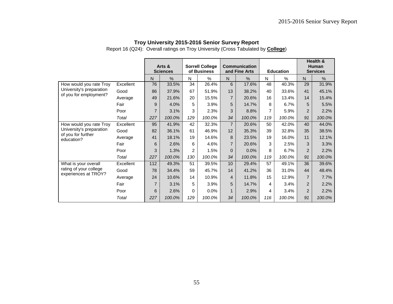Report 16 (Q24): Overall ratings on Troy University (Cross Tabulated by **College**)

|                                                     |           |                | Arts &<br><b>Sciences</b> |                | <b>Sorrell College</b><br>of Business |                | <b>Communication</b><br>and Fine Arts |     | <b>Education</b> |                | Health &<br><b>Human</b><br><b>Services</b> |
|-----------------------------------------------------|-----------|----------------|---------------------------|----------------|---------------------------------------|----------------|---------------------------------------|-----|------------------|----------------|---------------------------------------------|
|                                                     |           | $\mathsf{N}$   | %                         | $\mathsf{N}$   | %                                     | $\mathsf{N}$   | %                                     | N   | $\%$             | $\mathsf{N}$   | $\frac{0}{0}$                               |
| How would you rate Troy                             | Excellent | 76             | 33.5%                     | 34             | 26.4%                                 | 6              | 17.6%                                 | 48  | 40.3%            | 29             | 31.9%                                       |
| University's preparation                            | Good      | 86             | 37.9%                     | 67             | 51.9%                                 | 13             | 38.2%                                 | 40  | 33.6%            | 41             | 45.1%                                       |
| of you for employment?                              | Average   | 49             | 21.6%                     | 20             | 15.5%                                 | $\overline{7}$ | 20.6%                                 | 16  | 13.4%            | 14             | 15.4%                                       |
|                                                     | Fair      | 9              | 4.0%                      | 5              | 3.9%                                  | 5              | 14.7%                                 | 8   | 6.7%             | 5              | 5.5%                                        |
|                                                     | Poor      | $\overline{7}$ | 3.1%                      | 3              | 2.3%                                  | 3              | 8.8%                                  | 7   | 5.9%             | $\overline{2}$ | 2.2%                                        |
|                                                     | Total     | 227            | 100.0%                    | 129            | 100.0%                                | 34             | 100.0%                                | 119 | 100.0%           | 91             | 100.0%                                      |
| How would you rate Troy<br>University's preparation | Excellent | 95             | 41.9%                     | 42             | 32.3%                                 | $\overline{7}$ | 20.6%                                 | 50  | 42.0%            | 40             | 44.0%                                       |
|                                                     | Good      | 82             | 36.1%                     | 61             | 46.9%                                 | 12             | 35.3%                                 | 39  | 32.8%            | 35             | 38.5%                                       |
| of you for further<br>education?                    | Average   | 41             | 18.1%                     | 19             | 14.6%                                 | 8              | 23.5%                                 | 19  | 16.0%            | 11             | 12.1%                                       |
|                                                     | Fair      | 6              | 2.6%                      | 6              | 4.6%                                  | $\overline{7}$ | 20.6%                                 | 3   | 2.5%             | 3              | 3.3%                                        |
|                                                     | Poor      | 3              | 1.3%                      | $\overline{c}$ | 1.5%                                  | $\Omega$       | 0.0%                                  | 8   | 6.7%             | $\overline{2}$ | 2.2%                                        |
|                                                     | Total     | 227            | 100.0%                    | 130            | 100.0%                                | 34             | 100.0%                                | 119 | 100.0%           | 91             | 100.0%                                      |
| What is your overall                                | Excellent | 112            | 49.3%                     | 51             | 39.5%                                 | 10             | 29.4%                                 | 57  | 49.1%            | 36             | 39.6%                                       |
| rating of your college                              | Good      | 78             | 34.4%                     | 59             | 45.7%                                 | 14             | 41.2%                                 | 36  | 31.0%            | 44             | 48.4%                                       |
| experiences at TROY?                                | Average   | 24             | 10.6%                     | 14             | 10.9%                                 | 4              | 11.8%                                 | 15  | 12.9%            | $\overline{7}$ | 7.7%                                        |
|                                                     | Fair      | $\overline{7}$ | 3.1%                      | 5              | 3.9%                                  | 5              | 14.7%                                 | 4   | 3.4%             | $\overline{2}$ | 2.2%                                        |
|                                                     | Poor      | 6              | 2.6%                      | 0              | 0.0%                                  |                | 2.9%                                  | 4   | 3.4%             | $\overline{2}$ | 2.2%                                        |
|                                                     | Total     | 227            | 100.0%                    | 129            | 100.0%                                | 34             | 100.0%                                | 116 | 100.0%           | 91             | 100.0%                                      |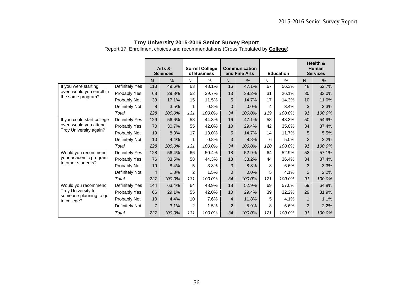Report 17: Enrollment choices and recommendations (Cross Tabulated by **College**)

|                                                  |                |                | Arts &<br><b>Sciences</b> |                | <b>Sorrell College</b><br>of Business |                | Communication<br>and Fine Arts |     | <b>Education</b> |                | Health &<br>Human<br><b>Services</b> |
|--------------------------------------------------|----------------|----------------|---------------------------|----------------|---------------------------------------|----------------|--------------------------------|-----|------------------|----------------|--------------------------------------|
|                                                  |                | N.             | $\%$                      | N              | $\frac{0}{0}$                         | N              | $\frac{0}{0}$                  | N   | $\%$             | N.             | $\%$                                 |
| If you were starting                             | Definitely Yes | 113            | 49.6%                     | 63             | 48.1%                                 | 16             | 47.1%                          | 67  | 56.3%            | 48             | 52.7%                                |
| over, would you enroll in                        | Probably Yes   | 68             | 29.8%                     | 52             | 39.7%                                 | 13             | 38.2%                          | 31  | 26.1%            | 30             | 33.0%                                |
| the same program?                                | Probably Not   | 39             | 17.1%                     | 15             | 11.5%                                 | 5              | 14.7%                          | 17  | 14.3%            | 10             | 11.0%                                |
|                                                  | Definitely Not | 8              | 3.5%                      | 1              | 0.8%                                  | $\Omega$       | 0.0%                           | 4   | 3.4%             | 3              | 3.3%                                 |
|                                                  | Total          | 228            | 100.0%                    | 131            | 100.0%                                | 34             | 100.0%                         | 119 | 100.0%           | 91             | 100.0%                               |
| If you could start college                       | Definitely Yes | 129            | 56.6%                     | 58             | 44.3%                                 | 16             | 47.1%                          | 58  | 48.3%            | 50             | 54.9%                                |
| over, would you attend<br>Troy University again? | Probably Yes   | 70             | 30.7%                     | 55             | 42.0%                                 | 10             | 29.4%                          | 42  | 35.0%            | 34             | 37.4%                                |
|                                                  | Probably Not   | 19             | 8.3%                      | 17             | 13.0%                                 | 5              | 14.7%                          | 14  | 11.7%            | 5              | 5.5%                                 |
|                                                  | Definitely Not | 10             | 4.4%                      | 1              | 0.8%                                  | 3              | 8.8%                           | 6   | 5.0%             | $\overline{2}$ | 2.2%                                 |
|                                                  | Total          | 228            | 100.0%                    | 131            | 100.0%                                | 34             | 100.0%                         | 120 | 100.0%           | 91             | 100.0%                               |
| Would you recommend                              | Definitely Yes | 128            | 56.4%                     | 66             | 50.4%                                 | 18             | 52.9%                          | 64  | 52.9%            | 52             | 57.1%                                |
| your academic program                            | Probably Yes   | 76             | 33.5%                     | 58             | 44.3%                                 | 13             | 38.2%                          | 44  | 36.4%            | 34             | 37.4%                                |
| to other students?                               | Probably Not   | 19             | 8.4%                      | 5              | 3.8%                                  | 3              | 8.8%                           | 8   | 6.6%             | 3              | 3.3%                                 |
|                                                  | Definitely Not | 4              | 1.8%                      | 2              | 1.5%                                  | $\mathbf{0}$   | 0.0%                           | 5   | 4.1%             | $\overline{2}$ | 2.2%                                 |
|                                                  | Total          | 227            | 100.0%                    | 131            | 100.0%                                | 34             | 100.0%                         | 121 | 100.0%           | 91             | 100.0%                               |
| Would you recommend                              | Definitely Yes | 144            | 63.4%                     | 64             | 48.9%                                 | 18             | 52.9%                          | 69  | 57.0%            | 59             | 64.8%                                |
| Troy University to                               | Probably Yes   | 66             | 29.1%                     | 55             | 42.0%                                 | 10             | 29.4%                          | 39  | 32.2%            | 29             | 31.9%                                |
| someone planning to go<br>to college?            | Probably Not   | 10             | 4.4%                      | 10             | 7.6%                                  | $\overline{4}$ | 11.8%                          | 5   | 4.1%             | $\mathbf 1$    | 1.1%                                 |
|                                                  | Definitely Not | $\overline{7}$ | 3.1%                      | $\overline{c}$ | 1.5%                                  | $\overline{2}$ | 5.9%                           | 8   | 6.6%             | $\overline{2}$ | 2.2%                                 |
|                                                  | Total          | 227            | 100.0%                    | 131            | 100.0%                                | 34             | 100.0%                         | 121 | 100.0%           | 91             | 100.0%                               |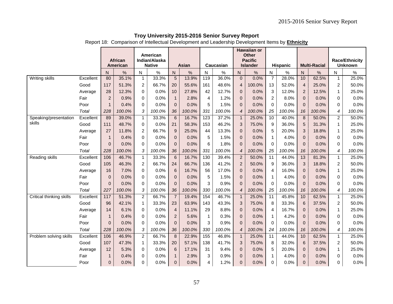Report 18: Comparison of Intellectual Development and Leadership Development Items by **Ethnicity**

|                          |           |                |                |                         |                           |                  |        |                         |           |                | <b>Hawaiian or</b>             |                 |                 |                 |                     |                |                       |
|--------------------------|-----------|----------------|----------------|-------------------------|---------------------------|------------------|--------|-------------------------|-----------|----------------|--------------------------------|-----------------|-----------------|-----------------|---------------------|----------------|-----------------------|
|                          |           |                | <b>African</b> |                         | American<br>Indian/Alaska |                  |        |                         |           |                | <b>Other</b><br><b>Pacific</b> |                 |                 |                 |                     |                | <b>Race/Ethnicity</b> |
|                          |           |                | American       |                         | <b>Native</b>             |                  | Asian  |                         | Caucasian |                | <b>Islander</b>                |                 | <b>Hispanic</b> |                 | <b>Multi-Racial</b> |                | <b>Unknown</b>        |
|                          |           | N              | $\frac{0}{0}$  | $\mathsf{N}$            | %                         | $\mathsf{N}$     | $\%$   | $\mathsf{N}$            | $\%$      | N              | $\%$                           | N               | $\%$            | N.              | %                   | ${\sf N}$      | $\%$                  |
| <b>Writing skills</b>    | Excellent | 80             | 35.1%          | $\mathbf{1}$            | 33.3%                     | 5                | 13.9%  | 119                     | 36.0%     | $\overline{0}$ | 0.0%                           | $\overline{7}$  | 28.0%           | 10              | 62.5%               | $\mathbf{1}$   | 25.0%                 |
|                          | Good      | 117            | 51.3%          | $\overline{c}$          | 66.7%                     | 20               | 55.6%  | 161                     | 48.6%     | $\overline{4}$ | 100.0%                         | 13              | 52.0%           | $\overline{4}$  | 25.0%               | $\overline{c}$ | 50.0%                 |
|                          | Average   | 28             | 12.3%          | 0                       | 0.0%                      | 10               | 27.8%  | 42                      | 12.7%     | $\mathbf{0}$   | 0.0%                           | $\sqrt{3}$      | 12.0%           | $\overline{c}$  | 12.5%               | $\mathbf{1}$   | 25.0%                 |
|                          | Fair      | $\overline{c}$ | 0.9%           | 0                       | 0.0%                      | $\mathbf{1}$     | 2.8%   | $\overline{4}$          | 1.2%      | $\mathbf{0}$   | 0.0%                           | $\overline{2}$  | 8.0%            | $\mathbf{0}$    | 0.0%                | $\Omega$       | 0.0%                  |
|                          | Poor      | $\mathbf{1}$   | 0.4%           | 0                       | 0.0%                      | $\mathbf{0}$     | 0.0%   | 5                       | 1.5%      | $\mathbf{0}$   | 0.0%                           | $\mathbf 0$     | 0.0%            | $\Omega$        | 0.0%                | $\Omega$       | 0.0%                  |
|                          | Total     | 228            | 100.0%         | $\sqrt{3}$              | 100.0%                    | 36               | 100.0% | 331                     | 100.0%    | $\overline{4}$ | 100.0%                         | 25              | 100.0%          | 16              | 100.0%              | 4              | 100.0%                |
| Speaking/presentation    | Excellent | 89             | 39.0%          | $\mathbf 1$             | 33.3%                     | $6\phantom{1}6$  | 16.7%  | $\overline{123}$        | 37.2%     | $\mathbf{1}$   | 25.0%                          | 10              | 40.0%           | 8               | 50.0%               | $\overline{c}$ | 50.0%                 |
| skills                   | Good      | 111            | 48.7%          | 0                       | 0.0%                      | 21               | 58.3%  | 153                     | 46.2%     | 3              | 75.0%                          | 9               | 36.0%           | 5               | 31.3%               | $\mathbf{1}$   | 25.0%                 |
|                          | Average   | 27             | 11.8%          | $\overline{\mathbf{c}}$ | 66.7%                     | 9                | 25.0%  | 44                      | 13.3%     | $\mathbf{0}$   | 0.0%                           | $\overline{5}$  | 20.0%           | 3               | 18.8%               | $\mathbf{1}$   | 25.0%                 |
|                          | Fair      | $\mathbf{1}$   | 0.4%           | 0                       | 0.0%                      | $\mathbf{0}$     | 0.0%   | 5                       | 1.5%      | $\mathbf{0}$   | 0.0%                           | $\mathbf{1}$    | 4.0%            | $\overline{0}$  | 0.0%                | $\Omega$       | 0.0%                  |
|                          | Poor      | $\Omega$       | 0.0%           | $\Omega$                | 0.0%                      | $\Omega$         | 0.0%   | 6                       | 1.8%      | $\Omega$       | 0.0%                           | $\mathbf 0$     | 0.0%            | $\Omega$        | 0.0%                | $\Omega$       | 0.0%                  |
|                          | Total     | 228            | 100.0%         | 3                       | 100.0%                    | 36               | 100.0% | 331                     | 100.0%    | $\overline{4}$ | 100.0%                         | 25              | 100.0%          | 16              | 100.0%              | 4              | 100.0%                |
| Reading skills           | Excellent | 106            | 46.7%          | $\mathbf{1}$            | 33.3%                     | $\overline{6}$   | 16.7%  | 130                     | 39.4%     | $\overline{2}$ | 50.0%                          | $\overline{11}$ | 44.0%           | 13              | 81.3%               | $\mathbf{1}$   | 25.0%                 |
|                          | Good      | 105            | 46.3%          | $\overline{c}$          | 66.7%                     | 24               | 66.7%  | 136                     | 41.2%     | $\overline{2}$ | 50.0%                          | 9               | 36.0%           | 3               | 18.8%               | $\overline{c}$ | 50.0%                 |
|                          | Average   | 16             | 7.0%           | 0                       | 0.0%                      | 6                | 16.7%  | 56                      | 17.0%     | $\mathbf{0}$   | 0.0%                           | $\overline{4}$  | 16.0%           | $\mathbf{0}$    | 0.0%                | $\mathbf 1$    | 25.0%                 |
|                          | Fair      | 0              | 0.0%           | 0                       | 0.0%                      | $\mathbf{0}$     | 0.0%   | 5                       | 1.5%      | $\mathbf{0}$   | 0.0%                           | $\mathbf{1}$    | 4.0%            | $\mathbf{0}$    | 0.0%                | $\Omega$       | 0.0%                  |
|                          | Poor      | 0              | 0.0%           | 0                       | 0.0%                      | $\mathbf{0}$     | 0.0%   | 3                       | 0.9%      | $\mathbf{0}$   | 0.0%                           | $\mathbf 0$     | 0.0%            | $\mathbf{0}$    | 0.0%                | $\Omega$       | 0.0%                  |
|                          | Total     | 227            | 100.0%         | 3                       | 100.0%                    | 36               | 100.0% | 330                     | 100.0%    | $\overline{4}$ | 100.0%                         | 25              | 100.0%          | 16              | 100.0%              | 4              | 100.0%                |
| Critical thinking skills | Excellent | 117            | 51.3%          | $\overline{c}$          | 66.7%                     | $\overline{7}$   | 19.4%  | 154                     | 46.7%     | $\mathbf{1}$   | 25.0%                          | 11              | 45.8%           | 10 <sup>1</sup> | 62.5%               | $\mathbf{1}$   | 25.0%                 |
|                          | Good      | 96             | 42.1%          | $\mathbf{1}$            | 33.3%                     | 23               | 63.9%  | 143                     | 43.3%     | 3              | 75.0%                          | 8               | 33.3%           | 6               | 37.5%               | 2              | 50.0%                 |
|                          | Average   | 14             | 6.1%           | 0                       | 0.0%                      | $\overline{4}$   | 11.1%  | 29                      | 8.8%      | $\mathbf{0}$   | 0.0%                           | 4               | 16.7%           | $\mathbf{0}$    | 0.0%                | $\mathbf{1}$   | 25.0%                 |
|                          | Fair      | $\mathbf{1}$   | 0.4%           | 0                       | 0.0%                      | $\overline{c}$   | 5.6%   | $\mathbf{1}$            | 0.3%      | $\mathbf{0}$   | 0.0%                           | $\mathbf{1}$    | 4.2%            | $\overline{0}$  | 0.0%                | $\Omega$       | 0.0%                  |
|                          | Poor      | $\Omega$       | 0.0%           | $\Omega$                | 0.0%                      | $\Omega$         | 0.0%   | 3                       | 0.9%      | $\Omega$       | 0.0%                           | $\Omega$        | 0.0%            | $\Omega$        | 0.0%                | $\Omega$       | 0.0%                  |
|                          | Total     | 228            | 100.0%         | 3                       | 100.0%                    | 36               | 100.0% | 330                     | 100.0%    | 4              | 100.0%                         | 24              | 100.0%          | 16              | 100.0%              | 4              | 100.0%                |
| Problem solving skills   | Excellent | 106            | 46.9%          | $\overline{c}$          | 66.7%                     | $\boldsymbol{8}$ | 22.9%  | 155                     | 46.8%     | $\mathbf{1}$   | 25.0%                          | $\overline{11}$ | 44.0%           | 10              | 62.5%               | $\mathbf{1}$   | 25.0%                 |
|                          | Good      | 107            | 47.3%          | $\mathbf{1}$            | 33.3%                     | 20               | 57.1%  | 138                     | 41.7%     | $\mathbf{3}$   | 75.0%                          | 8               | 32.0%           | 6               | 37.5%               | $\overline{2}$ | 50.0%                 |
|                          | Average   | 12             | 5.3%           | $\Omega$                | 0.0%                      | 6                | 17.1%  | 31                      | 9.4%      | $\Omega$       | 0.0%                           | 5               | 20.0%           | $\Omega$        | 0.0%                | 1              | 25.0%                 |
|                          | Fair      | $\mathbf{1}$   | 0.4%           | $\Omega$                | 0.0%                      | $\mathbf{1}$     | 2.9%   | 3                       | 0.9%      | $\Omega$       | 0.0%                           | $\mathbf{1}$    | 4.0%            | $\Omega$        | 0.0%                | $\Omega$       | 0.0%                  |
|                          | Poor      | 0              | 0.0%           | $\Omega$                | 0.0%                      | $\mathbf{0}$     | 0.0%   | $\overline{\mathbf{4}}$ | 1.2%      | 0              | 0.0%                           | $\Omega$        | 0.0%            | $\Omega$        | 0.0%                | $\Omega$       | 0.0%                  |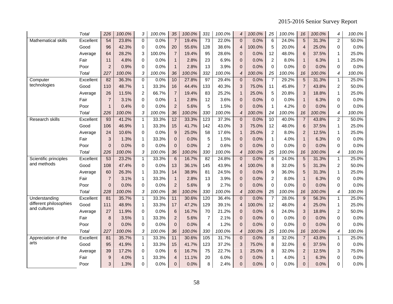2015-2016 Senior Survey Report

|                                        | Total     | 226             | 100.0% | 3            | 100.0% | 35             | 100.0% | 331            | 100.0% | $\boldsymbol{4}$ | 100.0% | 25             | 100.0% | 16              | 100.0% | 4              | 100.0% |
|----------------------------------------|-----------|-----------------|--------|--------------|--------|----------------|--------|----------------|--------|------------------|--------|----------------|--------|-----------------|--------|----------------|--------|
| <b>Mathematical skills</b>             | Excellent | $\overline{54}$ | 23.8%  | $\mathbf 0$  | 0.0%   | $\overline{7}$ | 19.4%  | 73             | 22.0%  | $\overline{0}$   | 0.0%   | $\overline{6}$ | 24.0%  | $\overline{5}$  | 31.3%  | $\overline{2}$ | 50.0%  |
|                                        | Good      | 96              | 42.3%  | $\Omega$     | 0.0%   | 20             | 55.6%  | 128            | 38.6%  | $\overline{4}$   | 100.0% | 5              | 20.0%  | $\overline{4}$  | 25.0%  | $\Omega$       | 0.0%   |
|                                        | Average   | 64              | 28.2%  | 3            | 100.0% | $\overline{7}$ | 19.4%  | 95             | 28.6%  | 0                | 0.0%   | 12             | 48.0%  | 6               | 37.5%  | $\mathbf{1}$   | 25.0%  |
|                                        | Fair      | 11              | 4.8%   | 0            | 0.0%   | $\mathbf{1}$   | 2.8%   | 23             | 6.9%   | $\overline{0}$   | 0.0%   | $\overline{c}$ | 8.0%   | $\mathbf{1}$    | 6.3%   | 1              | 25.0%  |
|                                        | Poor      | $\overline{c}$  | 0.9%   | 0            | 0.0%   | $\mathbf{1}$   | 2.8%   | 13             | 3.9%   | 0                | 0.0%   | $\mathbf 0$    | 0.0%   | $\Omega$        | 0.0%   | $\Omega$       | 0.0%   |
|                                        | Total     | 227             | 100.0% | 3            | 100.0% | 36             | 100.0% | 332            | 100.0% | 4                | 100.0% | 25             | 100.0% | 16              | 100.0% | 4              | 100.0% |
| Computer                               | Excellent | $\overline{82}$ | 36.3%  | 0            | 0.0%   | 10             | 27.8%  | 97             | 29.4%  | $\mathbf 0$      | 0.0%   | $\overline{7}$ | 29.2%  | $\overline{5}$  | 31.3%  | $\mathbf{1}$   | 25.0%  |
| technologies                           | Good      | 110             | 48.7%  | $\mathbf{1}$ | 33.3%  | 16             | 44.4%  | 133            | 40.3%  | 3                | 75.0%  | 11             | 45.8%  | $\overline{7}$  | 43.8%  | $\overline{2}$ | 50.0%  |
|                                        | Average   | 26              | 11.5%  | 2            | 66.7%  | $\overline{7}$ | 19.4%  | 83             | 25.2%  | $\mathbf{1}$     | 25.0%  | 5              | 20.8%  | 3               | 18.8%  | $\mathbf{1}$   | 25.0%  |
|                                        | Fair      | $\overline{7}$  | 3.1%   | 0            | 0.0%   | $\mathbf{1}$   | 2.8%   | 12             | 3.6%   | $\overline{0}$   | 0.0%   | $\Omega$       | 0.0%   | $\mathbf{1}$    | 6.3%   | $\Omega$       | 0.0%   |
|                                        | Poor      | $\mathbf{1}$    | 0.4%   | $\mathbf 0$  | 0.0%   | $\overline{2}$ | 5.6%   | 5              | 1.5%   | $\overline{0}$   | 0.0%   | $\mathbf{1}$   | 4.2%   | $\Omega$        | 0.0%   | $\Omega$       | 0.0%   |
|                                        | Total     | 226             | 100.0% | 3            | 100.0% | 36             | 100.0% | 330            | 100.0% | $\overline{4}$   | 100.0% | 24             | 100.0% | 16              | 100.0% | 4              | 100.0% |
| Research skills                        | Excellent | 93              | 41.2%  | 1            | 33.3%  | 12             | 33.3%  | 123            | 37.3%  | $\overline{0}$   | 0.0%   | 10             | 40.0%  | $\overline{7}$  | 43.8%  | $\overline{2}$ | 50.0%  |
|                                        | Good      | 106             | 46.9%  | $\mathbf{1}$ | 33.3%  | 15             | 41.7%  | 142            | 43.0%  | 3                | 75.0%  | 12             | 48.0%  | $6\phantom{1}6$ | 37.5%  | $\mathbf{1}$   | 25.0%  |
|                                        | Average   | 24              | 10.6%  | 0            | 0.0%   | 9              | 25.0%  | 58             | 17.6%  | $\mathbf{1}$     | 25.0%  | $\overline{2}$ | 8.0%   | $\overline{2}$  | 12.5%  | $\mathbf{1}$   | 25.0%  |
|                                        | Fair      | 3               | 1.3%   | $\mathbf 1$  | 33.3%  | 0              | 0.0%   | 5              | 1.5%   | $\overline{0}$   | 0.0%   | $\mathbf{1}$   | 4.0%   | $\mathbf{1}$    | 6.3%   | $\Omega$       | 0.0%   |
|                                        | Poor      | $\overline{0}$  | 0.0%   | 0            | 0.0%   | $\mathbf{0}$   | 0.0%   | $\overline{2}$ | 0.6%   | $\overline{0}$   | 0.0%   | $\Omega$       | 0.0%   | $\Omega$        | 0.0%   | $\Omega$       | 0.0%   |
|                                        | Total     | 226             | 100.0% | 3            | 100.0% | 36             | 100.0% | 330            | 100.0% | $\overline{4}$   | 100.0% | 25             | 100.0% | 16              | 100.0% | 4              | 100.0% |
| Scientific principles                  | Excellent | 53              | 23.2%  | $\mathbf{1}$ | 33.3%  | $\overline{6}$ | 16.7%  | 82             | 24.8%  | $\overline{0}$   | 0.0%   | $\overline{6}$ | 24.0%  | $\overline{5}$  | 31.3%  | $\mathbf{1}$   | 25.0%  |
| and methods                            | Good      | 108             | 47.4%  | 0            | 0.0%   | 13             | 36.1%  | 145            | 43.9%  | 4                | 100.0% | 8              | 32.0%  | 5               | 31.3%  | $\overline{2}$ | 50.0%  |
|                                        | Average   | 60              | 26.3%  | $\mathbf{1}$ | 33.3%  | 14             | 38.9%  | 81             | 24.5%  | $\mathbf{0}$     | 0.0%   | 9              | 36.0%  | 5               | 31.3%  | $\mathbf{1}$   | 25.0%  |
|                                        | Fair      | $\overline{7}$  | 3.1%   | $\mathbf{1}$ | 33.3%  | $\mathbf{1}$   | 2.8%   | 13             | 3.9%   | $\overline{0}$   | 0.0%   | $\overline{c}$ | 8.0%   | $\mathbf{1}$    | 6.3%   | 0              | 0.0%   |
|                                        | Poor      | 0               | 0.0%   | 0            | 0.0%   | $\overline{2}$ | 5.6%   | 9              | 2.7%   | 0                | 0.0%   | $\mathbf 0$    | 0.0%   | $\mathbf{0}$    | 0.0%   | $\Omega$       | 0.0%   |
|                                        | Total     | 228             | 100.0% | 3            | 100.0% | 36             | 100.0% | 330            | 100.0% | $\boldsymbol{4}$ | 100.0% | 25             | 100.0% | 16              | 100.0% | 4              | 100.0% |
| Understanding                          | Excellent | 81              | 35.7%  | $\mathbf{1}$ | 33.3%  | 11             | 30.6%  | 120            | 36.4%  | $\mathbf{0}$     | 0.0%   | $\overline{7}$ | 28.0%  | 9               | 56.3%  | $\mathbf{1}$   | 25.0%  |
| different philosophies<br>and cultures | Good      | 111             | 48.9%  | $\mathbf{1}$ | 33.3%  | 17             | 47.2%  | 129            | 39.1%  | $\overline{4}$   | 100.0% | 12             | 48.0%  | $\overline{4}$  | 25.0%  | $\mathbf{1}$   | 25.0%  |
|                                        | Average   | 27              | 11.9%  | 0            | 0.0%   | 6              | 16.7%  | 70             | 21.2%  | $\mathbf{0}$     | 0.0%   | 6              | 24.0%  | 3               | 18.8%  | $\overline{2}$ | 50.0%  |
|                                        | Fair      | 8               | 3.5%   | $\mathbf{1}$ | 33.3%  | $\overline{2}$ | 5.6%   | $\overline{7}$ | 2.1%   | $\overline{0}$   | 0.0%   | 0              | 0.0%   | $\overline{0}$  | 0.0%   | $\Omega$       | 0.0%   |
|                                        | Poor      | $\Omega$        | 0.0%   | $\Omega$     | 0.0%   | $\Omega$       | 0.0%   | $\overline{4}$ | 1.2%   | $\overline{0}$   | 0.0%   | $\Omega$       | 0.0%   | $\Omega$        | 0.0%   | $\Omega$       | 0.0%   |
|                                        | Total     | 227             | 100.0% | 3            | 100.0% | 36             | 100.0% | 330            | 100.0% | $\overline{4}$   | 100.0% | 25             | 100.0% | 16              | 100.0% | 4              | 100.0% |
| Appreciation of the                    | Excellent | 81              | 35.7%  | $\mathbf{1}$ | 33.3%  | 11             | 30.6%  | 105            | 31.7%  | $\Omega$         | 0.0%   | $\overline{8}$ | 32.0%  | $\overline{7}$  | 43.8%  | $\mathbf{1}$   | 25.0%  |
| arts                                   | Good      | 95              | 41.9%  | $\mathbf{1}$ | 33.3%  | 15             | 41.7%  | 123            | 37.2%  | 3                | 75.0%  | 8              | 32.0%  | $6\phantom{1}6$ | 37.5%  | 0              | 0.0%   |
|                                        | Average   | 39              | 17.2%  | 0            | 0.0%   | $6\phantom{1}$ | 16.7%  | 75             | 22.7%  | $\mathbf{1}$     | 25.0%  | 8              | 32.0%  | $\overline{2}$  | 12.5%  | 3              | 75.0%  |
|                                        | Fair      | 9               | 4.0%   | 1            | 33.3%  | $\overline{4}$ | 11.1%  | 20             | 6.0%   | $\overline{0}$   | 0.0%   | $\mathbf{1}$   | 4.0%   | $\mathbf{1}$    | 6.3%   | $\Omega$       | 0.0%   |
|                                        | Poor      | 3               | 1.3%   | $\Omega$     | 0.0%   | $\overline{0}$ | 0.0%   | 8              | 2.4%   | $\Omega$         | 0.0%   | 0              | 0.0%   | $\Omega$        | 0.0%   | $\Omega$       | 0.0%   |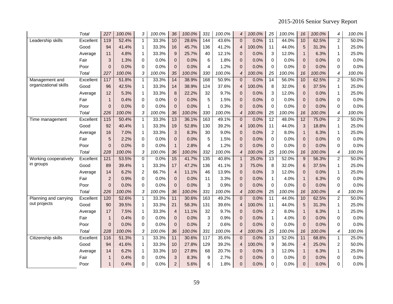2015-2016 Senior Survey Report

|                       | Total     | 227               | 100.0% | 3            | 100.0% | 36             | 100.0% | 331            | 100.0% | 4              | 100.0% | 25              | 100.0% | 16              | 100.0% | 4              | 100.0% |
|-----------------------|-----------|-------------------|--------|--------------|--------|----------------|--------|----------------|--------|----------------|--------|-----------------|--------|-----------------|--------|----------------|--------|
| Leadership skills     | Excellent | 119               | 52.4%  | $\mathbf{1}$ | 33.3%  | 10             | 28.6%  | 144            | 43.6%  | $\mathbf{0}$   | 0.0%   | $\overline{11}$ | 44.0%  | 10              | 62.5%  | $\overline{a}$ | 50.0%  |
|                       | Good      | 94                | 41.4%  | 1            | 33.3%  | 16             | 45.7%  | 136            | 41.2%  | $\overline{4}$ | 100.0% | 11              | 44.0%  | 5               | 31.3%  | $\mathbf{1}$   | 25.0%  |
|                       | Average   | 11                | 4.8%   | 1            | 33.3%  | 9              | 25.7%  | 40             | 12.1%  | 0              | 0.0%   | 3               | 12.0%  | $\mathbf{1}$    | 6.3%   | 1              | 25.0%  |
|                       | Fair      | 3                 | 1.3%   | 0            | 0.0%   | $\pmb{0}$      | 0.0%   | 6              | 1.8%   | $\overline{0}$ | 0.0%   | $\mathbf 0$     | 0.0%   | $\mathbf{0}$    | 0.0%   | $\Omega$       | 0.0%   |
|                       | Poor      | 0                 | 0.0%   | 0            | 0.0%   | $\mathbf{0}$   | 0.0%   | $\overline{4}$ | 1.2%   | $\overline{0}$ | 0.0%   | 0               | 0.0%   | $\Omega$        | 0.0%   | $\Omega$       | 0.0%   |
|                       | Total     | 227               | 100.0% | 3            | 100.0% | 35             | 100.0% | 330            | 100.0% | 4              | 100.0% | 25              | 100.0% | 16              | 100.0% | 4              | 100.0% |
| Management and        | Excellent | 117               | 51.8%  | $\mathbf{1}$ | 33.3%  | 14             | 38.9%  | 168            | 50.9%  | $\Omega$       | 0.0%   | 14              | 56.0%  | 10              | 62.5%  | $\overline{a}$ | 50.0%  |
| organizational skills | Good      | 96                | 42.5%  | $\mathbf{1}$ | 33.3%  | 14             | 38.9%  | 124            | 37.6%  | $\overline{4}$ | 100.0% | 8               | 32.0%  | 6               | 37.5%  | $\mathbf{1}$   | 25.0%  |
|                       | Average   | 12                | 5.3%   | 1            | 33.3%  | 8              | 22.2%  | 32             | 9.7%   | 0              | 0.0%   | 3               | 12.0%  | $\Omega$        | 0.0%   | $\mathbf{1}$   | 25.0%  |
|                       | Fair      | $\mathbf{1}$      | 0.4%   | 0            | 0.0%   | $\mathbf 0$    | 0.0%   | 5              | 1.5%   | 0              | 0.0%   | 0               | 0.0%   | $\mathbf{0}$    | 0.0%   | 0              | 0.0%   |
|                       | Poor      | $\overline{0}$    | 0.0%   | 0            | 0.0%   | $\mathbf{0}$   | 0.0%   | $\mathbf{1}$   | 0.3%   | 0              | 0.0%   | 0               | 0.0%   | $\mathbf{0}$    | 0.0%   | 0              | 0.0%   |
|                       | Total     | 226               | 100.0% | 3            | 100.0% | 36             | 100.0% | 330            | 100.0% | $\overline{4}$ | 100.0% | 25              | 100.0% | 16              | 100.0% | 4              | 100.0% |
| Time management       | Excellent | $\frac{115}{115}$ | 50.4%  | 1            | 33.3%  | 13             | 36.1%  | 163            | 49.1%  | $\mathbf 0$    | 0.0%   | 12              | 48.0%  | $\overline{12}$ | 75.0%  | $\overline{c}$ | 50.0%  |
|                       | Good      | 92                | 40.4%  | 1            | 33.3%  | 19             | 52.8%  | 130            | 39.2%  | $\overline{4}$ | 100.0% | 11              | 44.0%  | 3               | 18.8%  | $\mathbf{1}$   | 25.0%  |
|                       | Average   | 16                | 7.0%   | 1            | 33.3%  | 3              | 8.3%   | 30             | 9.0%   | $\overline{0}$ | 0.0%   | $\overline{2}$  | 8.0%   | $\mathbf{1}$    | 6.3%   | $\mathbf{1}$   | 25.0%  |
|                       | Fair      | 5                 | 2.2%   | $\Omega$     | 0.0%   | $\Omega$       | 0.0%   | 5              | 1.5%   | $\overline{0}$ | 0.0%   | $\Omega$        | 0.0%   | $\Omega$        | 0.0%   | $\Omega$       | 0.0%   |
|                       | Poor      | $\overline{0}$    | 0.0%   | $\Omega$     | 0.0%   | $\mathbf{1}$   | 2.8%   | $\overline{4}$ | 1.2%   | $\overline{0}$ | 0.0%   | $\mathbf 0$     | 0.0%   | $\Omega$        | 0.0%   | $\Omega$       | 0.0%   |
|                       | Total     | 228               | 100.0% | 3            | 100.0% | 36             | 100.0% | 332            | 100.0% | 4              | 100.0% | 25              | 100.0% | 16              | 100.0% | 4              | 100.0% |
| Working cooperatively | Excellent | 121               | 53.5%  | $\mathbf 0$  | 0.0%   | 15             | 41.7%  | 135            | 40.8%  | $\mathbf{1}$   | 25.0%  | 13              | 52.0%  | 9               | 56.3%  | $\overline{a}$ | 50.0%  |
| in groups             | Good      | 89                | 39.4%  | 1            | 33.3%  | 17             | 47.2%  | 136            | 41.1%  | 3              | 75.0%  | 8               | 32.0%  | 6               | 37.5%  | $\mathbf{1}$   | 25.0%  |
|                       | Average   | 14                | 6.2%   | 2            | 66.7%  | $\overline{4}$ | 11.1%  | 46             | 13.9%  | $\overline{0}$ | 0.0%   | 3               | 12.0%  | $\mathbf{0}$    | 0.0%   | 1              | 25.0%  |
|                       | Fair      | $\overline{2}$    | 0.9%   | 0            | 0.0%   | $\mathbf{0}$   | 0.0%   | 11             | 3.3%   | $\overline{0}$ | 0.0%   | $\mathbf{1}$    | 4.0%   | $\mathbf{1}$    | 6.3%   | $\Omega$       | 0.0%   |
|                       | Poor      | $\Omega$          | 0.0%   | $\Omega$     | 0.0%   | $\Omega$       | 0.0%   | 3              | 0.9%   | $\overline{0}$ | 0.0%   | $\Omega$        | 0.0%   | $\Omega$        | 0.0%   | $\Omega$       | 0.0%   |
|                       | Total     | 226               | 100.0% | 3            | 100.0% | 36             | 100.0% | 331            | 100.0% | $\overline{4}$ | 100.0% | 25              | 100.0% | 16              | 100.0% | 4              | 100.0% |
| Planning and carrying | Excellent | 120               | 52.6%  | $\mathbf{1}$ | 33.3%  | 11             | 30.6%  | 163            | 49.2%  | $\overline{0}$ | 0.0%   | 11              | 44.0%  | 10              | 62.5%  | $\overline{2}$ | 50.0%  |
| out projects          | Good      | 90                | 39.5%  | 1            | 33.3%  | 21             | 58.3%  | 131            | 39.6%  | $\overline{4}$ | 100.0% | 11              | 44.0%  | $\overline{5}$  | 31.3%  | 1              | 25.0%  |
|                       | Average   | 17                | 7.5%   | 1            | 33.3%  | $\overline{4}$ | 11.1%  | 32             | 9.7%   | $\mathbf{0}$   | 0.0%   | $\overline{c}$  | 8.0%   | $\mathbf{1}$    | 6.3%   | 1              | 25.0%  |
|                       | Fair      | $\mathbf{1}$      | 0.4%   | 0            | 0.0%   | $\mathbf{0}$   | 0.0%   | 3              | 0.9%   | $\overline{0}$ | 0.0%   | $\mathbf{1}$    | 4.0%   | $\Omega$        | 0.0%   | $\Omega$       | 0.0%   |
|                       | Poor      | $\overline{0}$    | 0.0%   | $\Omega$     | 0.0%   | $\Omega$       | 0.0%   | $\overline{2}$ | 0.6%   | $\Omega$       | 0.0%   | $\Omega$        | 0.0%   | $\Omega$        | 0.0%   | $\Omega$       | 0.0%   |
|                       | Total     | 228               | 100.0% | 3            | 100.0% | 36             | 100.0% | 331            | 100.0% | $\overline{4}$ | 100.0% | 25              | 100.0% | 16              | 100.0% | 4              | 100.0% |
| Citizenship skills    | Excellent | $\frac{116}{116}$ | 51.3%  | $\mathbf{1}$ | 33.3%  | 11             | 30.6%  | 117            | 35.6%  | $\Omega$       | 0.0%   | 13              | 52.0%  | 11              | 68.8%  | $\mathbf{1}$   | 25.0%  |
|                       | Good      | 94                | 41.6%  | 1            | 33.3%  | 10             | 27.8%  | 129            | 39.2%  | 4              | 100.0% | 9               | 36.0%  | $\overline{4}$  | 25.0%  | $\overline{c}$ | 50.0%  |
|                       | Average   | 14                | 6.2%   | $\mathbf{1}$ | 33.3%  | 10             | 27.8%  | 68             | 20.7%  | $\overline{0}$ | 0.0%   | 3               | 12.0%  | $\mathbf{1}$    | 6.3%   | $\mathbf{1}$   | 25.0%  |
|                       | Fair      | $\mathbf 1$       | 0.4%   | 0            | 0.0%   | $\mathbf{3}$   | 8.3%   | 9              | 2.7%   | $\overline{0}$ | 0.0%   | $\Omega$        | 0.0%   | $\mathbf{0}$    | 0.0%   | $\Omega$       | 0.0%   |
|                       | Poor      | 1                 | 0.4%   | $\Omega$     | 0.0%   | $\overline{2}$ | 5.6%   | 6              | 1.8%   | $\Omega$       | 0.0%   | 0               | 0.0%   | $\Omega$        | 0.0%   | $\Omega$       | 0.0%   |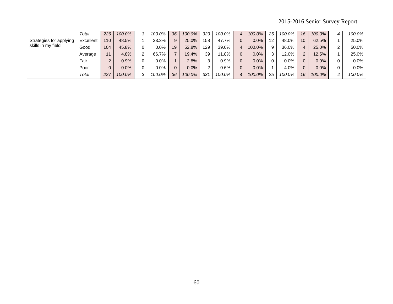# 2015-2016 Senior Survey Report

|                         | Total     | 226 | 100.0%  |                      | 100.0%  | 36 | 100.0%  | 329                  | $100.0\%$ | 4 | 100.0%  | 25 | 100.0%  | 16              | 100.0%  | 100.0%  |
|-------------------------|-----------|-----|---------|----------------------|---------|----|---------|----------------------|-----------|---|---------|----|---------|-----------------|---------|---------|
| Strategies for applying | Excellent | 110 | 48.5%   |                      | 33.3%   | 9  | 25.0%   | 158                  | 47.7%     |   | 0.0%    | 12 | 48.0%   | 10 <sup>1</sup> | 62.5%   | 25.0%   |
| skills in my field      | Good      | 104 | 45.8%   |                      | 0.0%    | 19 | 52.8%   | 129                  | 39.0%     | 4 | 100.0%  | 9  | 36.0%   | 4               | 25.0%   | 50.0%   |
|                         | Average   | 11  | 4.8%    | $\mathbf{2}^{\circ}$ | 66.7%   |    | 19.4%   | 39                   | 1.8%      |   | 0.0%    | 3  | 12.0%   | $\overline{2}$  | 12.5%   | 25.0%   |
|                         | Fair      | 2   | 0.9%    |                      | $0.0\%$ |    | 2.8%    | 3                    | $0.9\%$   |   | 0.0%    | 0  | $0.0\%$ | $\Omega$        | $0.0\%$ | $0.0\%$ |
|                         | Poor      | 0   | $0.0\%$ |                      | 0.0%    |    | $0.0\%$ | $\mathbf{2}^{\circ}$ | $0.6\%$   |   | $0.0\%$ |    | 4.0%    | $\Omega$        | 0.0%    | $0.0\%$ |
|                         | Total     | 227 | 100.0%  |                      | 100.0%  | 36 | 100.0%  | 331                  | 100.0%    | 4 | 100.0%  | 25 | 100.0%  | 16              | 100.0%  | 100.0%  |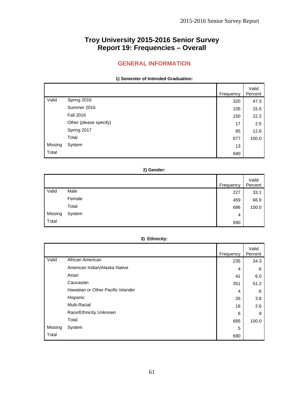# **Troy University 2015-2016 Senior Survey Report 19: Frequencies – Overall**

# **GENERAL INFORMATION**

### **1) Semester of Intended Graduation:**

|         |                        | Frequency | Valid<br>Percent |
|---------|------------------------|-----------|------------------|
| Valid   | Spring 2016            | 320       | 47.3             |
|         | Summer 2016            | 105       | 15.5             |
|         | <b>Fall 2016</b>       | 150       | 22.2             |
|         | Other (please specify) | 17        | 2.5              |
|         | Spring 2017            | 85        | 12.6             |
|         | Total                  | 677       | 100.0            |
| Missing | System                 | 13        |                  |
| Total   |                        | 690       |                  |

### **2) Gender:**

|         |        | Frequency | Valid<br>Percent |
|---------|--------|-----------|------------------|
| Valid   | Male   | 227       | 33.1             |
|         | Female | 459       | 66.9             |
|         | Total  | 686       | 100.0            |
| Missing | System | 4         |                  |
| Total   |        | 690       |                  |

### **3) Ethnicity:**

|         |                                    | Frequency | Valid<br>Percent |
|---------|------------------------------------|-----------|------------------|
| Valid   | African American                   | 235       | 34.3             |
|         | American Indian/Alaska Native      | 4         | .6               |
|         | Asian                              | 41        | 6.0              |
|         | Caucasian                          | 351       | 51.2             |
|         | Hawaiian or Other Pacific Islander | 4         | .6               |
|         | Hispanic                           | 26        | 3.8              |
|         | Multi-Racial                       | 18        | 2.6              |
|         | Race/Ethnicity Unknown             | 6         | .9               |
|         | Total                              | 685       | 100.0            |
| Missing | System                             | 5         |                  |
| Total   |                                    | 690       |                  |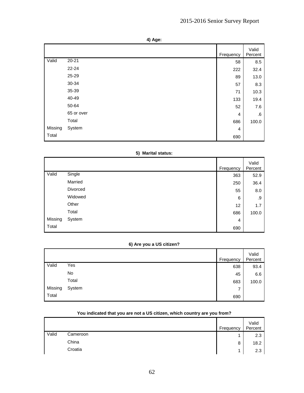| ۰, |  |
|----|--|
|----|--|

|         |            | Frequency | Valid<br>Percent |
|---------|------------|-----------|------------------|
| Valid   | $20 - 21$  | 58        | 8.5              |
|         | $22 - 24$  | 222       | 32.4             |
|         | 25-29      | 89        | 13.0             |
|         | 30-34      | 57        | 8.3              |
|         | 35-39      | 71        | 10.3             |
|         | 40-49      | 133       | 19.4             |
|         | 50-64      | 52        | 7.6              |
|         | 65 or over | 4         | .6               |
|         | Total      | 686       | 100.0            |
| Missing | System     | 4         |                  |
| Total   |            | 690       |                  |

### **5) Marital status:**

|         |          | Frequency | Valid<br>Percent |
|---------|----------|-----------|------------------|
| Valid   | Single   | 363       | 52.9             |
|         | Married  | 250       | 36.4             |
|         | Divorced | 55        | 8.0              |
|         | Widowed  | 6         | .9               |
|         | Other    | 12        | 1.7              |
|         | Total    | 686       | 100.0            |
| Missing | System   | 4         |                  |
| Total   |          | 690       |                  |

## **6) Are you a US citizen?**

|         |        | Frequency | Valid<br>Percent |
|---------|--------|-----------|------------------|
| Valid   | Yes    | 638       | 93.4             |
|         | No     | 45        | 6.6              |
|         | Total  | 683       | 100.0            |
| Missing | System | 7         |                  |
| Total   |        | 690       |                  |

|       |          | Frequency | Valid<br>Percent |
|-------|----------|-----------|------------------|
| Valid | Cameroon |           | 2.3              |
|       | China    | 8         | 18.2             |
|       | Croatia  |           | 2.3              |

# **You indicated that you are not a US citizen, which country are you from?**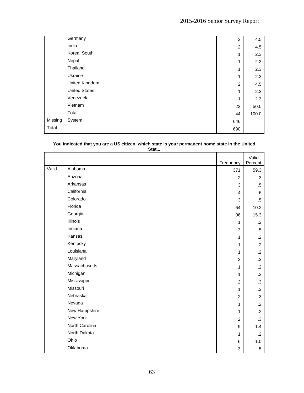|         | Germany              | $\overline{c}$ | 4.5   |
|---------|----------------------|----------------|-------|
|         | India                | $\overline{c}$ | 4.5   |
|         | Korea, South         | 1              | 2.3   |
|         | Nepal                | 1              | 2.3   |
|         | Thailand             | 1              | 2.3   |
|         | Ukraine              | 1              | 2.3   |
|         | United Kingdom       | $\overline{c}$ | 4.5   |
|         | <b>United States</b> | 1              | 2.3   |
|         | Venezuela            | 1              | 2.3   |
|         | Vietnam              | 22             | 50.0  |
|         | Total                | 44             | 100.0 |
| Missing | System               | 646            |       |
| Total   |                      | 690            |       |

# **You indicated that you are a US citizen, which state is your permanent home state in the United**

| $\sim$<br>٠<br>×<br>. .<br>$\sim$<br>۰, | u n |
|-----------------------------------------|-----|
|                                         |     |

|       |                | Frequency        | Valid<br>Percent |
|-------|----------------|------------------|------------------|
| Valid | Alabama        | 371              | 59.3             |
|       | Arizona        | $\overline{c}$   | $\cdot$ 3        |
|       | Arkansas       | 3                | $.5\,$           |
|       | California     | 4                | .6               |
|       | Colorado       | 3                | $.5\,$           |
|       | Florida        | 64               | 10.2             |
|       | Georgia        | 96               | 15.3             |
|       | Illinois       | 1                | $\cdot$ .2       |
|       | Indiana        | 3                | $.5\,$           |
|       | Kansas         | 1                | $\cdot$ .2       |
|       | Kentucky       | 1                | $\cdot$ .2       |
|       | Louisiana      | 1                | $\cdot$ .2       |
|       | Maryland       | $\overline{2}$   | $\cdot$ 3        |
|       | Massachusetts  | 1                | $\cdot$ .2       |
|       | Michigan       | 1                | $\cdot$          |
|       | Mississippi    | $\overline{c}$   | $\cdot$ 3        |
|       | Missouri       | 1                | $\cdot$          |
|       | Nebraska       | $\overline{c}$   | $\cdot$ 3        |
|       | Nevada         | 1                | $\cdot$          |
|       | New Hampshire  | 1                | $\cdot$ .2       |
|       | New York       | $\overline{c}$   | $\cdot$ 3        |
|       | North Carolina | $\boldsymbol{9}$ | 1.4              |
|       | North Dakota   | 1                | $\cdot$ .2       |
|       | Ohio           | $\,6$            | 1.0              |
|       | Oklahoma       | 3                | $.5\,$           |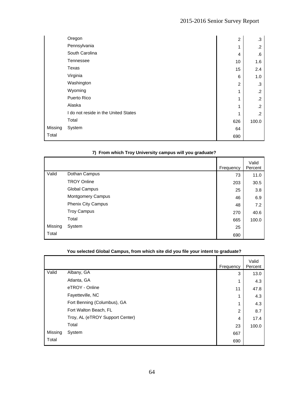|         | Oregon                               | $\overline{c}$ | .3      |
|---------|--------------------------------------|----------------|---------|
|         | Pennsylvania                         | 1              | $\cdot$ |
|         | South Carolina                       | 4              | .6      |
|         | Tennessee                            | 10             | 1.6     |
|         | Texas                                | 15             | 2.4     |
|         | Virginia                             | 6              | 1.0     |
|         | Washington                           | $\overline{2}$ | .3      |
|         | Wyoming                              | 1              | .2      |
|         | Puerto Rico                          | 1              | .2      |
|         | Alaska                               | 1              | $\cdot$ |
|         | I do not reside in the United States | 1              | $\cdot$ |
|         | Total                                | 626            | 100.0   |
| Missing | System                               | 64             |         |
| Total   |                                      | 690            |         |

# **7) From which Troy University campus will you graduate?**

|         |                           | Frequency | Valid<br>Percent |
|---------|---------------------------|-----------|------------------|
| Valid   | Dothan Campus             | 73        | 11.0             |
|         | <b>TROY Online</b>        | 203       | 30.5             |
|         | Global Campus             | 25        | 3.8              |
|         | Montgomery Campus         | 46        | 6.9              |
|         | <b>Phenix City Campus</b> | 48        | 7.2              |
|         | <b>Troy Campus</b>        | 270       | 40.6             |
|         | Total                     | 665       | 100.0            |
| Missing | System                    | 25        |                  |
| Total   |                           | 690       |                  |

|         |                                 | Frequency      | Valid<br>Percent |
|---------|---------------------------------|----------------|------------------|
| Valid   | Albany, GA                      | 3              | 13.0             |
|         | Atlanta, GA                     | 1              | 4.3              |
|         | eTROY - Online                  | 11             | 47.8             |
|         | Fayetteville, NC                | 1              | 4.3              |
|         | Fort Benning (Columbus), GA     | 1              | 4.3              |
|         | Fort Walton Beach, FL           | $\overline{2}$ | 8.7              |
|         | Troy, AL (eTROY Support Center) | 4              | 17.4             |
|         | Total                           | 23             | 100.0            |
| Missing | System                          | 667            |                  |
| Total   |                                 | 690            |                  |

# **You selected Global Campus, from which site did you file your intent to graduate?**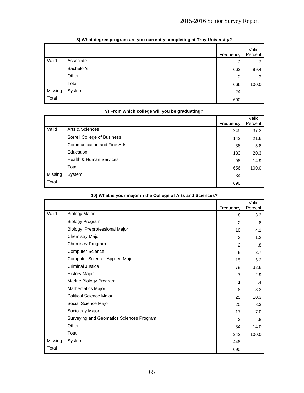|         |            | Frequency      | Valid<br>Percent |
|---------|------------|----------------|------------------|
| Valid   | Associate  | $\overline{2}$ | .3               |
|         | Bachelor's | 662            | 99.4             |
|         | Other      | 2              | .3               |
|         | Total      | 666            | 100.0            |
| Missing | System     | 24             |                  |
| Total   |            | 690            |                  |

# **8) What degree program are you currently completing at Troy University?**

### **9) From which college will you be graduating?**

|         |                                    | Frequency | Valid<br>Percent |
|---------|------------------------------------|-----------|------------------|
| Valid   | Arts & Sciences                    | 245       | 37.3             |
|         | Sorrell College of Business        | 142       | 21.6             |
|         | <b>Communication and Fine Arts</b> | 38        | 5.8              |
|         | Education                          | 133       | 20.3             |
|         | <b>Health &amp; Human Services</b> | 98        | 14.9             |
|         | Total                              | 656       | 100.0            |
| Missing | System                             | 34        |                  |
| Total   |                                    | 690       |                  |

|         |                                          | Frequency      | Valid<br>Percent |
|---------|------------------------------------------|----------------|------------------|
| Valid   | <b>Biology Major</b>                     | 8              | 3.3              |
|         | <b>Biology Program</b>                   | 2              | .8               |
|         | Biology, Preprofessional Major           | 10             | 4.1              |
|         | <b>Chemistry Major</b>                   | 3              | 1.2              |
|         | <b>Chemistry Program</b>                 | $\overline{2}$ | .8               |
|         | <b>Computer Science</b>                  | 9              | 3.7              |
|         | Computer Science, Applied Major          | 15             | 6.2              |
|         | <b>Criminal Justice</b>                  | 79             | 32.6             |
|         | <b>History Major</b>                     | 7              | 2.9              |
|         | Marine Biology Program                   | 1              | .4               |
|         | Mathematics Major                        | 8              | 3.3              |
|         | Political Science Major                  | 25             | 10.3             |
|         | Social Science Major                     | 20             | 8.3              |
|         | Sociology Major                          | 17             | 7.0              |
|         | Surveying and Geomatics Sciences Program | $\mathcal{P}$  | .8               |
|         | Other                                    | 34             | 14.0             |
|         | Total                                    | 242            | 100.0            |
| Missing | System                                   | 448            |                  |
| Total   |                                          | 690            |                  |

### **10) What is your major in the College of Arts and Sciences?**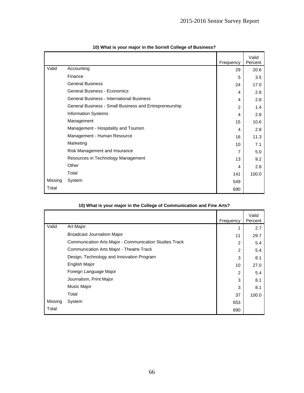|         |                                                        | Frequency      | Valid<br>Percent |
|---------|--------------------------------------------------------|----------------|------------------|
| Valid   | Accounting                                             | 29             | 20.6             |
|         | Finance                                                | 5              | 3.5              |
|         | <b>General Business</b>                                | 24             | 17.0             |
|         | <b>General Business - Economics</b>                    | 4              | 2.8              |
|         | <b>General Business - International Business</b>       | 4              | 2.8              |
|         | General Business - Small Business and Entrepreneurship | $\overline{2}$ | 1.4              |
|         | <b>Information Systems</b>                             | 4              | 2.8              |
|         | Management                                             | 15             | 10.6             |
|         | Management - Hospitality and Tourism                   | 4              | 2.8              |
|         | Management - Human Resource                            | 16             | 11.3             |
|         | Marketing                                              | 10             | 7.1              |
|         | Risk Management and Insurance                          | $\overline{7}$ | 5.0              |
|         | Resources in Technology Management                     | 13             | 9.2              |
|         | Other                                                  | 4              | 2.8              |
|         | Total                                                  | 141            | 100.0            |
| Missing | System                                                 | 549            |                  |
| Total   |                                                        | 690            |                  |

| 10) What is your major in the Sorrell College of Business? |  |  |  |  |  |  |
|------------------------------------------------------------|--|--|--|--|--|--|
|------------------------------------------------------------|--|--|--|--|--|--|

|         |                                                        | Frequency      | Valid<br>Percent |
|---------|--------------------------------------------------------|----------------|------------------|
| Valid   | Art Major                                              | 1              | 2.7              |
|         | Broadcast Journalism Major                             | 11             | 29.7             |
|         | Communication Arts Major - Communication Studies Track | $\overline{2}$ | 5.4              |
|         | Communication Arts Major - Theatre Track               | $\overline{2}$ | 5.4              |
|         | Design, Technology and Innovation Program              | 3              | 8.1              |
|         | English Major                                          | 10             | 27.0             |
|         | Foreign Language Major                                 | $\overline{2}$ | 5.4              |
|         | Journalism, Print Major                                | 3              | 8.1              |
|         | Music Major                                            | 3              | 8.1              |
|         | Total                                                  | 37             | 100.0            |
| Missing | System                                                 | 653            |                  |
| Total   |                                                        | 690            |                  |

# **10) What is your major in the College of Communication and Fine Arts?**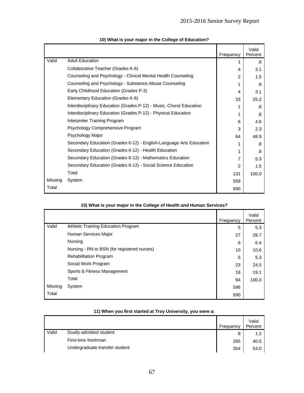|         |                                                                     | Frequency      | Valid<br>Percent |
|---------|---------------------------------------------------------------------|----------------|------------------|
| Valid   | <b>Adult Education</b>                                              | 1              | .8               |
|         | Collaborative Teacher (Grades K-6)                                  | 4              | 3.1              |
|         | Counseling and Psychology - Clinical Mental Health Counseling       | $\overline{2}$ | 1.5              |
|         | Counseling and Psychology - Substance Abuse Counseling              | 1              | .8               |
|         | Early Childhood Education (Grades P-3)                              | 4              | 3.1              |
|         | Elementary Education (Grades K-6)                                   | 33             | 25.2             |
|         | Interdisciplinary Education (Grades P-12) - Music, Choral Education | 1              | .8               |
|         | Interdisciplinary Education (Grades P-12) - Physical Education      | 1              | .8               |
|         | Interpreter Training Program                                        | 6              | 4.6              |
|         | Psychology Comprehensive Program                                    | 3              | 2.3              |
|         | Psychology Major                                                    | 64             | 48.9             |
|         | Secondary Education (Grades 6-12) - English-Language Arts Education | 1              | .8               |
|         | Secondary Education (Grades 6-12) - Health Education                | 1              | .8               |
|         | Secondary Education (Grades 6-12) - Mathematics Education           | 7              | 5.3              |
|         | Secondary Education (Grades 6-12) - Social Science Education        | $\mathfrak{p}$ | 1.5              |
|         | Total                                                               | 131            | 100.0            |
| Missing | System                                                              | 559            |                  |
| Total   |                                                                     | 690            |                  |

### **10) What is your major in the College of Education?**

|         |                                             | Frequency | Valid<br>Percent |
|---------|---------------------------------------------|-----------|------------------|
| Valid   | Athletic Training Education Program         | 5         | 5.3              |
|         | Human Services Major                        | 27        | 28.7             |
|         | Nursing                                     | 6         | 6.4              |
|         | Nursing - RN to BSN (for registered nurses) | 10        | 10.6             |
|         | <b>Rehabilitation Program</b>               | 5         | 5.3              |
|         | Social Work Program                         | 23        | 24.5             |
|         | Sports & Fitness Management                 | 18        | 19.1             |
|         | Total                                       | 94        | 100.0            |
| Missing | System                                      | 596       |                  |
| Total   |                                             | 690       |                  |

# **10) What is your major in the College of Health and Human Services?**

|       |                                | Frequency | Valid<br>Percent |
|-------|--------------------------------|-----------|------------------|
| Valid | Dually-admitted student        | 8         | 1.2              |
|       | First-time freshman            | 265       | 40.5             |
|       | Undergraduate transfer student | 354       | 54.0             |

# **11) When you first started at Troy University, you were a:**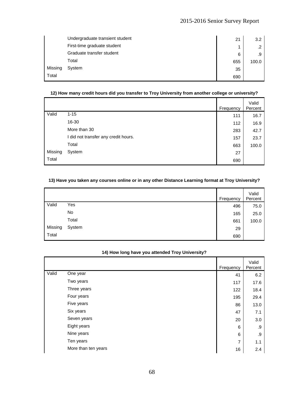|         | Undergraduate transient student | 21  | 3.2   |
|---------|---------------------------------|-----|-------|
|         | First-time graduate student     | 1   |       |
|         | Graduate transfer student       | 6   | .9    |
|         | Total                           | 655 | 100.0 |
| Missing | System                          | 35  |       |
| Total   |                                 | 690 |       |

### **12) How many credit hours did you transfer to Troy University from another college or university?**

|         |                                      | Frequency | Valid<br>Percent |
|---------|--------------------------------------|-----------|------------------|
| Valid   | $1 - 15$                             | 111       | 16.7             |
|         | 16-30                                | 112       | 16.9             |
|         | More than 30                         | 283       | 42.7             |
|         | I did not transfer any credit hours. | 157       | 23.7             |
|         | Total                                | 663       | 100.0            |
| Missing | System                               | 27        |                  |
| Total   |                                      | 690       |                  |

# **13) Have you taken any courses online or in any other Distance Learning format at Troy University?**

|         |        | Frequency | Valid<br>Percent |
|---------|--------|-----------|------------------|
| Valid   | Yes    | 496       | 75.0             |
|         | No     | 165       | 25.0             |
|         | Total  | 661       | 100.0            |
| Missing | System | 29        |                  |
| Total   |        | 690       |                  |

|       |                     | Frequency | Valid<br>Percent |
|-------|---------------------|-----------|------------------|
| Valid | One year            | 41        | 6.2              |
|       | Two years           | 117       | 17.6             |
|       | Three years         | 122       | 18.4             |
|       | Four years          | 195       | 29.4             |
|       | Five years          | 86        | 13.0             |
|       | Six years           | 47        | 7.1              |
|       | Seven years         | 20        | 3.0              |
|       | Eight years         | 6         | .9               |
|       | Nine years          | 6         | .9               |
|       | Ten years           | 7         | 1.1              |
|       | More than ten years | 16        | 2.4              |

# **14) How long have you attended Troy University?**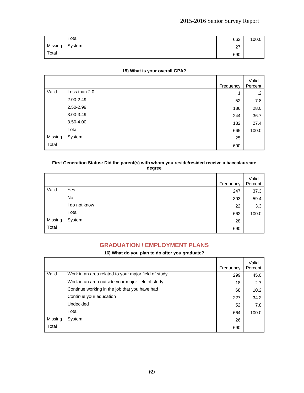|         | Total  | 663 | 100.0 |
|---------|--------|-----|-------|
| Missing | System | 27  |       |
| Total   |        | 690 |       |

### **15) What is your overall GPA?**

|         |               | Frequency | Valid<br>Percent |
|---------|---------------|-----------|------------------|
| Valid   | Less than 2.0 | 1         | .2               |
|         | 2.00-2.49     | 52        | 7.8              |
|         | 2.50-2.99     | 186       | 28.0             |
|         | 3.00-3.49     | 244       | 36.7             |
|         | 3.50-4.00     | 182       | 27.4             |
|         | Total         | 665       | 100.0            |
| Missing | System        | 25        |                  |
| Total   |               | 690       |                  |

#### **First Generation Status: Did the parent(s) with whom you reside/resided receive a baccalaureate degree**

| . .<br>×<br>۰,<br>٠<br>٩<br>$\sim$ |
|------------------------------------|
|                                    |

|         |               | Frequency | Valid<br>Percent |
|---------|---------------|-----------|------------------|
| Valid   | Yes           | 247       | 37.3             |
|         | No            | 393       | 59.4             |
|         | I do not know | 22        | 3.3              |
|         | Total         | 662       | 100.0            |
| Missing | System        | 28        |                  |
| Total   |               | 690       |                  |

# **GRADUATION / EMPLOYMENT PLANS**

### **16) What do you plan to do after you graduate?**

|         |                                                      | Frequency | Valid<br>Percent |
|---------|------------------------------------------------------|-----------|------------------|
| Valid   | Work in an area related to your major field of study | 299       | 45.0             |
|         | Work in an area outside your major field of study    | 18        | 2.7              |
|         | Continue working in the job that you have had        | 68        | 10.2             |
|         | Continue your education                              | 227       | 34.2             |
|         | Undecided                                            | 52        | 7.8              |
|         | Total                                                | 664       | 100.0            |
| Missing | System                                               | 26        |                  |
| Total   |                                                      | 690       |                  |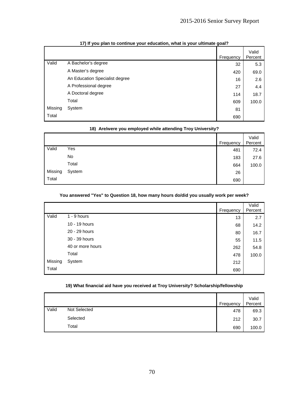|         |                                | Frequency | Valid<br>Percent |
|---------|--------------------------------|-----------|------------------|
| Valid   | A Bachelor's degree            | 32        | 5.3              |
|         | A Master's degree              | 420       | 69.0             |
|         | An Education Specialist degree | 16        | 2.6              |
|         | A Professional degree          | 27        | 4.4              |
|         | A Doctoral degree              | 114       | 18.7             |
|         | Total                          | 609       | 100.0            |
| Missing | System                         | 81        |                  |
| Total   |                                | 690       |                  |

### **17) If you plan to continue your education, what is your ultimate goal?**

|         | To) Are/were you employed while attending Troy University? |           |                  |  |
|---------|------------------------------------------------------------|-----------|------------------|--|
|         |                                                            | Frequency | Valid<br>Percent |  |
| Valid   | Yes                                                        | 481       | 72.4             |  |
|         | No                                                         | 183       | 27.6             |  |
|         | Total                                                      | 664       | 100.0            |  |
| Missing | System                                                     | 26        |                  |  |
| Total   |                                                            | 690       |                  |  |

# **18) Are/were you employed while attending Troy University?**

### **You answered "Yes" to Question 18, how many hours do/did you usually work per week?**

|         |                  | Frequency | Valid<br>Percent |
|---------|------------------|-----------|------------------|
|         |                  |           |                  |
| Valid   | $1 - 9$ hours    | 13        | 2.7              |
|         | 10 - 19 hours    | 68        | 14.2             |
|         | 20 - 29 hours    | 80        | 16.7             |
|         | 30 - 39 hours    | 55        | 11.5             |
|         | 40 or more hours | 262       | 54.8             |
|         | Total            | 478       | 100.0            |
| Missing | System           | 212       |                  |
| Total   |                  | 690       |                  |

### **19) What financial aid have you received at Troy University? Scholarship/fellowship**

|       |                     | Frequency | Valid<br>Percent |
|-------|---------------------|-----------|------------------|
| Valid | <b>Not Selected</b> | 478       | 69.3             |
|       | Selected            | 212       | 30.7             |
|       | Total               | 690       | 100.0            |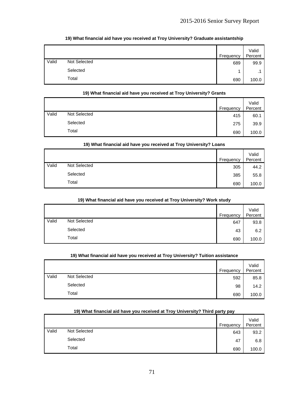|       |              | Frequency | Valid<br>Percent |
|-------|--------------|-----------|------------------|
| Valid | Not Selected | 689       | 99.9             |
|       | Selected     | и         |                  |
|       | Total        | 690       | 100.0            |

### **19) What financial aid have you received at Troy University? Graduate assistantship**

# **19) What financial aid have you received at Troy University? Grants**

|       |              | Frequency | Valid<br>Percent |
|-------|--------------|-----------|------------------|
| Valid | Not Selected | 415       | 60.1             |
|       | Selected     | 275       | 39.9             |
|       | Total        | 690       | 100.0            |

### **19) What financial aid have you received at Troy University? Loans**

|       |              | Frequency | Valid<br>Percent |
|-------|--------------|-----------|------------------|
| Valid | Not Selected | 305       | 44.2             |
|       | Selected     | 385       | 55.8             |
|       | Total        | 690       | 100.0            |

#### **19) What financial aid have you received at Troy University? Work study**

|       |              | Frequency | Valid<br>Percent |
|-------|--------------|-----------|------------------|
| Valid | Not Selected | 647       | 93.8             |
|       | Selected     | 43        | 6.2              |
|       | Total        | 690       | 100.0            |

### **19) What financial aid have you received at Troy University? Tuition assistance**

|       |              | Frequency | Valid<br>Percent |
|-------|--------------|-----------|------------------|
| Valid | Not Selected | 592       | 85.8             |
|       | Selected     | 98        | 14.2             |
|       | Total        | 690       | 100.0            |

# Frequency Valid **Percent** Valid Not Selected 643 93.2 Selected  $47$  6.8  $\begin{array}{|c|c|c|c|c|c|c|c|c|} \hline \text{Total} & & & \text{690} & 100.0 \ \hline \end{array}$

### **19) What financial aid have you received at Troy University? Third party pay**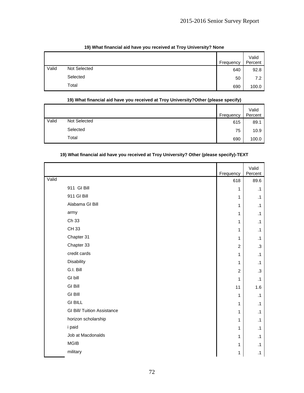|       | . .<br>. .<br>. .<br>. . |           |                  |
|-------|--------------------------|-----------|------------------|
|       |                          | Frequency | Valid<br>Percent |
| Valid | Not Selected             | 640       | 92.8             |
|       | Selected                 | 50        | 7.2              |
|       | Total                    | 690       | 100.0            |

### **19) What financial aid have you received at Troy University? None**

### **19) What financial aid have you received at Troy University?Other (please specify)**  Not Selected Frequency<br>Not Selected 615 Valid Percent Valid Not Selected 615 89.1 Selected 75 10.9  $\begin{array}{|c|c|c|c|c|c|}\hline \text{Total} & & \text{690} & \text{100.0} \ \hline \end{array}$

### **19) What financial aid have you received at Troy University? Other (please specify)-TEXT**

|       |                                    | Frequency      | Valid<br>Percent |
|-------|------------------------------------|----------------|------------------|
| Valid |                                    | 618            | 89.6             |
|       | 911 GI Bill                        | $\mathbf{1}$   | $\cdot$ 1        |
|       | 911 GI Bill                        | $\mathbf{1}$   | $\cdot$ 1        |
|       | Alabama GI Bill                    | $\mathbf{1}$   | $\cdot$ 1        |
|       | army                               | 1              | $\cdot$ 1        |
|       | Ch 33                              | 1              | $\cdot$ 1        |
|       | CH 33                              | 1              | $\cdot$ 1        |
|       | Chapter 31                         | $\mathbf{1}$   | $\cdot$ 1        |
|       | Chapter 33                         | $\overline{c}$ | $\cdot$ 3        |
|       | credit cards                       | $\mathbf{1}$   | $\cdot$ 1        |
|       | Disability                         | 1              | $\cdot$ 1        |
|       | G.I. Bill                          | $\overline{2}$ | .3               |
|       | GI bill                            | $\mathbf{1}$   | $\cdot$ 1        |
|       | <b>GI Bill</b>                     | 11             | 1.6              |
|       | <b>GI BIII</b>                     | $\mathbf{1}$   | $\cdot$ 1        |
|       | <b>GI BILL</b>                     | $\mathbf{1}$   | $\cdot$ 1        |
|       | <b>GI Bill/ Tuition Assistance</b> | $\mathbf{1}$   | $\cdot$ 1        |
|       | horizon scholarship                | 1              | $\cdot$ 1        |
|       | i paid                             | 1              | $\cdot$ 1        |
|       | Job at Macdonalds                  | $\mathbf{1}$   | $\cdot$ 1        |
|       | <b>MGIB</b>                        | $\mathbf{1}$   | $\cdot$ 1        |
|       | military                           | 1              | $\cdot$ 1        |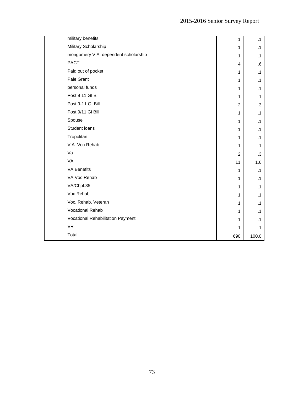| military benefits                    | 1              | $\cdot$ 1 |
|--------------------------------------|----------------|-----------|
| Military Scholarship                 | 1              | $\cdot$ 1 |
| mongomery V.A. dependent scholarship | $\mathbf{1}$   | $\cdot$ 1 |
| <b>PACT</b>                          | 4              | 6.6       |
| Paid out of pocket                   | $\mathbf{1}$   | $\cdot$ 1 |
| Pale Grant                           | $\mathbf{1}$   | $\cdot$ 1 |
| personal funds                       | $\mathbf{1}$   | $\cdot$ 1 |
| Post 9 11 GI Bill                    | $\mathbf{1}$   | $\cdot$ 1 |
| Post 9-11 GI Bill                    | $\overline{2}$ | $\cdot$ 3 |
| Post 9/11 Gi Bill                    | $\mathbf{1}$   | $\cdot$ 1 |
| Spouse                               | $\mathbf{1}$   | $\cdot$ 1 |
| Student loans                        | $\mathbf{1}$   | $\cdot$ 1 |
| Tropolitan                           | $\mathbf{1}$   | $\cdot$ 1 |
| V.A. Voc Rehab                       | $\mathbf{1}$   | $\cdot$ 1 |
| Va                                   | $\overline{2}$ | $.3\,$    |
| VA                                   | 11             | 1.6       |
| <b>VA Benefits</b>                   | $\mathbf{1}$   | $\cdot$ 1 |
| VA Voc Rehab                         | $\mathbf{1}$   | $\cdot$ 1 |
| VA/Chpt.35                           | $\mathbf{1}$   | $\cdot$ 1 |
| Voc Rehab                            | $\mathbf{1}$   | $\cdot$ 1 |
| Voc. Rehab. Veteran                  | $\mathbf{1}$   | $\cdot$ 1 |
| <b>Vocational Rehab</b>              | $\mathbf{1}$   | $\cdot$ 1 |
| Vocational Rehabilitation Payment    | $\mathbf{1}$   | $\cdot$ 1 |
| <b>VR</b>                            | 1              | $\cdot$ 1 |
| Total                                | 690            | 100.0     |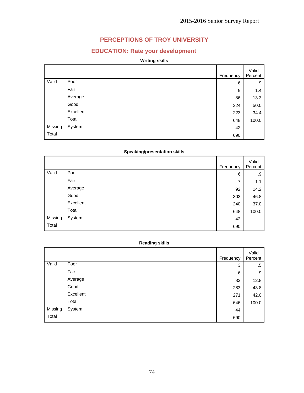# **PERCEPTIONS OF TROY UNIVERSITY**

# **EDUCATION: Rate your development**

### **Writing skills**

|         |           | Frequency | Valid<br>Percent |
|---------|-----------|-----------|------------------|
| Valid   | Poor      | 6         | .9               |
|         | Fair      | 9         | 1.4              |
|         | Average   | 86        | 13.3             |
|         | Good      | 324       | 50.0             |
|         | Excellent | 223       | 34.4             |
|         | Total     | 648       | 100.0            |
| Missing | System    | 42        |                  |
| Total   |           | 690       |                  |

## **Speaking/presentation skills**

|         |           | Frequency | Valid<br>Percent |
|---------|-----------|-----------|------------------|
| Valid   | Poor      | 6         | .9               |
|         | Fair      | 7         | 1.1              |
|         | Average   | 92        | 14.2             |
|         | Good      | 303       | 46.8             |
|         | Excellent | 240       | 37.0             |
|         | Total     | 648       | 100.0            |
| Missing | System    | 42        |                  |
| Total   |           | 690       |                  |

### **Reading skills**

|         |           | Frequency | Valid<br>Percent |
|---------|-----------|-----------|------------------|
| Valid   | Poor      | 3         | .5               |
|         | Fair      | 6         | .9               |
|         | Average   | 83        | 12.8             |
|         | Good      | 283       | 43.8             |
|         | Excellent | 271       | 42.0             |
|         | Total     | 646       | 100.0            |
| Missing | System    | 44        |                  |
| Total   |           | 690       |                  |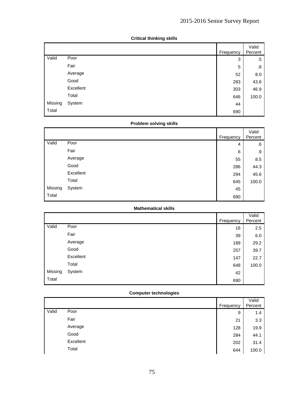|         |           | Frequency | Valid<br>Percent |
|---------|-----------|-----------|------------------|
| Valid   | Poor      | 3         | .5               |
|         | Fair      | 5         | .8               |
|         | Average   | 52        | 8.0              |
|         | Good      | 283       | 43.8             |
|         | Excellent | 303       | 46.9             |
|         | Total     | 646       | 100.0            |
| Missing | System    | 44        |                  |
| Total   |           | 690       |                  |

### **Critical thinking skills**

### **Problem solving skills**

|         |           | Frequency | Valid<br>Percent |
|---------|-----------|-----------|------------------|
| Valid   | Poor      | 4         | .6               |
|         | Fair      | 6         | .9               |
|         | Average   | 55        | 8.5              |
|         | Good      | 286       | 44.3             |
|         | Excellent | 294       | 45.6             |
|         | Total     | 645       | 100.0            |
| Missing | System    | 45        |                  |
| Total   |           | 690       |                  |

### **Mathematical skills**

|         |           |           | Valid   |
|---------|-----------|-----------|---------|
|         |           | Frequency | Percent |
| Valid   | Poor      | 16        | 2.5     |
|         | Fair      | 39        | 6.0     |
|         | Average   | 189       | 29.2    |
|         | Good      | 257       | 39.7    |
|         | Excellent | 147       | 22.7    |
|         | Total     | 648       | 100.0   |
| Missing | System    | 42        |         |
| Total   |           | 690       |         |

## **Computer technologies**

|       |           | Frequency | Valid<br>Percent |
|-------|-----------|-----------|------------------|
| Valid | Poor      | 9         | 1.4              |
|       | Fair      | 21        | 3.3              |
|       | Average   | 128       | 19.9             |
|       | Good      | 284       | 44.1             |
|       | Excellent | 202       | 31.4             |
|       | Total     | 644       | 100.0            |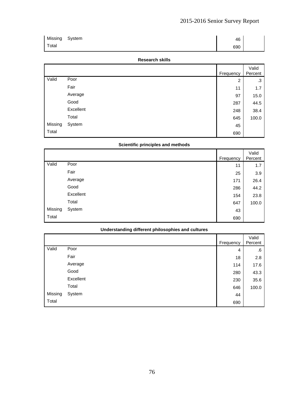| Missing System | 46  |  |
|----------------|-----|--|
| Total          | 690 |  |

#### **Research skills**

|         |           | Frequency      | Valid<br>Percent |
|---------|-----------|----------------|------------------|
| Valid   | Poor      | $\overline{c}$ | .3               |
|         | Fair      | 11             | 1.7              |
|         | Average   | 97             | 15.0             |
|         | Good      | 287            | 44.5             |
|         | Excellent | 248            | 38.4             |
|         | Total     | 645            | 100.0            |
| Missing | System    | 45             |                  |
| Total   |           | 690            |                  |

### **Scientific principles and methods**

|         |           | Frequency | Valid<br>Percent |
|---------|-----------|-----------|------------------|
| Valid   | Poor      | 11        | 1.7              |
|         | Fair      | 25        | 3.9              |
|         | Average   | 171       | 26.4             |
|         | Good      | 286       | 44.2             |
|         | Excellent | 154       | 23.8             |
|         | Total     | 647       | 100.0            |
| Missing | System    | 43        |                  |
| Total   |           | 690       |                  |

### **Understanding different philosophies and cultures**

|         |           | Frequency | Valid<br>Percent |
|---------|-----------|-----------|------------------|
| Valid   | Poor      | 4         | .6               |
|         | Fair      | 18        | 2.8              |
|         | Average   | 114       | 17.6             |
|         | Good      | 280       | 43.3             |
|         | Excellent | 230       | 35.6             |
|         | Total     | 646       | 100.0            |
| Missing | System    | 44        |                  |
| Total   |           | 690       |                  |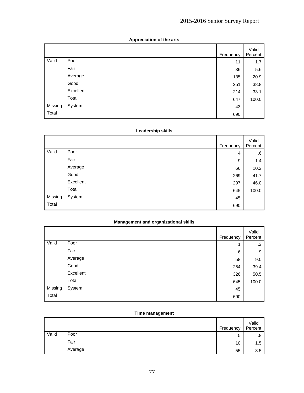|         |           | Frequency | Valid<br>Percent |
|---------|-----------|-----------|------------------|
| Valid   | Poor      | 11        | 1.7              |
|         | Fair      | 36        | 5.6              |
|         | Average   | 135       | 20.9             |
|         | Good      | 251       | 38.8             |
|         | Excellent | 214       | 33.1             |
|         | Total     | 647       | 100.0            |
| Missing | System    | 43        |                  |
| Total   |           | 690       |                  |

#### **Appreciation of the arts**

### **Leadership skills**

|         |           | Frequency | Valid<br>Percent |
|---------|-----------|-----------|------------------|
| Valid   | Poor      | 4         | .6               |
|         | Fair      | 9         | 1.4              |
|         | Average   | 66        | 10.2             |
|         | Good      | 269       | 41.7             |
|         | Excellent | 297       | 46.0             |
|         | Total     | 645       | 100.0            |
| Missing | System    | 45        |                  |
| Total   |           | 690       |                  |

### **Management and organizational skills**

|         |           | Frequency | Valid<br>Percent |
|---------|-----------|-----------|------------------|
| Valid   | Poor      | 1         | $\cdot$          |
|         | Fair      | 6         | .9               |
|         | Average   | 58        | 9.0              |
|         | Good      | 254       | 39.4             |
|         | Excellent | 326       | 50.5             |
|         | Total     | 645       | 100.0            |
| Missing | System    | 45        |                  |
| Total   |           | 690       |                  |

#### **Time management**

|       |         | Frequency | Valid<br>Percent |
|-------|---------|-----------|------------------|
| Valid | Poor    | 5         | .8               |
|       | Fair    | 10        | 1.5              |
|       | Average | 55        | 8.5              |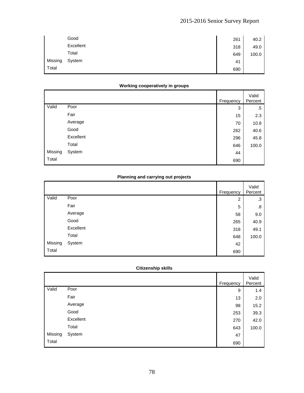|         | Good      | 261 | 40.2  |
|---------|-----------|-----|-------|
|         | Excellent | 318 | 49.0  |
|         | Total     | 649 | 100.0 |
| Missing | System    | 41  |       |
| Total   |           | 690 |       |

### **Working cooperatively in groups**

|         |           | Frequency | Valid<br>Percent |
|---------|-----------|-----------|------------------|
| Valid   | Poor      | 3         | .5               |
|         | Fair      | 15        | 2.3              |
|         | Average   | 70        | 10.8             |
|         | Good      | 262       | 40.6             |
|         | Excellent | 296       | 45.8             |
|         | Total     | 646       | 100.0            |
| Missing | System    | 44        |                  |
| Total   |           | 690       |                  |

## **Planning and carrying out projects**

|         |           | Frequency      | Valid<br>Percent |
|---------|-----------|----------------|------------------|
| Valid   | Poor      | $\overline{c}$ | .3               |
|         | Fair      | 5              | .8               |
|         | Average   | 58             | 9.0              |
|         | Good      | 265            | 40.9             |
|         | Excellent | 318            | 49.1             |
|         | Total     | 648            | 100.0            |
| Missing | System    | 42             |                  |
| Total   |           | 690            |                  |

## **Citizenship skills**

|         |           | Frequency | Valid<br>Percent |
|---------|-----------|-----------|------------------|
| Valid   | Poor      | 9         | 1.4              |
|         | Fair      | 13        | 2.0              |
|         | Average   | 98        | 15.2             |
|         | Good      | 253       | 39.3             |
|         | Excellent | 270       | 42.0             |
|         | Total     | 643       | 100.0            |
| Missing | System    | 47        |                  |
| Total   |           | 690       |                  |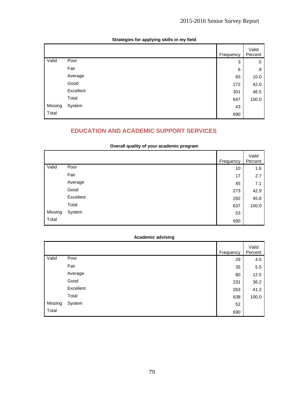|         |           | Frequency | Valid<br>Percent |
|---------|-----------|-----------|------------------|
| Valid   | Poor      | 3         | .5               |
|         | Fair      | 6         | .9               |
|         | Average   | 65        | 10.0             |
|         | Good      | 272       | 42.0             |
|         | Excellent | 301       | 46.5             |
|         | Total     | 647       | 100.0            |
| Missing | System    | 43        |                  |
| Total   |           | 690       |                  |

# **Strategies for applying skills in my field**

# **EDUCATION AND ACADEMIC SUPPORT SERVICES**

|         | Overall quality of your academic program |           |                  |
|---------|------------------------------------------|-----------|------------------|
|         |                                          | Frequency | Valid<br>Percent |
| Valid   | Poor                                     | 10        | 1.6              |
|         | Fair                                     | 17        | 2.7              |
|         | Average                                  | 45        | 7.1              |
|         | Good                                     | 273       | 42.9             |
|         | Excellent                                | 292       | 45.8             |
|         | Total                                    | 637       | 100.0            |
| Missing | System                                   | 53        |                  |
| Total   |                                          | 690       |                  |

### **Overall quality of your academic program**

### **Academic advising**

|         |           | Frequency | Valid<br>Percent |
|---------|-----------|-----------|------------------|
| Valid   | Poor      | 29        | 4.5              |
|         | Fair      | 35        | 5.5              |
|         | Average   | 80        | 12.5             |
|         | Good      | 231       | 36.2             |
|         | Excellent | 263       | 41.2             |
|         | Total     | 638       | 100.0            |
| Missing | System    | 52        |                  |
| Total   |           | 690       |                  |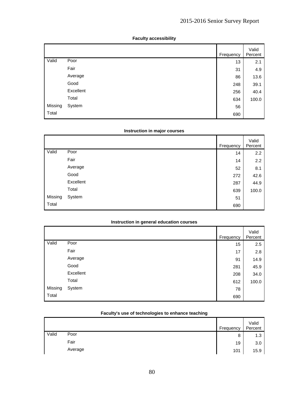|         |           | Frequency | Valid<br>Percent |
|---------|-----------|-----------|------------------|
| Valid   | Poor      | 13        | 2.1              |
|         | Fair      | 31        | 4.9              |
|         | Average   | 86        | 13.6             |
|         | Good      | 248       | 39.1             |
|         | Excellent | 256       | 40.4             |
|         | Total     | 634       | 100.0            |
| Missing | System    | 56        |                  |
| Total   |           | 690       |                  |

## **Faculty accessibility**

### **Instruction in major courses**

|         |           | Frequency | Valid<br>Percent |
|---------|-----------|-----------|------------------|
| Valid   | Poor      | 14        | 2.2              |
|         | Fair      | 14        | 2.2              |
|         | Average   | 52        | 8.1              |
|         | Good      | 272       | 42.6             |
|         | Excellent | 287       | 44.9             |
|         | Total     | 639       | 100.0            |
| Missing | System    | 51        |                  |
| Total   |           | 690       |                  |

#### **Instruction in general education courses**

|         |           | Frequency | Valid<br>Percent |
|---------|-----------|-----------|------------------|
| Valid   | Poor      | 15        | 2.5              |
|         | Fair      | 17        | 2.8              |
|         | Average   | 91        | 14.9             |
|         | Good      | 281       | 45.9             |
|         | Excellent | 208       | 34.0             |
|         | Total     | 612       | 100.0            |
| Missing | System    | 78        |                  |
| Total   |           | 690       |                  |

### **Faculty's use of technologies to enhance teaching**

|       |         | Frequency | Valid<br>Percent |
|-------|---------|-----------|------------------|
| Valid | Poor    | 8         | 1.3              |
|       | Fair    | 19        | 3.0              |
|       | Average | 101       | 15.9             |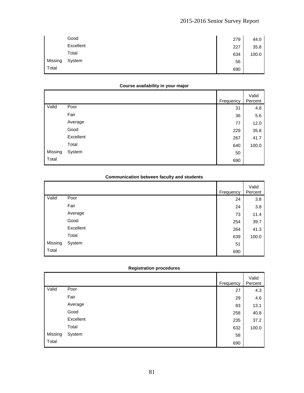|         | Good      | 279 | 44.0  |
|---------|-----------|-----|-------|
|         | Excellent | 227 | 35.8  |
|         | Total     | 634 | 100.0 |
| Missing | System    | 56  |       |
| Total   |           | 690 |       |

### **Course availability in your major**

|         |           | Frequency | Valid<br>Percent |
|---------|-----------|-----------|------------------|
| Valid   | Poor      | 31        | 4.8              |
|         | Fair      | 36        | 5.6              |
|         | Average   | 77        | 12.0             |
|         | Good      | 229       | 35.8             |
|         | Excellent | 267       | 41.7             |
|         | Total     | 640       | 100.0            |
| Missing | System    | 50        |                  |
| Total   |           | 690       |                  |

### **Communication between faculty and students**

|         |           | Frequency | Valid<br>Percent |
|---------|-----------|-----------|------------------|
| Valid   | Poor      | 24        | 3.8              |
|         | Fair      | 24        | 3.8              |
|         | Average   | 73        | 11.4             |
|         | Good      | 254       | 39.7             |
|         | Excellent | 264       | 41.3             |
|         | Total     | 639       | 100.0            |
| Missing | System    | 51        |                  |
| Total   |           | 690       |                  |

#### **Registration procedures**

|         |           | Frequency | Valid<br>Percent |
|---------|-----------|-----------|------------------|
| Valid   | Poor      | 27        | 4.3              |
|         | Fair      | 29        | 4.6              |
|         | Average   | 83        | 13.1             |
|         | Good      | 258       | 40.8             |
|         | Excellent | 235       | 37.2             |
|         | Total     | 632       | 100.0            |
| Missing | System    | 58        |                  |
| Total   |           | 690       |                  |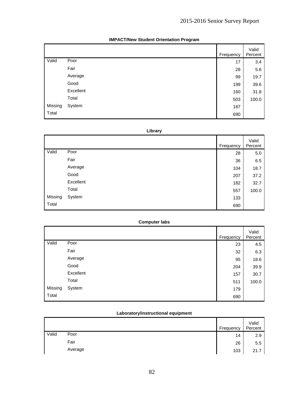|         |           | Frequency | Valid<br>Percent |
|---------|-----------|-----------|------------------|
| Valid   | Poor      | 17        | 3.4              |
|         | Fair      | 28        | 5.6              |
|         | Average   | 99        | 19.7             |
|         | Good      | 199       | 39.6             |
|         | Excellent | 160       | 31.8             |
|         | Total     | 503       | 100.0            |
| Missing | System    | 187       |                  |
| Total   |           | 690       |                  |

### **IMPACT/New Student Orientation Program**

### **Library**

|         |           | Frequency | Valid<br>Percent |
|---------|-----------|-----------|------------------|
| Valid   | Poor      | 28        | $5.0$            |
|         | Fair      | 36        | 6.5              |
|         | Average   | 104       | 18.7             |
|         | Good      | 207       | 37.2             |
|         | Excellent | 182       | 32.7             |
|         | Total     | 557       | 100.0            |
| Missing | System    | 133       |                  |
| Total   |           | 690       |                  |

| <b>Computer labs</b> |  |
|----------------------|--|
|----------------------|--|

|         |           | Frequency | Valid<br>Percent |
|---------|-----------|-----------|------------------|
| Valid   | Poor      | 23        | 4.5              |
|         | Fair      | 32        | 6.3              |
|         | Average   | 95        | 18.6             |
|         | Good      | 204       | 39.9             |
|         | Excellent | 157       | 30.7             |
|         | Total     | 511       | 100.0            |
| Missing | System    | 179       |                  |
| Total   |           | 690       |                  |

### **Laboratory/instructional equipment**

|       |         | Frequency | Valid<br>Percent |
|-------|---------|-----------|------------------|
| Valid | Poor    | 14        | 2.9              |
|       | Fair    | 26        | 5.5              |
|       | Average | 103       | 21.7             |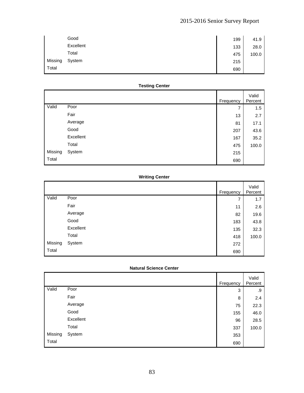|         | Good      | 199 | 41.9  |
|---------|-----------|-----|-------|
|         | Excellent | 133 | 28.0  |
|         | Total     | 475 | 100.0 |
| Missing | System    | 215 |       |
| Total   |           | 690 |       |

## **Testing Center**

|         |           | Frequency | Valid<br>Percent |
|---------|-----------|-----------|------------------|
| Valid   | Poor      | 7         | 1.5              |
|         | Fair      | 13        | 2.7              |
|         | Average   | 81        | 17.1             |
|         | Good      | 207       | 43.6             |
|         | Excellent | 167       | 35.2             |
|         | Total     | 475       | 100.0            |
| Missing | System    | 215       |                  |
| Total   |           | 690       |                  |

### **Writing Center**

|         |           | Frequency | Valid<br>Percent |
|---------|-----------|-----------|------------------|
| Valid   | Poor      | 7         | 1.7              |
|         | Fair      | 11        | 2.6              |
|         | Average   | 82        | 19.6             |
|         | Good      | 183       | 43.8             |
|         | Excellent | 135       | 32.3             |
|         | Total     | 418       | 100.0            |
| Missing | System    | 272       |                  |
| Total   |           | 690       |                  |

### **Natural Science Center**

|         |           | Frequency | Valid<br>Percent |
|---------|-----------|-----------|------------------|
| Valid   | Poor      | 3         | .9               |
|         | Fair      | 8         | 2.4              |
|         | Average   | 75        | 22.3             |
|         | Good      | 155       | 46.0             |
|         | Excellent | 96        | 28.5             |
|         | Total     | 337       | 100.0            |
| Missing | System    | 353       |                  |
| Total   |           | 690       |                  |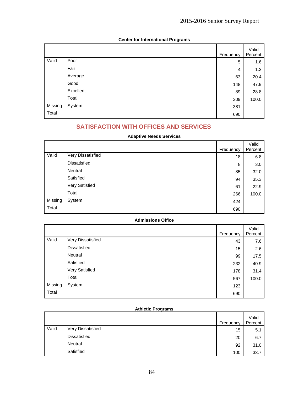|         |           | Frequency | Valid<br>Percent |
|---------|-----------|-----------|------------------|
| Valid   | Poor      | 5         | 1.6              |
|         | Fair      | 4         | 1.3              |
|         | Average   | 63        | 20.4             |
|         | Good      | 148       | 47.9             |
|         | Excellent | 89        | 28.8             |
|         | Total     | 309       | 100.0            |
| Missing | System    | 381       |                  |
| Total   |           | 690       |                  |

### **Center for International Programs**

# **SATISFACTION WITH OFFICES AND SERVICES**

### **Adaptive Needs Services**

|         |                     |           | Valid   |
|---------|---------------------|-----------|---------|
|         |                     | Frequency | Percent |
| Valid   | Very Dissatisfied   | 18        | 6.8     |
|         | <b>Dissatisfied</b> | 8         | 3.0     |
|         | Neutral             | 85        | 32.0    |
|         | Satisfied           | 94        | 35.3    |
|         | Very Satisfied      | 61        | 22.9    |
|         | Total               | 266       | 100.0   |
| Missing | System              | 424       |         |
| Total   |                     | 690       |         |

### **Admissions Office**

|         |                     | Frequency | Valid<br>Percent |
|---------|---------------------|-----------|------------------|
| Valid   | Very Dissatisfied   | 43        | 7.6              |
|         | <b>Dissatisfied</b> | 15        | 2.6              |
|         | Neutral             | 99        | 17.5             |
|         | Satisfied           | 232       | 40.9             |
|         | Very Satisfied      | 178       | 31.4             |
|         | Total               | 567       | 100.0            |
| Missing | System              | 123       |                  |
| Total   |                     | 690       |                  |

#### **Athletic Programs**

|       |                   | Frequency | Valid<br>Percent |
|-------|-------------------|-----------|------------------|
| Valid | Very Dissatisfied | 15        | 5.1              |
|       | Dissatisfied      | 20        | 6.7              |
|       | Neutral           | 92        | 31.0             |
|       | Satisfied         | 100       | 33.7             |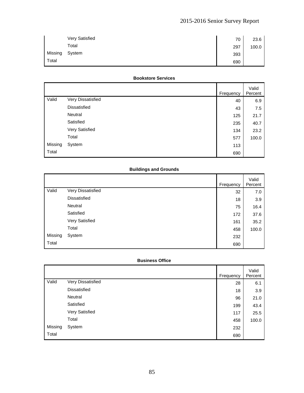|         | Very Satisfied | 70  | 23.6  |
|---------|----------------|-----|-------|
|         | Total          | 297 | 100.0 |
| Missing | System         | 393 |       |
| Total   |                | 690 |       |

#### **Bookstore Services**

|         |                     | Frequency | Valid<br>Percent |
|---------|---------------------|-----------|------------------|
| Valid   | Very Dissatisfied   | 40        | 6.9              |
|         | <b>Dissatisfied</b> | 43        | 7.5              |
|         | Neutral             | 125       | 21.7             |
|         | Satisfied           | 235       | 40.7             |
|         | Very Satisfied      | 134       | 23.2             |
|         | Total               | 577       | 100.0            |
| Missing | System              | 113       |                  |
| Total   |                     | 690       |                  |

### **Buildings and Grounds**

|         |                     | Frequency | Valid<br>Percent |
|---------|---------------------|-----------|------------------|
| Valid   | Very Dissatisfied   | 32        | 7.0              |
|         | <b>Dissatisfied</b> | 18        | 3.9              |
|         | Neutral             | 75        | 16.4             |
|         | Satisfied           | 172       | 37.6             |
|         | Very Satisfied      | 161       | 35.2             |
|         | Total               | 458       | 100.0            |
| Missing | System              | 232       |                  |
| Total   |                     | 690       |                  |

#### **Business Office**

|         |                   | Frequency | Valid<br>Percent |
|---------|-------------------|-----------|------------------|
| Valid   | Very Dissatisfied | 28        | 6.1              |
|         | Dissatisfied      | 18        | 3.9              |
|         | Neutral           | 96        | 21.0             |
|         | Satisfied         | 199       | 43.4             |
|         | Very Satisfied    | 117       | 25.5             |
|         | Total             | 458       | 100.0            |
| Missing | System            | 232       |                  |
| Total   |                   | 690       |                  |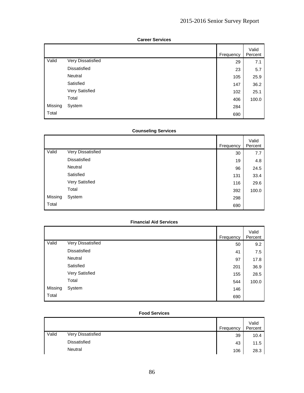|         |                     | Frequency | Valid<br>Percent |
|---------|---------------------|-----------|------------------|
| Valid   | Very Dissatisfied   | 29        | 7.1              |
|         | <b>Dissatisfied</b> | 23        | 5.7              |
|         | Neutral             | 105       | 25.9             |
|         | Satisfied           | 147       | 36.2             |
|         | Very Satisfied      | 102       | 25.1             |
|         | Total               | 406       | 100.0            |
| Missing | System              | 284       |                  |
| Total   |                     | 690       |                  |

#### **Career Services**

### **Counseling Services**

|         |                   | Frequency | Valid<br>Percent |
|---------|-------------------|-----------|------------------|
| Valid   | Very Dissatisfied | 30        | 7.7              |
|         | Dissatisfied      | 19        | 4.8              |
|         | Neutral           | 96        | 24.5             |
|         | Satisfied         | 131       | 33.4             |
|         | Very Satisfied    | 116       | 29.6             |
|         | Total             | 392       | 100.0            |
| Missing | System            | 298       |                  |
| Total   |                   | 690       |                  |

### **Financial Aid Services**

|         |                   | Frequency | Valid<br>Percent |
|---------|-------------------|-----------|------------------|
| Valid   | Very Dissatisfied | 50        | 9.2              |
|         | Dissatisfied      | 41        | 7.5              |
|         | Neutral           | 97        | 17.8             |
|         | Satisfied         | 201       | 36.9             |
|         | Very Satisfied    | 155       | 28.5             |
|         | Total             | 544       | 100.0            |
| Missing | System            | 146       |                  |
| Total   |                   | 690       |                  |

#### **Food Services**

|       |                   | Frequency | Valid<br>Percent |
|-------|-------------------|-----------|------------------|
| Valid | Very Dissatisfied | 39        | 10.4             |
|       | Dissatisfied      | 43        | 11.5             |
|       | Neutral           | 106       | 28.3             |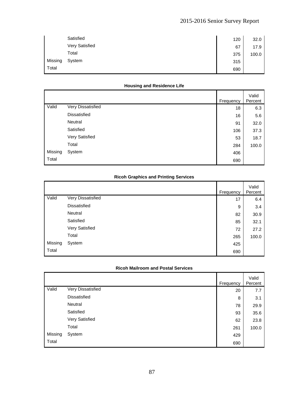|         | Satisfied      | 120 | 32.0  |
|---------|----------------|-----|-------|
|         | Very Satisfied | 67  | 17.9  |
|         | Total          | 375 | 100.0 |
| Missing | System         | 315 |       |
| Total   |                | 690 |       |

### **Housing and Residence Life**

|         |                     | Frequency | Valid<br>Percent |
|---------|---------------------|-----------|------------------|
| Valid   | Very Dissatisfied   | 18        | 6.3              |
|         | <b>Dissatisfied</b> | 16        | 5.6              |
|         | Neutral             | 91        | 32.0             |
|         | Satisfied           | 106       | 37.3             |
|         | Very Satisfied      | 53        | 18.7             |
|         | Total               | 284       | 100.0            |
| Missing | System              | 406       |                  |
| Total   |                     | 690       |                  |

### **Ricoh Graphics and Printing Services**

|         |                     | Frequency | Valid<br>Percent |
|---------|---------------------|-----------|------------------|
| Valid   | Very Dissatisfied   | 17        | 6.4              |
|         | <b>Dissatisfied</b> | 9         | 3.4              |
|         | Neutral             | 82        | 30.9             |
|         | Satisfied           | 85        | 32.1             |
|         | Very Satisfied      | 72        | 27.2             |
|         | Total               | 265       | 100.0            |
| Missing | System              | 425       |                  |
| Total   |                     | 690       |                  |

### **Ricoh Mailroom and Postal Services**

|         |                     | Frequency | Valid<br>Percent |
|---------|---------------------|-----------|------------------|
| Valid   | Very Dissatisfied   | 20        | 7.7              |
|         | <b>Dissatisfied</b> | 8         | 3.1              |
|         | Neutral             | 78        | 29.9             |
|         | Satisfied           | 93        | 35.6             |
|         | Very Satisfied      | 62        | 23.8             |
|         | Total               | 261       | 100.0            |
| Missing | System              | 429       |                  |
| Total   |                     | 690       |                  |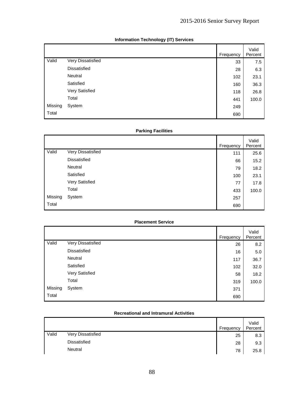|         |                     | Frequency | Valid<br>Percent |
|---------|---------------------|-----------|------------------|
| Valid   | Very Dissatisfied   | 33        | 7.5              |
|         | <b>Dissatisfied</b> | 28        | 6.3              |
|         | Neutral             | 102       | 23.1             |
|         | Satisfied           | 160       | 36.3             |
|         | Very Satisfied      | 118       | 26.8             |
|         | Total               | 441       | 100.0            |
| Missing | System              | 249       |                  |
| Total   |                     | 690       |                  |

### **Information Technology (IT) Services**

### **Parking Facilities**

|         |                   | Frequency | Valid<br>Percent |
|---------|-------------------|-----------|------------------|
| Valid   | Very Dissatisfied | 111       | 25.6             |
|         | Dissatisfied      | 66        | 15.2             |
|         | Neutral           | 79        | 18.2             |
|         | Satisfied         | 100       | 23.1             |
|         | Very Satisfied    | 77        | 17.8             |
|         | Total             | 433       | 100.0            |
| Missing | System            | 257       |                  |
| Total   |                   | 690       |                  |

#### **Placement Service**

|         |                   | Frequency | Valid<br>Percent |
|---------|-------------------|-----------|------------------|
| Valid   | Very Dissatisfied | 26        | 8.2              |
|         | Dissatisfied      | 16        | 5.0              |
|         | Neutral           | 117       | 36.7             |
|         | Satisfied         | 102       | 32.0             |
|         | Very Satisfied    | 58        | 18.2             |
|         | Total             | 319       | 100.0            |
| Missing | System            | 371       |                  |
| Total   |                   | 690       |                  |

#### **Recreational and Intramural Activities**

|       |                   | Frequency | Valid<br>Percent |
|-------|-------------------|-----------|------------------|
| Valid | Very Dissatisfied | 25        | 8.3              |
|       | Dissatisfied      | 28        | 9.3              |
|       | Neutral           | 78        | 25.8             |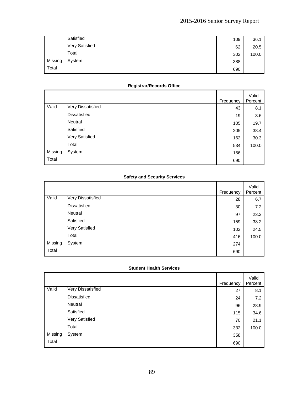|         | Satisfied      | 109 | 36.1  |
|---------|----------------|-----|-------|
|         | Very Satisfied | 62  | 20.5  |
|         | Total          | 302 | 100.0 |
| Missing | System         | 388 |       |
| Total   |                | 690 |       |

### **Registrar/Records Office**

|         |                     | Frequency | Valid<br>Percent |
|---------|---------------------|-----------|------------------|
| Valid   | Very Dissatisfied   | 43        | 8.1              |
|         | <b>Dissatisfied</b> | 19        | 3.6              |
|         | Neutral             | 105       | 19.7             |
|         | Satisfied           | 205       | 38.4             |
|         | Very Satisfied      | 162       | 30.3             |
|         | Total               | 534       | 100.0            |
| Missing | System              | 156       |                  |
| Total   |                     | 690       |                  |

#### **Safety and Security Services**

|         |                     | Frequency | Valid<br>Percent |
|---------|---------------------|-----------|------------------|
| Valid   | Very Dissatisfied   | 28        | 6.7              |
|         | <b>Dissatisfied</b> | 30        | 7.2              |
|         | Neutral             | 97        | 23.3             |
|         | Satisfied           | 159       | 38.2             |
|         | Very Satisfied      | 102       | 24.5             |
|         | Total               | 416       | 100.0            |
| Missing | System              | 274       |                  |
| Total   |                     | 690       |                  |

### **Student Health Services**

|         |                     | Frequency | Valid<br>Percent |
|---------|---------------------|-----------|------------------|
| Valid   | Very Dissatisfied   | 27        | 8.1              |
|         | <b>Dissatisfied</b> | 24        | 7.2              |
|         | Neutral             | 96        | 28.9             |
|         | Satisfied           | 115       | 34.6             |
|         | Very Satisfied      | 70        | 21.1             |
|         | Total               | 332       | 100.0            |
| Missing | System              | 358       |                  |
| Total   |                     | 690       |                  |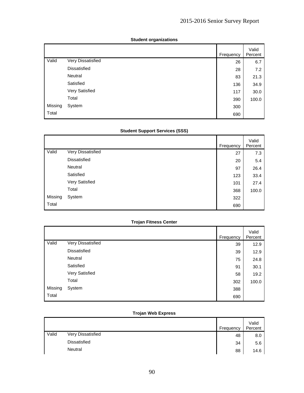|         |                     | Frequency | Valid<br>Percent |
|---------|---------------------|-----------|------------------|
| Valid   | Very Dissatisfied   | 26        | 6.7              |
|         | <b>Dissatisfied</b> | 28        | 7.2              |
|         | Neutral             | 83        | 21.3             |
|         | Satisfied           | 136       | 34.9             |
|         | Very Satisfied      | 117       | 30.0             |
|         | Total               | 390       | 100.0            |
| Missing | System              | 300       |                  |
| Total   |                     | 690       |                  |

#### **Student organizations**

### **Student Support Services (SSS)**

|         |                   | Frequency | Valid<br>Percent |
|---------|-------------------|-----------|------------------|
| Valid   | Very Dissatisfied | 27        | 7.3              |
|         | Dissatisfied      | 20        | 5.4              |
|         | Neutral           | 97        | 26.4             |
|         | Satisfied         | 123       | 33.4             |
|         | Very Satisfied    | 101       | 27.4             |
|         | Total             | 368       | 100.0            |
| Missing | System            | 322       |                  |
| Total   |                   | 690       |                  |

### **Trojan Fitness Center**

|         |                   | Frequency | Valid<br>Percent |
|---------|-------------------|-----------|------------------|
| Valid   | Very Dissatisfied | 39        | 12.9             |
|         | Dissatisfied      | 39        | 12.9             |
|         | Neutral           | 75        | 24.8             |
|         | Satisfied         | 91        | 30.1             |
|         | Very Satisfied    | 58        | 19.2             |
|         | Total             | 302       | 100.0            |
| Missing | System            | 388       |                  |
| Total   |                   | 690       |                  |

### **Trojan Web Express**

|       |                     | Frequency | Valid<br>Percent |
|-------|---------------------|-----------|------------------|
| Valid | Very Dissatisfied   | 48        | 8.0              |
|       | <b>Dissatisfied</b> | 34        | 5.6              |
|       | Neutral             | 88        | 14.6             |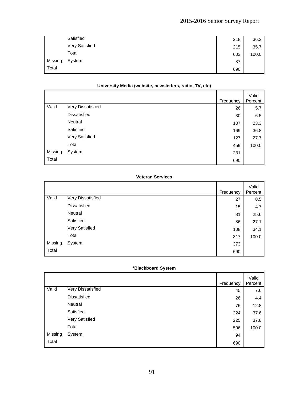|         | Satisfied      | 218 | 36.2  |
|---------|----------------|-----|-------|
|         | Very Satisfied | 215 | 35.7  |
|         | Total          | 603 | 100.0 |
| Missing | System         | 87  |       |
| Total   |                | 690 |       |

#### **University Media (website, newsletters, radio, TV, etc)**

|         |                     | Frequency | Valid<br>Percent |
|---------|---------------------|-----------|------------------|
| Valid   | Very Dissatisfied   | 26        | 5.7              |
|         | <b>Dissatisfied</b> | 30        | 6.5              |
|         | Neutral             | 107       | 23.3             |
|         | Satisfied           | 169       | 36.8             |
|         | Very Satisfied      | 127       | 27.7             |
|         | Total               | 459       | 100.0            |
| Missing | System              | 231       |                  |
| Total   |                     | 690       |                  |

#### **Veteran Services**

|         |                   | Frequency | Valid<br>Percent |
|---------|-------------------|-----------|------------------|
| Valid   | Very Dissatisfied | 27        | 8.5              |
|         | Dissatisfied      | 15        | 4.7              |
|         | Neutral           | 81        | 25.6             |
|         | Satisfied         | 86        | 27.1             |
|         | Very Satisfied    | 108       | 34.1             |
|         | Total             | 317       | 100.0            |
| Missing | System            | 373       |                  |
| Total   |                   | 690       |                  |

#### **\*Blackboard System**

|         |                   | Frequency | Valid<br>Percent |
|---------|-------------------|-----------|------------------|
| Valid   | Very Dissatisfied | 45        | 7.6              |
|         | Dissatisfied      | 26        | 4.4              |
|         | Neutral           | 76        | 12.8             |
|         | Satisfied         | 224       | 37.6             |
|         | Very Satisfied    | 225       | 37.8             |
|         | Total             | 596       | 100.0            |
| Missing | System            | 94        |                  |
| Total   |                   | 690       |                  |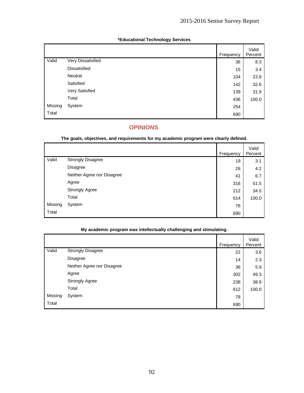|         |                     | Frequency | Valid<br>Percent |
|---------|---------------------|-----------|------------------|
| Valid   | Very Dissatisfied   | 36        | 8.3              |
|         | <b>Dissatisfied</b> | 15        | 3.4              |
|         | Neutral             | 104       | 23.9             |
|         | Satisfied           | 142       | 32.6             |
|         | Very Satisfied      | 139       | 31.9             |
|         | Total               | 436       | 100.0            |
| Missing | System              | 254       |                  |
| Total   |                     | 690       |                  |

### **\*Educational Technology Services**

# **OPINIONS**

#### **The goals, objectives, and requirements for my academic program were clearly defined.**

|         |                            | Frequency | Valid<br>Percent |
|---------|----------------------------|-----------|------------------|
| Valid   | <b>Strongly Disagree</b>   | 19        | 3.1              |
|         | <b>Disagree</b>            | 26        | 4.2              |
|         | Neither Agree nor Disagree | 41        | 6.7              |
|         | Agree                      | 316       | 51.5             |
|         | <b>Strongly Agree</b>      | 212       | 34.5             |
|         | Total                      | 614       | 100.0            |
| Missing | System                     | 76        |                  |
| Total   |                            | 690       |                  |

### **My academic program was intellectually challenging and stimulating.**

|         |                            | Frequency | Valid<br>Percent |
|---------|----------------------------|-----------|------------------|
| Valid   | <b>Strongly Disagree</b>   | 22        | 3.6              |
|         | Disagree                   | 14        | 2.3              |
|         | Neither Agree nor Disagree | 36        | 5.9              |
|         | Agree                      | 302       | 49.3             |
|         | <b>Strongly Agree</b>      | 238       | 38.9             |
|         | Total                      | 612       | 100.0            |
| Missing | System                     | 78        |                  |
| Total   |                            | 690       |                  |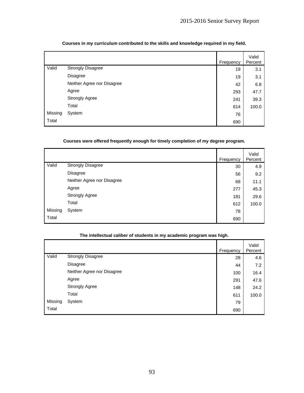|         |                            | Frequency | Valid<br>Percent |
|---------|----------------------------|-----------|------------------|
| Valid   | <b>Strongly Disagree</b>   | 19        | 3.1              |
|         | Disagree                   | 19        | 3.1              |
|         | Neither Agree nor Disagree | 42        | 6.8              |
|         | Agree                      | 293       | 47.7             |
|         | <b>Strongly Agree</b>      | 241       | 39.3             |
|         | Total                      | 614       | 100.0            |
| Missing | System                     | 76        |                  |
| Total   |                            | 690       |                  |

### **Courses in my curriculum contributed to the skills and knowledge required in my field.**

### **Courses were offered frequently enough for timely completion of my degree program.**

|         |                            | Frequency | Valid<br>Percent |
|---------|----------------------------|-----------|------------------|
| Valid   | <b>Strongly Disagree</b>   | 30        | 4.9              |
|         | Disagree                   | 56        | 9.2              |
|         | Neither Agree nor Disagree | 68        | 11.1             |
|         | Agree                      | 277       | 45.3             |
|         | <b>Strongly Agree</b>      | 181       | 29.6             |
|         | Total                      | 612       | 100.0            |
| Missing | System                     | 78        |                  |
| Total   |                            | 690       |                  |

|         |                            | Frequency | Valid<br>Percent |
|---------|----------------------------|-----------|------------------|
| Valid   | <b>Strongly Disagree</b>   | 28        | 4.6              |
|         | <b>Disagree</b>            | 44        | 7.2              |
|         | Neither Agree nor Disagree | 100       | 16.4             |
|         | Agree                      | 291       | 47.6             |
|         | <b>Strongly Agree</b>      | 148       | 24.2             |
|         | Total                      | 611       | 100.0            |
| Missing | System                     | 79        |                  |
| Total   |                            | 690       |                  |

#### **The intellectual caliber of students in my academic program was high.**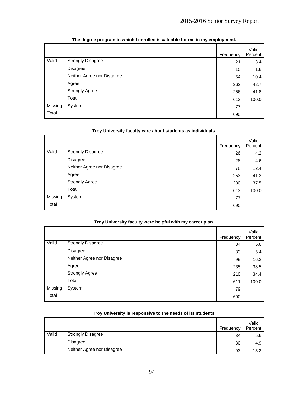|         |                            | Frequency | Valid<br>Percent |
|---------|----------------------------|-----------|------------------|
| Valid   | <b>Strongly Disagree</b>   | 21        | 3.4              |
|         | <b>Disagree</b>            | 10        | 1.6              |
|         | Neither Agree nor Disagree | 64        | 10.4             |
|         | Agree                      | 262       | 42.7             |
|         | <b>Strongly Agree</b>      | 256       | 41.8             |
|         | Total                      | 613       | 100.0            |
| Missing | System                     | 77        |                  |
| Total   |                            | 690       |                  |

### **The degree program in which I enrolled is valuable for me in my employment.**

|         | Troy University faculty care about students as individuals. |           |                  |  |
|---------|-------------------------------------------------------------|-----------|------------------|--|
|         |                                                             | Frequency | Valid<br>Percent |  |
| Valid   | <b>Strongly Disagree</b>                                    | 26        | 4.2              |  |
|         | <b>Disagree</b>                                             | 28        | 4.6              |  |
|         | Neither Agree nor Disagree                                  | 76        | 12.4             |  |
|         | Agree                                                       | 253       | 41.3             |  |
|         | <b>Strongly Agree</b>                                       | 230       | 37.5             |  |
|         | Total                                                       | 613       | 100.0            |  |
| Missing | System                                                      | 77        |                  |  |
| Total   |                                                             | 690       |                  |  |

#### **Troy University faculty care about students as individuals.**

#### **Troy University faculty were helpful with my career plan.**

|         |                            | Frequency | Valid<br>Percent |
|---------|----------------------------|-----------|------------------|
| Valid   | <b>Strongly Disagree</b>   | 34        | 5.6              |
|         | Disagree                   | 33        | 5.4              |
|         | Neither Agree nor Disagree | 99        | 16.2             |
|         | Agree                      | 235       | 38.5             |
|         | <b>Strongly Agree</b>      | 210       | 34.4             |
|         | Total                      | 611       | 100.0            |
| Missing | System                     | 79        |                  |
| Total   |                            | 690       |                  |

|       |                            | Frequency | Valid<br>Percent |
|-------|----------------------------|-----------|------------------|
| Valid | <b>Strongly Disagree</b>   | 34        | 5.6              |
|       | <b>Disagree</b>            | 30        | 4.9              |
|       | Neither Agree nor Disagree | 93        | 15.2             |

#### **Troy University is responsive to the needs of its students.**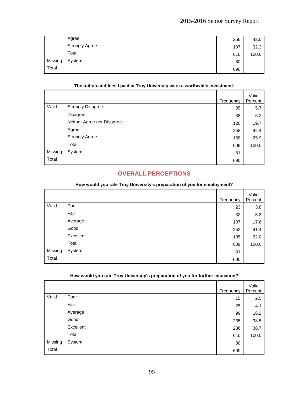|         | Agree                 | 256 | 42.0  |
|---------|-----------------------|-----|-------|
|         | <b>Strongly Agree</b> | 197 | 32.3  |
|         | Total                 | 610 | 100.0 |
| Missing | System                | 80  |       |
| Total   |                       | 690 |       |

#### **The tuition and fees I paid at Troy University were a worthwhile investment.**

|         |                            | Frequency | Valid<br>Percent |
|---------|----------------------------|-----------|------------------|
| Valid   | <b>Strongly Disagree</b>   | 35        | 5.7              |
|         | Disagree                   | 38        | 6.2              |
|         | Neither Agree nor Disagree | 120       | 19.7             |
|         | Agree                      | 258       | 42.4             |
|         | <b>Strongly Agree</b>      | 158       | 25.9             |
|         | Total                      | 609       | 100.0            |
| Missing | System                     | 81        |                  |
| Total   |                            | 690       |                  |

### **OVERALL PERCEPTIONS**

|         |           | Frequency | Valid<br>Percent |
|---------|-----------|-----------|------------------|
| Valid   | Poor      | 23        | 3.8              |
|         | Fair      | 32        | 5.3              |
|         | Average   | 107       | 17.6             |
|         | Good      | 252       | 41.4             |
|         | Excellent | 195       | 32.0             |
|         | Total     | 609       | 100.0            |
| Missing | System    | 81        |                  |
| Total   |           | 690       |                  |
|         |           |           |                  |

#### **How would you rate Troy University's preparation of you for employment?**

|       |         | Frequency | Valid<br>Percent |
|-------|---------|-----------|------------------|
| Valid | Poor    | 15        | 2.5              |
|       | Fair    | 25        | 4.1              |
|       | Average | 99        | 16.2             |

 $\begin{array}{|c|c|c|c|c|c|c|c|c|} \hline \text{Good} & & & & & & & \text{235} & 38.5 \ \hline \end{array}$ Excellent  $236 \begin{array}{|c|c|c|c|c|} \hline \end{array}$  236 38.7 Total 610 | 100.0

### **How would you rate Troy University's preparation of you for further education?**

Missing System 80 Total 690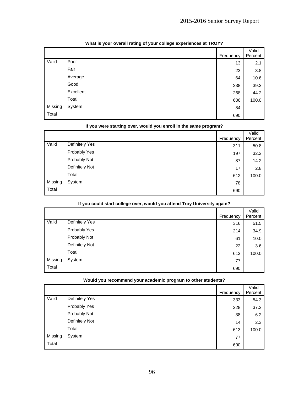|         |           | Frequency | Valid<br>Percent |
|---------|-----------|-----------|------------------|
| Valid   | Poor      | 13        | 2.1              |
|         | Fair      | 23        | 3.8              |
|         | Average   | 64        | 10.6             |
|         | Good      | 238       | 39.3             |
|         | Excellent | 268       | 44.2             |
|         | Total     | 606       | 100.0            |
| Missing | System    | 84        |                  |
| Total   |           | 690       |                  |

#### **What is your overall rating of your college experiences at TROY?**

|         | If you were starting over, would you enroll in the same program? |           |         |  |
|---------|------------------------------------------------------------------|-----------|---------|--|
|         |                                                                  |           | Valid   |  |
|         |                                                                  | Frequency | Percent |  |
| Valid   | Definitely Yes                                                   | 311       | 50.8    |  |
|         | Probably Yes                                                     | 197       | 32.2    |  |
|         | Probably Not                                                     | 87        | 14.2    |  |
|         | Definitely Not                                                   | 17        | 2.8     |  |
|         | Total                                                            | 612       | 100.0   |  |
| Missing | System                                                           | 78        |         |  |
| Total   |                                                                  | 690       |         |  |

# **If you could start college over, would you attend Troy University again?**

|         | jen eemin einii eessega etel, stema jen niiesin tiej eisteleitj agasti |           |                  |
|---------|------------------------------------------------------------------------|-----------|------------------|
|         |                                                                        | Frequency | Valid<br>Percent |
| Valid   | Definitely Yes                                                         | 316       | 51.5             |
|         | Probably Yes                                                           | 214       | 34.9             |
|         | Probably Not                                                           | 61        | 10.0             |
|         | Definitely Not                                                         | 22        | 3.6              |
|         | Total                                                                  | 613       | 100.0            |
| Missing | System                                                                 | 77        |                  |
| Total   |                                                                        | 690       |                  |

#### **Would you recommend your academic program to other students?**

|         |                | Frequency | Valid<br>Percent |
|---------|----------------|-----------|------------------|
| Valid   | Definitely Yes | 333       | 54.3             |
|         | Probably Yes   | 228       | 37.2             |
|         | Probably Not   | 38        | 6.2              |
|         | Definitely Not | 14        | 2.3              |
|         | Total          | 613       | 100.0            |
| Missing | System         | 77        |                  |
| Total   |                | 690       |                  |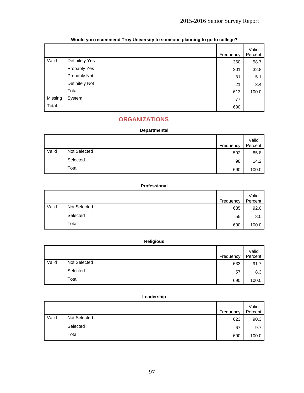|         |                | Frequency | Valid<br>Percent |
|---------|----------------|-----------|------------------|
| Valid   | Definitely Yes | 360       | 58.7             |
|         | Probably Yes   | 201       | 32.8             |
|         | Probably Not   | 31        | 5.1              |
|         | Definitely Not | 21        | 3.4              |
|         | Total          | 613       | 100.0            |
| Missing | System         | 77        |                  |
| Total   |                | 690       |                  |

### **Would you recommend Troy University to someone planning to go to college?**

# **ORGANIZATIONS**

### **Departmental**

|       |              | Frequency | Valid<br>Percent |
|-------|--------------|-----------|------------------|
| Valid | Not Selected | 592       | 85.8             |
|       | Selected     | 98        | 14.2             |
|       | Total        | 690       | 100.0            |

### **Professional**

|       |              | Frequency | Valid<br>Percent |
|-------|--------------|-----------|------------------|
| Valid | Not Selected | 635       | 92.0             |
|       | Selected     | 55        | 8.0              |
|       | Total        | 690       | 100.0            |

### **Religious**

|       |              | Frequency | Valid<br>Percent |
|-------|--------------|-----------|------------------|
| Valid | Not Selected | 633       | 91.7             |
|       | Selected     | 57        | 8.3              |
|       | Total        | 690       | 100.0            |

#### **Leadership**

|       |              | Frequency | Valid<br>Percent |
|-------|--------------|-----------|------------------|
| Valid | Not Selected | 623       | 90.3             |
|       | Selected     | 67        | 9.7              |
|       | Total        | 690       | 100.0            |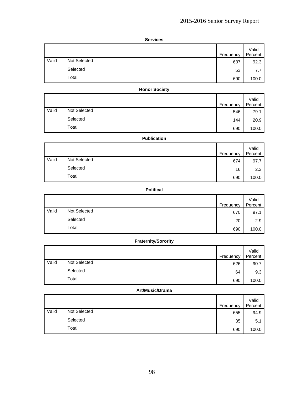| <b>ervices</b> |
|----------------|
|----------------|

|       |              | Frequency | Valid<br>Percent |
|-------|--------------|-----------|------------------|
| Valid | Not Selected | 637       | 92.3             |
|       | Selected     | 53        | 7.7              |
|       | Total        | 690       | 100.0            |

#### **Honor Society**

|       |              | Frequency | Valid<br>Percent |
|-------|--------------|-----------|------------------|
| Valid | Not Selected | 546       | 79.1             |
|       | Selected     | 144       | 20.9             |
|       | Total        | 690       | 100.0            |

### **Publication**

|       |              | Frequency | Valid<br>Percent |
|-------|--------------|-----------|------------------|
| Valid | Not Selected | 674       | 97.7             |
|       | Selected     | 16        | 2.3              |
|       | Total        | 690       | 100.0            |

### **Political**

|       |              | Frequency | Valid<br>Percent |
|-------|--------------|-----------|------------------|
| Valid | Not Selected | 670       | 97.1             |
|       | Selected     | 20        | 2.9              |
|       | Total        | 690       | 100.0            |

## **Fraternity/Sorority**

|       |              | Frequency | Valid<br>Percent |
|-------|--------------|-----------|------------------|
| Valid | Not Selected | 626       | 90.7             |
|       | Selected     | 64        | 9.3              |
|       | Total        | 690       | 100.0            |

#### **Art/Music/Drama**

|       |              | Frequency | Valid<br>Percent |
|-------|--------------|-----------|------------------|
| Valid | Not Selected | 655       | 94.9             |
|       | Selected     | 35        | 5.1              |
|       | Total        | 690       | 100.0            |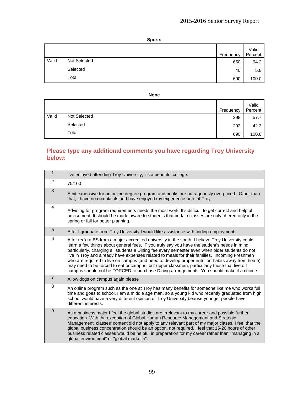| ı<br>г |
|--------|
|--------|

|       |              | Frequency | Valid<br>Percent |
|-------|--------------|-----------|------------------|
| Valid | Not Selected | 650       | 94.2             |
|       | Selected     | 40        | 5.8              |
|       | Total        | 690       | 100.0            |

#### **None**

|       |              | Frequency | Valid<br>Percent |
|-------|--------------|-----------|------------------|
| Valid | Not Selected | 398       | 57.7             |
|       | Selected     | 292       | 42.3             |
|       | Total        | 690       | 100.0            |

### **Please type any additional comments you have regarding Troy University below:**

| 1              | I've enjoyed attending Troy University, it's a beautiful college.                                                                                                                                                                                                                                                                                                                                                                                                                                                                                                                                                                                                                                     |
|----------------|-------------------------------------------------------------------------------------------------------------------------------------------------------------------------------------------------------------------------------------------------------------------------------------------------------------------------------------------------------------------------------------------------------------------------------------------------------------------------------------------------------------------------------------------------------------------------------------------------------------------------------------------------------------------------------------------------------|
| 2              | 75/100                                                                                                                                                                                                                                                                                                                                                                                                                                                                                                                                                                                                                                                                                                |
| 3              | A bit expensive for an online degree program and books are outrageously overpriced. Other than<br>that, I have no complaints and have enjoyed my experience here at Troy.                                                                                                                                                                                                                                                                                                                                                                                                                                                                                                                             |
| 4              | Advising for program requirements needs the most work. It's difficult to get correct and helpful<br>advisement. It should be made aware to students that certain classes are only offered only in the<br>spring or fall for better planning.                                                                                                                                                                                                                                                                                                                                                                                                                                                          |
| 5              | After I graduate from Troy University I would like assistance with finding employment.                                                                                                                                                                                                                                                                                                                                                                                                                                                                                                                                                                                                                |
| 6              | After rec'g a BS from a major accredited university in the south, I believe Troy University could<br>learn a few things about general fees, IF you truly say you have the student's needs in mind;<br>particularly, charging all students a Dining fee every semester even when older students do not<br>live in Troy and already have expenses related to meals for their families. Incoming Freshmen<br>who are required to live on campus (and need to develop proper nutrition habits away from home)<br>may need to be forced to eat oncampus, but upper classmen, particularly those that live off<br>campus should not be FORCED to purchase Dining arrangements. You should make it a choice. |
| $\overline{7}$ | Allow dogs on campus again please                                                                                                                                                                                                                                                                                                                                                                                                                                                                                                                                                                                                                                                                     |
| 8              | An online program such as the one at Troy has many benefits for someone like me who works full<br>time and goes to school. I am a middle age man, so a young kid who recently graduated from high<br>school would have a very different opinion of Troy University beause younger people have<br>different interests.                                                                                                                                                                                                                                                                                                                                                                                 |
| 9              | As a business major I feel the global studies are irrelevant to my career and possible further<br>education. With the exception of Global Human Resource Management and Strategic<br>Management, classes' content did not apply to any relevant part of my major clases. I feel that the<br>global business concentration should be an option, not required. I feel that 15-20 hours of other<br>business related classes would be helpful in preparation for my career rather than "managing in a<br>global environment" or "global marketin".                                                                                                                                                       |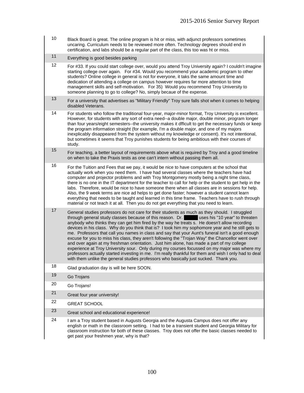- 10 Black Board is great. The online program is hit or miss, with adjunct professors sometimes uncaring. Curriculum needs to be reviewed more often. Technology degrees should end in certification, and labs should be a regular part of the class, this too was ht or miss.
- 11 Everything is good besides parking
- 12 For #33. If you could start college over, would you attend Troy University again? I couldn't imagine starting college over again. For #34. Would you recommend your academic program to other students? Online college in general is not for everyone, it taks the same amount time and dedication of attending a college on campus however requires far more attention to time management skills and self-motivation. For 35) Would you recommend Troy University to someone planning to go to college? No, simply becaue of the expense.
- 13 For a university that advertises as "Military Friendly" Troy sure falls shot when it comes to helping disabled Veterans.
- 14 For students who follow the traditional four-year, major-minor format, Troy University is excellent. However, for students with any sort of extra need--a double major, double minor, program longer than four years/eight semesters--the university makes it dfficult to get the necessary funds or keep the program information straight (for example, I'm a double major, and one of my majors inexplicably disappeared from the system without my knowledge or consent). It's not intentional, but sometimes it seems that Troy punishes students for being ambitious with their courses of study.
- 15 For teaching, a better layout of requirements above what is required by Troy and a good timeline on when to take the Praxis tests as one can't intern without passing them all.
- $16$  For the Tuition and Fees that we pay, it would be nice to have computers at the school that actually work when you need them. I have had several classes where the teachers have had computer and projector problems and with Troy Montgomery mostly being a night time class, there is no one in the IT department for the teacher to call for help or the student to get help in the labs. Therefore, would be nice to have someone there when all classes are in sessions for help. Also, the 9 week terms are nice ad helps to get done faster; however a student cannot learn everything that needs to be taught and learned in this time frame. Teachers have to rush through material or not teach it at all. Then you do not get everything that you need to learn.
- 17 General studies professors do not care for their students as much as they should. I struggled<br>through general study classes because of this reason. Dr. uses his "10 year" to threaten through general study classes because of this reason. Dr. anybody who thinks they can get him fired by the way he treats s. He doesn't allow recording devices in his class. Why do you think that is? I took him my sophomore year and he still gets to me. Professors that call you names in class and say that your Aunt's funeral isn't a good enough excuse for you to miss his class, they aren't following the "Trojan Way" the Chancellor went over and over again at my freshman orientation. Just him alone, has made a part of my college experience at Troy University sour. Only during my courses focussed on my major was where my professors actually started investing in me. I'm really thankful for them and wish I only had to deal with them unlike the general studies professors who basically just sucked. Thank you.
- 18 Glad graduation day is will be here SOON.
- 19 Go Troians
- 20 Go Trojans!
- 21 Great four year university!
- 22 GREAT SCHOOL
- 23 Great school and educational experience!
- $24$  I am a Troy student based in Augusts Georgia and the Augusta Campus does not offer any english or math in the classroom setting. I had to be a transient student and Georgia Military for classroom instruction for both of these classes. Troy does not offer the basic classes needed to get past your freshmen year, why is that?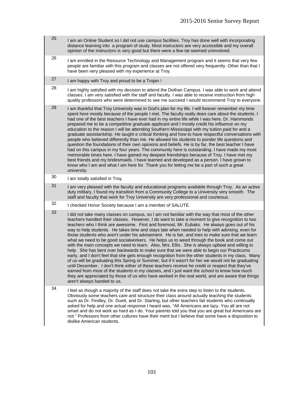- $25$  I am an Online Student so I did not use campus facilities. Troy has done well with incorporating distance learning into a program of study. Most instructors are very accessible and my overall opinion of the instructors is very good but there were a few tat seemed uninvolved.
- 26 I am enrolled in the Resource Technology and Management program and it seems that very few people are familiar with this program and classes are not offered very frequently. Other than that I have been very pleased with my experience at Troy.
- $27$  I am happy with Troy and proud to be a Trojan !
- $28$  I am highly satisfied with my decision to attend the Dothan Campus. I was able to work and attend classes. I am very satisfied with the staff and faculty. I was able to receive instruction from high quality professors who were determined to see me succeed I would recommend Troy to everyone.
- $29$  I am thankful that Troy University was in God's plan for my life. I will forever remember my time spent here mostly because of the people I met. The faculty really does care about the students. I had one of the best teachers I have ever had in my entire life while I was here. Dr. Hammonds prepared me to be a competitive graduate applicant and I mostly credit his influence on my education to the reason I will be attending Southern Mississippi with my tuition paid for and a graduate assistantship. He taught e critical thinking and how to have respectful conversations with people who believed differently than me. He allowed his students to ponder life questions and question the foundations of their own opinions and beliefs. He is by far, the best teacher I have had on this campus in my four years. The community here is outstanding. I have made my most memorable times here. I have gained my deepest friendships because of Troy. I have met my best friends and my bridesmaids. I have learned and developed as a person. I have grown to know who I am and what I am here for. Thank you for letting me be a part of such a great university.
- 30 I am totally satisfied in Troy.
- $31$  I am very pleased with the faculty and educational programs available through Troy. As an active duty military, I found my transition from a Community College to a University very smooth. The staff and faculty that work for Troy University are very professional and courteous.
- 32 I checked Honor Society because I am a member of SALUTE
- $33$  I did not take many classes on campus, so I am not familiar with the way that most of the other teachers handled their classes. However, I do want to take a moment to give recognition to two teachers who I think are awesome. First and foremost, Mr. Eubaks. He always goes out of his way to help students. He takes time and stays late when needed to help with advising, even for those students who aren't under his advisement. He is fair, and tries to make sure that we learn what we need to be good socialworkers. He helps us to weed through the book and come out with the main concepts we need to learn. Also, Mrs. Ellis. She is always upbeat and willing to help. She has bent over backwards to make sure that we were able to begin our Practicums early, and I don't feel that she gets enough recognition from the other students in my class. Many of us will be graduating this Spring or Summer, but if it wasn't for her we would not be graduating until December. I don't think either of these teachers receive he credit or respect that they've earned from most of the students in my classes, and I just want the school to know how much they are appreciated by those of us who have worked in the real world, and are aware that things aren't always handed to us.
- $34$  I feel as though a majority of the staff does not take the extra step to listen to the students. Obviously some teachers care and structure their class around actually teaching the students such as Dr. Findley, Dr. Duett, and Dr. Starling, but other teachers fail students who continually asked for help and one actual response I heard was, "All Americans are lazy. You all are not smart and do not work as hard as I do. Your parents told you that you are great but Americans are not." Professors from other cultures have their merit but I believe that some have a disposition to dislike American students.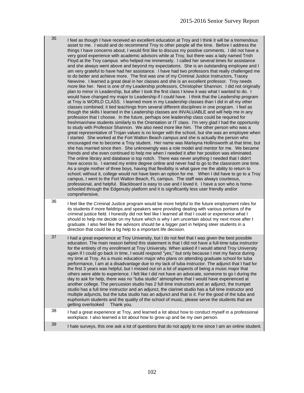$35$  I feel as though I have received an excellent education at Troy and I think it will be a tremendous asset to me. I would and do recommend Troy to other people all the time. Before I address the things I have concerns about, I would first like to discuss my positive comments. I did not have a very good experience with academic advisors while at Troy, but there was a lady named Trish Floyd at the Troy campus who helped me immensely. I called her several times for assistance and she always went above and beyond my expectations. She is an outstanding employee and I am very grateful to have had her assistance. I have had two professors that really challenged me to do better and achieve more. The first was one of my Criminal Justice Instructors, Tracey Newvine. I learned a great deal in her classes and she is an excellent professor. Troy needs more like her. Next is one of my Leadership professors, Christopher Shannon. I did not originally plan to minor in Leadership, but after I took the first class I knew it was what I wanted to do. I would have changed my major to Leadership if I could have. I think that the Leadership program at Troy is WORLD CLASS. I learned more in my Leadership classes than I did in all my other classes combined; it tied teachings from several different disciplines in one program. I feel as though the skills I learned in the Leadership classes are INVALUABLE and will help me in any profession that I choose. In the future, perhaps one leadership class could be required for freshman/new students similarly to the Orientation or IT class. I'm very glad I had the opportunity to study with Professor Shannon. We also need more like him. The other person who was a great representative of Trojan values is no longer with the school, but she was an employee when I started. She worked at the Fort Walton Beach campus and she is actually the person who encouraged me to become a Troy student. Her name was Marlayna Hollinsworth at that time, but she has married since then. She unknowingly was a role model and mentor for me. We became friends and she even continued to help me when I needed it after her position was eliminated. The online library and database is top notch. There was never anything I needed that I didn't have access to. I earned my entire degree online and never had to go to the classroom one time. As a single mother of three boys, having that flexibility is what gave me the ability to return to school; without it, college would not have been an option for me. When I did have to go to a Troy campus, I went to the Fort Walton Beach, FL campus. The staff was always courteous, professional, and helpful. Blackboard is easy to use and I loved it. I have a son who is homeschooled through the Edgenuity platform and it is significantly less user friendly and/or comprehensive. 36 I feel like the Criminal Justice program would be more helpful to the future employment roles for

its students if more fieldtrips and speakers were providing dealing with various portions of the criminal justice field. I honestly did not feel like I learned all that I could or experience what I should to help me decide on my future which is why I am uncertain about my next move after I graduate. I also feel like the advisors should be a bigger part in helping steer students in a direction that could be a bg help to a important life decision.

37 I had a great experience at Troy University, but I do not feel that I was given the best possible education. The main reason behind this statement is that I did not have a full-time tuba instructor for the entirety of my enrollment at Troy University. When asked if I would attend Troy University again if I could go back in time, I would respond "yes," but only because I met my fiance during my time at Troy. As a music education major who plans on attending graduate school for tuba performance, I am at a disadvantage due to my lack of tuba instructor. The adjunct that I had for the first 3 years was helpful, but I missed out on a lot of aspects of being a music major that others were able to experience. I felt like I did not have an advocate, someone to go t during the day to ask for help, there was no "tuba studio" atmosphere that I would have experienced at another college. The percussion studio has 2 full time instructors and an adjunct, the trumpet studio has a full time instructor and an adjunct, the clarinet studio has a full time instructor and multiple adjuncts, but the tuba studio has an adjunct and that is it. For the good of the tuba and euphonium students and the quality of the school of music, please serve the students that are getting overlooked Thank you.

- $38$  I had a great experience at Troy, and learned a lot about how to conduct myself in a professional workplace. I also learned a lot about how to grow up and be my own person.
- 39 I hate surveys, this one ask a lot of questions that do not apply to me since I am an online student.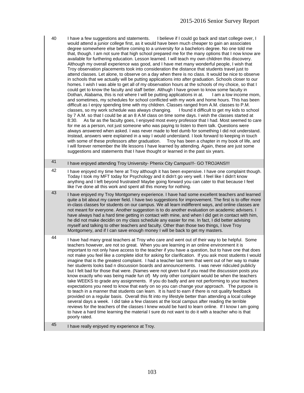- 40 I have a few suggestions and statements. I believe if I could go back and start college over, I would attend a junior college first, as it would have been much cheaper to gain an associates degree somewhere else before coming to a university for a bachelors degree. No one told me that, though. I am not sure that high school prepared me for the many options that I now know are available for furthering education. Lesson learned. I will teach my own children this discovery. Although my overall experience was good, and I have met many wonderful people, I wish that Troy observation placements took into consideration the distance that students travel just to attend classes. Let alone, to observe on a day when there is no class. It would be nice to observe in schools that we actually will be putting applications into after graduation. Schools closer to our homes. I wish I was able to get all of my observation hours at the schools of my choice, so that I could get to know the faculty and staff better. Althugh I have grown to know some faculty in Dothan, Alabama, this is not where I will be putting applications in at. I am a low income mom, and sometimes, my schedules for school conflicted with my work and home hours. This has been difficult as I enjoy spending time with my children. Classes ranged from A.M. classes to P.M. classes, so my work schedule was always changing. I found it difficult to get my kids to school by 7 A.M. so that I could be at an 8 A.M class on time some days. I wish the classes started at 8:30. As far as the faculty goes, I enjoyed most every professor that I had. Most seemed to care for me as a person, not just someone who was paying to listen to them talk. Questions were always answered when asked. I was never made to feel dumb for something I did not understand. Instead, answers were explained in a way I would understand. I look forward to keeping in touch with some of these professors after graduation. Troy has been a chapter in my book of life, and I will forever remember the life lessons I have learned by attending. Again, these are just some suggestions and statements that I have thought or learned in the past six years.
- 41 I have enjoyed attending Troy University- Phenix City Campus!!!- GO TROJANS!!!
- 42 I have enjoyed my time here at Troy although it has been expensive. I have one complaint though. Today I took my MFT today for Psychology and it didn't go very well. I feel like I didn't know anything and I left beyond frustrated! Maybe going forward you can cater to that because I feel like I've done all this work and spent all this money for nothing.
- <sup>43</sup> I have enjoyed my Troy Montgomery experience. I have had some excellent teachers and learned quite a bit about my career field. I have two suggestions for improvement. The first is to offer more in-class classes for students on our campus. We all learn indifferent ways, and online classes are not meant for everyone. Another suggestion is to do another evaluation on academic advisers. I have always had a hard time getting in contact with mine, and when I did get in contact with him, he did not make decidin on my class schedule any easier for me. In fact, I did better advising myself and talking to other teachers and faculty. Other than those two things, I love Troy Montgomery, and if I can save enough money I will be back to get my masters.

44 I have had many great teachers at Troy who care and went out of their way to be helpful. Some teachers however, are not so great. When you are learning in an online environment it is important to not only have access to the teacher if you have a question, but to have one that does not make you feel like a complete idiot for asking for clarification. If you ask most students I would imagine that is the greatest complaint. I had a teacher last term that went out of her way to make her students looks bad n discussion boards and announcements. I was never ridiculed publicly but I felt bad for those that were. (Names were not given but if you read the discussion posts you know exactly who was being made fun of) My only other complaint would be when the teachers take WEEKS to grade any assignments. If you do badly and are not performing to your teachers expectations you need to know that early on so you can change your approach. The purpose is to teach in a manner that students can learn. It is hard to earn if there is not quality feedback provided on a regular basis. Overall this fit into my lifestyle better than attending a local college several days a week. I did take a few classes at the local campus after reading the terrible reviews for the teachers of the classes I knew would be hard to learn online. If I know I am going to have a hard time learning the material I sure do not want to do it with a teacher who is that poorly rated.

45 I have really enjoyed my experience at Troy.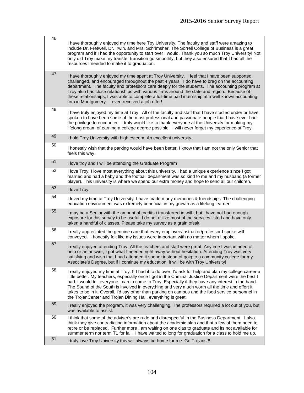| 46 | I have thoroughly enjoyed my time here Toy University. The faculty and staff were amazing to<br>include Dr. Fretwell, Dr. Irwin, and Mrs. Schrimsher. The Sorrell College of Business is a great<br>program and if I had the opportunity to start over I would. Thank you so much Troy University! Not<br>only did Troy make my transfer transition go smoothly, but they also ensured that I had all the<br>resources I needed to make it to graduation.                                                                                                                                        |
|----|--------------------------------------------------------------------------------------------------------------------------------------------------------------------------------------------------------------------------------------------------------------------------------------------------------------------------------------------------------------------------------------------------------------------------------------------------------------------------------------------------------------------------------------------------------------------------------------------------|
| 47 | I have thoroughly enjoyed my time spent at Troy University. I feel that I have been supported,<br>challenged, and encouraged throughout the past 4 years. I do have to brag on the accounting<br>department. The faculty and professors care deeply for the students. The accounting program at<br>Troy also has close relationships with various firms around the state and region. Because of<br>these relationships, I was able to complete a full-time paid internship at a well known accounting<br>firm in Montgomery. I even received a job offer!                                        |
| 48 | I have truly enjoyed my time at Troy. All of the faculty and staff that I have studied under or have<br>spoken to have been some of the most professional and passionate people that I have ever had<br>the privilege to encounter. I truly would like to thank everyone at the University for making my<br>lifelong dream of earning a college degree possible. I will never forget my experience at Troy!                                                                                                                                                                                      |
| 49 | I hold Troy University with high esteem. An excellent university.                                                                                                                                                                                                                                                                                                                                                                                                                                                                                                                                |
| 50 | I honestly wish that the parking would have been better. I know that I am not the only Senior that<br>feels this way.                                                                                                                                                                                                                                                                                                                                                                                                                                                                            |
| 51 | I love troy and I will be attending the Graduate Program                                                                                                                                                                                                                                                                                                                                                                                                                                                                                                                                         |
| 52 | I love Troy, I love most everything about this university. I had a unique experience since I got<br>married and had a baby and the football department was so kind to me and my husband (a former<br>player). This university is where we spend our extra money and hope to send all our children.                                                                                                                                                                                                                                                                                               |
| 53 | I love Troy.                                                                                                                                                                                                                                                                                                                                                                                                                                                                                                                                                                                     |
| 54 | I loved my time at Troy University. I have made many memories & friendships. The challenging<br>education environment was extremely beneficial in my growth as a lifelong learner.                                                                                                                                                                                                                                                                                                                                                                                                               |
| 55 | I may be a Senior with the amount of credits i transferred in with, but i have not had enough<br>exposure for this survey to be useful. I do not utilize most of the services listed and have only<br>taken a handful of classes. Please take my survey as a grain ofsalt.                                                                                                                                                                                                                                                                                                                       |
| 56 | I really appreciated the genuine care that every employee/instructor/professor I spoke with<br>conveyed. I honestly felt like my issues were important with no matter whom I spoke.                                                                                                                                                                                                                                                                                                                                                                                                              |
| 57 | I really enjoyed attending Troy. All the teachers and staff were great. Anytime I was in need of<br>help or an answer, I got what I needed right away without hesitation. Attending Troy was very<br>satisfying and wish that I had attended it sooner instead of goig to a community college for my<br>Associate's Degree, but if I continue my education; it will be with Troy University!                                                                                                                                                                                                     |
| 58 | I really enjoyed my time at Troy. If I had it to do over, I'd ask for help and plan my college career a<br>little better. My teachers, especially once I got in the Criminal Justice Department were the best I<br>had. I would tell everyone I can to come to Troy. Especially if they have any interest in the band.<br>The Sound of the South is involved in everything and very much worth all the time and effort it<br>takes to be in it. Overall, I'd say other than parking on campus and the food service personnel in<br>the TrojanCenter and Trojan Dining Hall, everything is great. |
| 59 | I really enjoyed the program, it was very challenging. The professors required a lot out of you, but<br>was available to assist.                                                                                                                                                                                                                                                                                                                                                                                                                                                                 |
| 60 | I think that some of the adviser's are rude and disrespectful in the Business Department. I also<br>think they give contradicting information about the academic plan and that a few of them need to<br>retire or be replaced. Further more I am waiting on one clas to graduate and its not available for<br>summer term nor term T1 for fall. I have waited to long for graduation for a class to hold me up.                                                                                                                                                                                  |
| 61 | I truly love Troy University this will always be home for me. Go Trojans!!!                                                                                                                                                                                                                                                                                                                                                                                                                                                                                                                      |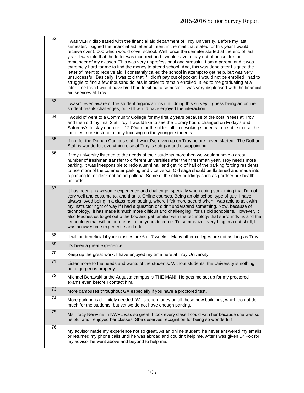| 62 | I was VERY displeased with the financial aid department of Troy University. Before my last<br>semester, I signed the financial aid letter of intent in the mail that stated for this year I would<br>receive over 5,000 which would cover school. Well, once the semeter started at the end of last<br>year, I was told that the letter was incorrect and I would have to pay out of pocket for the<br>remainder of my classes. This was very unprofessional and stressful. I am a parent, and it was<br>extremely hard for me to find the money to attend school. And, this was done after I signed the<br>letter of intent to receive aid. I constantly called the school in attempt to get help, but was very<br>unsuccessful. Basically, I was told that if I didn't pay out of pocket, I would not be enrolled I had to<br>struggle to find a few thousand dollars in order to remain enrolled. It led to me graduating at a<br>later time than I would have b/c I had to sit out a semester. I was very displeased with the financial<br>aid services at Troy. |
|----|----------------------------------------------------------------------------------------------------------------------------------------------------------------------------------------------------------------------------------------------------------------------------------------------------------------------------------------------------------------------------------------------------------------------------------------------------------------------------------------------------------------------------------------------------------------------------------------------------------------------------------------------------------------------------------------------------------------------------------------------------------------------------------------------------------------------------------------------------------------------------------------------------------------------------------------------------------------------------------------------------------------------------------------------------------------------|
| 63 | I wasn't even aware of the student organizations until doing this survey. I guess being an online<br>student has its challenges, but still would have enjoyed the interaction.                                                                                                                                                                                                                                                                                                                                                                                                                                                                                                                                                                                                                                                                                                                                                                                                                                                                                       |
| 64 | I would of went to a Community College for my first 2 years because of the cost in fees at Troy<br>and then did my final 2 at Troy. I would like to see the Library hours changed on Friday's and<br>Saturday's to stay open until 12:00am for the older full time woking students to be able to use the<br>facilities more instead of only focusing on the younger students.                                                                                                                                                                                                                                                                                                                                                                                                                                                                                                                                                                                                                                                                                        |
| 65 | If not for the Dothan Campus staff, I would've given up on Troy before I even started. The Dothan<br>Staff is wonderful, everything else at Troy is sub-par and disappointing.                                                                                                                                                                                                                                                                                                                                                                                                                                                                                                                                                                                                                                                                                                                                                                                                                                                                                       |
| 66 | If troy university listened to the needs of their students more then we wouldnt have a great<br>number of freshman transfer to different universities after their freshman year. Troy needs more<br>parking, it was irresponsible to redo alumni hall and get rid of half of the parking forcing residents<br>to use more of the commuter parking and vice versa. Old saga should be flattened and made into<br>a parking lot or deck not an art galleria. Some of the older buildings such as gardner are health<br>hazards.                                                                                                                                                                                                                                                                                                                                                                                                                                                                                                                                        |
| 67 | It has been an awesome experience and challenge, specially when doing something that I'm not<br>very well and costume to, and that is, Online courses. Being an old school type of guy, I have<br>always loved being in a class room setting, where I felt more securd when I was able to talk with<br>my instructor right of way if I had a question or didn't understand something. Now, because of<br>technology, it has made it much more difficult and challenging for us old schooler's. However, it<br>also teaches us to get out o the box and get familiar with the technology that surrounds us and the<br>technology that will be before us in the years to come. To summarize everything in a nut shell, It<br>was an awesome experience and ride.                                                                                                                                                                                                                                                                                                       |
| 68 | It will be beneficial if your classes are 6 or 7 weeks. Many other colleges are not as long as Troy.                                                                                                                                                                                                                                                                                                                                                                                                                                                                                                                                                                                                                                                                                                                                                                                                                                                                                                                                                                 |
| 69 | It's been a great experience!                                                                                                                                                                                                                                                                                                                                                                                                                                                                                                                                                                                                                                                                                                                                                                                                                                                                                                                                                                                                                                        |
| 70 | Keep up the great work. I have enjoyed my time here at Troy University.                                                                                                                                                                                                                                                                                                                                                                                                                                                                                                                                                                                                                                                                                                                                                                                                                                                                                                                                                                                              |
| 71 | Listen more to the needs and wants of the students. Without students, the University is nothing<br>but a gorgeous property.                                                                                                                                                                                                                                                                                                                                                                                                                                                                                                                                                                                                                                                                                                                                                                                                                                                                                                                                          |
| 72 | Michael Borawski at the Augusta campus is THE MAN!! He gets me set up for my proctored<br>exams even before I contact him.                                                                                                                                                                                                                                                                                                                                                                                                                                                                                                                                                                                                                                                                                                                                                                                                                                                                                                                                           |
| 73 | More campuses throughout GA especially if you have a proctored test.                                                                                                                                                                                                                                                                                                                                                                                                                                                                                                                                                                                                                                                                                                                                                                                                                                                                                                                                                                                                 |
| 74 | More parking is definitely needed. We spend money on all these new buildings, which do not do<br>much for the students, but yet we do not have enough parking.                                                                                                                                                                                                                                                                                                                                                                                                                                                                                                                                                                                                                                                                                                                                                                                                                                                                                                       |
| 75 | Ms Tracy Newvine in NWFL was so great. I took every class I could with her because she was so<br>helpful and I enjoyed her classes! She deserves recognition for being so wonderful!                                                                                                                                                                                                                                                                                                                                                                                                                                                                                                                                                                                                                                                                                                                                                                                                                                                                                 |
| 76 | My advisor made my experience not so great. As an online student, he never answered my emails<br>or returned my phone calls until he was abroad and couldn't help me. After I was given Dr.Fox for<br>my advisor he went above and beyond to help me.                                                                                                                                                                                                                                                                                                                                                                                                                                                                                                                                                                                                                                                                                                                                                                                                                |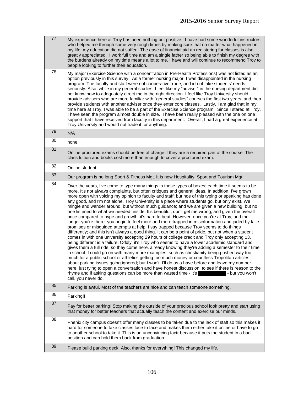| 77 | My experience here at Troy has been nothing but positive. I have had some wonderful instructors<br>who helped me through some very rough times by making sure that no matter what happened in<br>my life, my education did not suffer. The ease of financial aid an registering for classes is also<br>greatly appreciated. I work full time and am a single father so being able to finish my degree with<br>the burdens already on my time means a lot to me. I have and will continue to recommend Troy to<br>people looking to further their education.                                                                                                                                                                                                                                                                                                                                                                                                                                                                                                                                                                                                                                                                                                                                                                                                                                                                                                                                                                                                                                                                                                                                                                                                                                                                                                                                          |
|----|------------------------------------------------------------------------------------------------------------------------------------------------------------------------------------------------------------------------------------------------------------------------------------------------------------------------------------------------------------------------------------------------------------------------------------------------------------------------------------------------------------------------------------------------------------------------------------------------------------------------------------------------------------------------------------------------------------------------------------------------------------------------------------------------------------------------------------------------------------------------------------------------------------------------------------------------------------------------------------------------------------------------------------------------------------------------------------------------------------------------------------------------------------------------------------------------------------------------------------------------------------------------------------------------------------------------------------------------------------------------------------------------------------------------------------------------------------------------------------------------------------------------------------------------------------------------------------------------------------------------------------------------------------------------------------------------------------------------------------------------------------------------------------------------------------------------------------------------------------------------------------------------------|
| 78 | My major (Exercise Science with a concentration in Pre-Health Professions) was not listed as an<br>option previously in this survey. As a former nursing major, I was disappointed in the nursing<br>program. The faculty and staff were not cooperative, rude, and id not take students' needs<br>seriously. Also, while in my general studies, I feel like my "adviser" in the nursing department did<br>not know how to adequately direct me in the right direction. I feel like Troy University should<br>provide advisers who are more familiar with "general studies" courses the first two years, and then<br>provide students with another adviser once they enter core classes. Lastly, I am glad that in my<br>time here at Troy, I was able to be a part of the Exercise Science program. Since I stared at Troy,<br>I have seen the program almost double in size. I have been really pleased with the one on one<br>support that I have received from faculty in this department. Overall, I had a great experience at<br>Troy University and would not trade it for anything.                                                                                                                                                                                                                                                                                                                                                                                                                                                                                                                                                                                                                                                                                                                                                                                                          |
| 79 | N/A                                                                                                                                                                                                                                                                                                                                                                                                                                                                                                                                                                                                                                                                                                                                                                                                                                                                                                                                                                                                                                                                                                                                                                                                                                                                                                                                                                                                                                                                                                                                                                                                                                                                                                                                                                                                                                                                                                  |
| 80 | none                                                                                                                                                                                                                                                                                                                                                                                                                                                                                                                                                                                                                                                                                                                                                                                                                                                                                                                                                                                                                                                                                                                                                                                                                                                                                                                                                                                                                                                                                                                                                                                                                                                                                                                                                                                                                                                                                                 |
| 81 | Online proctored exams should be free of charge if they are a required part of the course. The<br>class tuition and books cost more than enough to cover a proctored exam.                                                                                                                                                                                                                                                                                                                                                                                                                                                                                                                                                                                                                                                                                                                                                                                                                                                                                                                                                                                                                                                                                                                                                                                                                                                                                                                                                                                                                                                                                                                                                                                                                                                                                                                           |
| 82 | Online student                                                                                                                                                                                                                                                                                                                                                                                                                                                                                                                                                                                                                                                                                                                                                                                                                                                                                                                                                                                                                                                                                                                                                                                                                                                                                                                                                                                                                                                                                                                                                                                                                                                                                                                                                                                                                                                                                       |
| 83 | Our program is no long Sport & Fitness Mgt. It is now Hospitality, Sport and Tourism Mgt                                                                                                                                                                                                                                                                                                                                                                                                                                                                                                                                                                                                                                                                                                                                                                                                                                                                                                                                                                                                                                                                                                                                                                                                                                                                                                                                                                                                                                                                                                                                                                                                                                                                                                                                                                                                             |
| 84 | Over the years, I've come to type many things in these types of boxes; each time it seems to be<br>more. It's not always complaints, but often critiques and general ideas. In addition, I've grown<br>more open with voicing my opinion to faculty and staff; but noe of this typing or speaking has done<br>any good, and I'm not alone. Troy University is a place where students go, but only exist. We<br>mingle and wander around, but without much guidance; and we are given a new building, but no<br>one listened to what we needed inside. It's beautiful, don't get me wrong; and given the overall<br>price compared to hype and growth, it's hard to beat. However, once you're at Troy, and the<br>longer you're there, you begin to feel more and more trapped in misinformation and jaded by faile<br>promises or misguided attempts at help. I say trapped because Troy seems to do things<br>differently; and this isn't always a good thing. It can be a point of pride, but not when a student<br>comes in with one university accepting 29 hours of college credit and Troy only accepting 13,<br>being different is a failure. Oddly, it's Troy who seems to have a lower academic standard and<br>gives them a full ride; so they come here, already knowing they're adding a semester to their time<br>in school. I could go on with many more examples, such as christianity being pushed way too<br>much for a public school or athletics getting too much money or countless Tropolitan articles<br>about parking issues going ignored; but I won't. I'll do as a have before and leave my number<br>here, just tying to open a conversation and have honest discussion; to see if there is reason to the<br>rhyme and if asking questions can be more than wasted time - it's states and if asking questions can be more than wasted time - it's<br>call, you never do. |
| 85 | Parking is awful. Most of the teachers are nice and can teach someone something.                                                                                                                                                                                                                                                                                                                                                                                                                                                                                                                                                                                                                                                                                                                                                                                                                                                                                                                                                                                                                                                                                                                                                                                                                                                                                                                                                                                                                                                                                                                                                                                                                                                                                                                                                                                                                     |
| 86 | Parking!!                                                                                                                                                                                                                                                                                                                                                                                                                                                                                                                                                                                                                                                                                                                                                                                                                                                                                                                                                                                                                                                                                                                                                                                                                                                                                                                                                                                                                                                                                                                                                                                                                                                                                                                                                                                                                                                                                            |
| 87 | Pay for better parking! Stop making the outside of your precious school look pretty and start using<br>that money for better teachers that actually teach the content and exercise our minds.                                                                                                                                                                                                                                                                                                                                                                                                                                                                                                                                                                                                                                                                                                                                                                                                                                                                                                                                                                                                                                                                                                                                                                                                                                                                                                                                                                                                                                                                                                                                                                                                                                                                                                        |
| 88 | Phenix city campus doesn't offer many classes to be taken due to the lack of staff so this makes it<br>hard for someone to take classes face to face and makes them either take it online or have to go<br>to another school to take it. This is an unconvincing factr because it puts the student in a bad<br>position and can hold them back from graduation                                                                                                                                                                                                                                                                                                                                                                                                                                                                                                                                                                                                                                                                                                                                                                                                                                                                                                                                                                                                                                                                                                                                                                                                                                                                                                                                                                                                                                                                                                                                       |
| 89 | Please build parking deck. Also, thanks for everything! This changed my life.                                                                                                                                                                                                                                                                                                                                                                                                                                                                                                                                                                                                                                                                                                                                                                                                                                                                                                                                                                                                                                                                                                                                                                                                                                                                                                                                                                                                                                                                                                                                                                                                                                                                                                                                                                                                                        |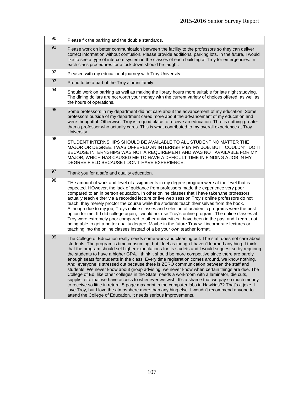- 90 Please fix the parking and the double standards.
- 91 Please work on better communication between the facility to the professors so they can deliver correct information without confusion. Please provide additional parking lots. In the future, I would like to see a type of intercom system in the classes of each building at Troy for emergencies. In each class procedures for a lock down should be taught.
- 92 Pleased with my educational journey with Troy University
- $93$  Proud to be a part of the Troy alumni family.
- 94 Should work on parking as well as making the library hours more suitable for late night studying. The dining dollars are not worth your money with the current variety of choices offered, as well as the hours of operations.
- $95$  Some professors in my department did not care about the advancement of my education. Some professors outside of my department cared more about the advancement of my education and were thoughtful. Otherwise, Troy is a good place to receive an education. Thre is nothing greater than a professor who actually cares. This is what contributed to my overall experience at Troy University.
- 96 STUDENT INTERNSHIPS SHOULD BE AVAILABLE TO ALL STUDENT NO MATTER THE MAJOR OR DEGREE. I WAS OFFERED AN INTERNSHIP BY MY JOB, BUT I COULDN'T DO IT BECAUSE INTERNSHIPS WAS NOT A REQUIREMENT AND WAS NOT AVAILABLE FOR MY MAJOR, WHICH HAS CAUSED ME TO HAVE A DFFICULT TIME IN FINDING A JOB IN MY DEGREE FIELD BECAUSE I DON'T HAVE EXPERIENCE.
- 97 Thank you for a safe and quality education.

98 THe amount of work and level of assignments in my degree program were at the level that is expected. HOwever, the lack of guidance from professors made the experience very poor compared to an in person education. In other online classes that I have taken,the professors actually teach either via a recorded lecture or live web session.Troy's online professors do not teach, they merely proctor the course while the students teach themselves from the book. Although due to my job, Troys online classes and selecion of academic programs were the best option for me, If I did college again, I would not use Troy's online program. The online classes at Troy were extremely poor compared to other universities I have been in the past and I regret not being able to get a better quality degree. Maybe in the future Troy will incorporate lectures or teaching into the online classes instead of a be your own teacher format.

 $99$  The College of Education really needs some work and cleaning out. The staff does not care about students. The program is time consuming, but I feel as though I haven't learned anything. I think that the program should set higher expectations for its studets and I would suggest so by requiring the students to have a higher GPA. I think it should be more competitive since there are barely enough seats for students in the class. Every time registration comes around, we know nothing. And, everyone is stressed out because there is ZERO communication between the staff and students. We never know about group advising, we never know when certain things are due. The College of Ed, like other colleges in the State, needs a workroom with a laminator, die cuts, supplis, etc. that we have access to whenever we wish. It's a shame that we pay so much money to receive so little in return. 5 page max print in the computer labs in Hawkins?? That's a joke. I love Troy, but I love the atmosphere more than anything else. I woudn't recommend anyone to attend the College of Education. It needs serious improvements.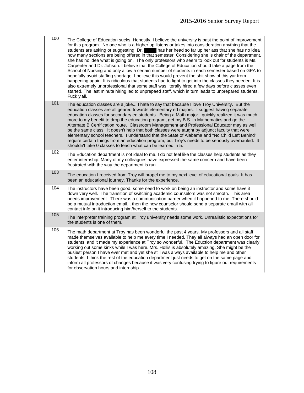- 100 The College of Education sucks. Honestly, I believe the university is past the point of improvement for this program. No one who is a higher up listens or takes into consideration anything that the students are asking or suggesting. Dr.  $\blacksquare$  has her head so far up her ass that she has no idea how many sections are being offered in that semester. Considering she is chair of the department, she has no idea what is going on. The only professors who seem to look out for students is Ms. Carpenter and Dr. Johson. I believe that the College of Education should take a page from the School of Nursing and only allow a certain number of students in each semester based on GPA to hopefully avoid staffing shortage. I believe this would prevent the shit show of this yar from happening again. It is ridiculous that students had to fight to get into the classes they needed. It is also extremely unprofessional that some staff was literally hired a few days before classes even started. The last minute hiring led to unprepaed staff, which in turn leads to unprepared students. Fuck y'all.
- 101 The education classes are a joke... I hate to say that because I love Troy University. But the education classes are all geared towards elementary ed majors. I suggest having separate education classes for secondary ed students. Being a Math major I quickly realized it was much more to my benefit to drop the education program, get my B.S. in Mathematics and go the Alternate B Certification route. Classroom Management and Professional Educator may as well be the same class. It doesn't help that both classes were taught by adjunct faculty that were elementary school teachers. I understand that the State of Alabama and "No Child Left Behind" require certain things from an education program, but Troy's needs to be seriously overhauled. It shouldn't take 0 classes to teach what can be learned in 5.
- 102 The Education department is not ideal to me. I do not feel like the classes help students as they enter internship. Many of my colleagues have expressed the same concern and have been frustrated with the way the department is run.
- 103 The education I received from Troy will propel me to my next level of educational goals. It has been an educational journey. Thanks for the experience.
- 104 The instructors have been good, some need to work on being an instructor and some have it down very well. The transition of switching academic counselors was not smooth. This area needs improvement. There was a communication barrier when it happened to me. There should be a mutual introduction email... then the new counselor should send a separate email with all contact info on it introducing him/herself to the students.
- 105 The interpreter training program at Troy university needs some work. Unrealistic expectations for the students is one of them.
- 106 The math department at Troy has been wonderful the past 4 years. My professors and all staff made themselves available to help me every time I needed. They all always had an open door for students, and it made my experience at Troy so wonderful. The Eduction department was clearly working out some kinks while I was here. Mrs. Hollis is absolutely amazing. She might be the busiest person I have ever met and yet she still was always available to help me and other students. I think the rest of the education department just needs to get on the same page and inform all professors of changes because it was very confusing trying to figure out requirements for observation hours and internship.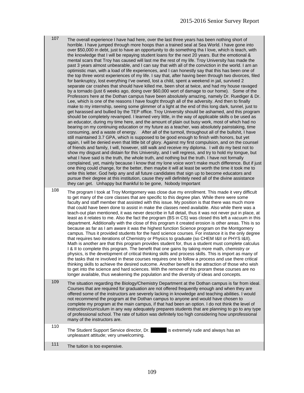107 The overall experience I have had here, over the last three vears has been nothing short of horrible. I have jumped through more hoops than a trained seal at Sea World. I have gone into over \$50,000 in debt, just to have an opportunity to do something tha I love, which is teach, with the knowledge that I will be repaying student loans for the next 20 years. But the emotional & mental scars that Troy has caused will last me the rest of my life. Troy University has made the past 3 years almost unbearable, and I can say that with all of the conviction in the world. I am an optimistic man, with a load of life experiences, and I can honestly say that this has been one of the top three worst experiences of my life. I say that, after having been through two divorces, filed for bankruptcy, lost everything I've owned, lost a child, spent a weekend in jail, survived 2 separate car crashes that should have killed me, been shot at twice, and had my house ravaged by a tornado (just 6 weeks ago, doing over \$60,000 wort of damage to our home). Some of the Professors here at the Dothan campus have been absolutely amazing, namely Dr. Ruediger & Dr. Lee, which is one of the reasons I have fought through all of the adversity. And then to finally make to my internship, seeing some glimmer of a light at the end of this long dark, tunnel, just to get harassed and bullied by the TEP office. Troy University should be ashamed, and this program should be completely revamped. I learned very little, in the way of applicable skills o be used as an educator, during my time here, and the amount of plain out busy work, most of which had no bearing on my continuing education or my future as a teacher, was absolutely painstaking, time consuming, and a waste of energy. After all of the turmoil, throughout all of the bullshit, I have still maintained 3.7 GPA, which is supposed to be good enough to finish with honors, but yet again, I will be denied even that little bit of glory. Against my first compulsion, and on the counsel of friends and family, I will, however, still walk and receive my diploma. I will do my best not to show my disgust and distain for this University, and I will regress, and try to hold my tongue, but what I have said is the truth, the whole truth, and nothing but the truth. I have not formally complained, yet, mainly because I know that my lone voice won't make much difference. But if just one thing could change, for the better, then maybe it will at least be worth the time it took me to write this letter. God help any and all future candidates that sign up to become educators and pursue their degree at this institution, cause they will definitely need all of the divine assistance they can get. Unhappy but thankful to be gone, Nobody Important

108 The program I took at Troy Montgomery was close due my enrollment. This made it very difficult to get many of the core classes that are specific to this degree plan. While there were some faculty and staff member that assisted with this issue. My position is that there was much more that could have been done to assist in make the classes need available. Also while there was a teach-out plan mentioned, it was never describe in full detail, thus it was not never put in place, at least as it relates to me. Also the fact the program (BS in CS) was closed this left a vacuum in this department. Additionally with the close of this program it created erosion is other areas. This is so because as far as I am aware it was the highest function Science program on the Montgomery campus. Thus it provided students for the hard science courses. For instance it is the only degree that requires two iterations of Chemistry or Physics to graduate (so CHEM I&II or PHYS I&II). Math is another are that this program provides student for, thus a student must complete calculus I & II to complete this program. The benefit that one gains by taking more math, chemistry or physics, is the development of critical thinking skills and process skills. This is import as many of the tasks that re involved in these courses requires one to follow a process and use there critical thinking skills to achieve the desired outcome. Another benefit is the attraction of those who wish to get into the science and hard sciences. With the remove of this proram these courses are no longer available, thus weakening the population and the diversity of ideas and concepts.

109 The situation regarding the Biology/Chemistry Department at the Dothan campus is far from ideal. Courses that are required for graduation are not offered frequently enough and when they are offered some of the instructors are severely lacking in knowledge and teaching abilities. I would not recommend the program at the Dothan campus to anyone and would have chosen to complete my program at the main campus, if that had been an option. I do not think the level of instruction/curriculum in any way adequately prepares students that are planning to go to any type of professional school. The rate of tuition was definitely too high considering how unprofessional many of the instructors are.

110

The Student Support Service director, Dr. is extremely rude and always has an unpleasant attitude; very unwelcoming.

111 The tuition is too expensive.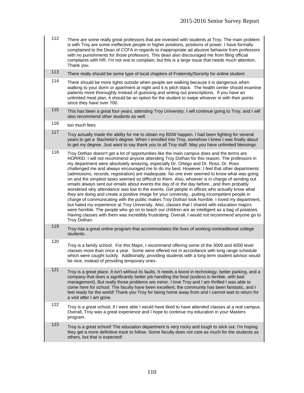| 112 | There are some really great professors that are invested with students at Troy. The main problem<br>is with Troy are some ineffective people in higher positions, positions of power. I have formally<br>complained to the Dean of CCFA in regards to inappropriate ad abusive behavior from professors<br>with no punishments for those professors. This dean also discouraged me from filing official<br>complaints with HR. I'm not one to complain, but this is a large issue that needs much attention.<br>Thank you. |
|-----|----------------------------------------------------------------------------------------------------------------------------------------------------------------------------------------------------------------------------------------------------------------------------------------------------------------------------------------------------------------------------------------------------------------------------------------------------------------------------------------------------------------------------|
|     |                                                                                                                                                                                                                                                                                                                                                                                                                                                                                                                            |

- 113 There really should be some type of local chapters of Fraternity/Sorority for online student
- 114 There should be more lights outside when people are walking because it is dangerous when walking to your dorm or apartment at night and it is pitch black. The health center should examine patients more thoroughly instead of guessing and writing out prescriptions. If you have an unlimited meal plan, it should be an option for the student to swipe whoever in with their points since they have over 700.
- 115 This has been a great four years, attending Troy University. I will continue going to Troy, and I will also recommend other students as well.
- 116  $\frac{100}{25}$  too much fees
- 117 Troy actually made the ability for me to obtain my BSW happen. I had been fighting for several years to get a Bachelor's degree. When I enrolled into Troy, somehow I knew I was finally about to get my degree. Just want to say thank you to all Troy staff. May you have unlimited blessings.
- 118 Troy Dothan doesn't get a lot of opportunities like the main campus does and the terms are HORRID. I will not recommend anyone attending Troy Dothan for this reason. The professors in my department were absolutely amazing, especially Dr. Ortego and Dr. Ross. Dr. Ross challenged me and always encouraged me to do my best. However, I feel that other departments (admissions, records, registration) are inadequate. No one ever seemed to know what was going on and the simplest tasks seemed so difficult to them. Also, whoever is in charge of sending out emails always sent out emails about events the day of or the day before...and then probably wondered why attendance was low to the events. Get people in offices who actually know what they are doing and create a positive image for your university...putting incompetent people in charge of communicating with the public makes Troy Dothan look horrible. I loved my department, but hated my experience at Troy University. Also, classes that I shared with education majors were horrible. The people who go on to teach our children are as intelligent as a bag of potatoes. Having classes with them was incredibly frustrating. Overall, I would not recommend anyone go to Troy Dothan.
- 119 Troy has a great online program that accommodates the lives of working nontraditional college students.
- 120 Troy is a family school. For this Major, I recommend offering some of the 3000 and 4000 level classes more than once a year. Some were offered not in accordance with long range schedule which were caught luckily. Additionally, providing students with a long term student advisor would be nice, instead of providing temporary ones.
- 121 Troy is a great place. It isn't without its faults. It needs a boost in technology, better parking, and a company that does a significantly better job handling the food (sodexo is terrible, with bad management). But really those problems are minor. I love Troy and I am thrilled I was able to come here for school. The faculty have been excellent, the community has been fantastic, and I feel ready for the world! Thank you Troy for being home away from and I cannot wait to return for a visit after I am gone.
- 122 Troy is a great school, if I were able I would have liked to have attended classes at a real campus. Overall, Troy was a great experience and I hope to continue my education in your Masters program.
- 123 Troy is a great school! The education department is very rocky and tough to stick out. I'm hoping they get a more definitive track to follow. Some faculty does not care as much for the students as others, but that is expected!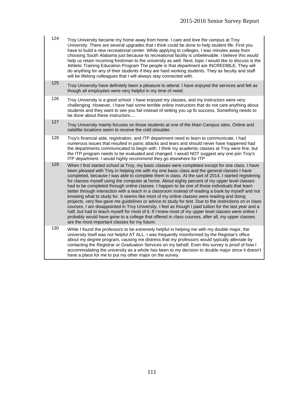- 124 Troy University became my home away from home. I care and love the campus at Troy University. There are several upgrades that I think could be done to help student life. First you have to build a new recreational center. While applying to colleges, I was minutes away from choosing South Alabama just because its recreational facility is unbelievable. I believe this would help us retain incoming freshman to the university as well. Next, topic I would like to discuss is the Athletic Training Education Program The people in that department are INCREDIBLE. They will do anything for any of their students if they are hard working students. They as faculty and staff will be lifelong colleagues that I will always stay connected with.
- 125 Troy University have definitely been a pleasure to attend. I have enjoyed the services and felt as though all employees were very helpful in my time of need.
- 126 Troy University is a good school. I have enjoyed my classes, and my instructors were very challenging. However, I have had some terrible online instructors that do not care anything about students and they want to see you fail instead of setting you up fo success. Something needs to be done about these instructors....
- 127 Troy University mainly focuses on those students at one of the Main Campus sites. Online and satellite locations seem to receive the cold shoulder.
- 128 Troy's financial aide, registration, and ITP department need to learn to communicate. I had numerous issues that resulted in panic attacks and tears and should never have happened had the departments communicated to begin with. I think my academic classes at Troy were fine, but the ITP program needs to be evaluated and changed. I would NOT suggest any one join Troy's ITP department. I would highly recommend they go elsewhere for ITP
- 129 When I first started school at Troy, my basic classes were completed except for one class. I have been pleased with Troy in helping me with my one basic class and the general classes I have completed, because I was able to complete them in class. At the sart of 2014, I started registering for classes myself using the computer at home. About eighty percent of my upper level classes had to be completed through online classes. I happen to be one of those individuals that learn better through interaction with a teach in a classroom instead of reading a book by myself and not knowing what to study for. It seems like most of my online classes were reading and doing projects, very few gave me guidelines or advice to study for test. Due to the restrictions on in class courses, I am disappointed in Troy University. I feel as though I paid tuition for the last year and a half, but had to teach myself for most of it. If I knew most of my upper level classes were online I probably would have gone to a college that offered in class courses, after all, my upper classes are the most important classes for my future.
- 130 While I found the professors to be extremely helpful in helping me with my double major, the university itself was not helpful AT ALL. I was frequently misinformed by the Registar's office about my degree program, causing me distress that my professors would typically alleviate by contacting the Registrar or Graduation Services on my behalf. Even this survey is proof of how I accommodating the university as a whole has been to my decision to double major since it doesn't have a place for me to put my other major on the survey.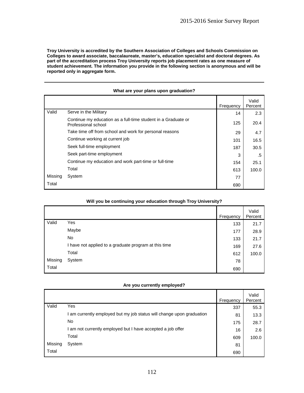**Troy University is accredited by the Southern Association of Colleges and Schools Commission on Colleges to award associate, baccalaureate, master's, education specialist and doctoral degrees. As part of the accreditation process Troy University reports job placement rates as one measure of student achievement. The information you provide in the following section is anonymous and will be reported only in aggregate form.** 

|         |                                                                                      | Frequency | Valid<br>Percent |
|---------|--------------------------------------------------------------------------------------|-----------|------------------|
| Valid   | Serve in the Military                                                                | 14        | 2.3              |
|         | Continue my education as a full-time student in a Graduate or<br>Professional school | 125       | 20.4             |
|         | Take time off from school and work for personal reasons                              | 29        | 4.7              |
|         | Continue working at current job                                                      | 101       | 16.5             |
|         | Seek full-time employment                                                            | 187       | 30.5             |
|         | Seek part-time employment                                                            | 3         | .5               |
|         | Continue my education and work part-time or full-time                                | 154       | 25.1             |
|         | Total                                                                                | 613       | 100.0            |
| Missing | System                                                                               | 77        |                  |
| Total   |                                                                                      | 690       |                  |

#### **What are your plans upon graduation?**

|         |                                                       | Frequency | Valid<br>Percent |
|---------|-------------------------------------------------------|-----------|------------------|
| Valid   | Yes                                                   | 133       | 21.7             |
|         | Maybe                                                 | 177       | 28.9             |
|         | No                                                    | 133       | 21.7             |
|         | I have not applied to a graduate program at this time | 169       | 27.6             |
|         | Total                                                 | 612       | 100.0            |
| Missing | System                                                | 78        |                  |
| Total   |                                                       | 690       |                  |

#### **Will you be continuing your education through Troy University?**

#### **Are you currently employed?**

|         |                                                                     | Frequency | Valid<br>Percent |
|---------|---------------------------------------------------------------------|-----------|------------------|
| Valid   | Yes                                                                 | 337       | 55.3             |
|         | am currently employed but my job status will change upon graduation | 81        | 13.3             |
|         | No.                                                                 | 175       | 28.7             |
|         | I am not currently employed but I have accepted a job offer         | 16        | 2.6              |
|         | Total                                                               | 609       | 100.0            |
| Missing | System                                                              | 81        |                  |
| Total   |                                                                     | 690       |                  |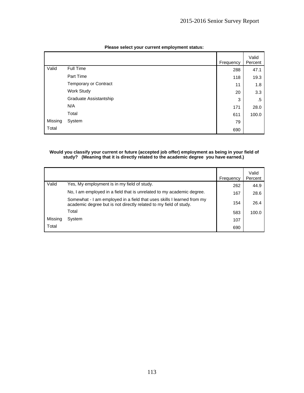|         |                        | Frequency | Valid<br>Percent |
|---------|------------------------|-----------|------------------|
| Valid   | Full Time              | 288       | 47.1             |
|         | Part Time              | 118       | 19.3             |
|         | Temporary or Contract  | 11        | 1.8              |
|         | Work Study             | 20        | 3.3              |
|         | Graduate Assistantship | 3         | .5               |
|         | N/A                    | 171       | 28.0             |
|         | Total                  | 611       | 100.0            |
| Missing | System                 | 79        |                  |
| Total   |                        | 690       |                  |

#### **Please select your current employment status:**

#### **Would you classify your current or future (accepted job offer) employment as being in your field of study? (Meaning that it is directly related to the academic degree you have earned.)**

|         |                                                                                                                                             | Frequency | Valid<br>Percent |
|---------|---------------------------------------------------------------------------------------------------------------------------------------------|-----------|------------------|
| Valid   | Yes, My employment is in my field of study.                                                                                                 | 262       | 44.9             |
|         | No, I am employed in a field that is unrelated to my academic degree.                                                                       | 167       | 28.6             |
|         | Somewhat - I am employed in a field that uses skills I learned from my<br>academic degree but is not directly related to my field of study. | 154       | 26.4             |
|         | Total                                                                                                                                       | 583       | 100.0            |
| Missing | System                                                                                                                                      | 107       |                  |
| Total   |                                                                                                                                             | 690       |                  |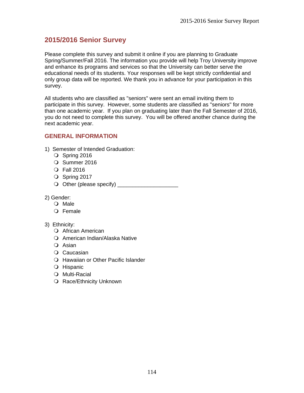# **2015/2016 Senior Survey**

Please complete this survey and submit it online if you are planning to Graduate Spring/Summer/Fall 2016. The information you provide will help Troy University improve and enhance its programs and services so that the University can better serve the educational needs of its students. Your responses will be kept strictly confidential and only group data will be reported. We thank you in advance for your participation in this survey.

All students who are classified as "seniors" were sent an email inviting them to participate in this survey. However, some students are classified as "seniors" for more than one academic year. If you plan on graduating later than the Fall Semester of 2016, you do not need to complete this survey. You will be offered another chance during the next academic year.

## **GENERAL INFORMATION**

- 1) Semester of Intended Graduation:
	- O Spring 2016
	- O Summer 2016
	- Fall 2016
	- O Spring 2017
	- Other (please specify) \_\_\_\_\_\_\_\_\_\_\_\_\_\_\_\_\_\_\_\_
- 2) Gender:
	- O Male
	- O Female

### 3) Ethnicity:

- African American
- O American Indian/Alaska Native
- O Asian
- O Caucasian
- O Hawaiian or Other Pacific Islander
- Hispanic
- Multi-Racial
- O Race/Ethnicity Unknown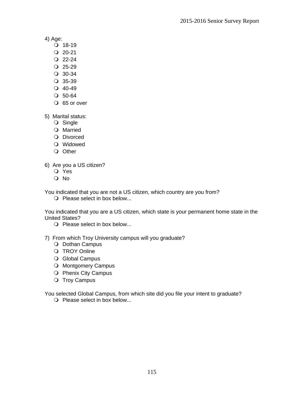4) Age:

- $Q$  18-19
- $Q$  20-21
- $Q$  22-24
- $Q$  25-29
- 30-34
- $Q$  35-39
- $Q$  40-49
- $O$  50-64
- O 65 or over

5) Marital status:

- O Single
- O Married
- O Divorced
- Widowed
- O Other

6) Are you a US citizen?

- Yes
- O No

You indicated that you are not a US citizen, which country are you from?

O Please select in box below...

You indicated that you are a US citizen, which state is your permanent home state in the United States?

- O Please select in box below...
- 7) From which Troy University campus will you graduate?
	- O Dothan Campus
	- O TROY Online
	- O Global Campus
	- O Montgomery Campus
	- O Phenix City Campus
	- O Troy Campus

You selected Global Campus, from which site did you file your intent to graduate?

O Please select in box below...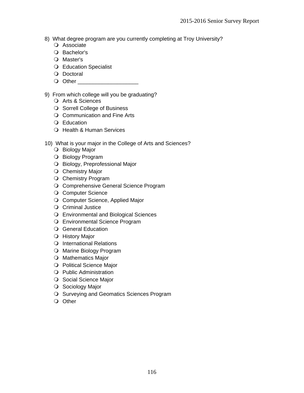- 8) What degree program are you currently completing at Troy University?
	- O Associate
	- O Bachelor's
	- O Master's
	- Education Specialist
	- O Doctoral
	- Other \_\_\_\_\_\_\_\_\_\_\_\_\_\_\_\_\_\_\_\_

### 9) From which college will you be graduating?

- O Arts & Sciences
- O Sorrell College of Business
- O Communication and Fine Arts
- Education
- O Health & Human Services
- 10) What is your major in the College of Arts and Sciences?
	- O Biology Major
	- O Biology Program
	- O Biology, Preprofessional Major
	- O Chemistry Major
	- O Chemistry Program
	- O Comprehensive General Science Program
	- O Computer Science
	- O Computer Science, Applied Major
	- O Criminal Justice
	- Environmental and Biological Sciences
	- Environmental Science Program
	- O General Education
	- O History Major
	- O International Relations
	- O Marine Biology Program
	- O Mathematics Major
	- O Political Science Major
	- Public Administration
	- O Social Science Major
	- O Sociology Major
	- O Surveying and Geomatics Sciences Program
	- O Other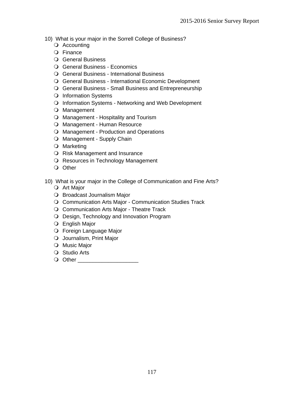- 10) What is your major in the Sorrell College of Business?
	- O Accounting
	- Finance
	- General Business
	- General Business Economics
	- General Business International Business
	- General Business International Economic Development
	- General Business Small Business and Entrepreneurship
	- O Information Systems
	- O Information Systems Networking and Web Development
	- O Management
	- O Management Hospitality and Tourism
	- Management Human Resource
	- O Management Production and Operations
	- O Management Supply Chain
	- Marketing
	- O Risk Management and Insurance
	- O Resources in Technology Management
	- O Other

10) What is your major in the College of Communication and Fine Arts?

- Art Major
- O Broadcast Journalism Major
- Communication Arts Major Communication Studies Track
- Communication Arts Major Theatre Track
- O Design, Technology and Innovation Program
- English Major
- Foreign Language Major
- O Journalism, Print Major
- O Music Major
- Studio Arts
- Other \_\_\_\_\_\_\_\_\_\_\_\_\_\_\_\_\_\_\_\_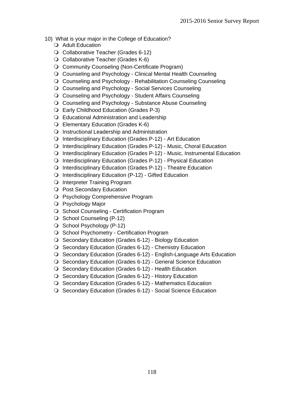- 10) What is your major in the College of Education?
	- O Adult Education
	- Collaborative Teacher (Grades 6-12)
	- O Collaborative Teacher (Grades K-6)
	- Community Counseling (Non-Certificate Program)
	- Counseling and Psychology Clinical Mental Health Counseling
	- Counseling and Psychology Rehabilitation Counseling Counseling
	- Counseling and Psychology Social Services Counseling
	- Counseling and Psychology Student Affairs Counseling
	- Counseling and Psychology Substance Abuse Counseling
	- Early Childhood Education (Grades P-3)
	- Educational Administration and Leadership
	- Elementary Education (Grades K-6)
	- O Instructional Leadership and Administration
	- Interdisciplinary Education (Grades P-12) Art Education
	- Interdisciplinary Education (Grades P-12) Music, Choral Education
	- Interdisciplinary Education (Grades P-12) Music, Instrumental Education
	- Interdisciplinary Education (Grades P-12) Physical Education
	- Interdisciplinary Education (Grades P-12) Theatre Education
	- Interdisciplinary Education (P-12) Gifted Education
	- O Interpreter Training Program
	- O Post Secondary Education
	- O Psychology Comprehensive Program
	- Psychology Major
	- O School Counseling Certification Program
	- O School Counseling (P-12)
	- O School Psychology (P-12)
	- O School Psychometry Certification Program
	- O Secondary Education (Grades 6-12) Biology Education
	- O Secondary Education (Grades 6-12) Chemistry Education
	- O Secondary Education (Grades 6-12) English-Language Arts Education
	- O Secondary Education (Grades 6-12) General Science Education
	- O Secondary Education (Grades 6-12) Health Education
	- O Secondary Education (Grades 6-12) History Education
	- O Secondary Education (Grades 6-12) Mathematics Education
	- O Secondary Education (Grades 6-12) Social Science Education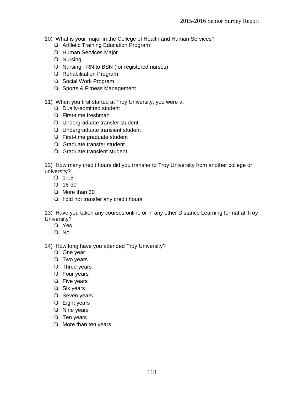- 10) What is your major in the College of Health and Human Services?
	- O Athletic Training Education Program
	- O Human Services Major
	- Nursing
	- O Nursing RN to BSN (for registered nurses)
	- O Rehabilitation Program
	- O Social Work Program
	- O Sports & Fitness Management

### 11) When you first started at Troy University, you were a:

- Dually-admitted student
- First-time freshman
- Undergraduate transfer student
- Undergraduate transient student
- First-time graduate student
- Graduate transfer student
- Graduate transient student

12) How many credit hours did you transfer to Troy University from another college or university?

- $Q$  1-15
- $Q$  16-30
- O More than 30
- O I did not transfer any credit hours.

13) Have you taken any courses online or in any other Distance Learning format at Troy University?

- Yes
- O No

14) How long have you attended Troy University?

- One year
- O Two years
- O Three years
- Four years
- O Five years
- Six years
- $O$  Seven years
- Eight years
- O Nine years
- $\bigcirc$  Ten years
- O More than ten years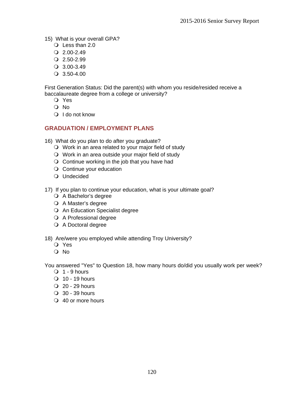- 15) What is your overall GPA?
	- Less than 2.0
	- $Q$  2.00-2.49
	- $Q$  2.50-2.99
	- 3.00-3.49
	- 3.50-4.00

First Generation Status: Did the parent(s) with whom you reside/resided receive a baccalaureate degree from a college or university?

- Yes
- O No
- $\bigcirc$  I do not know

## **GRADUATION / EMPLOYMENT PLANS**

- 16) What do you plan to do after you graduate?
	- Work in an area related to your major field of study
	- Work in an area outside your major field of study
	- $\bigcirc$  Continue working in the job that you have had
	- O Continue your education
	- Undecided
- 17) If you plan to continue your education, what is your ultimate goal?
	- A Bachelor's degree
	- O A Master's degree
	- An Education Specialist degree
	- A Professional degree
	- A Doctoral degree

### 18) Are/were you employed while attending Troy University?

- Yes
- O No

You answered "Yes" to Question 18, how many hours do/did you usually work per week?

- $\bigcirc$  1 9 hours
- $\bigcirc$  10 19 hours
- $Q$  20 29 hours
- $\bigcirc$  30 39 hours
- 40 or more hours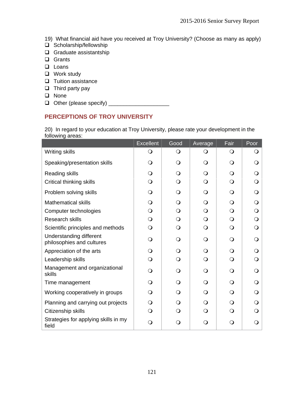- 19) What financial aid have you received at Troy University? (Choose as many as apply)
- $\overline{u}$  Scholarship/fellowship
- Graduate assistantship
- Grants
- **Loans**
- □ Work study
- $\Box$  Tuition assistance
- $\Box$  Third party pay
- **Q** None
- Other (please specify) \_\_\_\_\_\_\_\_\_\_\_\_\_\_\_\_\_\_\_\_

## **PERCEPTIONS OF TROY UNIVERSITY**

20) In regard to your education at Troy University, please rate your development in the following areas:

|                                                             | <b>Excellent</b> | Good         | Average    | Fair     | Poor         |
|-------------------------------------------------------------|------------------|--------------|------------|----------|--------------|
| <b>Writing skills</b>                                       | $\bigcirc$       | $\bigcirc$   | O          | $\Omega$ | $\Omega$     |
| Speaking/presentation skills                                | $\Omega$         | $\circ$      | $\Omega$   | Q        | $\Omega$     |
| Reading skills                                              | $\Omega$         | $\Omega$     | $\Omega$   | ∩        | $\Omega$     |
| Critical thinking skills                                    | $\bigcirc$       | $\circ$      | $\bigcirc$ | $\Omega$ | $\Omega$     |
| Problem solving skills                                      | $\Omega$         | $\Omega$     | $\Omega$   | $\Omega$ | $\mathsf{O}$ |
| <b>Mathematical skills</b>                                  | $\mathsf{O}$     | $\Omega$     | $\Omega$   | $\Omega$ | $\mathsf{O}$ |
| Computer technologies                                       | $\bigcirc$       | $\Omega$     | $\Omega$   | $\Omega$ | $\bigcirc$   |
| Research skills                                             | $\bigcirc$       | Q            | $\Omega$   | $\Omega$ | $\Omega$     |
| Scientific principles and methods                           | $\bigcirc$       | $\Omega$     | $\Omega$   | $\Omega$ | $\Omega$     |
| <b>Understanding different</b><br>philosophies and cultures | $\bigcirc$       | $\Omega$     | $\Omega$   | $\Omega$ | $\Omega$     |
| Appreciation of the arts                                    | $\Omega$         | $\Omega$     | $\Omega$   | $\Omega$ | $\Omega$     |
| Leadership skills                                           | $\bigcirc$       | $\Omega$     | $\Omega$   | $\Omega$ | $\Omega$     |
| Management and organizational<br>skills                     | $\Omega$         | $\Omega$     | $\Omega$   | $\Omega$ | $\Omega$     |
| Time management                                             | $\bigcirc$       | $\Omega$     | $\Omega$   | $\Omega$ | $\Omega$     |
| Working cooperatively in groups                             | $\bigcirc$       | $\Omega$     | $\Omega$   | $\Omega$ | $\Omega$     |
| Planning and carrying out projects                          | $\bigcirc$       | $\Omega$     | $\Omega$   | $\Omega$ | $\Omega$     |
| Citizenship skills                                          | $\Omega$         | Q            | ∩          | ∩        | O            |
| Strategies for applying skills in my<br>field               | $\Omega$         | $\mathsf{O}$ | $\Omega$   | Q        | $\mathsf{O}$ |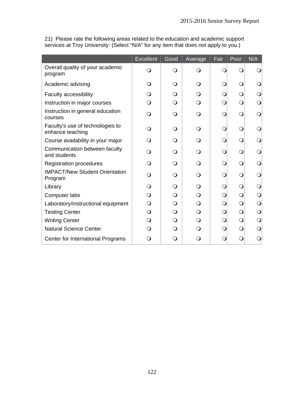21) Please rate the following areas related to the education and academic support services at Troy University: (Select "N/A" for any item that does not apply to you.)

|                                                      | Excellent | Good       | Average    | Fair | Poor       | N/A          |
|------------------------------------------------------|-----------|------------|------------|------|------------|--------------|
| Overall quality of your academic<br>program          | O         | $\bigcirc$ | $\Omega$   |      | O          | O            |
| Academic advising                                    | Q         | $\Omega$   | $\Omega$   |      | $\bigcirc$ |              |
| Faculty accessibility                                | ∩         | $\Omega$   | $\Omega$   |      | $\bigcirc$ | $\circ$      |
| Instruction in major courses                         | $\Omega$  | $\bigcirc$ | $\Omega$   | ∩    | $\bigcirc$ | $\mathsf{O}$ |
| Instruction in general education<br>courses          | ∩         | $\bigcirc$ | $\Omega$   | ◯    | $\bigcirc$ | $\Omega$     |
| Faculty's use of technologies to<br>enhance teaching | ⊖         | $\Omega$   | $\Omega$   |      | $\Omega$   | $\circ$      |
| Course availability in your major                    | ∩         | $\Omega$   | $\Omega$   |      | $\circ$    | O            |
| Communication between faculty<br>and students        |           | $\Omega$   | ∩          |      | $\circ$    | $\circ$      |
| <b>Registration procedures</b>                       | ∩         | $\Omega$   | $\Omega$   | ∩    | $\circ$    | O            |
| <b>IMPACT/New Student Orientation</b><br>Program     | $\Omega$  | $\Omega$   | $\Omega$   |      | $\Omega$   | $\Omega$     |
| Library                                              | ∩         | $\bigcirc$ | $\Omega$   |      | $\bigcirc$ | $\mathsf{O}$ |
| Computer labs                                        | ∩         | $\bigcirc$ | $\Omega$   |      | $\bigcirc$ | $\bigcirc$   |
| Laboratory/instructional equipment                   | Q         | $\Omega$   | $\bigcirc$ |      | $\bigcirc$ | $\Omega$     |
| <b>Testing Center</b>                                | $\Omega$  | $\bigcirc$ | $\bigcirc$ |      | $\bigcirc$ | $\bigcirc$   |
| <b>Writing Center</b>                                | ∩         | $\bigcirc$ | $\bigcirc$ |      | $\bigcirc$ | $\bigcirc$   |
| <b>Natural Science Center</b>                        | ∩         | $\Omega$   | Q          |      | $\Omega$   | $\Omega$     |
| Center for International Programs                    | 0         | Q          | 0          |      | Ω          | Q            |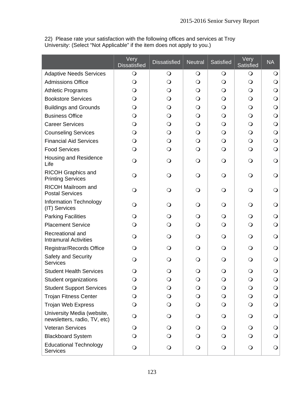|                                                            | Very<br><b>Dissatisfied</b> | <b>Dissatisfied</b> | <b>Neutral</b> | Satisfied    | Very<br>Satisfied | <b>NA</b>    |
|------------------------------------------------------------|-----------------------------|---------------------|----------------|--------------|-------------------|--------------|
| <b>Adaptive Needs Services</b>                             | $\circ$                     | $\bigcirc$          | $\bigcirc$     | $\bigcirc$   | $\circ$           | $\bigcirc$   |
| <b>Admissions Office</b>                                   | $\bigcirc$                  | $\circ$             | $\bigcirc$     | $\bigcirc$   | $\bigcirc$        | $\bigcirc$   |
| <b>Athletic Programs</b>                                   | $\mathsf{O}$                | $\circ$             | $\bigcirc$     | $\mathbf{O}$ | $\bigcirc$        | $\bigcirc$   |
| <b>Bookstore Services</b>                                  | $\Omega$                    | $\Omega$            | $\circ$        | $\mathsf{O}$ | $\Omega$          | $\bigcirc$   |
| <b>Buildings and Grounds</b>                               | $\Omega$                    | $\Omega$            | $\Omega$       | $\mathsf{O}$ | $\bigcirc$        | $\circ$      |
| <b>Business Office</b>                                     | O                           | $\Omega$            | $\mathsf{O}$   | $\mathsf{O}$ | $\Omega$          | $\circ$      |
| <b>Career Services</b>                                     | $\Omega$                    | $\bigcirc$          | $\bigcirc$     | $\bigcirc$   | $\bigcirc$        | $\bigcirc$   |
| <b>Counseling Services</b>                                 | $\bigcirc$                  | $\bigcirc$          | $\bigcirc$     | $\bigcirc$   | $\bigcirc$        | $\bigcirc$   |
| <b>Financial Aid Services</b>                              | $\mathsf{O}$                | $\bigcirc$          | $\bigcirc$     | $\bigcirc$   | $\bigcirc$        | $\circ$      |
| <b>Food Services</b>                                       | $\mathsf{O}$                | $\mathsf{O}$        | $\circ$        | $\bigcirc$   | $\bigcirc$        | $\bigcirc$   |
| Housing and Residence<br>Life                              | $\circ$                     | $\Omega$            | $\bigcirc$     | $\bigcirc$   | $\bigcirc$        | $\bigcirc$   |
| <b>RICOH Graphics and</b><br><b>Printing Services</b>      | Q                           | Q                   | $\circ$        | $\bigcirc$   | $\Omega$          | $\bigcirc$   |
| RICOH Mailroom and<br><b>Postal Services</b>               | O                           | O                   | $\circ$        | $\bigcirc$   | $\mathsf{O}$      | $\bigcirc$   |
| <b>Information Technology</b><br>(IT) Services             | Q                           | Q                   | $\circ$        | $\bigcirc$   | $\Omega$          | $\circ$      |
| <b>Parking Facilities</b>                                  | $\mathsf{O}$                | $\Omega$            | $\circ$        | $\bigcirc$   | $\Omega$          | $\circ$      |
| <b>Placement Service</b>                                   | $\bigcirc$                  | $\bigcirc$          | $\bigcirc$     | $\bigcirc$   | $\bigcirc$        | $\bigcirc$   |
| Recreational and<br><b>Intramural Activities</b>           | $\Omega$                    | $\Omega$            | $\bigcirc$     | $\bigcirc$   | $\circ$           | $\bigcirc$   |
| Registrar/Records Office                                   | Q                           | Q                   | $\Omega$       | $\Omega$     | $\Omega$          | $\circ$      |
| Safety and Security<br><b>Services</b>                     | Q                           | Q                   | $\Omega$       | $\Omega$     | $\Omega$          | $\circ$      |
| <b>Student Health Services</b>                             | O                           | O                   | $\bigcirc$     | $\bigcirc$   | $\bigcirc$        | $\bigcirc$   |
| Student organizations                                      | $\circ$                     | $\mathsf{O}$        | $\bigcirc$     | $\bigcirc$   | $\circ$           | $\mathsf{O}$ |
| <b>Student Support Services</b>                            | $\bigcirc$                  | $\bigcirc$          | $\mathbf{O}$   | $\bigcirc$   | $\bigcirc$        | $\mathbf{O}$ |
| <b>Trojan Fitness Center</b>                               | $\bigcirc$                  | $\bigcirc$          | $\bigcirc$     | $\bigcirc$   | $\bigcirc$        | $\bigcirc$   |
| <b>Trojan Web Express</b>                                  | $\bigcirc$                  | $\bigcirc$          | $\bigcirc$     | $\bigcirc$   | $\bigcirc$        | $\bigcirc$   |
| University Media (website,<br>newsletters, radio, TV, etc) | $\bigcirc$                  | $\mathbf{O}$        | $\mathbf{O}$   | $\bigcirc$   | $\bigcirc$        | $\bigcirc$   |
| <b>Veteran Services</b>                                    | $\Omega$                    | O                   | $\Omega$       | $\mathbf{O}$ | $\circ$           | $\mathsf{O}$ |
| <b>Blackboard System</b>                                   | $\Omega$                    | $\bigcirc$          | $\Omega$       | $\mathbf{O}$ | $\bigcirc$        | $\bigcirc$   |
| <b>Educational Technology</b><br><b>Services</b>           | $\bigcirc$                  | $\bigcirc$          | $\bigcirc$     | $\bigcirc$   | $\bigcirc$        | $\bigcirc$   |

22) Please rate your satisfaction with the following offices and services at Troy University: (Select "Not Applicable" if the item does not apply to you.)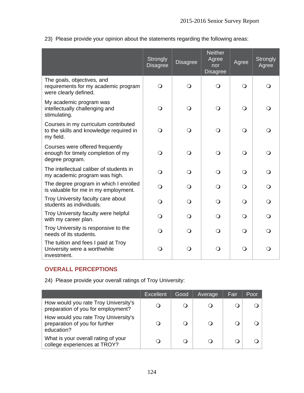|  |  |  |  |  |  | 23) Please provide your opinion about the statements regarding the following areas: |
|--|--|--|--|--|--|-------------------------------------------------------------------------------------|
|--|--|--|--|--|--|-------------------------------------------------------------------------------------|

|                                                                                              | Strongly<br><b>Disagree</b> | <b>Disagree</b> | <b>Neither</b><br>Agree<br>nor<br><b>Disagree</b> | Agree      | <b>Strongly</b><br>Agree |
|----------------------------------------------------------------------------------------------|-----------------------------|-----------------|---------------------------------------------------|------------|--------------------------|
| The goals, objectives, and<br>requirements for my academic program<br>were clearly defined.  | $\bigcirc$                  | $\circ$         | $\Omega$                                          | $\bigcirc$ | $\Omega$                 |
| My academic program was<br>intellectually challenging and<br>stimulating.                    | $\overline{O}$              | $\bigcirc$      | $\circ$                                           | $\bigcirc$ | $\Omega$                 |
| Courses in my curriculum contributed<br>to the skills and knowledge required in<br>my field. | $\bigcirc$                  | $\circ$         | $\Omega$                                          | $\bigcirc$ | $\bigcirc$               |
| Courses were offered frequently<br>enough for timely completion of my<br>degree program.     | $\bigcirc$                  | $\circ$         | $\Omega$                                          | $\bigcirc$ | $\Omega$                 |
| The intellectual caliber of students in<br>my academic program was high.                     | $\bigcirc$                  | $\Omega$        | $\Omega$                                          | $\bigcirc$ | $\bigcirc$               |
| The degree program in which I enrolled<br>is valuable for me in my employment.               | $\Omega$                    | $\Omega$        | ∩                                                 | $\Omega$   | $\Omega$                 |
| Troy University faculty care about<br>students as individuals.                               | $\mathsf{O}$                | $\Omega$        | $\Omega$                                          | $\bigcirc$ | $\circ$                  |
| Troy University faculty were helpful<br>with my career plan.                                 | $\overline{O}$              | $\Omega$        | $\Omega$                                          | $\bigcirc$ | $\bigcirc$               |
| Troy University is responsive to the<br>needs of its students.                               | $\bigcirc$                  | $\Omega$        | $\Omega$                                          | $\bigcirc$ | $\Omega$                 |
| The tuition and fees I paid at Troy<br>University were a worthwhile<br>investment.           | $\mathsf{O}$                | $\circ$         | $\Omega$                                          | $\bigcirc$ | $\circ$                  |

## **OVERALL PERCEPTIONS**

24) Please provide your overall ratings of Troy University:

|                                                                                      | <b>Excellent</b> | Good | Average | Fair | Poor |
|--------------------------------------------------------------------------------------|------------------|------|---------|------|------|
| How would you rate Troy University's<br>preparation of you for employment?           |                  |      |         | ( )  |      |
| How would you rate Troy University's<br>preparation of you for further<br>education? |                  |      |         |      |      |
| What is your overall rating of your<br>college experiences at TROY?                  |                  |      |         | O    |      |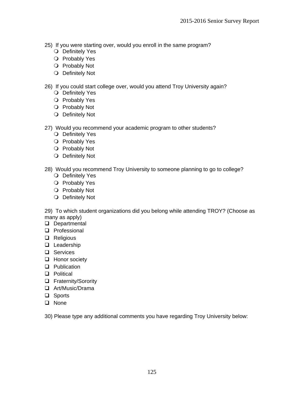- 25) If you were starting over, would you enroll in the same program?
	- O Definitely Yes
	- O Probably Yes
	- O Probably Not
	- O Definitely Not

26) If you could start college over, would you attend Troy University again?

- O Definitely Yes
- O Probably Yes
- O Probably Not
- O Definitely Not
- 27) Would you recommend your academic program to other students?
	- O Definitely Yes
	- O Probably Yes
	- O Probably Not
	- O Definitely Not

28) Would you recommend Troy University to someone planning to go to college?

- O Definitely Yes
- O Probably Yes
- O Probably Not
- O Definitely Not

29) To which student organizations did you belong while attending TROY? (Choose as many as apply)

- Departmental
- **D** Professional
- **Q** Religious
- **Q** Leadership
- □ Services
- **Honor society**
- **Q** Publication
- □ Political
- □ Fraternity/Sorority
- Art/Music/Drama
- □ Sports
- **Q** None

30) Please type any additional comments you have regarding Troy University below: